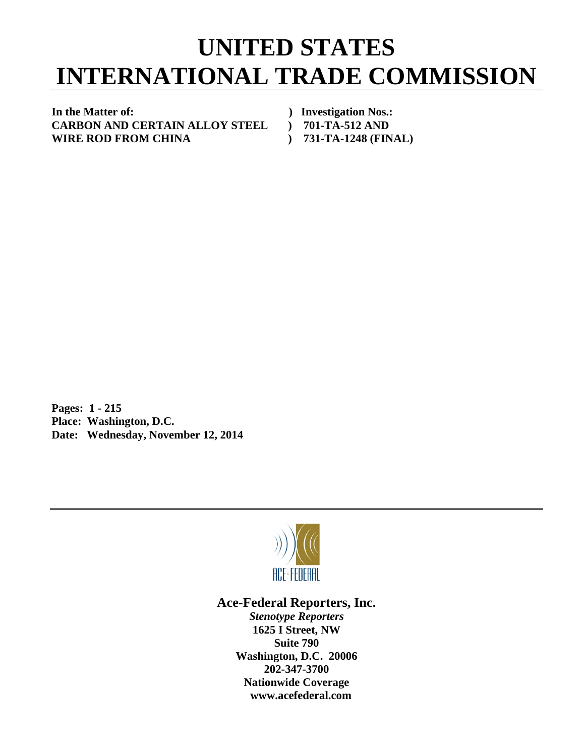## **UNITED STATES INTERNATIONAL TRADE COMMISSION**

**In the Matter of: ) Investigation Nos.: CARBON AND CERTAIN ALLOY STEEL ) 701-TA-512 AND WIRE ROD FROM CHINA ) 731-TA-1248 (FINAL)** 

**Pages: 1 - 215 Place: Washington, D.C. Date: Wednesday, November 12, 2014** 



## **Ace-Federal Reporters, Inc.**

*Stenotype Reporters*  **1625 I Street, NW Suite 790 Washington, D.C. 20006 202-347-3700 Nationwide Coverage www.acefederal.com**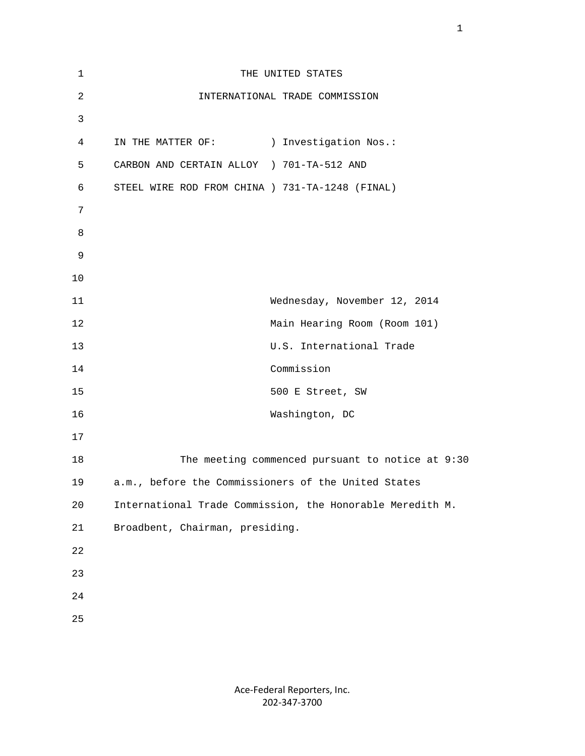| 1              |                                                 | THE UNITED STATES                                         |
|----------------|-------------------------------------------------|-----------------------------------------------------------|
| $\overline{c}$ |                                                 | INTERNATIONAL TRADE COMMISSION                            |
| 3              |                                                 |                                                           |
| 4              | IN THE MATTER OF: ) Investigation Nos.:         |                                                           |
| 5              | CARBON AND CERTAIN ALLOY ) 701-TA-512 AND       |                                                           |
| 6              | STEEL WIRE ROD FROM CHINA ) 731-TA-1248 (FINAL) |                                                           |
| 7              |                                                 |                                                           |
| 8              |                                                 |                                                           |
| 9              |                                                 |                                                           |
| 10             |                                                 |                                                           |
| 11             |                                                 | Wednesday, November 12, 2014                              |
| 12             |                                                 | Main Hearing Room (Room 101)                              |
| 13             |                                                 | U.S. International Trade                                  |
| 14             |                                                 | Commission                                                |
| 15             |                                                 | 500 E Street, SW                                          |
| 16             |                                                 | Washington, DC                                            |
| 17             |                                                 |                                                           |
| 18             |                                                 | The meeting commenced pursuant to notice at 9:30          |
| 19             |                                                 | a.m., before the Commissioners of the United States       |
| 20             |                                                 | International Trade Commission, the Honorable Meredith M. |
| 21             | Broadbent, Chairman, presiding.                 |                                                           |
| 22             |                                                 |                                                           |
| 23             |                                                 |                                                           |
| $2\sqrt{4}$    |                                                 |                                                           |
| 25             |                                                 |                                                           |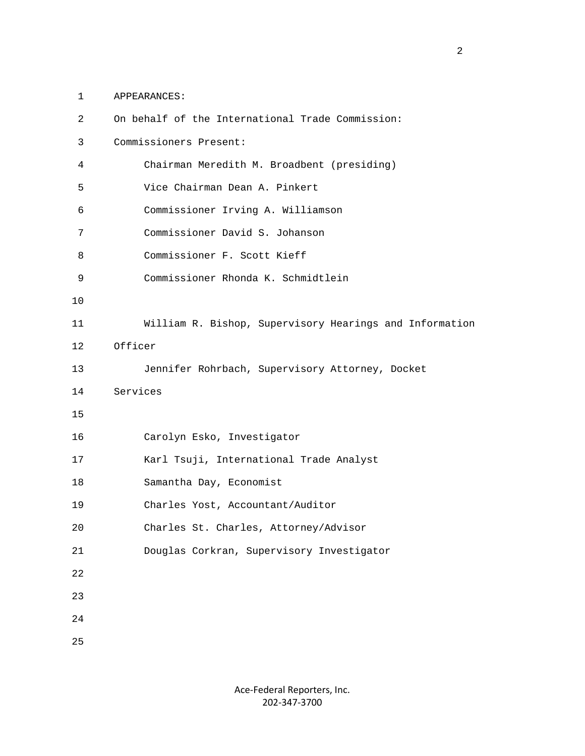1 APPEARANCES:

| $\overline{2}$ | On behalf of the International Trade Commission:        |
|----------------|---------------------------------------------------------|
| 3              | Commissioners Present:                                  |
| 4              | Chairman Meredith M. Broadbent (presiding)              |
| 5              | Vice Chairman Dean A. Pinkert                           |
| 6              | Commissioner Irving A. Williamson                       |
| 7              | Commissioner David S. Johanson                          |
| 8              | Commissioner F. Scott Kieff                             |
| 9              | Commissioner Rhonda K. Schmidtlein                      |
| 10             |                                                         |
| 11             | William R. Bishop, Supervisory Hearings and Information |
| 12             | Officer                                                 |
| 13             | Jennifer Rohrbach, Supervisory Attorney, Docket         |
|                |                                                         |
| 14             | Services                                                |
| 15             |                                                         |
| 16             | Carolyn Esko, Investigator                              |
| 17             | Karl Tsuji, International Trade Analyst                 |
| 18             | Samantha Day, Economist                                 |
| 19             | Charles Yost, Accountant/Auditor                        |
| 20             | Charles St. Charles, Attorney/Advisor                   |
| 21             | Douglas Corkran, Supervisory Investigator               |
| 22             |                                                         |
| 23             |                                                         |
| 24             |                                                         |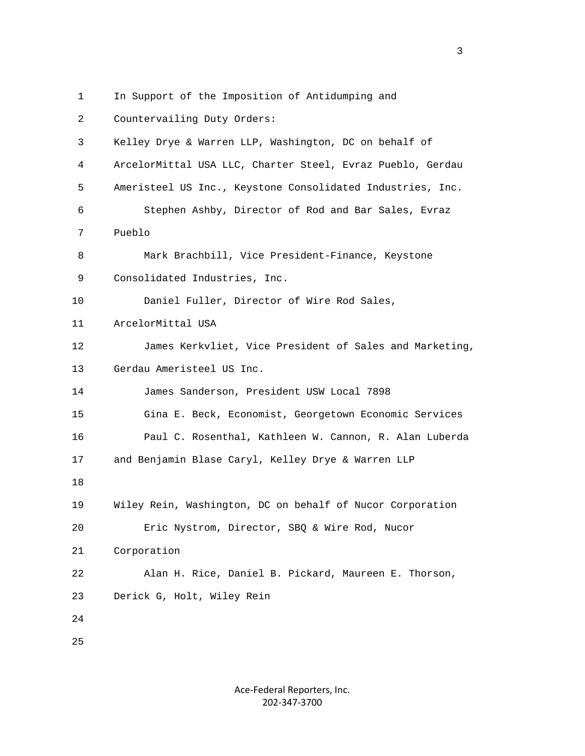- - 1 In Support of the Imposition of Antidumping and
- 2 Countervailing Duty Orders: 3 Kelley Drye & Warren LLP, Washington, DC on behalf of 4 ArcelorMittal USA LLC, Charter Steel, Evraz Pueblo, Gerdau 5 Ameristeel US Inc., Keystone Consolidated Industries, Inc. 6 Stephen Ashby, Director of Rod and Bar Sales, Evraz 7 Pueblo 8 Mark Brachbill, Vice President-Finance, Keystone 9 Consolidated Industries, Inc. 10 Daniel Fuller, Director of Wire Rod Sales, 11 ArcelorMittal USA 12 James Kerkvliet, Vice President of Sales and Marketing, 13 Gerdau Ameristeel US Inc. 14 James Sanderson, President USW Local 7898 15 Gina E. Beck, Economist, Georgetown Economic Services 16 Paul C. Rosenthal, Kathleen W. Cannon, R. Alan Luberda 17 and Benjamin Blase Caryl, Kelley Drye & Warren LLP 18 19 Wiley Rein, Washington, DC on behalf of Nucor Corporation 20 Eric Nystrom, Director, SBQ & Wire Rod, Nucor 21 Corporation 22 Alan H. Rice, Daniel B. Pickard, Maureen E. Thorson, 23 Derick G, Holt, Wiley Rein 24 25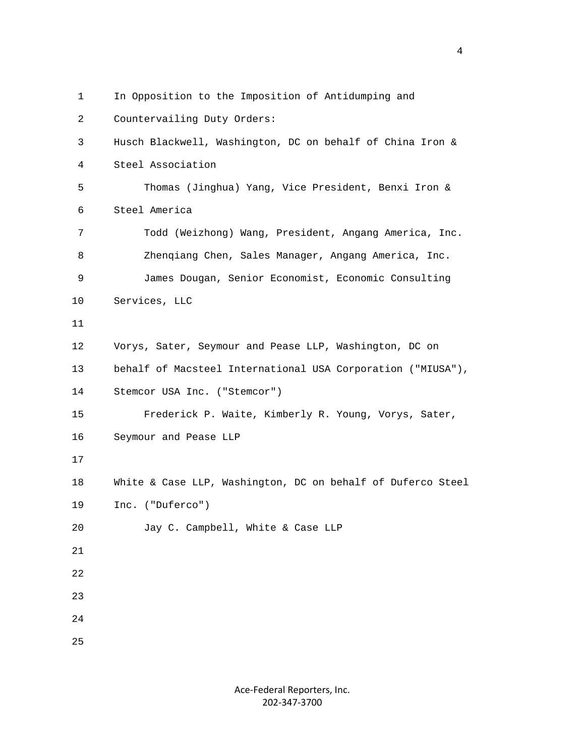1 In Opposition to the Imposition of Antidumping and 2 Countervailing Duty Orders: 3 Husch Blackwell, Washington, DC on behalf of China Iron & 4 Steel Association 5 Thomas (Jinghua) Yang, Vice President, Benxi Iron & 6 Steel America 7 Todd (Weizhong) Wang, President, Angang America, Inc. 8 Zhenqiang Chen, Sales Manager, Angang America, Inc. 9 James Dougan, Senior Economist, Economic Consulting 10 Services, LLC 11 12 Vorys, Sater, Seymour and Pease LLP, Washington, DC on 13 behalf of Macsteel International USA Corporation ("MIUSA"), 14 Stemcor USA Inc. ("Stemcor") 15 Frederick P. Waite, Kimberly R. Young, Vorys, Sater, 16 Seymour and Pease LLP 17 18 White & Case LLP, Washington, DC on behalf of Duferco Steel 19 Inc. ("Duferco") 20 Jay C. Campbell, White & Case LLP 21 22 23 24 25

> Ace‐Federal Reporters, Inc. 202‐347‐3700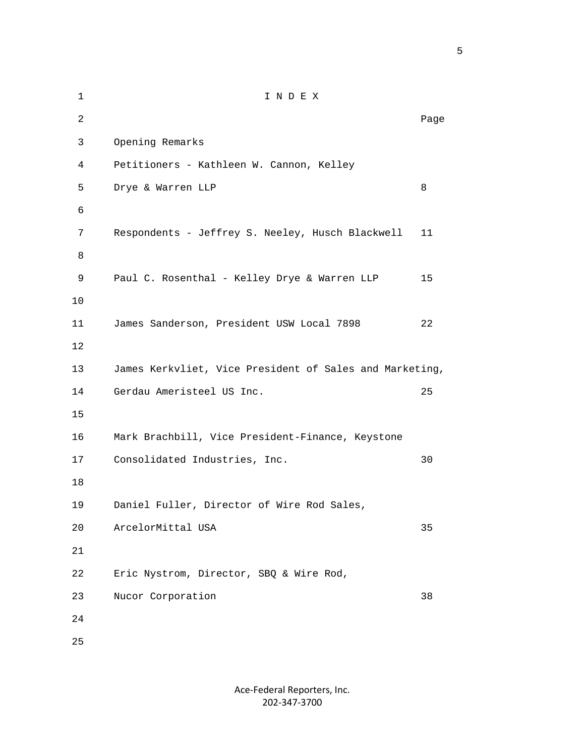1 I N D E X 2 **Page 12 Page 12 Page 12 Page 12 Page 12 Page 12 Page 12 Page 12 Page 12 Page 12 Page 12 Page 12 Page 12 Page 12 Page 12 Page 12 Page 12 Page 12 Page 12 Page 12 Page 12 Page 12** 3 Opening Remarks 4 Petitioners - Kathleen W. Cannon, Kelley 5 Drye & Warren LLP 8 6 7 Respondents - Jeffrey S. Neeley, Husch Blackwell 11 8 9 Paul C. Rosenthal - Kelley Drye & Warren LLP 15 10 11 James Sanderson, President USW Local 7898 22 12 13 James Kerkvliet, Vice President of Sales and Marketing, 14 Gerdau Ameristeel US Inc. 25 15 16 Mark Brachbill, Vice President-Finance, Keystone 17 Consolidated Industries, Inc. 30 18 19 Daniel Fuller, Director of Wire Rod Sales, 20 ArcelorMittal USA 35 21 22 Eric Nystrom, Director, SBQ & Wire Rod, 23 Nucor Corporation 38 24 25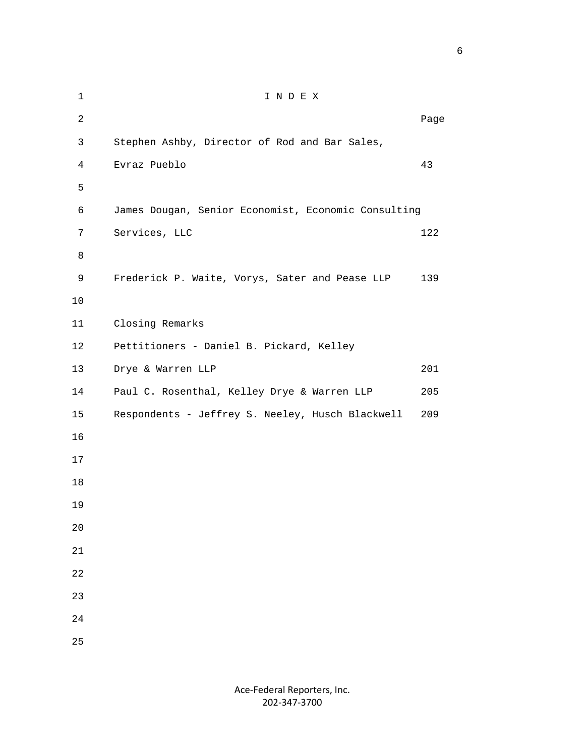| $\mathbf 1$    | INDEX                                               |      |
|----------------|-----------------------------------------------------|------|
| $\overline{a}$ |                                                     | Page |
| 3              | Stephen Ashby, Director of Rod and Bar Sales,       |      |
| $\overline{4}$ | Evraz Pueblo                                        | 43   |
| 5              |                                                     |      |
| 6              | James Dougan, Senior Economist, Economic Consulting |      |
| 7              | Services, LLC                                       | 122  |
| 8              |                                                     |      |
| 9              | Frederick P. Waite, Vorys, Sater and Pease LLP      | 139  |
| 10             |                                                     |      |
| 11             | Closing Remarks                                     |      |
| 12             | Pettitioners - Daniel B. Pickard, Kelley            |      |
| 13             | Drye & Warren LLP                                   | 201  |
| 14             | Paul C. Rosenthal, Kelley Drye & Warren LLP         | 205  |
| 15             | Respondents - Jeffrey S. Neeley, Husch Blackwell    | 209  |
| 16             |                                                     |      |
| 17             |                                                     |      |
| 18             |                                                     |      |
| 19             |                                                     |      |
| 20             |                                                     |      |
| $2\sqrt{1}$    |                                                     |      |
| 22             |                                                     |      |
| 23             |                                                     |      |
| 24             |                                                     |      |
| 25             |                                                     |      |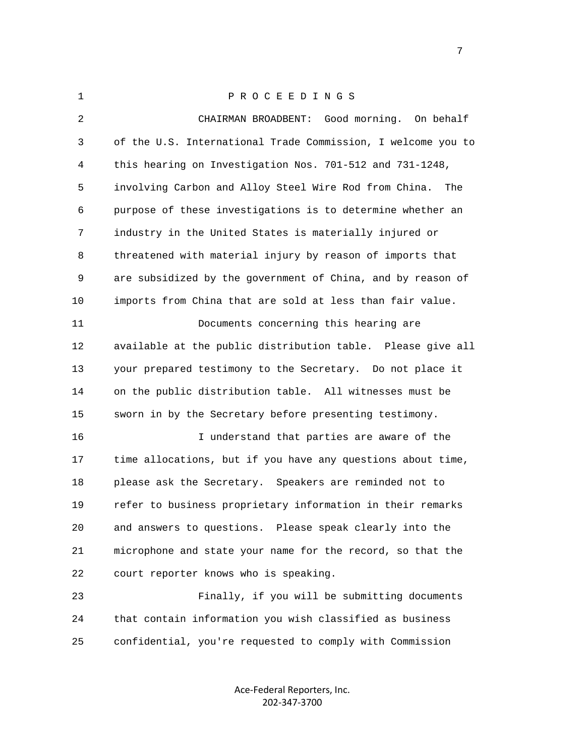| $\mathbf 1$ | PROCEEDINGS                                                  |
|-------------|--------------------------------------------------------------|
| 2           | CHAIRMAN BROADBENT: Good morning. On behalf                  |
| 3           | of the U.S. International Trade Commission, I welcome you to |
| 4           | this hearing on Investigation Nos. 701-512 and 731-1248,     |
| 5           | involving Carbon and Alloy Steel Wire Rod from China.<br>The |
| 6           | purpose of these investigations is to determine whether an   |
| 7           | industry in the United States is materially injured or       |
| 8           | threatened with material injury by reason of imports that    |
| 9           | are subsidized by the government of China, and by reason of  |
| 10          | imports from China that are sold at less than fair value.    |
| 11          | Documents concerning this hearing are                        |
| 12          | available at the public distribution table. Please give all  |
| 13          | your prepared testimony to the Secretary. Do not place it    |
| 14          | on the public distribution table. All witnesses must be      |
| 15          | sworn in by the Secretary before presenting testimony.       |
| 16          | I understand that parties are aware of the                   |
| 17          | time allocations, but if you have any questions about time,  |
| 18          | please ask the Secretary. Speakers are reminded not to       |
| 19          | refer to business proprietary information in their remarks   |
| 20          | and answers to questions. Please speak clearly into the      |
| 21          | microphone and state your name for the record, so that the   |
| 22          | court reporter knows who is speaking.                        |
| 23          | Finally, if you will be submitting documents                 |
| 24          | that contain information you wish classified as business     |
| 25          | confidential, you're requested to comply with Commission     |

Ace‐Federal Reporters, Inc. 202‐347‐3700

<u>2003: The contract of the contract of the contract of the contract of the contract of the contract of the con</u>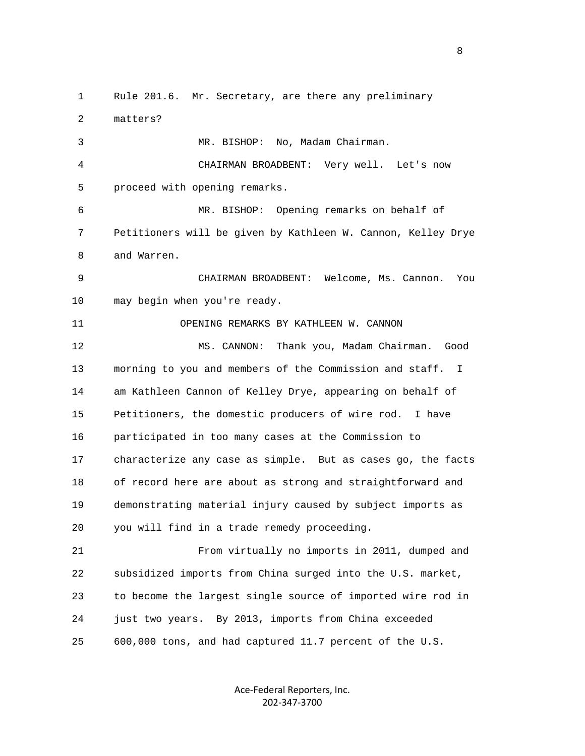1 Rule 201.6. Mr. Secretary, are there any preliminary 2 matters? 3 MR. BISHOP: No, Madam Chairman. 4 CHAIRMAN BROADBENT: Very well. Let's now 5 proceed with opening remarks. 6 MR. BISHOP: Opening remarks on behalf of 7 Petitioners will be given by Kathleen W. Cannon, Kelley Drye 8 and Warren. 9 CHAIRMAN BROADBENT: Welcome, Ms. Cannon. You 10 may begin when you're ready. 11 OPENING REMARKS BY KATHLEEN W. CANNON 12 MS. CANNON: Thank you, Madam Chairman. Good 13 morning to you and members of the Commission and staff. I 14 am Kathleen Cannon of Kelley Drye, appearing on behalf of 15 Petitioners, the domestic producers of wire rod. I have 16 participated in too many cases at the Commission to 17 characterize any case as simple. But as cases go, the facts 18 of record here are about as strong and straightforward and 19 demonstrating material injury caused by subject imports as 20 you will find in a trade remedy proceeding. 21 From virtually no imports in 2011, dumped and 22 subsidized imports from China surged into the U.S. market, 23 to become the largest single source of imported wire rod in 24 just two years. By 2013, imports from China exceeded 25 600,000 tons, and had captured 11.7 percent of the U.S.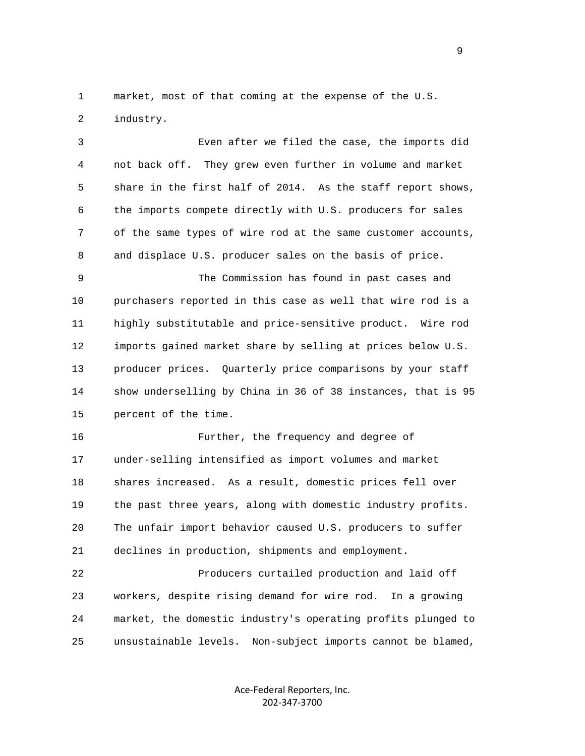1 market, most of that coming at the expense of the U.S. 2 industry.

 3 Even after we filed the case, the imports did 4 not back off. They grew even further in volume and market 5 share in the first half of 2014. As the staff report shows, 6 the imports compete directly with U.S. producers for sales 7 of the same types of wire rod at the same customer accounts, 8 and displace U.S. producer sales on the basis of price.

 9 The Commission has found in past cases and 10 purchasers reported in this case as well that wire rod is a 11 highly substitutable and price-sensitive product. Wire rod 12 imports gained market share by selling at prices below U.S. 13 producer prices. Quarterly price comparisons by your staff 14 show underselling by China in 36 of 38 instances, that is 95 15 percent of the time.

 16 Further, the frequency and degree of 17 under-selling intensified as import volumes and market 18 shares increased. As a result, domestic prices fell over 19 the past three years, along with domestic industry profits. 20 The unfair import behavior caused U.S. producers to suffer 21 declines in production, shipments and employment.

 22 Producers curtailed production and laid off 23 workers, despite rising demand for wire rod. In a growing 24 market, the domestic industry's operating profits plunged to 25 unsustainable levels. Non-subject imports cannot be blamed,

> Ace‐Federal Reporters, Inc. 202‐347‐3700

en de la provincia de la provincia de la provincia de la provincia de la provincia de la provincia de la provi<br>1900 : la provincia de la provincia de la provincia de la provincia de la provincia de la provincia de la prov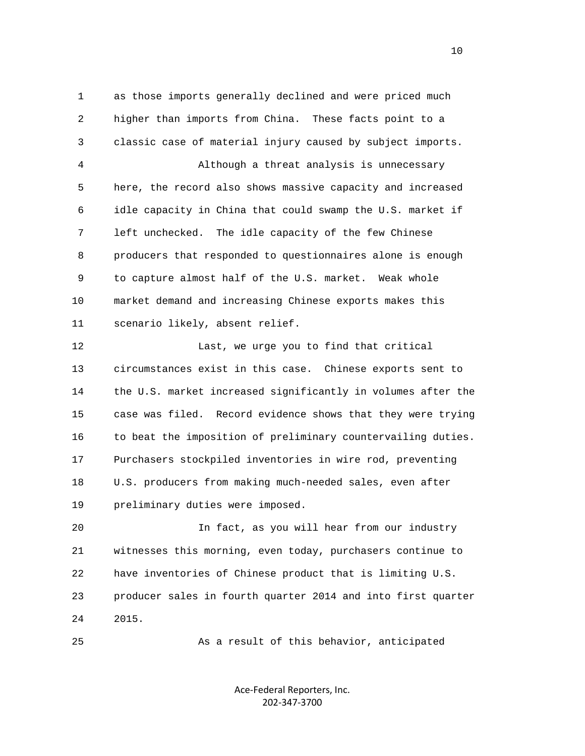1 as those imports generally declined and were priced much 2 higher than imports from China. These facts point to a 3 classic case of material injury caused by subject imports. 4 Although a threat analysis is unnecessary 5 here, the record also shows massive capacity and increased 6 idle capacity in China that could swamp the U.S. market if 7 left unchecked. The idle capacity of the few Chinese 8 producers that responded to questionnaires alone is enough 9 to capture almost half of the U.S. market. Weak whole 10 market demand and increasing Chinese exports makes this 11 scenario likely, absent relief. 12 Last, we urge you to find that critical 13 circumstances exist in this case. Chinese exports sent to 14 the U.S. market increased significantly in volumes after the 15 case was filed. Record evidence shows that they were trying 16 to beat the imposition of preliminary countervailing duties. 17 Purchasers stockpiled inventories in wire rod, preventing 18 U.S. producers from making much-needed sales, even after 19 preliminary duties were imposed. 20 In fact, as you will hear from our industry

 21 witnesses this morning, even today, purchasers continue to 22 have inventories of Chinese product that is limiting U.S. 23 producer sales in fourth quarter 2014 and into first quarter 24 2015.

25 As a result of this behavior, anticipated

Ace‐Federal Reporters, Inc. 202‐347‐3700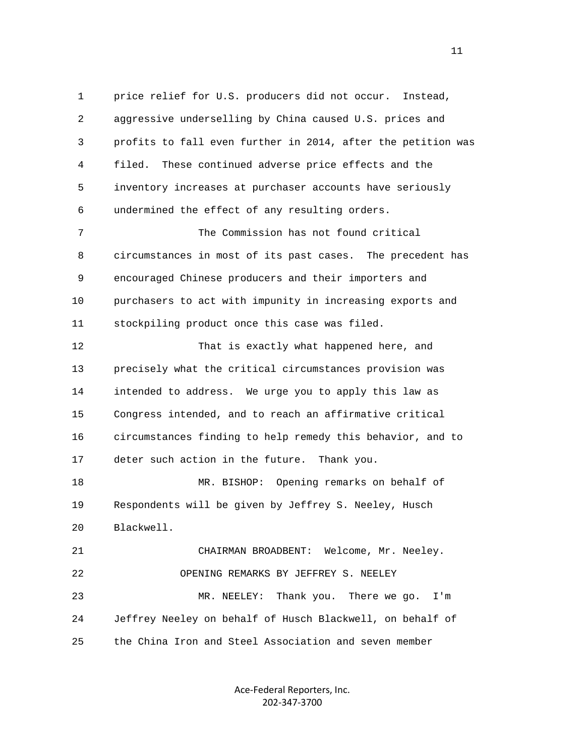1 price relief for U.S. producers did not occur. Instead, 2 aggressive underselling by China caused U.S. prices and 3 profits to fall even further in 2014, after the petition was 4 filed. These continued adverse price effects and the 5 inventory increases at purchaser accounts have seriously 6 undermined the effect of any resulting orders. 7 The Commission has not found critical 8 circumstances in most of its past cases. The precedent has 9 encouraged Chinese producers and their importers and 10 purchasers to act with impunity in increasing exports and 11 stockpiling product once this case was filed. 12 That is exactly what happened here, and 13 precisely what the critical circumstances provision was 14 intended to address. We urge you to apply this law as 15 Congress intended, and to reach an affirmative critical 16 circumstances finding to help remedy this behavior, and to 17 deter such action in the future. Thank you. 18 MR. BISHOP: Opening remarks on behalf of 19 Respondents will be given by Jeffrey S. Neeley, Husch 20 Blackwell. 21 CHAIRMAN BROADBENT: Welcome, Mr. Neeley. 22 OPENING REMARKS BY JEFFREY S. NEELEY 23 MR. NEELEY: Thank you. There we go. I'm 24 Jeffrey Neeley on behalf of Husch Blackwell, on behalf of 25 the China Iron and Steel Association and seven member

> Ace‐Federal Reporters, Inc. 202‐347‐3700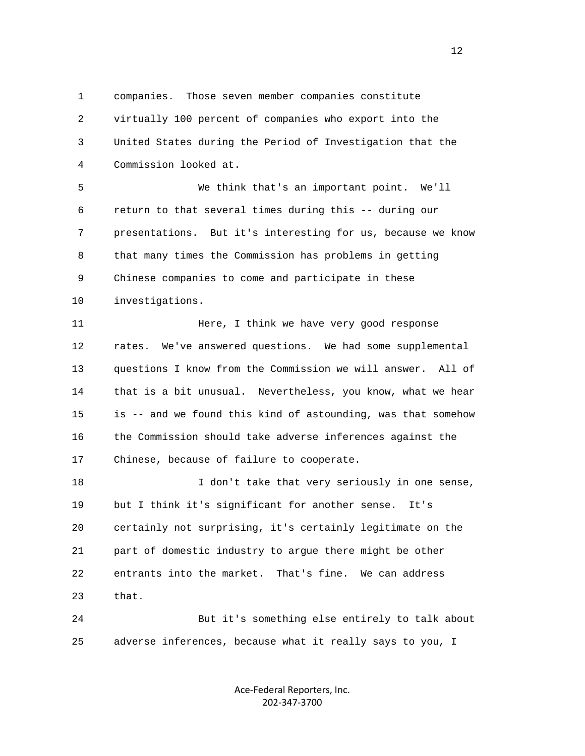1 companies. Those seven member companies constitute 2 virtually 100 percent of companies who export into the 3 United States during the Period of Investigation that the 4 Commission looked at.

 5 We think that's an important point. We'll 6 return to that several times during this -- during our 7 presentations. But it's interesting for us, because we know 8 that many times the Commission has problems in getting 9 Chinese companies to come and participate in these 10 investigations.

11 **Here, I think we have very good response**  12 rates. We've answered questions. We had some supplemental 13 questions I know from the Commission we will answer. All of 14 that is a bit unusual. Nevertheless, you know, what we hear 15 is -- and we found this kind of astounding, was that somehow 16 the Commission should take adverse inferences against the 17 Chinese, because of failure to cooperate.

18 I don't take that very seriously in one sense, 19 but I think it's significant for another sense. It's 20 certainly not surprising, it's certainly legitimate on the 21 part of domestic industry to argue there might be other 22 entrants into the market. That's fine. We can address 23 that.

 24 But it's something else entirely to talk about 25 adverse inferences, because what it really says to you, I

> Ace‐Federal Reporters, Inc. 202‐347‐3700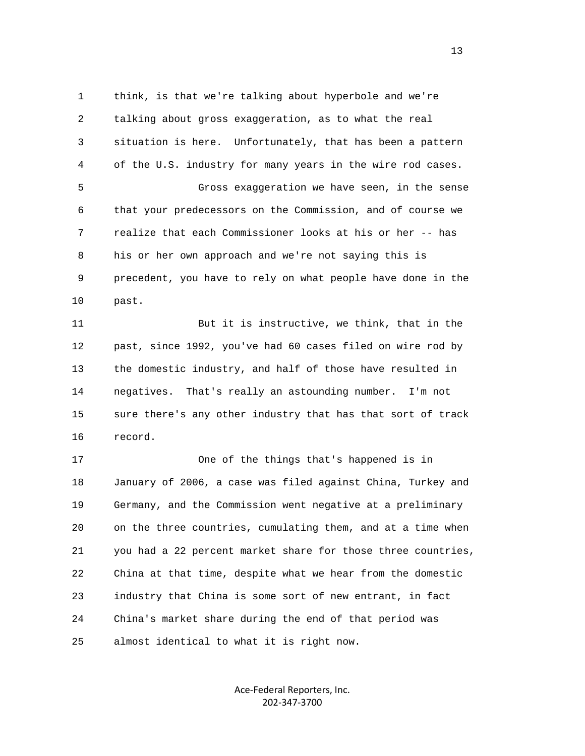1 think, is that we're talking about hyperbole and we're 2 talking about gross exaggeration, as to what the real 3 situation is here. Unfortunately, that has been a pattern 4 of the U.S. industry for many years in the wire rod cases. 5 Gross exaggeration we have seen, in the sense 6 that your predecessors on the Commission, and of course we 7 realize that each Commissioner looks at his or her -- has 8 his or her own approach and we're not saying this is 9 precedent, you have to rely on what people have done in the 10 past.

 11 But it is instructive, we think, that in the 12 past, since 1992, you've had 60 cases filed on wire rod by 13 the domestic industry, and half of those have resulted in 14 negatives. That's really an astounding number. I'm not 15 sure there's any other industry that has that sort of track 16 record.

 17 One of the things that's happened is in 18 January of 2006, a case was filed against China, Turkey and 19 Germany, and the Commission went negative at a preliminary 20 on the three countries, cumulating them, and at a time when 21 you had a 22 percent market share for those three countries, 22 China at that time, despite what we hear from the domestic 23 industry that China is some sort of new entrant, in fact 24 China's market share during the end of that period was 25 almost identical to what it is right now.

> Ace‐Federal Reporters, Inc. 202‐347‐3700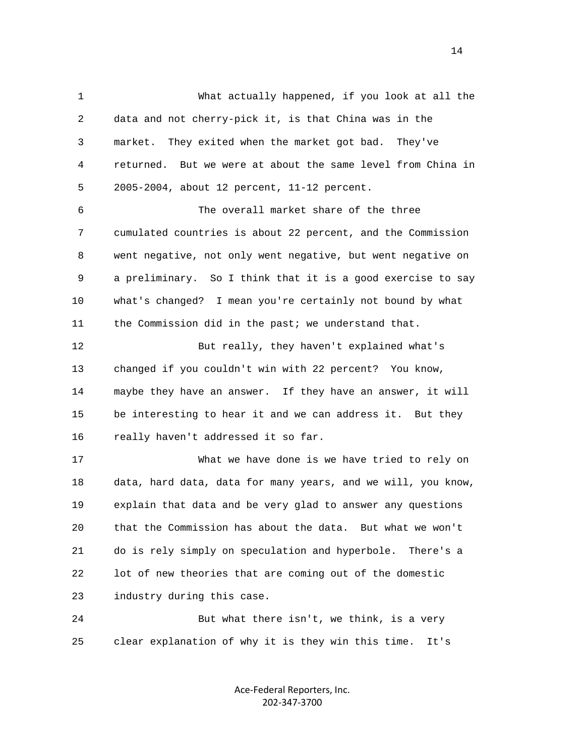1 What actually happened, if you look at all the 2 data and not cherry-pick it, is that China was in the 3 market. They exited when the market got bad. They've 4 returned. But we were at about the same level from China in 5 2005-2004, about 12 percent, 11-12 percent. 6 The overall market share of the three 7 cumulated countries is about 22 percent, and the Commission 8 went negative, not only went negative, but went negative on 9 a preliminary. So I think that it is a good exercise to say 10 what's changed? I mean you're certainly not bound by what 11 the Commission did in the past; we understand that. 12 But really, they haven't explained what's 13 changed if you couldn't win with 22 percent? You know, 14 maybe they have an answer. If they have an answer, it will 15 be interesting to hear it and we can address it. But they 16 really haven't addressed it so far. 17 What we have done is we have tried to rely on 18 data, hard data, data for many years, and we will, you know, 19 explain that data and be very glad to answer any questions 20 that the Commission has about the data. But what we won't 21 do is rely simply on speculation and hyperbole. There's a 22 lot of new theories that are coming out of the domestic 23 industry during this case. 24 But what there isn't, we think, is a very 25 clear explanation of why it is they win this time. It's

> Ace‐Federal Reporters, Inc. 202‐347‐3700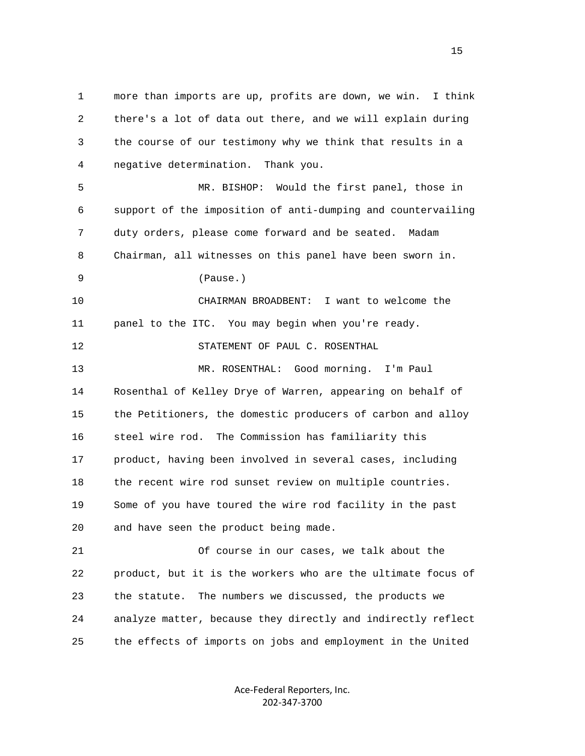1 more than imports are up, profits are down, we win. I think 2 there's a lot of data out there, and we will explain during 3 the course of our testimony why we think that results in a 4 negative determination. Thank you. 5 MR. BISHOP: Would the first panel, those in 6 support of the imposition of anti-dumping and countervailing 7 duty orders, please come forward and be seated. Madam 8 Chairman, all witnesses on this panel have been sworn in. 9 (Pause.) 10 CHAIRMAN BROADBENT: I want to welcome the 11 panel to the ITC. You may begin when you're ready. 12 STATEMENT OF PAUL C. ROSENTHAL 13 MR. ROSENTHAL: Good morning. I'm Paul 14 Rosenthal of Kelley Drye of Warren, appearing on behalf of 15 the Petitioners, the domestic producers of carbon and alloy 16 steel wire rod. The Commission has familiarity this 17 product, having been involved in several cases, including 18 the recent wire rod sunset review on multiple countries. 19 Some of you have toured the wire rod facility in the past 20 and have seen the product being made. 21 Of course in our cases, we talk about the 22 product, but it is the workers who are the ultimate focus of 23 the statute. The numbers we discussed, the products we 24 analyze matter, because they directly and indirectly reflect 25 the effects of imports on jobs and employment in the United

> Ace‐Federal Reporters, Inc. 202‐347‐3700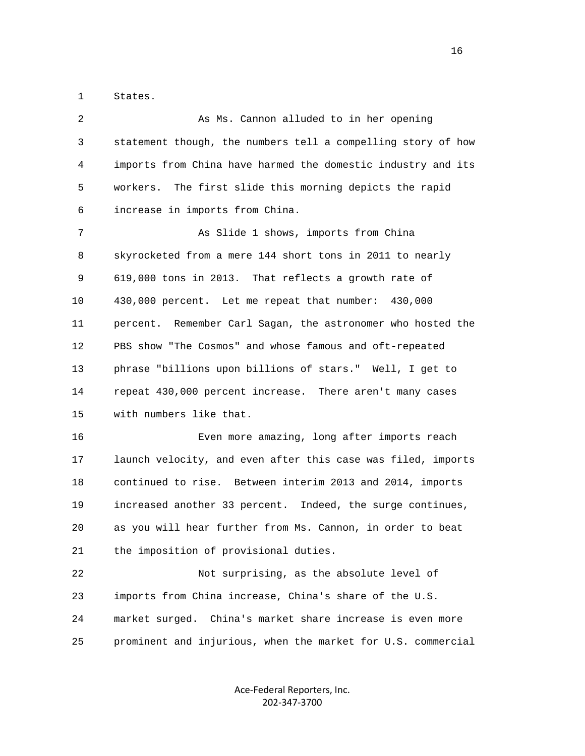1 States.

| 2  | As Ms. Cannon alluded to in her opening                      |
|----|--------------------------------------------------------------|
| 3  | statement though, the numbers tell a compelling story of how |
| 4  | imports from China have harmed the domestic industry and its |
| 5  | The first slide this morning depicts the rapid<br>workers.   |
| 6  | increase in imports from China.                              |
| 7  | As Slide 1 shows, imports from China                         |
| 8  | skyrocketed from a mere 144 short tons in 2011 to nearly     |
| 9  | 619,000 tons in 2013. That reflects a growth rate of         |
| 10 | 430,000 percent. Let me repeat that number: 430,000          |
| 11 | percent. Remember Carl Sagan, the astronomer who hosted the  |
| 12 | PBS show "The Cosmos" and whose famous and oft-repeated      |
| 13 | phrase "billions upon billions of stars." Well, I get to     |
| 14 | repeat 430,000 percent increase. There aren't many cases     |
| 15 | with numbers like that.                                      |
| 16 | Even more amazing, long after imports reach                  |
| 17 | launch velocity, and even after this case was filed, imports |
| 18 | continued to rise. Between interim 2013 and 2014, imports    |
| 19 | increased another 33 percent. Indeed, the surge continues,   |
| 20 | as you will hear further from Ms. Cannon, in order to beat   |
| 21 | the imposition of provisional duties.                        |
| 22 | Not surprising, as the absolute level of                     |
| 23 | imports from China increase, China's share of the U.S.       |
| 24 | market surged.<br>China's market share increase is even more |
| 25 | prominent and injurious, when the market for U.S. commercial |
|    |                                                              |

Ace‐Federal Reporters, Inc. 202‐347‐3700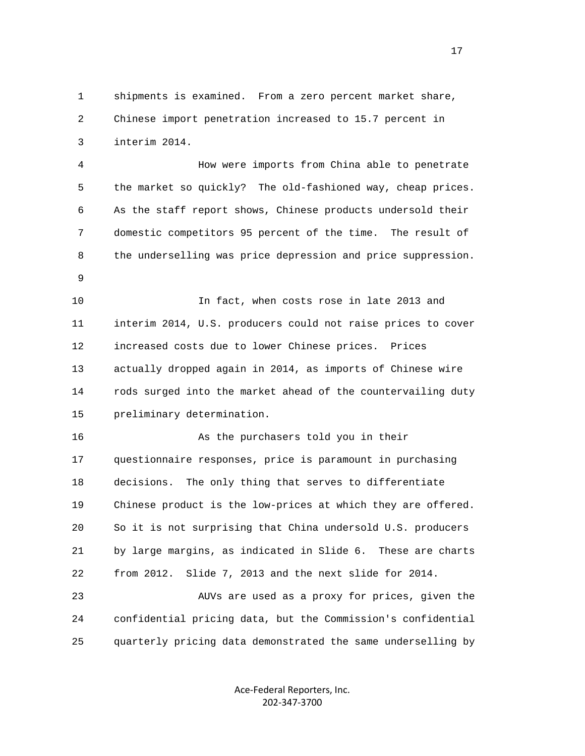1 shipments is examined. From a zero percent market share, 2 Chinese import penetration increased to 15.7 percent in 3 interim 2014.

 4 How were imports from China able to penetrate 5 the market so quickly? The old-fashioned way, cheap prices. 6 As the staff report shows, Chinese products undersold their 7 domestic competitors 95 percent of the time. The result of 8 the underselling was price depression and price suppression.

9

 10 In fact, when costs rose in late 2013 and 11 interim 2014, U.S. producers could not raise prices to cover 12 increased costs due to lower Chinese prices. Prices 13 actually dropped again in 2014, as imports of Chinese wire 14 rods surged into the market ahead of the countervailing duty 15 preliminary determination.

 16 As the purchasers told you in their 17 questionnaire responses, price is paramount in purchasing 18 decisions. The only thing that serves to differentiate 19 Chinese product is the low-prices at which they are offered. 20 So it is not surprising that China undersold U.S. producers 21 by large margins, as indicated in Slide 6. These are charts 22 from 2012. Slide 7, 2013 and the next slide for 2014.

 23 AUVs are used as a proxy for prices, given the 24 confidential pricing data, but the Commission's confidential 25 quarterly pricing data demonstrated the same underselling by

> Ace‐Federal Reporters, Inc. 202‐347‐3700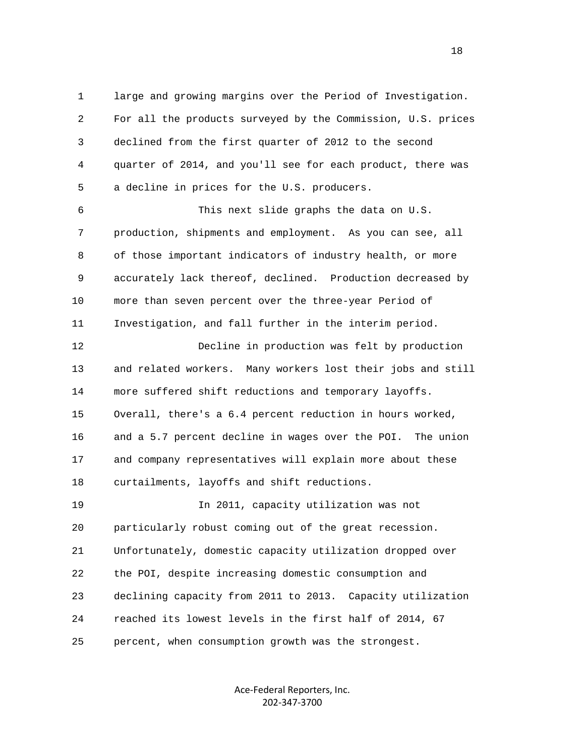1 large and growing margins over the Period of Investigation. 2 For all the products surveyed by the Commission, U.S. prices 3 declined from the first quarter of 2012 to the second 4 quarter of 2014, and you'll see for each product, there was 5 a decline in prices for the U.S. producers.

 6 This next slide graphs the data on U.S. 7 production, shipments and employment. As you can see, all 8 of those important indicators of industry health, or more 9 accurately lack thereof, declined. Production decreased by 10 more than seven percent over the three-year Period of 11 Investigation, and fall further in the interim period.

 12 Decline in production was felt by production 13 and related workers. Many workers lost their jobs and still 14 more suffered shift reductions and temporary layoffs. 15 Overall, there's a 6.4 percent reduction in hours worked, 16 and a 5.7 percent decline in wages over the POI. The union 17 and company representatives will explain more about these 18 curtailments, layoffs and shift reductions. 19 In 2011, capacity utilization was not 20 particularly robust coming out of the great recession. 21 Unfortunately, domestic capacity utilization dropped over 22 the POI, despite increasing domestic consumption and 23 declining capacity from 2011 to 2013. Capacity utilization 24 reached its lowest levels in the first half of 2014, 67 25 percent, when consumption growth was the strongest.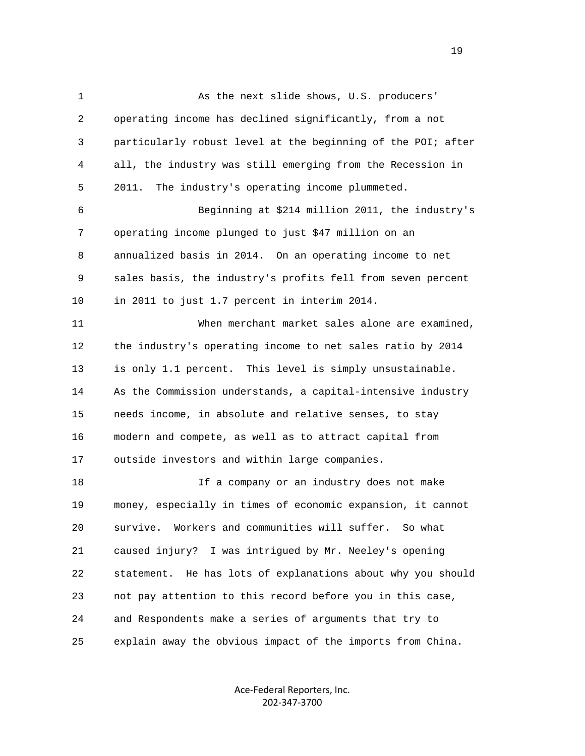1 As the next slide shows, U.S. producers' 2 operating income has declined significantly, from a not 3 particularly robust level at the beginning of the POI; after 4 all, the industry was still emerging from the Recession in 5 2011. The industry's operating income plummeted. 6 Beginning at \$214 million 2011, the industry's 7 operating income plunged to just \$47 million on an 8 annualized basis in 2014. On an operating income to net 9 sales basis, the industry's profits fell from seven percent 10 in 2011 to just 1.7 percent in interim 2014. 11 When merchant market sales alone are examined, 12 the industry's operating income to net sales ratio by 2014 13 is only 1.1 percent. This level is simply unsustainable. 14 As the Commission understands, a capital-intensive industry 15 needs income, in absolute and relative senses, to stay 16 modern and compete, as well as to attract capital from 17 outside investors and within large companies. 18 If a company or an industry does not make 19 money, especially in times of economic expansion, it cannot 20 survive. Workers and communities will suffer. So what 21 caused injury? I was intrigued by Mr. Neeley's opening 22 statement. He has lots of explanations about why you should 23 not pay attention to this record before you in this case, 24 and Respondents make a series of arguments that try to 25 explain away the obvious impact of the imports from China.

> Ace‐Federal Reporters, Inc. 202‐347‐3700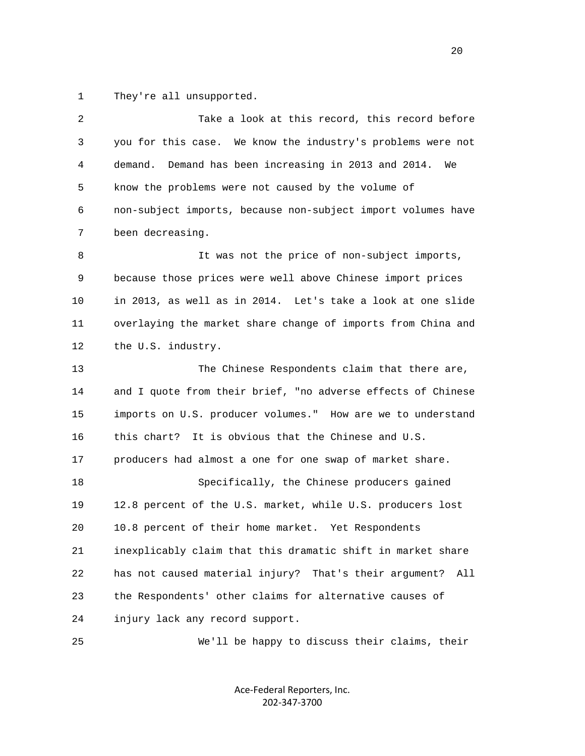1 They're all unsupported.

| $\overline{2}$ | Take a look at this record, this record before                   |
|----------------|------------------------------------------------------------------|
| 3              | you for this case. We know the industry's problems were not      |
| 4              | demand.<br>Demand has been increasing in 2013 and 2014.<br>We    |
| 5              | know the problems were not caused by the volume of               |
| 6              | non-subject imports, because non-subject import volumes have     |
| 7              | been decreasing.                                                 |
| 8              | It was not the price of non-subject imports,                     |
| 9              | because those prices were well above Chinese import prices       |
| 10             | in 2013, as well as in 2014. Let's take a look at one slide      |
| 11             | overlaying the market share change of imports from China and     |
| 12             | the U.S. industry.                                               |
| 13             | The Chinese Respondents claim that there are,                    |
| 14             | and I quote from their brief, "no adverse effects of Chinese     |
| 15             | imports on U.S. producer volumes." How are we to understand      |
| 16             | this chart? It is obvious that the Chinese and U.S.              |
| 17             | producers had almost a one for one swap of market share.         |
| 18             | Specifically, the Chinese producers gained                       |
| 19             | 12.8 percent of the U.S. market, while U.S. producers lost       |
| 20             | 10.8 percent of their home market. Yet Respondents               |
| 21             | inexplicably claim that this dramatic shift in market share      |
| 22             | has not caused material injury?<br>That's their argument?<br>All |
| 23             | the Respondents' other claims for alternative causes of          |
| 24             | injury lack any record support.                                  |
| 25             | We'll be happy to discuss their claims, their                    |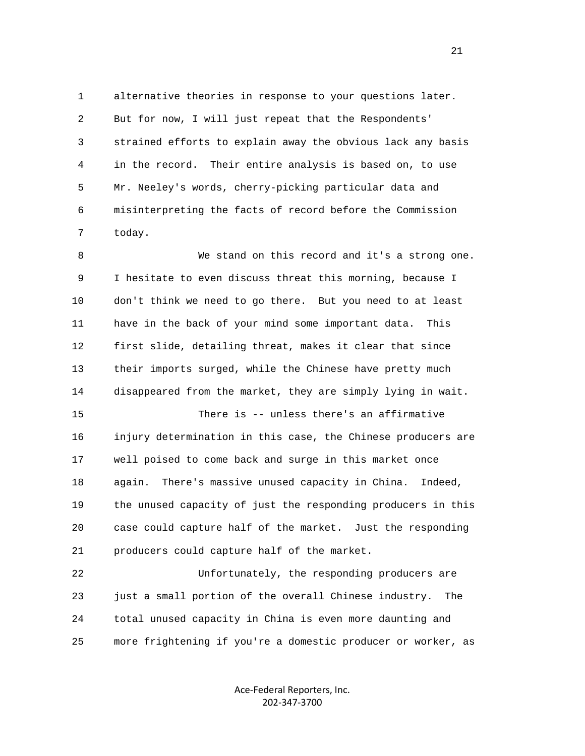1 alternative theories in response to your questions later. 2 But for now, I will just repeat that the Respondents' 3 strained efforts to explain away the obvious lack any basis 4 in the record. Their entire analysis is based on, to use 5 Mr. Neeley's words, cherry-picking particular data and 6 misinterpreting the facts of record before the Commission 7 today.

 8 We stand on this record and it's a strong one. 9 I hesitate to even discuss threat this morning, because I 10 don't think we need to go there. But you need to at least 11 have in the back of your mind some important data. This 12 first slide, detailing threat, makes it clear that since 13 their imports surged, while the Chinese have pretty much 14 disappeared from the market, they are simply lying in wait. 15 There is -- unless there's an affirmative

 16 injury determination in this case, the Chinese producers are 17 well poised to come back and surge in this market once 18 again. There's massive unused capacity in China. Indeed, 19 the unused capacity of just the responding producers in this 20 case could capture half of the market. Just the responding 21 producers could capture half of the market.

 22 Unfortunately, the responding producers are 23 just a small portion of the overall Chinese industry. The 24 total unused capacity in China is even more daunting and 25 more frightening if you're a domestic producer or worker, as

> Ace‐Federal Reporters, Inc. 202‐347‐3700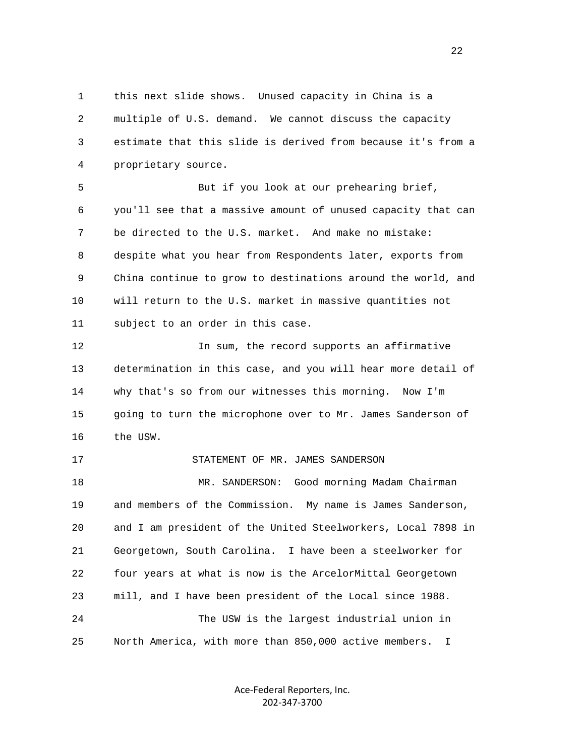1 this next slide shows. Unused capacity in China is a 2 multiple of U.S. demand. We cannot discuss the capacity 3 estimate that this slide is derived from because it's from a 4 proprietary source.

5 But if you look at our prehearing brief, 6 you'll see that a massive amount of unused capacity that can 7 be directed to the U.S. market. And make no mistake: 8 despite what you hear from Respondents later, exports from 9 China continue to grow to destinations around the world, and 10 will return to the U.S. market in massive quantities not 11 subject to an order in this case.

 12 In sum, the record supports an affirmative 13 determination in this case, and you will hear more detail of 14 why that's so from our witnesses this morning. Now I'm 15 going to turn the microphone over to Mr. James Sanderson of 16 the USW.

17 STATEMENT OF MR. JAMES SANDERSON

 18 MR. SANDERSON: Good morning Madam Chairman 19 and members of the Commission. My name is James Sanderson, 20 and I am president of the United Steelworkers, Local 7898 in 21 Georgetown, South Carolina. I have been a steelworker for 22 four years at what is now is the ArcelorMittal Georgetown 23 mill, and I have been president of the Local since 1988. 24 The USW is the largest industrial union in 25 North America, with more than 850,000 active members. I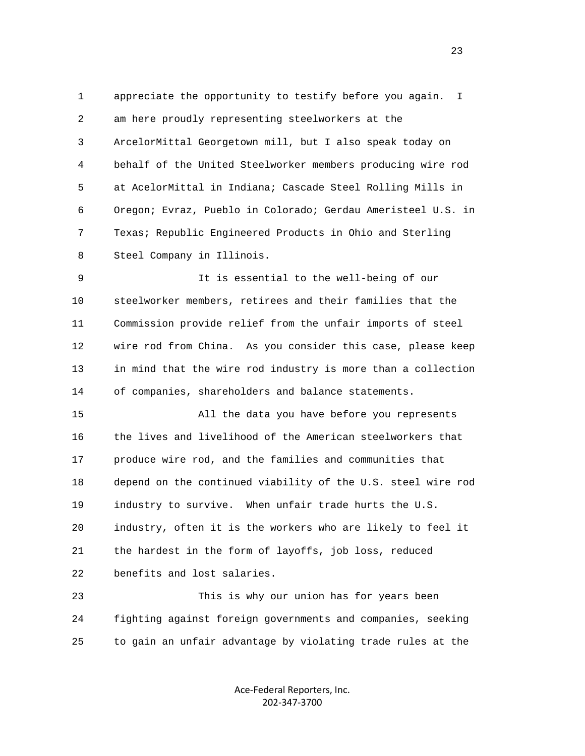1 appreciate the opportunity to testify before you again. I 2 am here proudly representing steelworkers at the 3 ArcelorMittal Georgetown mill, but I also speak today on 4 behalf of the United Steelworker members producing wire rod 5 at AcelorMittal in Indiana; Cascade Steel Rolling Mills in 6 Oregon; Evraz, Pueblo in Colorado; Gerdau Ameristeel U.S. in 7 Texas; Republic Engineered Products in Ohio and Sterling 8 Steel Company in Illinois.

 9 It is essential to the well-being of our 10 steelworker members, retirees and their families that the 11 Commission provide relief from the unfair imports of steel 12 wire rod from China. As you consider this case, please keep 13 in mind that the wire rod industry is more than a collection 14 of companies, shareholders and balance statements.

 15 All the data you have before you represents 16 the lives and livelihood of the American steelworkers that 17 produce wire rod, and the families and communities that 18 depend on the continued viability of the U.S. steel wire rod 19 industry to survive. When unfair trade hurts the U.S. 20 industry, often it is the workers who are likely to feel it 21 the hardest in the form of layoffs, job loss, reduced 22 benefits and lost salaries.

 23 This is why our union has for years been 24 fighting against foreign governments and companies, seeking 25 to gain an unfair advantage by violating trade rules at the

> Ace‐Federal Reporters, Inc. 202‐347‐3700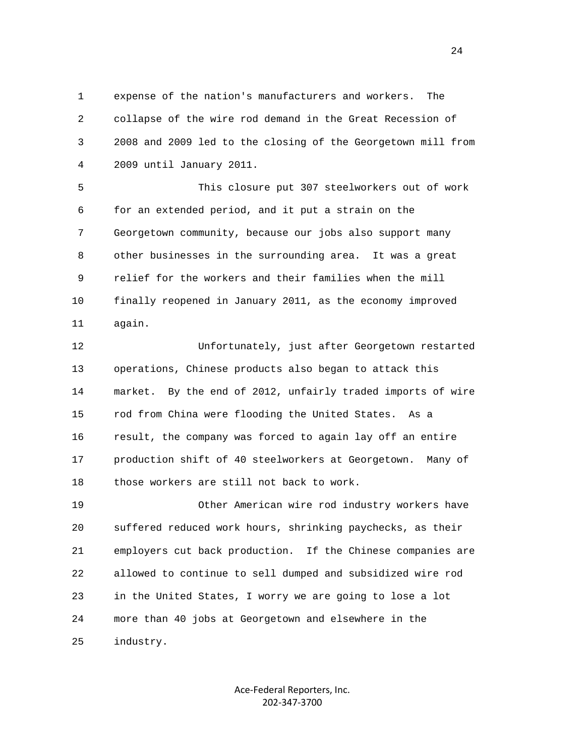1 expense of the nation's manufacturers and workers. The 2 collapse of the wire rod demand in the Great Recession of 3 2008 and 2009 led to the closing of the Georgetown mill from 4 2009 until January 2011.

 5 This closure put 307 steelworkers out of work 6 for an extended period, and it put a strain on the 7 Georgetown community, because our jobs also support many 8 other businesses in the surrounding area. It was a great 9 relief for the workers and their families when the mill 10 finally reopened in January 2011, as the economy improved 11 again.

 12 Unfortunately, just after Georgetown restarted 13 operations, Chinese products also began to attack this 14 market. By the end of 2012, unfairly traded imports of wire 15 rod from China were flooding the United States. As a 16 result, the company was forced to again lay off an entire 17 production shift of 40 steelworkers at Georgetown. Many of 18 those workers are still not back to work.

 19 Other American wire rod industry workers have 20 suffered reduced work hours, shrinking paychecks, as their 21 employers cut back production. If the Chinese companies are 22 allowed to continue to sell dumped and subsidized wire rod 23 in the United States, I worry we are going to lose a lot 24 more than 40 jobs at Georgetown and elsewhere in the 25 industry.

> Ace‐Federal Reporters, Inc. 202‐347‐3700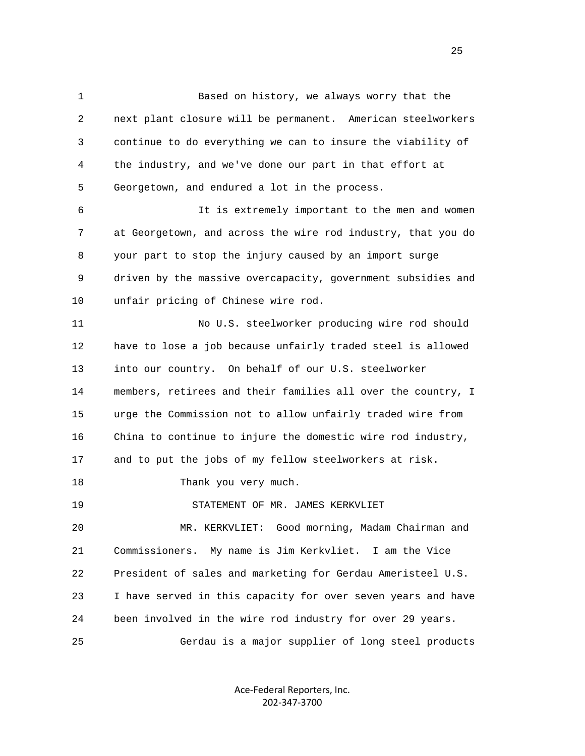1 Based on history, we always worry that the 2 next plant closure will be permanent. American steelworkers 3 continue to do everything we can to insure the viability of 4 the industry, and we've done our part in that effort at 5 Georgetown, and endured a lot in the process. 6 It is extremely important to the men and women 7 at Georgetown, and across the wire rod industry, that you do 8 your part to stop the injury caused by an import surge 9 driven by the massive overcapacity, government subsidies and 10 unfair pricing of Chinese wire rod. 11 No U.S. steelworker producing wire rod should 12 have to lose a job because unfairly traded steel is allowed 13 into our country. On behalf of our U.S. steelworker 14 members, retirees and their families all over the country, I 15 urge the Commission not to allow unfairly traded wire from

16 China to continue to injure the domestic wire rod industry,

17 and to put the jobs of my fellow steelworkers at risk.

18 Thank you very much.

19 STATEMENT OF MR. JAMES KERKVLIET

 20 MR. KERKVLIET: Good morning, Madam Chairman and 21 Commissioners. My name is Jim Kerkvliet. I am the Vice 22 President of sales and marketing for Gerdau Ameristeel U.S. 23 I have served in this capacity for over seven years and have 24 been involved in the wire rod industry for over 29 years. 25 Gerdau is a major supplier of long steel products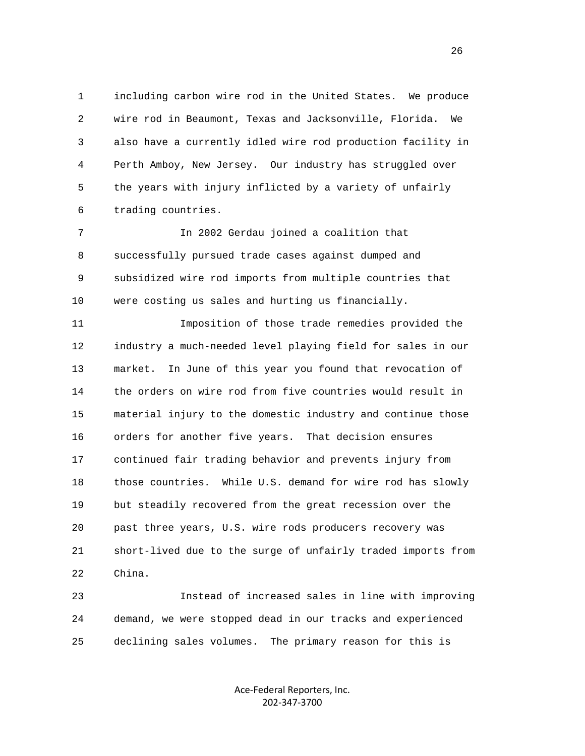1 including carbon wire rod in the United States. We produce 2 wire rod in Beaumont, Texas and Jacksonville, Florida. We 3 also have a currently idled wire rod production facility in 4 Perth Amboy, New Jersey. Our industry has struggled over 5 the years with injury inflicted by a variety of unfairly 6 trading countries.

 7 In 2002 Gerdau joined a coalition that 8 successfully pursued trade cases against dumped and 9 subsidized wire rod imports from multiple countries that 10 were costing us sales and hurting us financially.

 11 Imposition of those trade remedies provided the 12 industry a much-needed level playing field for sales in our 13 market. In June of this year you found that revocation of 14 the orders on wire rod from five countries would result in 15 material injury to the domestic industry and continue those 16 orders for another five years. That decision ensures 17 continued fair trading behavior and prevents injury from 18 those countries. While U.S. demand for wire rod has slowly 19 but steadily recovered from the great recession over the 20 past three years, U.S. wire rods producers recovery was 21 short-lived due to the surge of unfairly traded imports from 22 China.

 23 Instead of increased sales in line with improving 24 demand, we were stopped dead in our tracks and experienced 25 declining sales volumes. The primary reason for this is

> Ace‐Federal Reporters, Inc. 202‐347‐3700

<u>26</u>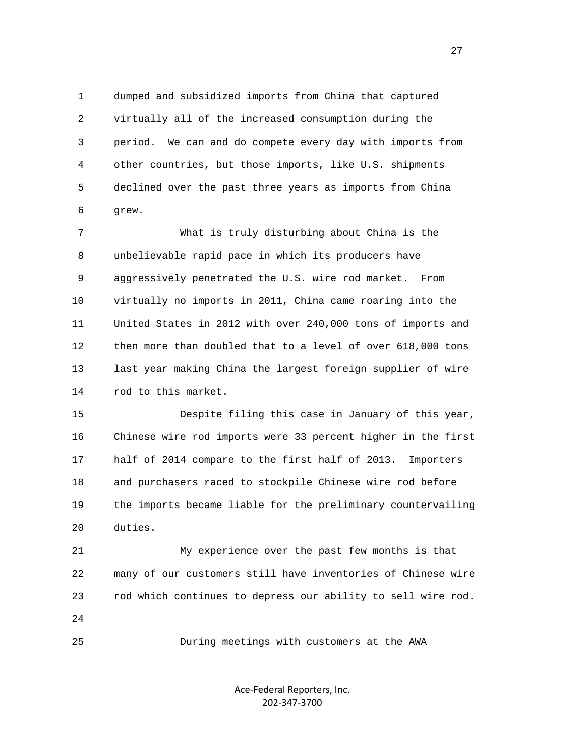1 dumped and subsidized imports from China that captured 2 virtually all of the increased consumption during the 3 period. We can and do compete every day with imports from 4 other countries, but those imports, like U.S. shipments 5 declined over the past three years as imports from China 6 grew.

 7 What is truly disturbing about China is the 8 unbelievable rapid pace in which its producers have 9 aggressively penetrated the U.S. wire rod market. From 10 virtually no imports in 2011, China came roaring into the 11 United States in 2012 with over 240,000 tons of imports and 12 then more than doubled that to a level of over 618,000 tons 13 last year making China the largest foreign supplier of wire 14 rod to this market.

 15 Despite filing this case in January of this year, 16 Chinese wire rod imports were 33 percent higher in the first 17 half of 2014 compare to the first half of 2013. Importers 18 and purchasers raced to stockpile Chinese wire rod before 19 the imports became liable for the preliminary countervailing 20 duties.

 21 My experience over the past few months is that 22 many of our customers still have inventories of Chinese wire 23 rod which continues to depress our ability to sell wire rod. 24

25 During meetings with customers at the AWA

Ace‐Federal Reporters, Inc. 202‐347‐3700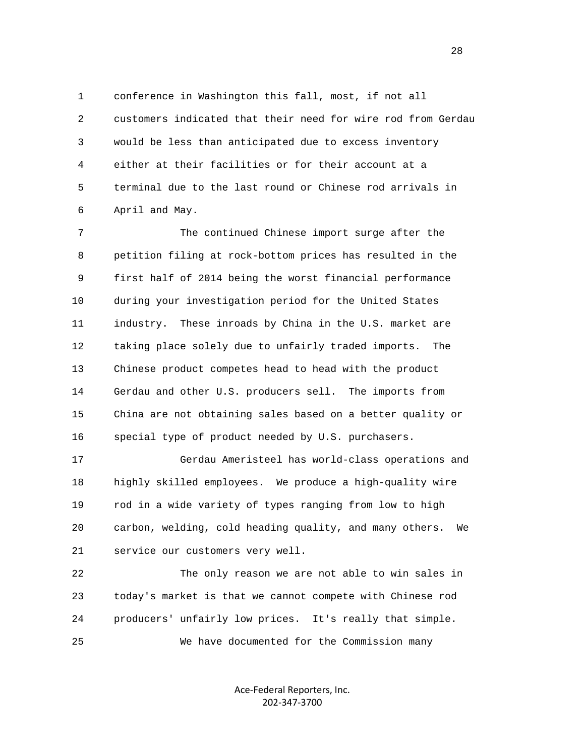1 conference in Washington this fall, most, if not all 2 customers indicated that their need for wire rod from Gerdau 3 would be less than anticipated due to excess inventory 4 either at their facilities or for their account at a 5 terminal due to the last round or Chinese rod arrivals in 6 April and May.

 7 The continued Chinese import surge after the 8 petition filing at rock-bottom prices has resulted in the 9 first half of 2014 being the worst financial performance 10 during your investigation period for the United States 11 industry. These inroads by China in the U.S. market are 12 taking place solely due to unfairly traded imports. The 13 Chinese product competes head to head with the product 14 Gerdau and other U.S. producers sell. The imports from 15 China are not obtaining sales based on a better quality or 16 special type of product needed by U.S. purchasers.

 17 Gerdau Ameristeel has world-class operations and 18 highly skilled employees. We produce a high-quality wire 19 rod in a wide variety of types ranging from low to high 20 carbon, welding, cold heading quality, and many others. We 21 service our customers very well.

 22 The only reason we are not able to win sales in 23 today's market is that we cannot compete with Chinese rod 24 producers' unfairly low prices. It's really that simple. 25 We have documented for the Commission many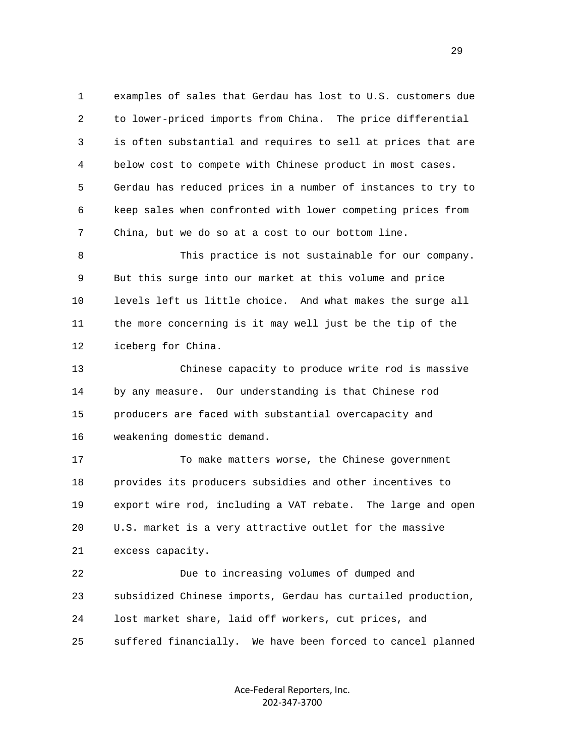1 examples of sales that Gerdau has lost to U.S. customers due 2 to lower-priced imports from China. The price differential 3 is often substantial and requires to sell at prices that are 4 below cost to compete with Chinese product in most cases. 5 Gerdau has reduced prices in a number of instances to try to 6 keep sales when confronted with lower competing prices from 7 China, but we do so at a cost to our bottom line.

 8 This practice is not sustainable for our company. 9 But this surge into our market at this volume and price 10 levels left us little choice. And what makes the surge all 11 the more concerning is it may well just be the tip of the 12 iceberg for China.

 13 Chinese capacity to produce write rod is massive 14 by any measure. Our understanding is that Chinese rod 15 producers are faced with substantial overcapacity and 16 weakening domestic demand.

 17 To make matters worse, the Chinese government 18 provides its producers subsidies and other incentives to 19 export wire rod, including a VAT rebate. The large and open 20 U.S. market is a very attractive outlet for the massive 21 excess capacity.

 22 Due to increasing volumes of dumped and 23 subsidized Chinese imports, Gerdau has curtailed production, 24 lost market share, laid off workers, cut prices, and 25 suffered financially. We have been forced to cancel planned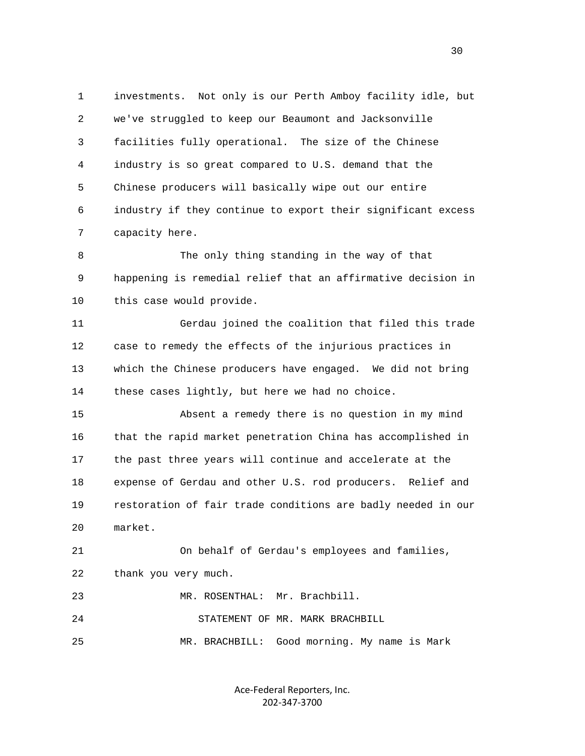1 investments. Not only is our Perth Amboy facility idle, but 2 we've struggled to keep our Beaumont and Jacksonville 3 facilities fully operational. The size of the Chinese 4 industry is so great compared to U.S. demand that the 5 Chinese producers will basically wipe out our entire 6 industry if they continue to export their significant excess 7 capacity here.

 8 The only thing standing in the way of that 9 happening is remedial relief that an affirmative decision in 10 this case would provide.

 11 Gerdau joined the coalition that filed this trade 12 case to remedy the effects of the injurious practices in 13 which the Chinese producers have engaged. We did not bring 14 these cases lightly, but here we had no choice.

 15 Absent a remedy there is no question in my mind 16 that the rapid market penetration China has accomplished in 17 the past three years will continue and accelerate at the 18 expense of Gerdau and other U.S. rod producers. Relief and 19 restoration of fair trade conditions are badly needed in our 20 market.

 21 On behalf of Gerdau's employees and families, 22 thank you very much.

23 MR. ROSENTHAL: Mr. Brachbill.

24 STATEMENT OF MR. MARK BRACHBILL

25 MR. BRACHBILL: Good morning. My name is Mark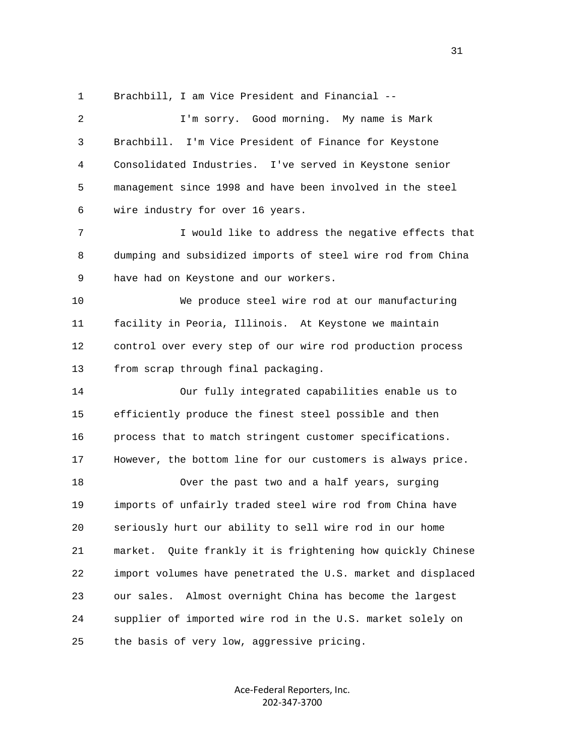1 Brachbill, I am Vice President and Financial --

 2 I'm sorry. Good morning. My name is Mark 3 Brachbill. I'm Vice President of Finance for Keystone 4 Consolidated Industries. I've served in Keystone senior 5 management since 1998 and have been involved in the steel 6 wire industry for over 16 years. 7 I would like to address the negative effects that 8 dumping and subsidized imports of steel wire rod from China 9 have had on Keystone and our workers. 10 We produce steel wire rod at our manufacturing 11 facility in Peoria, Illinois. At Keystone we maintain 12 control over every step of our wire rod production process 13 from scrap through final packaging. 14 Our fully integrated capabilities enable us to 15 efficiently produce the finest steel possible and then 16 process that to match stringent customer specifications. 17 However, the bottom line for our customers is always price. 18 Over the past two and a half years, surging 19 imports of unfairly traded steel wire rod from China have 20 seriously hurt our ability to sell wire rod in our home 21 market. Quite frankly it is frightening how quickly Chinese 22 import volumes have penetrated the U.S. market and displaced 23 our sales. Almost overnight China has become the largest 24 supplier of imported wire rod in the U.S. market solely on 25 the basis of very low, aggressive pricing.

> Ace‐Federal Reporters, Inc. 202‐347‐3700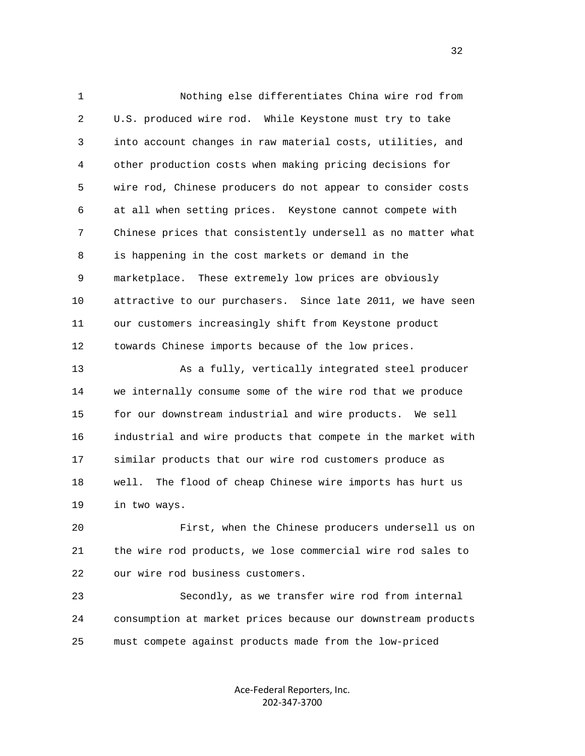1 Nothing else differentiates China wire rod from 2 U.S. produced wire rod. While Keystone must try to take 3 into account changes in raw material costs, utilities, and 4 other production costs when making pricing decisions for 5 wire rod, Chinese producers do not appear to consider costs 6 at all when setting prices. Keystone cannot compete with 7 Chinese prices that consistently undersell as no matter what 8 is happening in the cost markets or demand in the 9 marketplace. These extremely low prices are obviously 10 attractive to our purchasers. Since late 2011, we have seen 11 our customers increasingly shift from Keystone product 12 towards Chinese imports because of the low prices.

 13 As a fully, vertically integrated steel producer 14 we internally consume some of the wire rod that we produce 15 for our downstream industrial and wire products. We sell 16 industrial and wire products that compete in the market with 17 similar products that our wire rod customers produce as 18 well. The flood of cheap Chinese wire imports has hurt us 19 in two ways.

 20 First, when the Chinese producers undersell us on 21 the wire rod products, we lose commercial wire rod sales to 22 our wire rod business customers.

 23 Secondly, as we transfer wire rod from internal 24 consumption at market prices because our downstream products 25 must compete against products made from the low-priced

> Ace‐Federal Reporters, Inc. 202‐347‐3700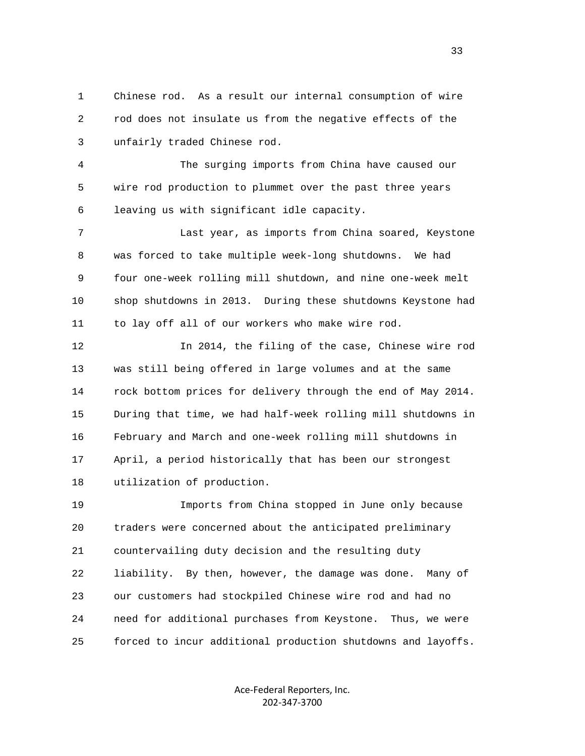1 Chinese rod. As a result our internal consumption of wire 2 rod does not insulate us from the negative effects of the 3 unfairly traded Chinese rod.

 4 The surging imports from China have caused our 5 wire rod production to plummet over the past three years 6 leaving us with significant idle capacity.

 7 Last year, as imports from China soared, Keystone 8 was forced to take multiple week-long shutdowns. We had 9 four one-week rolling mill shutdown, and nine one-week melt 10 shop shutdowns in 2013. During these shutdowns Keystone had 11 to lay off all of our workers who make wire rod.

 12 In 2014, the filing of the case, Chinese wire rod 13 was still being offered in large volumes and at the same 14 rock bottom prices for delivery through the end of May 2014. 15 During that time, we had half-week rolling mill shutdowns in 16 February and March and one-week rolling mill shutdowns in 17 April, a period historically that has been our strongest 18 utilization of production.

 19 Imports from China stopped in June only because 20 traders were concerned about the anticipated preliminary 21 countervailing duty decision and the resulting duty 22 liability. By then, however, the damage was done. Many of 23 our customers had stockpiled Chinese wire rod and had no 24 need for additional purchases from Keystone. Thus, we were 25 forced to incur additional production shutdowns and layoffs.

> Ace‐Federal Reporters, Inc. 202‐347‐3700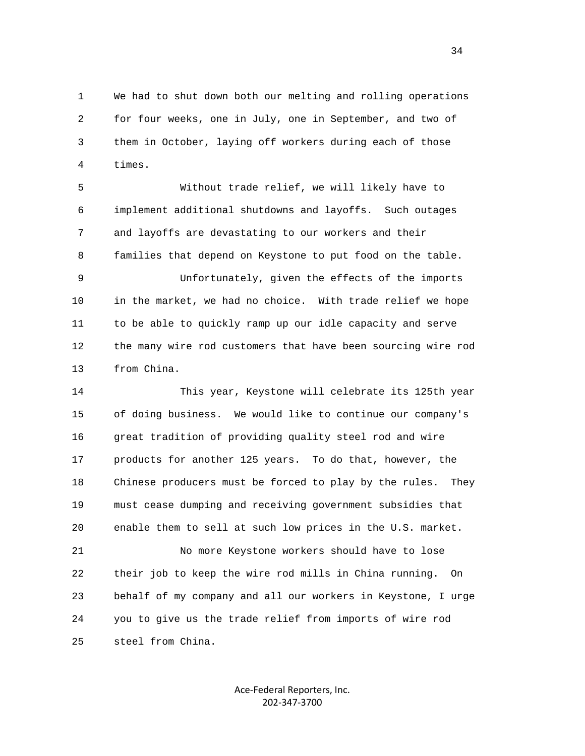1 We had to shut down both our melting and rolling operations 2 for four weeks, one in July, one in September, and two of 3 them in October, laying off workers during each of those 4 times.

 5 Without trade relief, we will likely have to 6 implement additional shutdowns and layoffs. Such outages 7 and layoffs are devastating to our workers and their 8 families that depend on Keystone to put food on the table.

 9 Unfortunately, given the effects of the imports 10 in the market, we had no choice. With trade relief we hope 11 to be able to quickly ramp up our idle capacity and serve 12 the many wire rod customers that have been sourcing wire rod 13 from China.

 14 This year, Keystone will celebrate its 125th year 15 of doing business. We would like to continue our company's 16 great tradition of providing quality steel rod and wire 17 products for another 125 years. To do that, however, the 18 Chinese producers must be forced to play by the rules. They 19 must cease dumping and receiving government subsidies that 20 enable them to sell at such low prices in the U.S. market.

 21 No more Keystone workers should have to lose 22 their job to keep the wire rod mills in China running. On 23 behalf of my company and all our workers in Keystone, I urge 24 you to give us the trade relief from imports of wire rod 25 steel from China.

> Ace‐Federal Reporters, Inc. 202‐347‐3700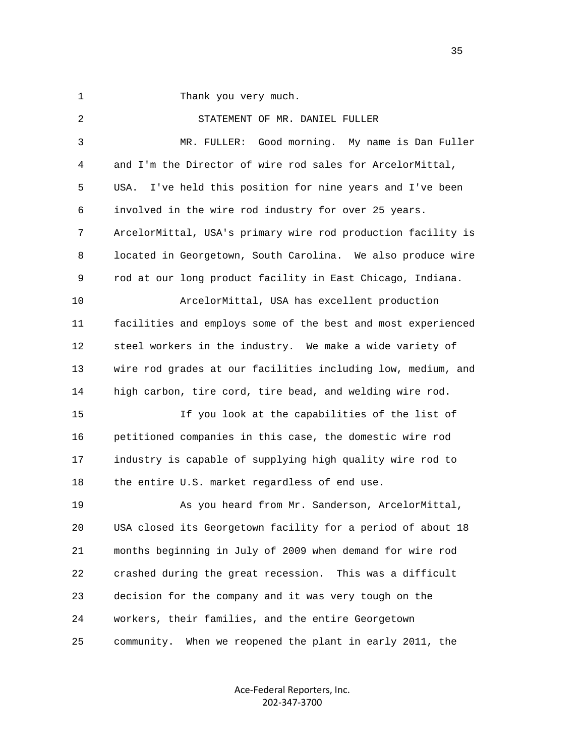1 Thank you very much.

 2 STATEMENT OF MR. DANIEL FULLER 3 MR. FULLER: Good morning. My name is Dan Fuller 4 and I'm the Director of wire rod sales for ArcelorMittal, 5 USA. I've held this position for nine years and I've been 6 involved in the wire rod industry for over 25 years. 7 ArcelorMittal, USA's primary wire rod production facility is 8 located in Georgetown, South Carolina. We also produce wire 9 rod at our long product facility in East Chicago, Indiana. 10 ArcelorMittal, USA has excellent production 11 facilities and employs some of the best and most experienced 12 steel workers in the industry. We make a wide variety of 13 wire rod grades at our facilities including low, medium, and 14 high carbon, tire cord, tire bead, and welding wire rod. 15 If you look at the capabilities of the list of 16 petitioned companies in this case, the domestic wire rod 17 industry is capable of supplying high quality wire rod to 18 the entire U.S. market regardless of end use. 19 As you heard from Mr. Sanderson, ArcelorMittal, 20 USA closed its Georgetown facility for a period of about 18 21 months beginning in July of 2009 when demand for wire rod 22 crashed during the great recession. This was a difficult 23 decision for the company and it was very tough on the 24 workers, their families, and the entire Georgetown 25 community. When we reopened the plant in early 2011, the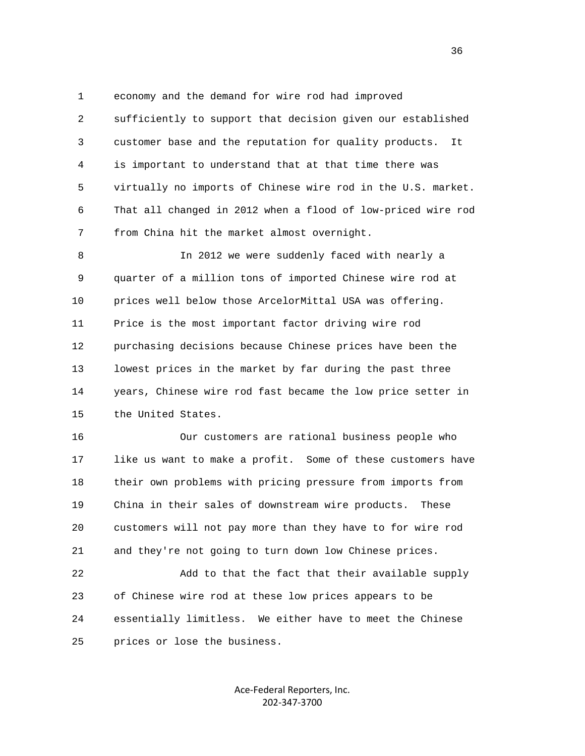1 economy and the demand for wire rod had improved

 2 sufficiently to support that decision given our established 3 customer base and the reputation for quality products. It 4 is important to understand that at that time there was 5 virtually no imports of Chinese wire rod in the U.S. market. 6 That all changed in 2012 when a flood of low-priced wire rod 7 from China hit the market almost overnight.

 8 In 2012 we were suddenly faced with nearly a 9 quarter of a million tons of imported Chinese wire rod at 10 prices well below those ArcelorMittal USA was offering. 11 Price is the most important factor driving wire rod 12 purchasing decisions because Chinese prices have been the 13 lowest prices in the market by far during the past three 14 years, Chinese wire rod fast became the low price setter in 15 the United States.

 16 Our customers are rational business people who 17 like us want to make a profit. Some of these customers have 18 their own problems with pricing pressure from imports from 19 China in their sales of downstream wire products. These 20 customers will not pay more than they have to for wire rod 21 and they're not going to turn down low Chinese prices.

 22 Add to that the fact that their available supply 23 of Chinese wire rod at these low prices appears to be 24 essentially limitless. We either have to meet the Chinese 25 prices or lose the business.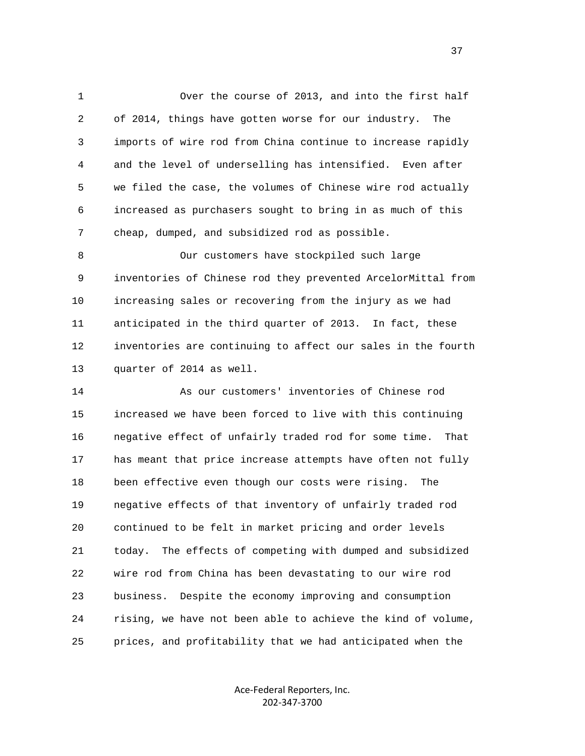1 Over the course of 2013, and into the first half 2 of 2014, things have gotten worse for our industry. The 3 imports of wire rod from China continue to increase rapidly 4 and the level of underselling has intensified. Even after 5 we filed the case, the volumes of Chinese wire rod actually 6 increased as purchasers sought to bring in as much of this 7 cheap, dumped, and subsidized rod as possible.

 8 Our customers have stockpiled such large 9 inventories of Chinese rod they prevented ArcelorMittal from 10 increasing sales or recovering from the injury as we had 11 anticipated in the third quarter of 2013. In fact, these 12 inventories are continuing to affect our sales in the fourth 13 quarter of 2014 as well.

 14 As our customers' inventories of Chinese rod 15 increased we have been forced to live with this continuing 16 negative effect of unfairly traded rod for some time. That 17 has meant that price increase attempts have often not fully 18 been effective even though our costs were rising. The 19 negative effects of that inventory of unfairly traded rod 20 continued to be felt in market pricing and order levels 21 today. The effects of competing with dumped and subsidized 22 wire rod from China has been devastating to our wire rod 23 business. Despite the economy improving and consumption 24 rising, we have not been able to achieve the kind of volume, 25 prices, and profitability that we had anticipated when the

> Ace‐Federal Reporters, Inc. 202‐347‐3700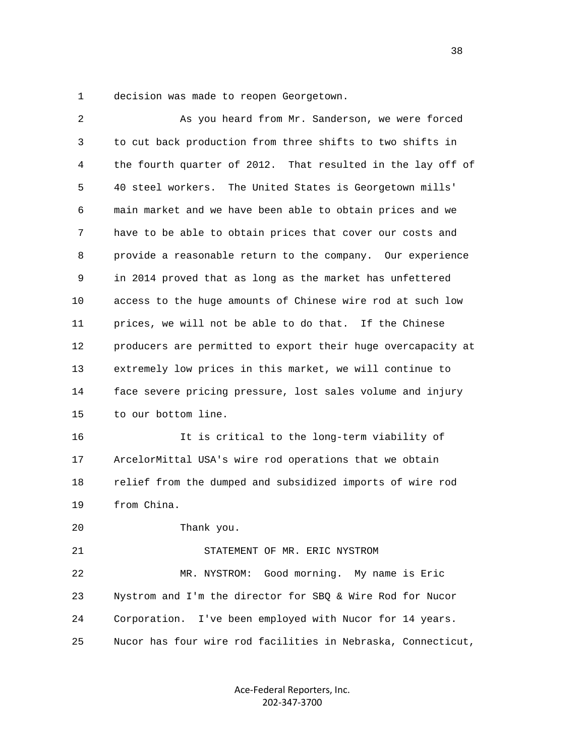1 decision was made to reopen Georgetown.

| 2  | As you heard from Mr. Sanderson, we were forced              |
|----|--------------------------------------------------------------|
| 3  | to cut back production from three shifts to two shifts in    |
| 4  | the fourth quarter of 2012. That resulted in the lay off of  |
| 5  | 40 steel workers.<br>The United States is Georgetown mills'  |
| 6  | main market and we have been able to obtain prices and we    |
| 7  | have to be able to obtain prices that cover our costs and    |
| 8  | provide a reasonable return to the company. Our experience   |
| 9  | in 2014 proved that as long as the market has unfettered     |
| 10 | access to the huge amounts of Chinese wire rod at such low   |
| 11 | prices, we will not be able to do that. If the Chinese       |
| 12 | producers are permitted to export their huge overcapacity at |
| 13 | extremely low prices in this market, we will continue to     |
| 14 | face severe pricing pressure, lost sales volume and injury   |
| 15 | to our bottom line.                                          |
| 16 | It is critical to the long-term viability of                 |
| 17 | ArcelorMittal USA's wire rod operations that we obtain       |
| 18 | relief from the dumped and subsidized imports of wire rod    |
| 19 | from China.                                                  |
| 20 | Thank you.                                                   |
| 21 | STATEMENT OF MR. ERIC NYSTROM                                |
| 22 | Good morning. My name is Eric<br>MR. NYSTROM:                |
| 23 | Nystrom and I'm the director for SBQ & Wire Rod for Nucor    |
| 24 | I've been employed with Nucor for 14 years.<br>Corporation.  |
| 25 | Nucor has four wire rod facilities in Nebraska, Connecticut, |

Ace‐Federal Reporters, Inc. 202‐347‐3700

and the state of the state of the state of the state of the state of the state of the state of the state of the state of the state of the state of the state of the state of the state of the state of the state of the state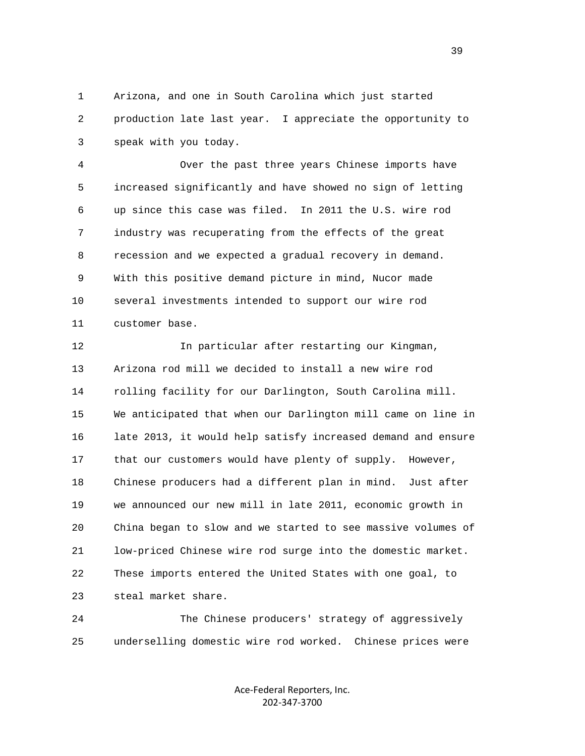1 Arizona, and one in South Carolina which just started 2 production late last year. I appreciate the opportunity to 3 speak with you today.

 4 Over the past three years Chinese imports have 5 increased significantly and have showed no sign of letting 6 up since this case was filed. In 2011 the U.S. wire rod 7 industry was recuperating from the effects of the great 8 recession and we expected a gradual recovery in demand. 9 With this positive demand picture in mind, Nucor made 10 several investments intended to support our wire rod 11 customer base.

 12 In particular after restarting our Kingman, 13 Arizona rod mill we decided to install a new wire rod 14 rolling facility for our Darlington, South Carolina mill. 15 We anticipated that when our Darlington mill came on line in 16 late 2013, it would help satisfy increased demand and ensure 17 that our customers would have plenty of supply. However, 18 Chinese producers had a different plan in mind. Just after 19 we announced our new mill in late 2011, economic growth in 20 China began to slow and we started to see massive volumes of 21 low-priced Chinese wire rod surge into the domestic market. 22 These imports entered the United States with one goal, to 23 steal market share.

 24 The Chinese producers' strategy of aggressively 25 underselling domestic wire rod worked. Chinese prices were

> Ace‐Federal Reporters, Inc. 202‐347‐3700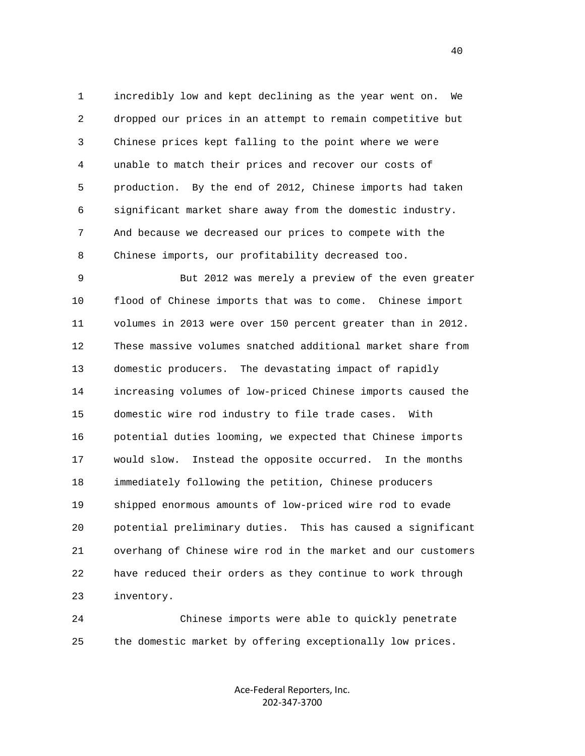1 incredibly low and kept declining as the year went on. We 2 dropped our prices in an attempt to remain competitive but 3 Chinese prices kept falling to the point where we were 4 unable to match their prices and recover our costs of 5 production. By the end of 2012, Chinese imports had taken 6 significant market share away from the domestic industry. 7 And because we decreased our prices to compete with the 8 Chinese imports, our profitability decreased too.

 9 But 2012 was merely a preview of the even greater 10 flood of Chinese imports that was to come. Chinese import 11 volumes in 2013 were over 150 percent greater than in 2012. 12 These massive volumes snatched additional market share from 13 domestic producers. The devastating impact of rapidly 14 increasing volumes of low-priced Chinese imports caused the 15 domestic wire rod industry to file trade cases. With 16 potential duties looming, we expected that Chinese imports 17 would slow. Instead the opposite occurred. In the months 18 immediately following the petition, Chinese producers 19 shipped enormous amounts of low-priced wire rod to evade 20 potential preliminary duties. This has caused a significant 21 overhang of Chinese wire rod in the market and our customers 22 have reduced their orders as they continue to work through 23 inventory.

 24 Chinese imports were able to quickly penetrate 25 the domestic market by offering exceptionally low prices.

> Ace‐Federal Reporters, Inc. 202‐347‐3700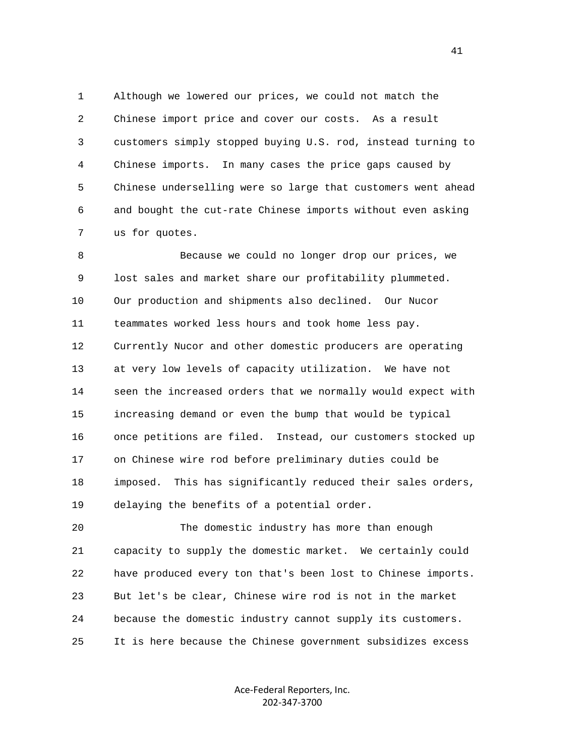1 Although we lowered our prices, we could not match the 2 Chinese import price and cover our costs. As a result 3 customers simply stopped buying U.S. rod, instead turning to 4 Chinese imports. In many cases the price gaps caused by 5 Chinese underselling were so large that customers went ahead 6 and bought the cut-rate Chinese imports without even asking 7 us for quotes.

 8 Because we could no longer drop our prices, we 9 lost sales and market share our profitability plummeted. 10 Our production and shipments also declined. Our Nucor 11 teammates worked less hours and took home less pay. 12 Currently Nucor and other domestic producers are operating 13 at very low levels of capacity utilization. We have not 14 seen the increased orders that we normally would expect with 15 increasing demand or even the bump that would be typical 16 once petitions are filed. Instead, our customers stocked up 17 on Chinese wire rod before preliminary duties could be 18 imposed. This has significantly reduced their sales orders, 19 delaying the benefits of a potential order.

 20 The domestic industry has more than enough 21 capacity to supply the domestic market. We certainly could 22 have produced every ton that's been lost to Chinese imports. 23 But let's be clear, Chinese wire rod is not in the market 24 because the domestic industry cannot supply its customers. 25 It is here because the Chinese government subsidizes excess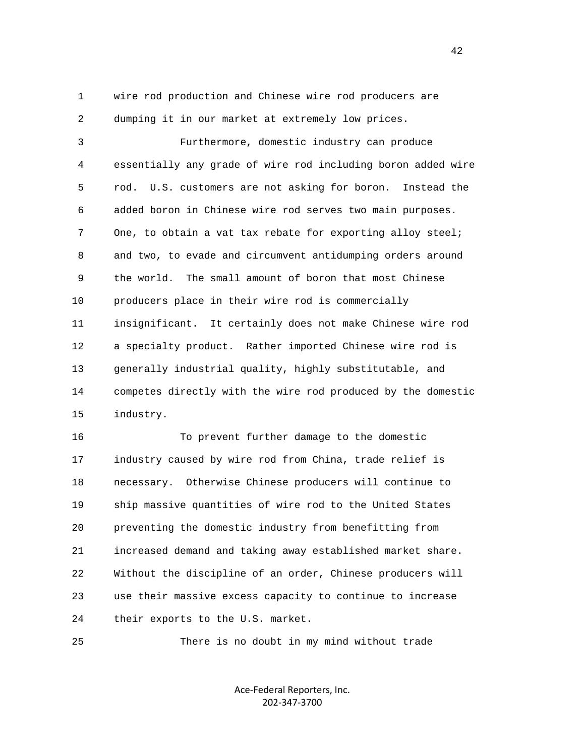1 wire rod production and Chinese wire rod producers are 2 dumping it in our market at extremely low prices.

 3 Furthermore, domestic industry can produce 4 essentially any grade of wire rod including boron added wire 5 rod. U.S. customers are not asking for boron. Instead the 6 added boron in Chinese wire rod serves two main purposes. 7 One, to obtain a vat tax rebate for exporting alloy steel; 8 and two, to evade and circumvent antidumping orders around 9 the world. The small amount of boron that most Chinese 10 producers place in their wire rod is commercially 11 insignificant. It certainly does not make Chinese wire rod 12 a specialty product. Rather imported Chinese wire rod is 13 generally industrial quality, highly substitutable, and 14 competes directly with the wire rod produced by the domestic 15 industry.

 16 To prevent further damage to the domestic 17 industry caused by wire rod from China, trade relief is 18 necessary. Otherwise Chinese producers will continue to 19 ship massive quantities of wire rod to the United States 20 preventing the domestic industry from benefitting from 21 increased demand and taking away established market share. 22 Without the discipline of an order, Chinese producers will 23 use their massive excess capacity to continue to increase 24 their exports to the U.S. market.

25 There is no doubt in my mind without trade

Ace‐Federal Reporters, Inc. 202‐347‐3700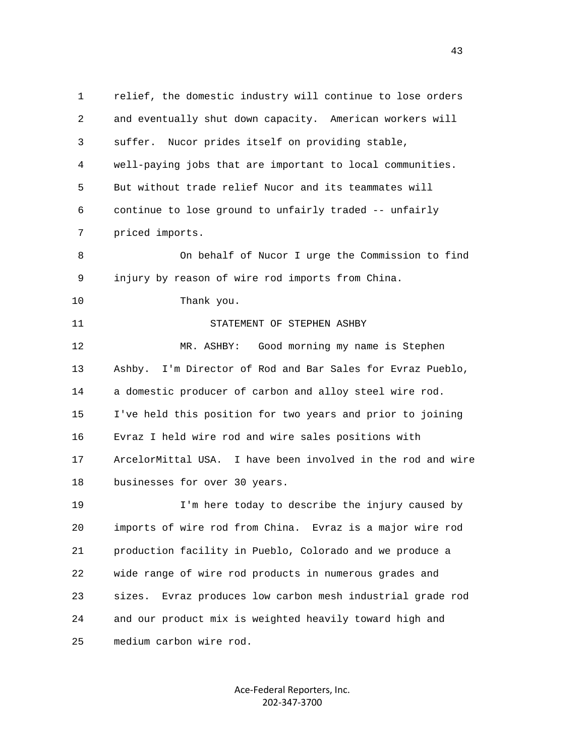1 relief, the domestic industry will continue to lose orders 2 and eventually shut down capacity. American workers will 3 suffer. Nucor prides itself on providing stable, 4 well-paying jobs that are important to local communities. 5 But without trade relief Nucor and its teammates will 6 continue to lose ground to unfairly traded -- unfairly 7 priced imports. 8 On behalf of Nucor I urge the Commission to find 9 injury by reason of wire rod imports from China. 10 Thank you. 11 STATEMENT OF STEPHEN ASHBY 12 MR. ASHBY: Good morning my name is Stephen 13 Ashby. I'm Director of Rod and Bar Sales for Evraz Pueblo, 14 a domestic producer of carbon and alloy steel wire rod. 15 I've held this position for two years and prior to joining 16 Evraz I held wire rod and wire sales positions with 17 ArcelorMittal USA. I have been involved in the rod and wire 18 businesses for over 30 years. 19 I'm here today to describe the injury caused by 20 imports of wire rod from China. Evraz is a major wire rod 21 production facility in Pueblo, Colorado and we produce a 22 wide range of wire rod products in numerous grades and 23 sizes. Evraz produces low carbon mesh industrial grade rod 24 and our product mix is weighted heavily toward high and 25 medium carbon wire rod.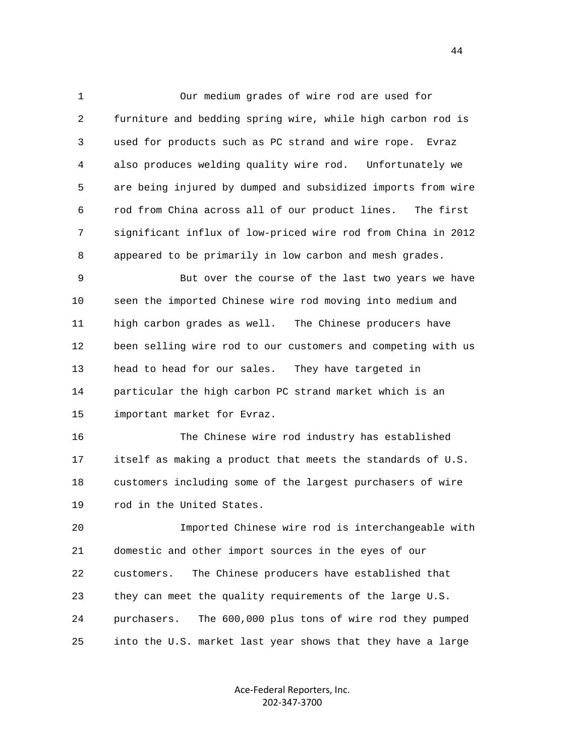1 Our medium grades of wire rod are used for 2 furniture and bedding spring wire, while high carbon rod is 3 used for products such as PC strand and wire rope. Evraz 4 also produces welding quality wire rod. Unfortunately we 5 are being injured by dumped and subsidized imports from wire 6 rod from China across all of our product lines. The first 7 significant influx of low-priced wire rod from China in 2012 8 appeared to be primarily in low carbon and mesh grades.

 9 But over the course of the last two years we have 10 seen the imported Chinese wire rod moving into medium and 11 high carbon grades as well. The Chinese producers have 12 been selling wire rod to our customers and competing with us 13 head to head for our sales. They have targeted in 14 particular the high carbon PC strand market which is an 15 important market for Evraz.

 16 The Chinese wire rod industry has established 17 itself as making a product that meets the standards of U.S. 18 customers including some of the largest purchasers of wire 19 rod in the United States.

 20 Imported Chinese wire rod is interchangeable with 21 domestic and other import sources in the eyes of our 22 customers. The Chinese producers have established that 23 they can meet the quality requirements of the large U.S. 24 purchasers. The 600,000 plus tons of wire rod they pumped 25 into the U.S. market last year shows that they have a large

> Ace‐Federal Reporters, Inc. 202‐347‐3700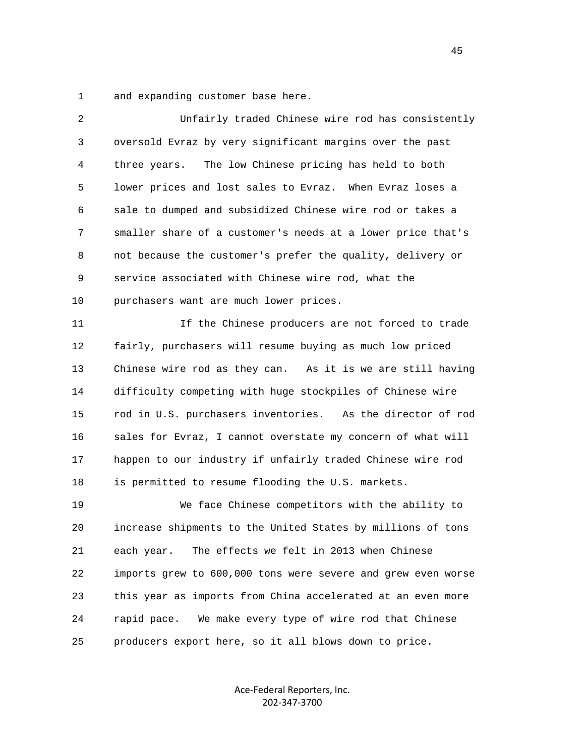1 and expanding customer base here.

| 2  | Unfairly traded Chinese wire rod has consistently            |
|----|--------------------------------------------------------------|
| 3  | oversold Evraz by very significant margins over the past     |
| 4  | The low Chinese pricing has held to both<br>three years.     |
| 5  | lower prices and lost sales to Evraz. When Evraz loses a     |
| 6  | sale to dumped and subsidized Chinese wire rod or takes a    |
| 7  | smaller share of a customer's needs at a lower price that's  |
| 8  | not because the customer's prefer the quality, delivery or   |
| 9  | service associated with Chinese wire rod, what the           |
| 10 | purchasers want are much lower prices.                       |
| 11 | If the Chinese producers are not forced to trade             |
| 12 | fairly, purchasers will resume buying as much low priced     |
| 13 | Chinese wire rod as they can. As it is we are still having   |
| 14 | difficulty competing with huge stockpiles of Chinese wire    |
| 15 | rod in U.S. purchasers inventories. As the director of rod   |
| 16 | sales for Evraz, I cannot overstate my concern of what will  |
| 17 | happen to our industry if unfairly traded Chinese wire rod   |
| 18 | is permitted to resume flooding the U.S. markets.            |
| 19 | We face Chinese competitors with the ability to              |
| 20 | increase shipments to the United States by millions of tons  |
| 21 | The effects we felt in 2013 when Chinese<br>each year.       |
| 22 | imports grew to 600,000 tons were severe and grew even worse |
| 23 | this year as imports from China accelerated at an even more  |
| 24 | We make every type of wire rod that Chinese<br>rapid pace.   |
| 25 | producers export here, so it all blows down to price.        |
|    |                                                              |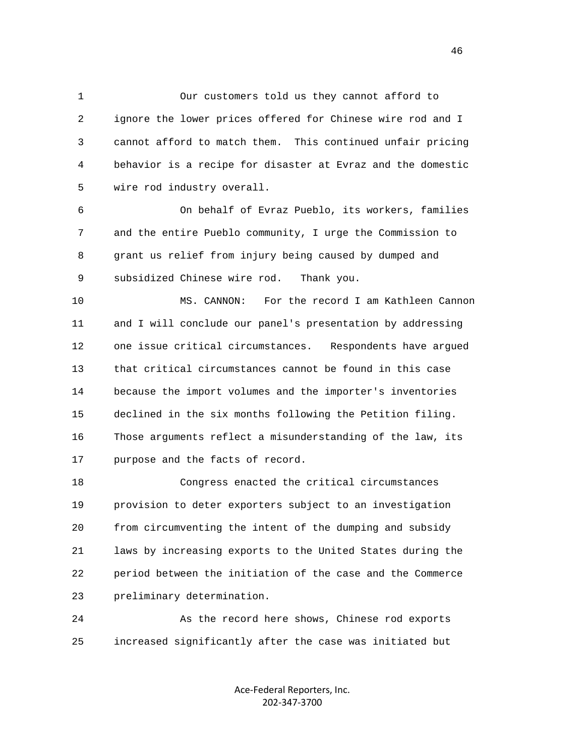1 Our customers told us they cannot afford to 2 ignore the lower prices offered for Chinese wire rod and I 3 cannot afford to match them. This continued unfair pricing 4 behavior is a recipe for disaster at Evraz and the domestic 5 wire rod industry overall.

 6 On behalf of Evraz Pueblo, its workers, families 7 and the entire Pueblo community, I urge the Commission to 8 grant us relief from injury being caused by dumped and 9 subsidized Chinese wire rod. Thank you.

 10 MS. CANNON: For the record I am Kathleen Cannon 11 and I will conclude our panel's presentation by addressing 12 one issue critical circumstances. Respondents have argued 13 that critical circumstances cannot be found in this case 14 because the import volumes and the importer's inventories 15 declined in the six months following the Petition filing. 16 Those arguments reflect a misunderstanding of the law, its 17 purpose and the facts of record.

 18 Congress enacted the critical circumstances 19 provision to deter exporters subject to an investigation 20 from circumventing the intent of the dumping and subsidy 21 laws by increasing exports to the United States during the 22 period between the initiation of the case and the Commerce 23 preliminary determination.

 24 As the record here shows, Chinese rod exports 25 increased significantly after the case was initiated but

> Ace‐Federal Reporters, Inc. 202‐347‐3700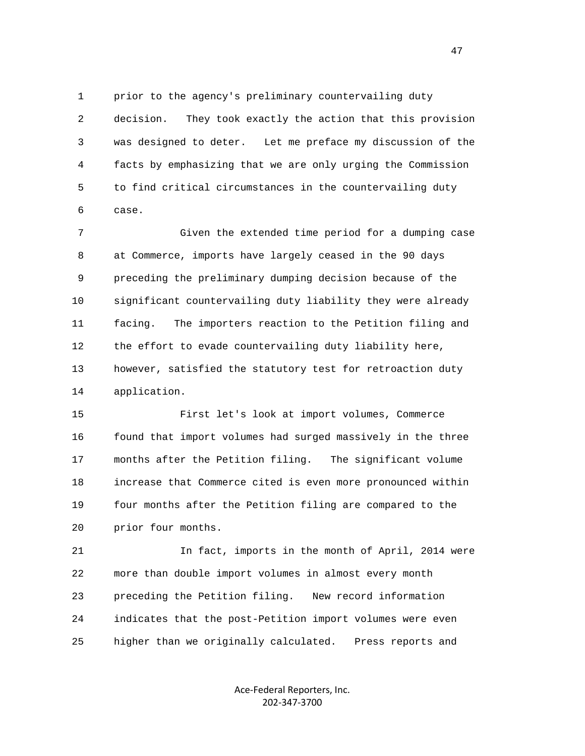1 prior to the agency's preliminary countervailing duty 2 decision. They took exactly the action that this provision 3 was designed to deter. Let me preface my discussion of the 4 facts by emphasizing that we are only urging the Commission 5 to find critical circumstances in the countervailing duty 6 case.

 7 Given the extended time period for a dumping case 8 at Commerce, imports have largely ceased in the 90 days 9 preceding the preliminary dumping decision because of the 10 significant countervailing duty liability they were already 11 facing. The importers reaction to the Petition filing and 12 the effort to evade countervailing duty liability here, 13 however, satisfied the statutory test for retroaction duty 14 application.

 15 First let's look at import volumes, Commerce 16 found that import volumes had surged massively in the three 17 months after the Petition filing. The significant volume 18 increase that Commerce cited is even more pronounced within 19 four months after the Petition filing are compared to the 20 prior four months.

 21 In fact, imports in the month of April, 2014 were 22 more than double import volumes in almost every month 23 preceding the Petition filing. New record information 24 indicates that the post-Petition import volumes were even 25 higher than we originally calculated. Press reports and

> Ace‐Federal Reporters, Inc. 202‐347‐3700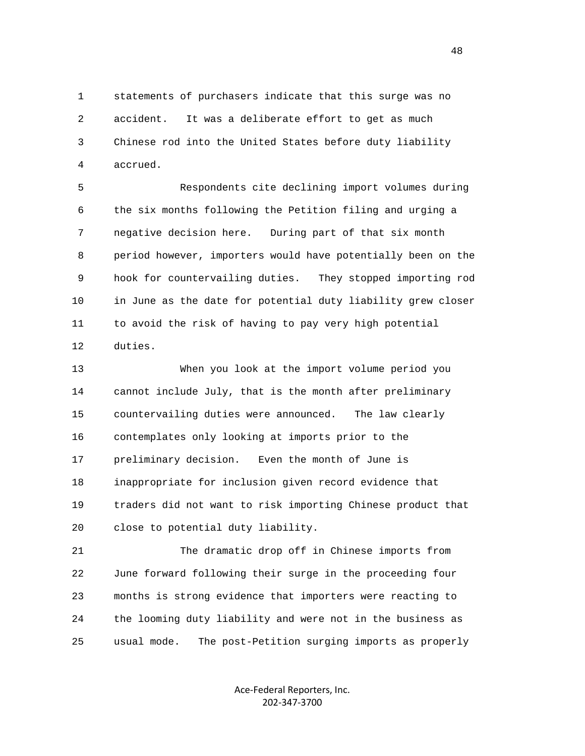1 statements of purchasers indicate that this surge was no 2 accident. It was a deliberate effort to get as much 3 Chinese rod into the United States before duty liability 4 accrued.

 5 Respondents cite declining import volumes during 6 the six months following the Petition filing and urging a 7 negative decision here. During part of that six month 8 period however, importers would have potentially been on the 9 hook for countervailing duties. They stopped importing rod 10 in June as the date for potential duty liability grew closer 11 to avoid the risk of having to pay very high potential 12 duties.

 13 When you look at the import volume period you 14 cannot include July, that is the month after preliminary 15 countervailing duties were announced. The law clearly 16 contemplates only looking at imports prior to the 17 preliminary decision. Even the month of June is 18 inappropriate for inclusion given record evidence that 19 traders did not want to risk importing Chinese product that 20 close to potential duty liability.

 21 The dramatic drop off in Chinese imports from 22 June forward following their surge in the proceeding four 23 months is strong evidence that importers were reacting to 24 the looming duty liability and were not in the business as 25 usual mode. The post-Petition surging imports as properly

> Ace‐Federal Reporters, Inc. 202‐347‐3700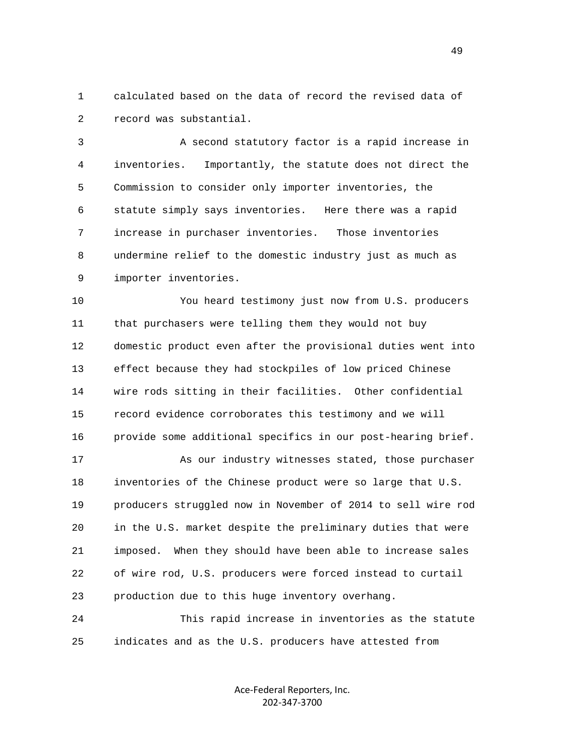1 calculated based on the data of record the revised data of 2 record was substantial.

 3 A second statutory factor is a rapid increase in 4 inventories. Importantly, the statute does not direct the 5 Commission to consider only importer inventories, the 6 statute simply says inventories. Here there was a rapid 7 increase in purchaser inventories. Those inventories 8 undermine relief to the domestic industry just as much as 9 importer inventories.

 10 You heard testimony just now from U.S. producers 11 that purchasers were telling them they would not buy 12 domestic product even after the provisional duties went into 13 effect because they had stockpiles of low priced Chinese 14 wire rods sitting in their facilities. Other confidential 15 record evidence corroborates this testimony and we will 16 provide some additional specifics in our post-hearing brief.

 17 As our industry witnesses stated, those purchaser 18 inventories of the Chinese product were so large that U.S. 19 producers struggled now in November of 2014 to sell wire rod 20 in the U.S. market despite the preliminary duties that were 21 imposed. When they should have been able to increase sales 22 of wire rod, U.S. producers were forced instead to curtail 23 production due to this huge inventory overhang.

 24 This rapid increase in inventories as the statute 25 indicates and as the U.S. producers have attested from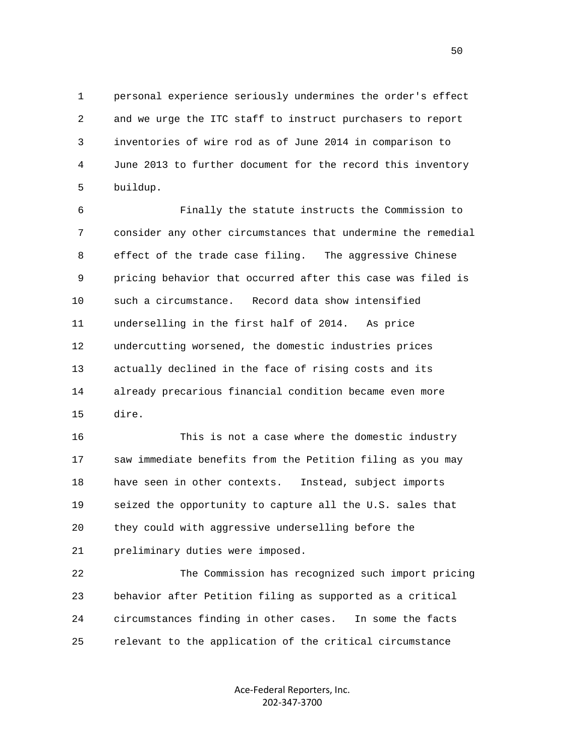1 personal experience seriously undermines the order's effect 2 and we urge the ITC staff to instruct purchasers to report 3 inventories of wire rod as of June 2014 in comparison to 4 June 2013 to further document for the record this inventory 5 buildup.

 6 Finally the statute instructs the Commission to 7 consider any other circumstances that undermine the remedial 8 effect of the trade case filing. The aggressive Chinese 9 pricing behavior that occurred after this case was filed is 10 such a circumstance. Record data show intensified 11 underselling in the first half of 2014. As price 12 undercutting worsened, the domestic industries prices 13 actually declined in the face of rising costs and its 14 already precarious financial condition became even more 15 dire.

 16 This is not a case where the domestic industry 17 saw immediate benefits from the Petition filing as you may 18 have seen in other contexts. Instead, subject imports 19 seized the opportunity to capture all the U.S. sales that 20 they could with aggressive underselling before the 21 preliminary duties were imposed.

 22 The Commission has recognized such import pricing 23 behavior after Petition filing as supported as a critical 24 circumstances finding in other cases. In some the facts 25 relevant to the application of the critical circumstance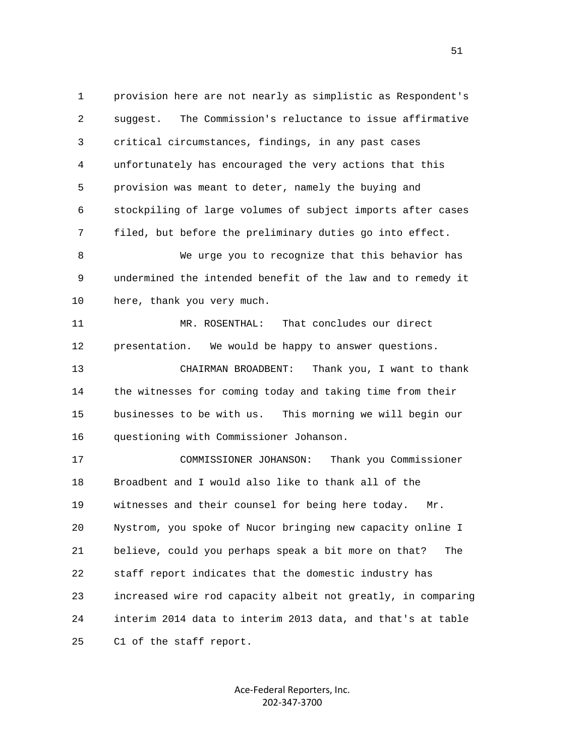1 provision here are not nearly as simplistic as Respondent's 2 suggest. The Commission's reluctance to issue affirmative 3 critical circumstances, findings, in any past cases 4 unfortunately has encouraged the very actions that this 5 provision was meant to deter, namely the buying and 6 stockpiling of large volumes of subject imports after cases 7 filed, but before the preliminary duties go into effect. 8 We urge you to recognize that this behavior has 9 undermined the intended benefit of the law and to remedy it 10 here, thank you very much. 11 MR. ROSENTHAL: That concludes our direct 12 presentation. We would be happy to answer questions. 13 CHAIRMAN BROADBENT: Thank you, I want to thank 14 the witnesses for coming today and taking time from their 15 businesses to be with us. This morning we will begin our 16 questioning with Commissioner Johanson. 17 COMMISSIONER JOHANSON: Thank you Commissioner 18 Broadbent and I would also like to thank all of the 19 witnesses and their counsel for being here today. Mr. 20 Nystrom, you spoke of Nucor bringing new capacity online I 21 believe, could you perhaps speak a bit more on that? The 22 staff report indicates that the domestic industry has 23 increased wire rod capacity albeit not greatly, in comparing

25 C1 of the staff report.

Ace‐Federal Reporters, Inc. 202‐347‐3700

24 interim 2014 data to interim 2013 data, and that's at table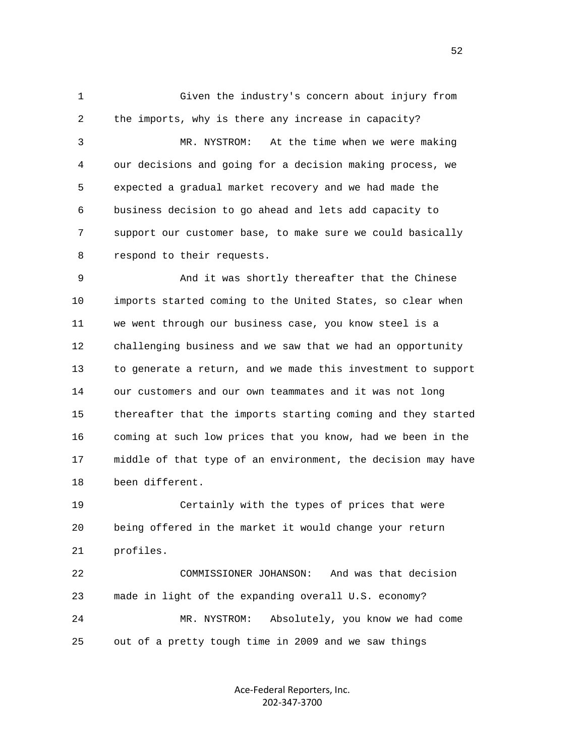1 Given the industry's concern about injury from 2 the imports, why is there any increase in capacity? 3 MR. NYSTROM: At the time when we were making 4 our decisions and going for a decision making process, we 5 expected a gradual market recovery and we had made the 6 business decision to go ahead and lets add capacity to 7 support our customer base, to make sure we could basically 8 respond to their requests. 9 And it was shortly thereafter that the Chinese

 10 imports started coming to the United States, so clear when 11 we went through our business case, you know steel is a 12 challenging business and we saw that we had an opportunity 13 to generate a return, and we made this investment to support 14 our customers and our own teammates and it was not long 15 thereafter that the imports starting coming and they started 16 coming at such low prices that you know, had we been in the 17 middle of that type of an environment, the decision may have 18 been different.

 19 Certainly with the types of prices that were 20 being offered in the market it would change your return 21 profiles.

 22 COMMISSIONER JOHANSON: And was that decision 23 made in light of the expanding overall U.S. economy? 24 MR. NYSTROM: Absolutely, you know we had come 25 out of a pretty tough time in 2009 and we saw things

> Ace‐Federal Reporters, Inc. 202‐347‐3700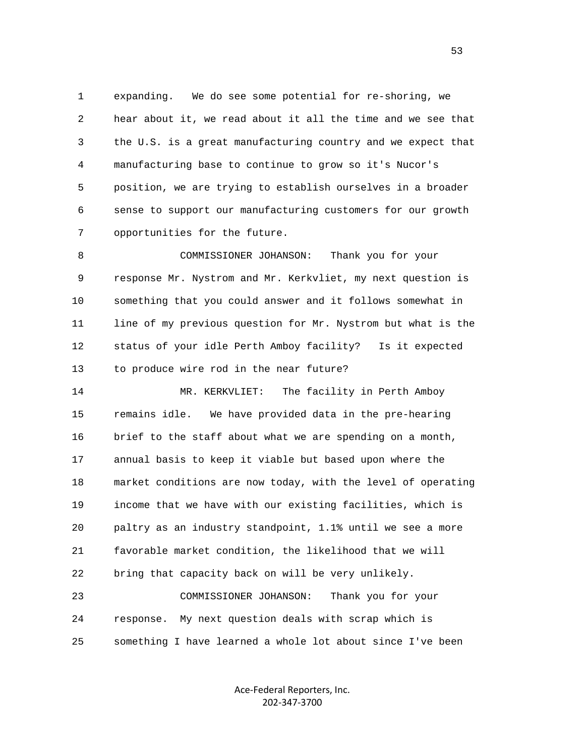1 expanding. We do see some potential for re-shoring, we 2 hear about it, we read about it all the time and we see that 3 the U.S. is a great manufacturing country and we expect that 4 manufacturing base to continue to grow so it's Nucor's 5 position, we are trying to establish ourselves in a broader 6 sense to support our manufacturing customers for our growth 7 opportunities for the future.

 8 COMMISSIONER JOHANSON: Thank you for your 9 response Mr. Nystrom and Mr. Kerkvliet, my next question is 10 something that you could answer and it follows somewhat in 11 line of my previous question for Mr. Nystrom but what is the 12 status of your idle Perth Amboy facility? Is it expected 13 to produce wire rod in the near future?

 14 MR. KERKVLIET: The facility in Perth Amboy 15 remains idle. We have provided data in the pre-hearing 16 brief to the staff about what we are spending on a month, 17 annual basis to keep it viable but based upon where the 18 market conditions are now today, with the level of operating 19 income that we have with our existing facilities, which is 20 paltry as an industry standpoint, 1.1% until we see a more 21 favorable market condition, the likelihood that we will 22 bring that capacity back on will be very unlikely.

 23 COMMISSIONER JOHANSON: Thank you for your 24 response. My next question deals with scrap which is 25 something I have learned a whole lot about since I've been

> Ace‐Federal Reporters, Inc. 202‐347‐3700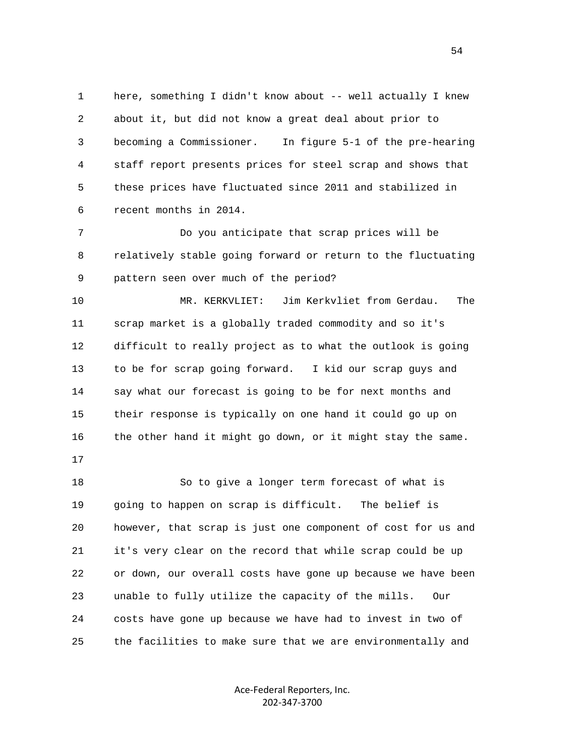1 here, something I didn't know about -- well actually I knew 2 about it, but did not know a great deal about prior to 3 becoming a Commissioner. In figure 5-1 of the pre-hearing 4 staff report presents prices for steel scrap and shows that 5 these prices have fluctuated since 2011 and stabilized in 6 recent months in 2014.

 7 Do you anticipate that scrap prices will be 8 relatively stable going forward or return to the fluctuating 9 pattern seen over much of the period?

 10 MR. KERKVLIET: Jim Kerkvliet from Gerdau. The 11 scrap market is a globally traded commodity and so it's 12 difficult to really project as to what the outlook is going 13 to be for scrap going forward. I kid our scrap guys and 14 say what our forecast is going to be for next months and 15 their response is typically on one hand it could go up on 16 the other hand it might go down, or it might stay the same.

17

 18 So to give a longer term forecast of what is 19 going to happen on scrap is difficult. The belief is 20 however, that scrap is just one component of cost for us and 21 it's very clear on the record that while scrap could be up 22 or down, our overall costs have gone up because we have been 23 unable to fully utilize the capacity of the mills. Our 24 costs have gone up because we have had to invest in two of 25 the facilities to make sure that we are environmentally and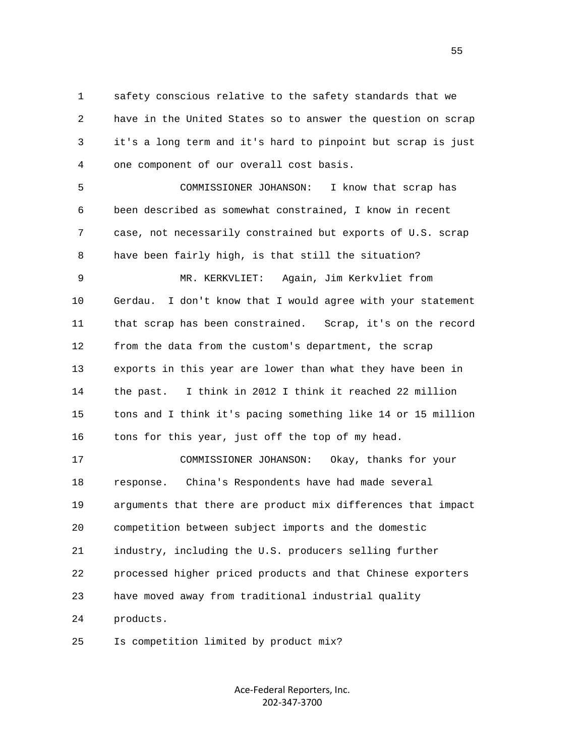1 safety conscious relative to the safety standards that we 2 have in the United States so to answer the question on scrap 3 it's a long term and it's hard to pinpoint but scrap is just 4 one component of our overall cost basis.

 5 COMMISSIONER JOHANSON: I know that scrap has 6 been described as somewhat constrained, I know in recent 7 case, not necessarily constrained but exports of U.S. scrap 8 have been fairly high, is that still the situation?

 9 MR. KERKVLIET: Again, Jim Kerkvliet from 10 Gerdau. I don't know that I would agree with your statement 11 that scrap has been constrained. Scrap, it's on the record 12 from the data from the custom's department, the scrap 13 exports in this year are lower than what they have been in 14 the past. I think in 2012 I think it reached 22 million 15 tons and I think it's pacing something like 14 or 15 million 16 tons for this year, just off the top of my head.

 17 COMMISSIONER JOHANSON: Okay, thanks for your 18 response. China's Respondents have had made several 19 arguments that there are product mix differences that impact 20 competition between subject imports and the domestic 21 industry, including the U.S. producers selling further 22 processed higher priced products and that Chinese exporters 23 have moved away from traditional industrial quality 24 products.

25 Is competition limited by product mix?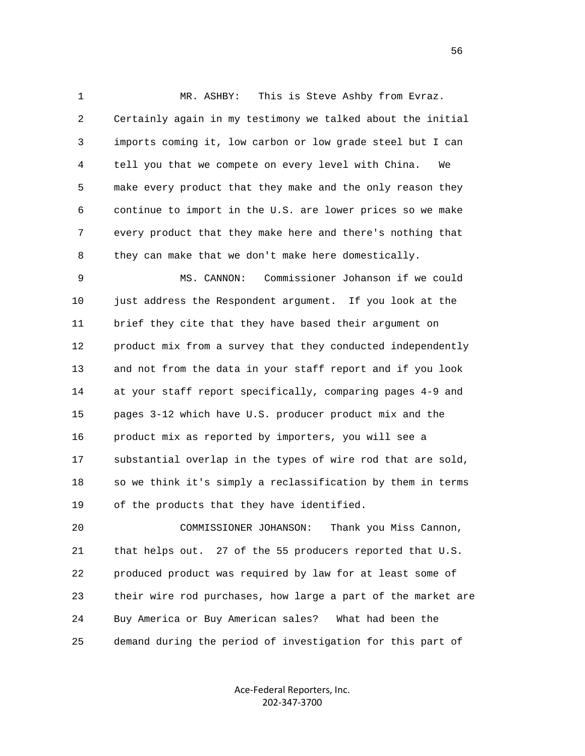1 MR. ASHBY: This is Steve Ashby from Evraz. 2 Certainly again in my testimony we talked about the initial 3 imports coming it, low carbon or low grade steel but I can 4 tell you that we compete on every level with China. We 5 make every product that they make and the only reason they 6 continue to import in the U.S. are lower prices so we make 7 every product that they make here and there's nothing that 8 they can make that we don't make here domestically.

 9 MS. CANNON: Commissioner Johanson if we could 10 just address the Respondent argument. If you look at the 11 brief they cite that they have based their argument on 12 product mix from a survey that they conducted independently 13 and not from the data in your staff report and if you look 14 at your staff report specifically, comparing pages 4-9 and 15 pages 3-12 which have U.S. producer product mix and the 16 product mix as reported by importers, you will see a 17 substantial overlap in the types of wire rod that are sold, 18 so we think it's simply a reclassification by them in terms 19 of the products that they have identified.

 20 COMMISSIONER JOHANSON: Thank you Miss Cannon, 21 that helps out. 27 of the 55 producers reported that U.S. 22 produced product was required by law for at least some of 23 their wire rod purchases, how large a part of the market are 24 Buy America or Buy American sales? What had been the 25 demand during the period of investigation for this part of

> Ace‐Federal Reporters, Inc. 202‐347‐3700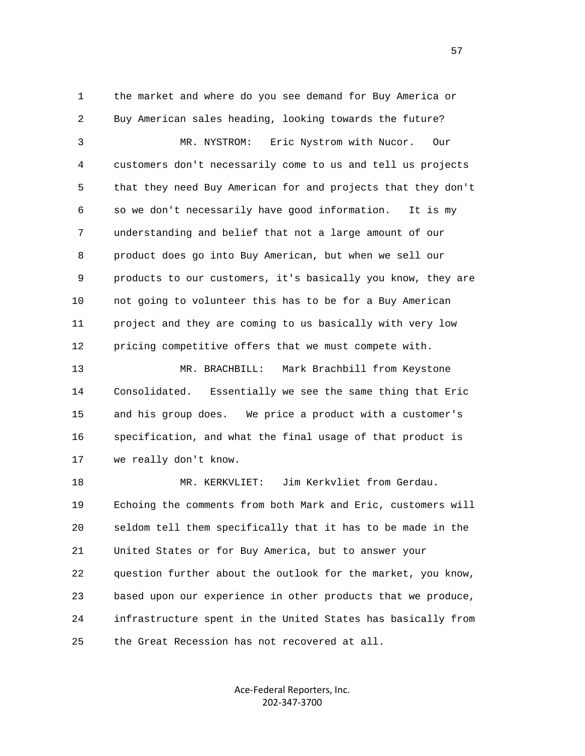1 the market and where do you see demand for Buy America or 2 Buy American sales heading, looking towards the future? 3 MR. NYSTROM: Eric Nystrom with Nucor. Our 4 customers don't necessarily come to us and tell us projects 5 that they need Buy American for and projects that they don't 6 so we don't necessarily have good information. It is my 7 understanding and belief that not a large amount of our 8 product does go into Buy American, but when we sell our 9 products to our customers, it's basically you know, they are 10 not going to volunteer this has to be for a Buy American 11 project and they are coming to us basically with very low 12 pricing competitive offers that we must compete with.

 13 MR. BRACHBILL: Mark Brachbill from Keystone 14 Consolidated. Essentially we see the same thing that Eric 15 and his group does. We price a product with a customer's 16 specification, and what the final usage of that product is 17 we really don't know.

 18 MR. KERKVLIET: Jim Kerkvliet from Gerdau. 19 Echoing the comments from both Mark and Eric, customers will 20 seldom tell them specifically that it has to be made in the 21 United States or for Buy America, but to answer your 22 question further about the outlook for the market, you know, 23 based upon our experience in other products that we produce, 24 infrastructure spent in the United States has basically from 25 the Great Recession has not recovered at all.

> Ace‐Federal Reporters, Inc. 202‐347‐3700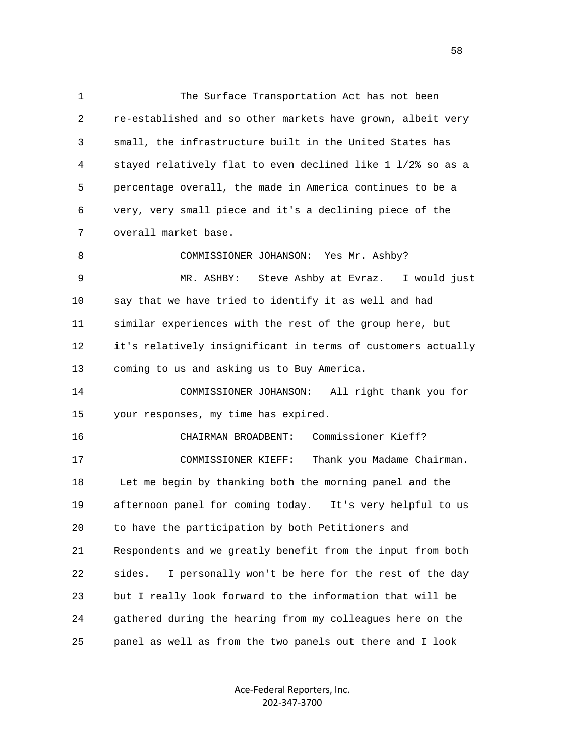1 The Surface Transportation Act has not been 2 re-established and so other markets have grown, albeit very 3 small, the infrastructure built in the United States has 4 stayed relatively flat to even declined like 1 l/2% so as a 5 percentage overall, the made in America continues to be a 6 very, very small piece and it's a declining piece of the 7 overall market base. 8 COMMISSIONER JOHANSON: Yes Mr. Ashby? 9 MR. ASHBY: Steve Ashby at Evraz. I would just 10 say that we have tried to identify it as well and had 11 similar experiences with the rest of the group here, but 12 it's relatively insignificant in terms of customers actually 13 coming to us and asking us to Buy America. 14 COMMISSIONER JOHANSON: All right thank you for 15 your responses, my time has expired. 16 CHAIRMAN BROADBENT: Commissioner Kieff? 17 COMMISSIONER KIEFF: Thank you Madame Chairman. 18 Let me begin by thanking both the morning panel and the 19 afternoon panel for coming today. It's very helpful to us 20 to have the participation by both Petitioners and 21 Respondents and we greatly benefit from the input from both 22 sides. I personally won't be here for the rest of the day 23 but I really look forward to the information that will be 24 gathered during the hearing from my colleagues here on the

25 panel as well as from the two panels out there and I look

Ace‐Federal Reporters, Inc. 202‐347‐3700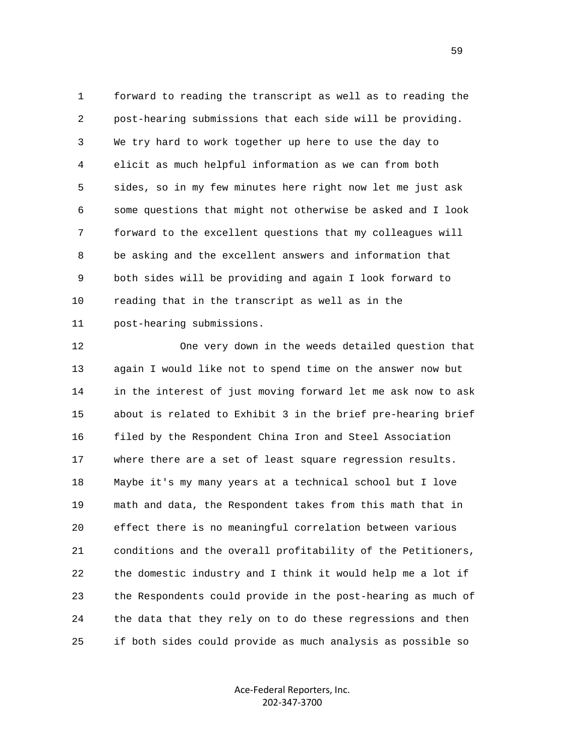1 forward to reading the transcript as well as to reading the 2 post-hearing submissions that each side will be providing. 3 We try hard to work together up here to use the day to 4 elicit as much helpful information as we can from both 5 sides, so in my few minutes here right now let me just ask 6 some questions that might not otherwise be asked and I look 7 forward to the excellent questions that my colleagues will 8 be asking and the excellent answers and information that 9 both sides will be providing and again I look forward to 10 reading that in the transcript as well as in the 11 post-hearing submissions.

 12 One very down in the weeds detailed question that 13 again I would like not to spend time on the answer now but 14 in the interest of just moving forward let me ask now to ask 15 about is related to Exhibit 3 in the brief pre-hearing brief 16 filed by the Respondent China Iron and Steel Association 17 where there are a set of least square regression results. 18 Maybe it's my many years at a technical school but I love 19 math and data, the Respondent takes from this math that in 20 effect there is no meaningful correlation between various 21 conditions and the overall profitability of the Petitioners, 22 the domestic industry and I think it would help me a lot if 23 the Respondents could provide in the post-hearing as much of 24 the data that they rely on to do these regressions and then 25 if both sides could provide as much analysis as possible so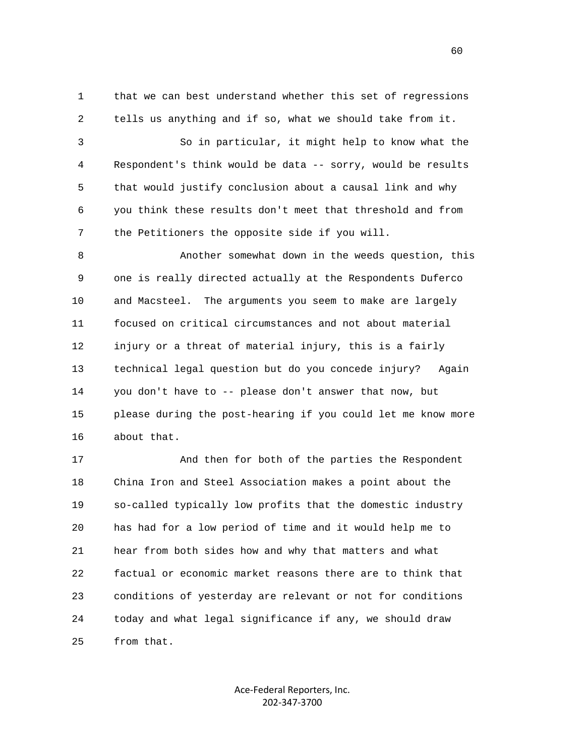1 that we can best understand whether this set of regressions 2 tells us anything and if so, what we should take from it.

 3 So in particular, it might help to know what the 4 Respondent's think would be data -- sorry, would be results 5 that would justify conclusion about a causal link and why 6 you think these results don't meet that threshold and from 7 the Petitioners the opposite side if you will.

 8 Another somewhat down in the weeds question, this 9 one is really directed actually at the Respondents Duferco 10 and Macsteel. The arguments you seem to make are largely 11 focused on critical circumstances and not about material 12 injury or a threat of material injury, this is a fairly 13 technical legal question but do you concede injury? Again 14 you don't have to -- please don't answer that now, but 15 please during the post-hearing if you could let me know more 16 about that.

 17 And then for both of the parties the Respondent 18 China Iron and Steel Association makes a point about the 19 so-called typically low profits that the domestic industry 20 has had for a low period of time and it would help me to 21 hear from both sides how and why that matters and what 22 factual or economic market reasons there are to think that 23 conditions of yesterday are relevant or not for conditions 24 today and what legal significance if any, we should draw 25 from that.

> Ace‐Federal Reporters, Inc. 202‐347‐3700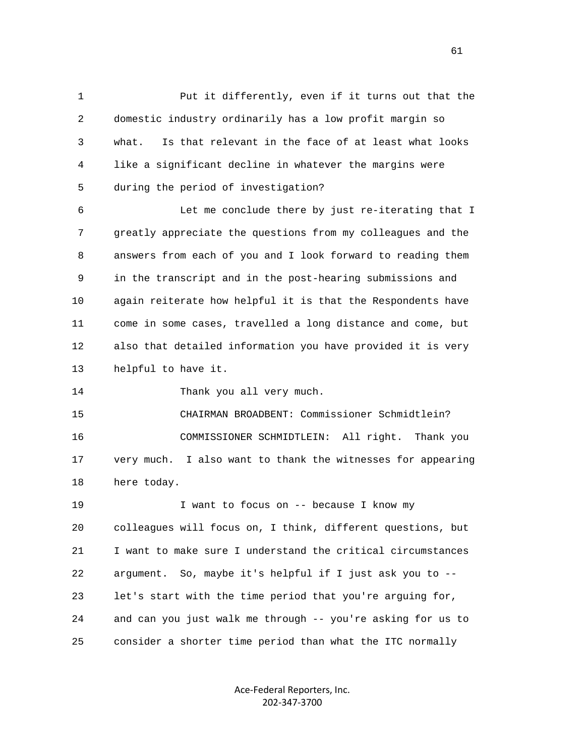1 Put it differently, even if it turns out that the 2 domestic industry ordinarily has a low profit margin so 3 what. Is that relevant in the face of at least what looks 4 like a significant decline in whatever the margins were 5 during the period of investigation?

 6 Let me conclude there by just re-iterating that I 7 greatly appreciate the questions from my colleagues and the 8 answers from each of you and I look forward to reading them 9 in the transcript and in the post-hearing submissions and 10 again reiterate how helpful it is that the Respondents have 11 come in some cases, travelled a long distance and come, but 12 also that detailed information you have provided it is very 13 helpful to have it.

14 Thank you all very much.

 15 CHAIRMAN BROADBENT: Commissioner Schmidtlein? 16 COMMISSIONER SCHMIDTLEIN: All right. Thank you 17 very much. I also want to thank the witnesses for appearing 18 here today.

19 19 I want to focus on -- because I know my 20 colleagues will focus on, I think, different questions, but 21 I want to make sure I understand the critical circumstances 22 argument. So, maybe it's helpful if I just ask you to -- 23 let's start with the time period that you're arguing for, 24 and can you just walk me through -- you're asking for us to 25 consider a shorter time period than what the ITC normally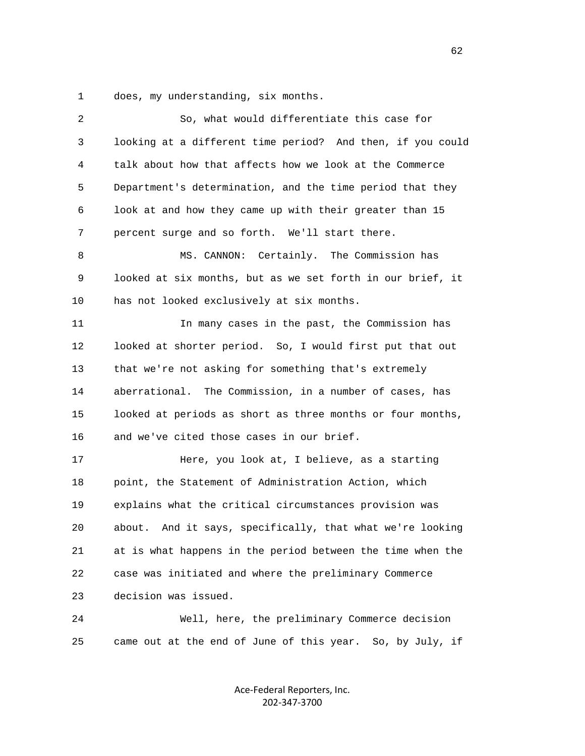1 does, my understanding, six months.

| 2  | So, what would differentiate this case for                   |
|----|--------------------------------------------------------------|
| 3  | looking at a different time period? And then, if you could   |
| 4  | talk about how that affects how we look at the Commerce      |
| 5  | Department's determination, and the time period that they    |
| 6  | look at and how they came up with their greater than 15      |
| 7  | percent surge and so forth. We'll start there.               |
| 8  | MS. CANNON: Certainly. The Commission has                    |
| 9  | looked at six months, but as we set forth in our brief, it   |
| 10 | has not looked exclusively at six months.                    |
| 11 | In many cases in the past, the Commission has                |
| 12 | looked at shorter period. So, I would first put that out     |
| 13 | that we're not asking for something that's extremely         |
| 14 | aberrational. The Commission, in a number of cases, has      |
| 15 | looked at periods as short as three months or four months,   |
| 16 | and we've cited those cases in our brief.                    |
| 17 | Here, you look at, I believe, as a starting                  |
| 18 | point, the Statement of Administration Action, which         |
| 19 | explains what the critical circumstances provision was       |
| 20 | And it says, specifically, that what we're looking<br>about. |
| 21 | at is what happens in the period between the time when the   |
| 22 | case was initiated and where the preliminary Commerce        |
| 23 | decision was issued.                                         |
| 24 | Well, here, the preliminary Commerce decision                |
| 25 | came out at the end of June of this year. So, by July, if    |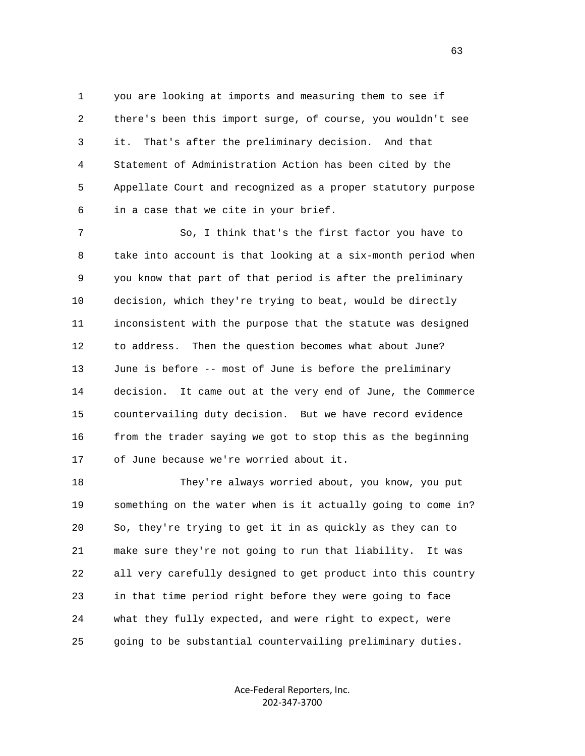1 you are looking at imports and measuring them to see if 2 there's been this import surge, of course, you wouldn't see 3 it. That's after the preliminary decision. And that 4 Statement of Administration Action has been cited by the 5 Appellate Court and recognized as a proper statutory purpose 6 in a case that we cite in your brief.

 7 So, I think that's the first factor you have to 8 take into account is that looking at a six-month period when 9 you know that part of that period is after the preliminary 10 decision, which they're trying to beat, would be directly 11 inconsistent with the purpose that the statute was designed 12 to address. Then the question becomes what about June? 13 June is before -- most of June is before the preliminary 14 decision. It came out at the very end of June, the Commerce 15 countervailing duty decision. But we have record evidence 16 from the trader saying we got to stop this as the beginning 17 of June because we're worried about it.

 18 They're always worried about, you know, you put 19 something on the water when is it actually going to come in? 20 So, they're trying to get it in as quickly as they can to 21 make sure they're not going to run that liability. It was 22 all very carefully designed to get product into this country 23 in that time period right before they were going to face 24 what they fully expected, and were right to expect, were 25 going to be substantial countervailing preliminary duties.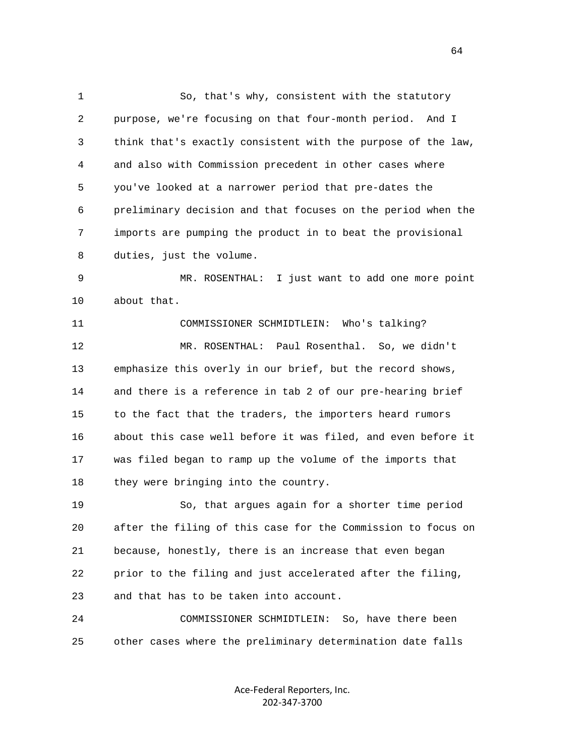1 So, that's why, consistent with the statutory 2 purpose, we're focusing on that four-month period. And I 3 think that's exactly consistent with the purpose of the law, 4 and also with Commission precedent in other cases where 5 you've looked at a narrower period that pre-dates the 6 preliminary decision and that focuses on the period when the 7 imports are pumping the product in to beat the provisional 8 duties, just the volume.

 9 MR. ROSENTHAL: I just want to add one more point 10 about that.

 11 COMMISSIONER SCHMIDTLEIN: Who's talking? 12 MR. ROSENTHAL: Paul Rosenthal. So, we didn't 13 emphasize this overly in our brief, but the record shows, 14 and there is a reference in tab 2 of our pre-hearing brief 15 to the fact that the traders, the importers heard rumors 16 about this case well before it was filed, and even before it 17 was filed began to ramp up the volume of the imports that 18 they were bringing into the country.

 19 So, that argues again for a shorter time period 20 after the filing of this case for the Commission to focus on 21 because, honestly, there is an increase that even began 22 prior to the filing and just accelerated after the filing, 23 and that has to be taken into account.

 24 COMMISSIONER SCHMIDTLEIN: So, have there been 25 other cases where the preliminary determination date falls

> Ace‐Federal Reporters, Inc. 202‐347‐3700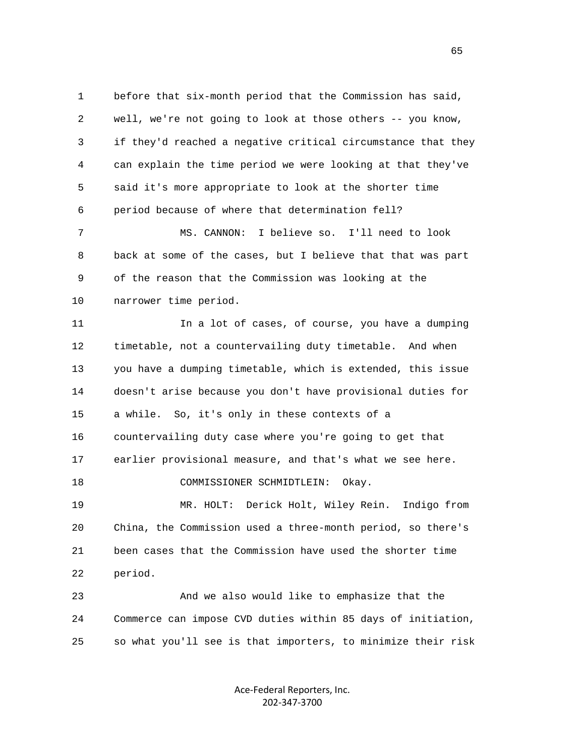1 before that six-month period that the Commission has said, 2 well, we're not going to look at those others -- you know, 3 if they'd reached a negative critical circumstance that they 4 can explain the time period we were looking at that they've 5 said it's more appropriate to look at the shorter time 6 period because of where that determination fell? 7 MS. CANNON: I believe so. I'll need to look 8 back at some of the cases, but I believe that that was part 9 of the reason that the Commission was looking at the

 10 narrower time period. 11 11 In a lot of cases, of course, you have a dumping 12 timetable, not a countervailing duty timetable. And when 13 you have a dumping timetable, which is extended, this issue 14 doesn't arise because you don't have provisional duties for 15 a while. So, it's only in these contexts of a 16 countervailing duty case where you're going to get that 17 earlier provisional measure, and that's what we see here. 18 COMMISSIONER SCHMIDTLEIN: Okay. 19 MR. HOLT: Derick Holt, Wiley Rein. Indigo from 20 China, the Commission used a three-month period, so there's 21 been cases that the Commission have used the shorter time 22 period.

 23 And we also would like to emphasize that the 24 Commerce can impose CVD duties within 85 days of initiation, 25 so what you'll see is that importers, to minimize their risk

> Ace‐Federal Reporters, Inc. 202‐347‐3700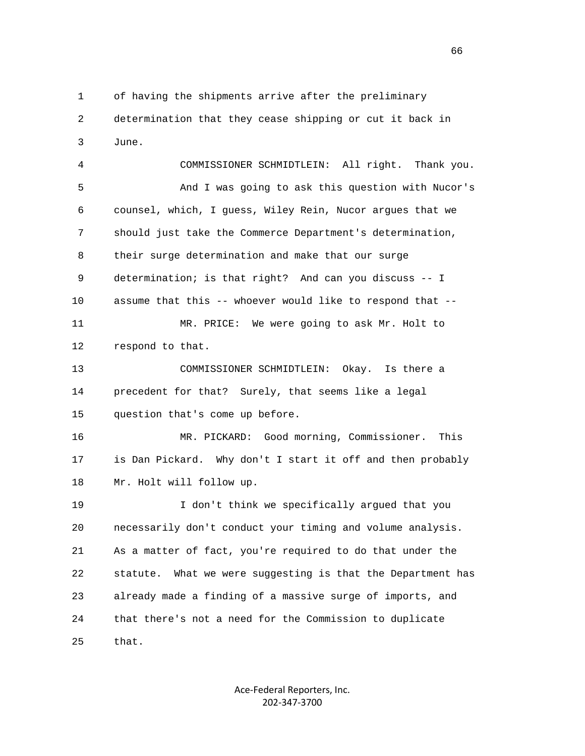1 of having the shipments arrive after the preliminary 2 determination that they cease shipping or cut it back in 3 June.

 4 COMMISSIONER SCHMIDTLEIN: All right. Thank you. 5 And I was going to ask this question with Nucor's 6 counsel, which, I guess, Wiley Rein, Nucor argues that we 7 should just take the Commerce Department's determination, 8 their surge determination and make that our surge 9 determination; is that right? And can you discuss -- I 10 assume that this -- whoever would like to respond that -- 11 MR. PRICE: We were going to ask Mr. Holt to 12 respond to that. 13 COMMISSIONER SCHMIDTLEIN: Okay. Is there a 14 precedent for that? Surely, that seems like a legal 15 question that's come up before. 16 MR. PICKARD: Good morning, Commissioner. This 17 is Dan Pickard. Why don't I start it off and then probably 18 Mr. Holt will follow up. 19 I don't think we specifically argued that you 20 necessarily don't conduct your timing and volume analysis. 21 As a matter of fact, you're required to do that under the 22 statute. What we were suggesting is that the Department has 23 already made a finding of a massive surge of imports, and 24 that there's not a need for the Commission to duplicate

25 that.

Ace‐Federal Reporters, Inc. 202‐347‐3700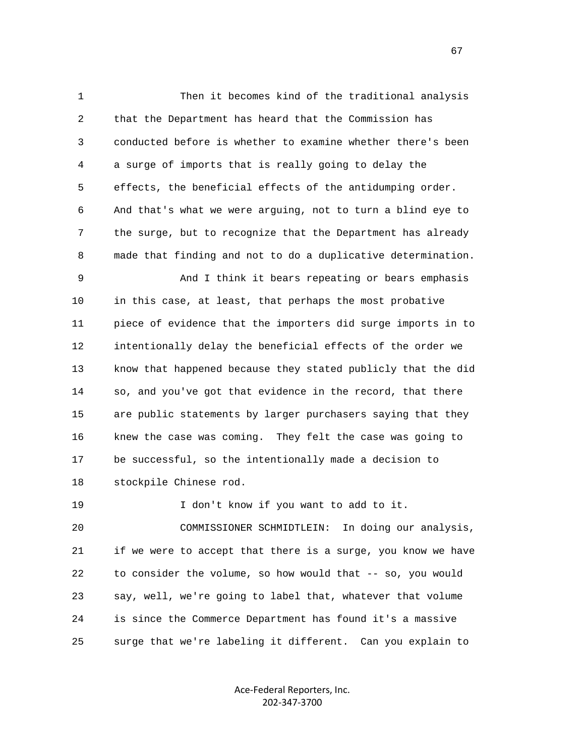1 Then it becomes kind of the traditional analysis 2 that the Department has heard that the Commission has 3 conducted before is whether to examine whether there's been 4 a surge of imports that is really going to delay the 5 effects, the beneficial effects of the antidumping order. 6 And that's what we were arguing, not to turn a blind eye to 7 the surge, but to recognize that the Department has already 8 made that finding and not to do a duplicative determination.

 9 And I think it bears repeating or bears emphasis 10 in this case, at least, that perhaps the most probative 11 piece of evidence that the importers did surge imports in to 12 intentionally delay the beneficial effects of the order we 13 know that happened because they stated publicly that the did 14 so, and you've got that evidence in the record, that there 15 are public statements by larger purchasers saying that they 16 knew the case was coming. They felt the case was going to 17 be successful, so the intentionally made a decision to 18 stockpile Chinese rod.

19 I don't know if you want to add to it.

 20 COMMISSIONER SCHMIDTLEIN: In doing our analysis, 21 if we were to accept that there is a surge, you know we have 22 to consider the volume, so how would that -- so, you would 23 say, well, we're going to label that, whatever that volume 24 is since the Commerce Department has found it's a massive 25 surge that we're labeling it different. Can you explain to

> Ace‐Federal Reporters, Inc. 202‐347‐3700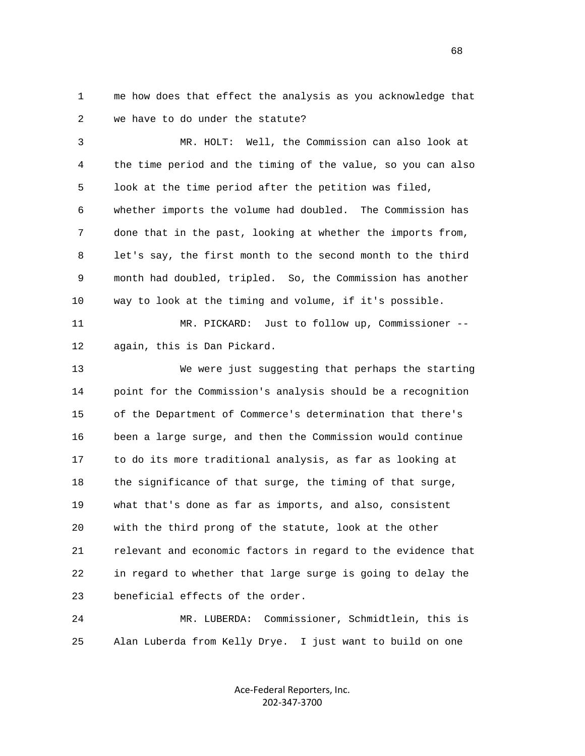1 me how does that effect the analysis as you acknowledge that 2 we have to do under the statute?

 3 MR. HOLT: Well, the Commission can also look at 4 the time period and the timing of the value, so you can also 5 look at the time period after the petition was filed, 6 whether imports the volume had doubled. The Commission has 7 done that in the past, looking at whether the imports from, 8 let's say, the first month to the second month to the third 9 month had doubled, tripled. So, the Commission has another 10 way to look at the timing and volume, if it's possible.

 11 MR. PICKARD: Just to follow up, Commissioner -- 12 again, this is Dan Pickard.

 13 We were just suggesting that perhaps the starting 14 point for the Commission's analysis should be a recognition 15 of the Department of Commerce's determination that there's 16 been a large surge, and then the Commission would continue 17 to do its more traditional analysis, as far as looking at 18 the significance of that surge, the timing of that surge, 19 what that's done as far as imports, and also, consistent 20 with the third prong of the statute, look at the other 21 relevant and economic factors in regard to the evidence that 22 in regard to whether that large surge is going to delay the 23 beneficial effects of the order.

 24 MR. LUBERDA: Commissioner, Schmidtlein, this is 25 Alan Luberda from Kelly Drye. I just want to build on one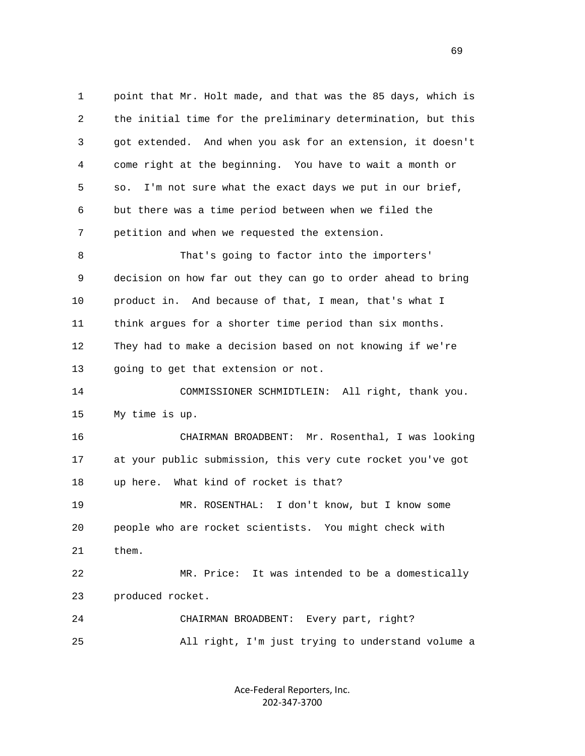1 point that Mr. Holt made, and that was the 85 days, which is 2 the initial time for the preliminary determination, but this 3 got extended. And when you ask for an extension, it doesn't 4 come right at the beginning. You have to wait a month or 5 so. I'm not sure what the exact days we put in our brief, 6 but there was a time period between when we filed the 7 petition and when we requested the extension. 8 That's going to factor into the importers' 9 decision on how far out they can go to order ahead to bring 10 product in. And because of that, I mean, that's what I 11 think argues for a shorter time period than six months. 12 They had to make a decision based on not knowing if we're 13 going to get that extension or not. 14 COMMISSIONER SCHMIDTLEIN: All right, thank you. 15 My time is up. 16 CHAIRMAN BROADBENT: Mr. Rosenthal, I was looking 17 at your public submission, this very cute rocket you've got 18 up here. What kind of rocket is that? 19 MR. ROSENTHAL: I don't know, but I know some 20 people who are rocket scientists. You might check with 21 them. 22 MR. Price: It was intended to be a domestically 23 produced rocket. 24 CHAIRMAN BROADBENT: Every part, right? 25 All right, I'm just trying to understand volume a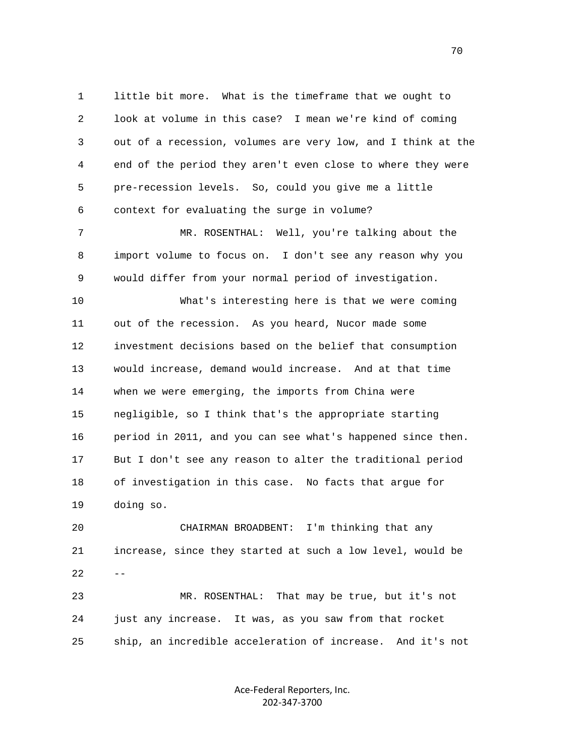1 little bit more. What is the timeframe that we ought to 2 look at volume in this case? I mean we're kind of coming 3 out of a recession, volumes are very low, and I think at the 4 end of the period they aren't even close to where they were 5 pre-recession levels. So, could you give me a little 6 context for evaluating the surge in volume?

 7 MR. ROSENTHAL: Well, you're talking about the 8 import volume to focus on. I don't see any reason why you 9 would differ from your normal period of investigation.

 10 What's interesting here is that we were coming 11 out of the recession. As you heard, Nucor made some 12 investment decisions based on the belief that consumption 13 would increase, demand would increase. And at that time 14 when we were emerging, the imports from China were 15 negligible, so I think that's the appropriate starting 16 period in 2011, and you can see what's happened since then. 17 But I don't see any reason to alter the traditional period 18 of investigation in this case. No facts that argue for 19 doing so.

 20 CHAIRMAN BROADBENT: I'm thinking that any 21 increase, since they started at such a low level, would be  $22 - -$ 23 MR. ROSENTHAL: That may be true, but it's not

 24 just any increase. It was, as you saw from that rocket 25 ship, an incredible acceleration of increase. And it's not

> Ace‐Federal Reporters, Inc. 202‐347‐3700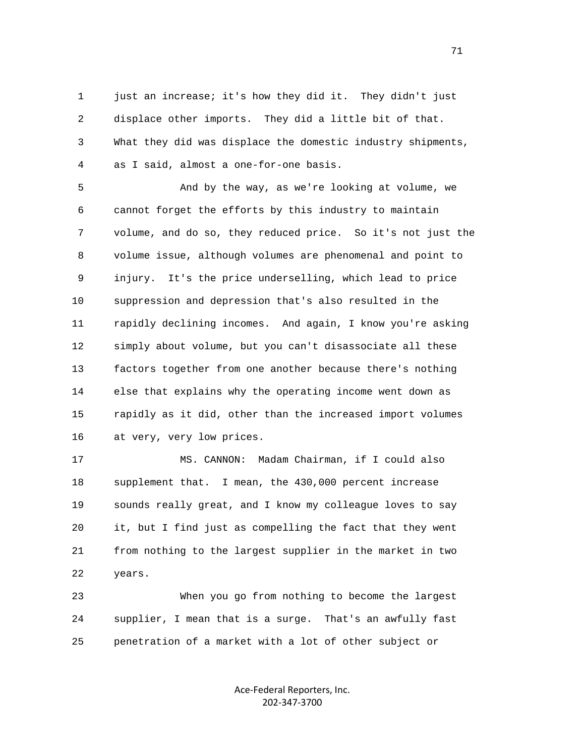1 just an increase; it's how they did it. They didn't just 2 displace other imports. They did a little bit of that. 3 What they did was displace the domestic industry shipments, 4 as I said, almost a one-for-one basis.

 5 And by the way, as we're looking at volume, we 6 cannot forget the efforts by this industry to maintain 7 volume, and do so, they reduced price. So it's not just the 8 volume issue, although volumes are phenomenal and point to 9 injury. It's the price underselling, which lead to price 10 suppression and depression that's also resulted in the 11 rapidly declining incomes. And again, I know you're asking 12 simply about volume, but you can't disassociate all these 13 factors together from one another because there's nothing 14 else that explains why the operating income went down as 15 rapidly as it did, other than the increased import volumes 16 at very, very low prices.

 17 MS. CANNON: Madam Chairman, if I could also 18 supplement that. I mean, the 430,000 percent increase 19 sounds really great, and I know my colleague loves to say 20 it, but I find just as compelling the fact that they went 21 from nothing to the largest supplier in the market in two 22 years.

 23 When you go from nothing to become the largest 24 supplier, I mean that is a surge. That's an awfully fast 25 penetration of a market with a lot of other subject or

> Ace‐Federal Reporters, Inc. 202‐347‐3700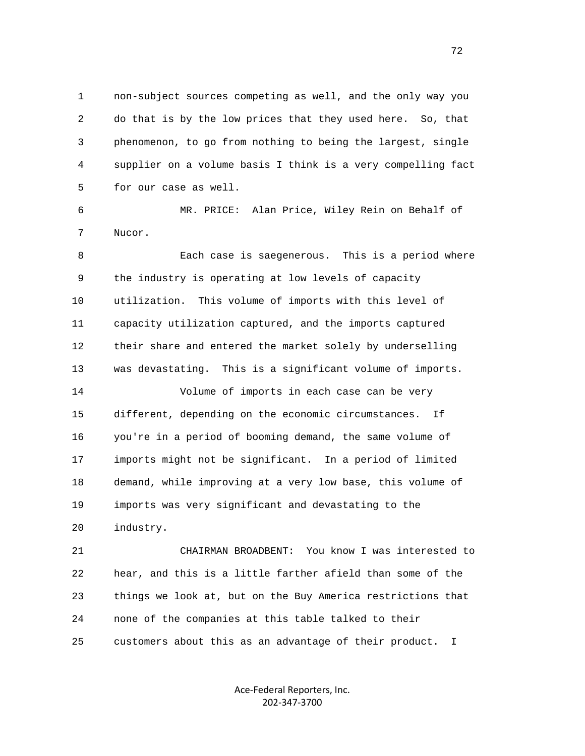1 non-subject sources competing as well, and the only way you 2 do that is by the low prices that they used here. So, that 3 phenomenon, to go from nothing to being the largest, single 4 supplier on a volume basis I think is a very compelling fact 5 for our case as well.

 6 MR. PRICE: Alan Price, Wiley Rein on Behalf of 7 Nucor.

 8 Each case is saegenerous. This is a period where 9 the industry is operating at low levels of capacity 10 utilization. This volume of imports with this level of 11 capacity utilization captured, and the imports captured 12 their share and entered the market solely by underselling 13 was devastating. This is a significant volume of imports.

 14 Volume of imports in each case can be very 15 different, depending on the economic circumstances. If 16 you're in a period of booming demand, the same volume of 17 imports might not be significant. In a period of limited 18 demand, while improving at a very low base, this volume of 19 imports was very significant and devastating to the 20 industry.

 21 CHAIRMAN BROADBENT: You know I was interested to 22 hear, and this is a little farther afield than some of the 23 things we look at, but on the Buy America restrictions that 24 none of the companies at this table talked to their 25 customers about this as an advantage of their product. I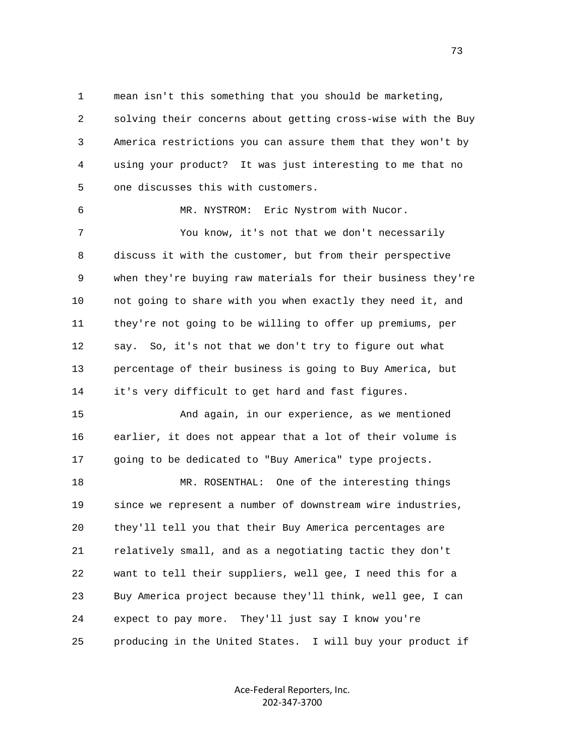1 mean isn't this something that you should be marketing,

 2 solving their concerns about getting cross-wise with the Buy 3 America restrictions you can assure them that they won't by 4 using your product? It was just interesting to me that no 5 one discusses this with customers.

 6 MR. NYSTROM: Eric Nystrom with Nucor. 7 You know, it's not that we don't necessarily 8 discuss it with the customer, but from their perspective 9 when they're buying raw materials for their business they're 10 not going to share with you when exactly they need it, and 11 they're not going to be willing to offer up premiums, per 12 say. So, it's not that we don't try to figure out what 13 percentage of their business is going to Buy America, but 14 it's very difficult to get hard and fast figures.

 15 And again, in our experience, as we mentioned 16 earlier, it does not appear that a lot of their volume is 17 going to be dedicated to "Buy America" type projects.

 18 MR. ROSENTHAL: One of the interesting things 19 since we represent a number of downstream wire industries, 20 they'll tell you that their Buy America percentages are 21 relatively small, and as a negotiating tactic they don't 22 want to tell their suppliers, well gee, I need this for a 23 Buy America project because they'll think, well gee, I can 24 expect to pay more. They'll just say I know you're 25 producing in the United States. I will buy your product if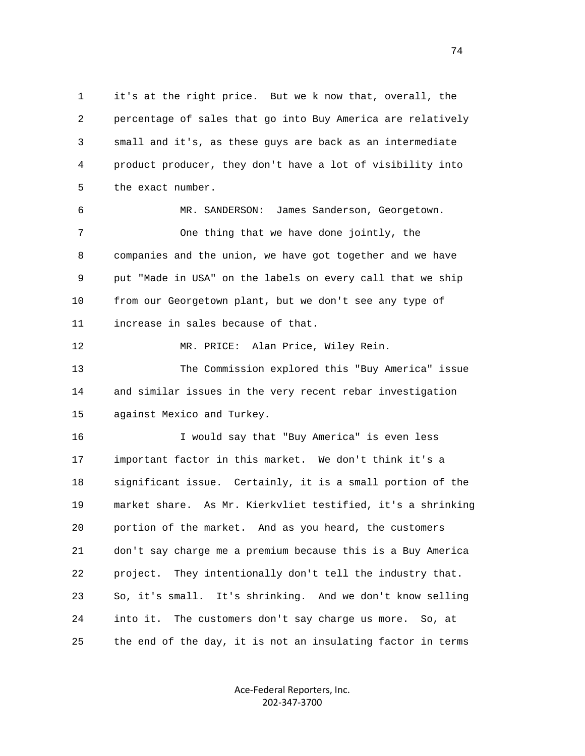1 it's at the right price. But we k now that, overall, the 2 percentage of sales that go into Buy America are relatively 3 small and it's, as these guys are back as an intermediate 4 product producer, they don't have a lot of visibility into 5 the exact number.

 6 MR. SANDERSON: James Sanderson, Georgetown. 7 One thing that we have done jointly, the 8 companies and the union, we have got together and we have 9 put "Made in USA" on the labels on every call that we ship 10 from our Georgetown plant, but we don't see any type of 11 increase in sales because of that.

12 MR. PRICE: Alan Price, Wiley Rein.

 13 The Commission explored this "Buy America" issue 14 and similar issues in the very recent rebar investigation 15 against Mexico and Turkey.

 16 I would say that "Buy America" is even less 17 important factor in this market. We don't think it's a 18 significant issue. Certainly, it is a small portion of the 19 market share. As Mr. Kierkvliet testified, it's a shrinking 20 portion of the market. And as you heard, the customers 21 don't say charge me a premium because this is a Buy America 22 project. They intentionally don't tell the industry that. 23 So, it's small. It's shrinking. And we don't know selling 24 into it. The customers don't say charge us more. So, at 25 the end of the day, it is not an insulating factor in terms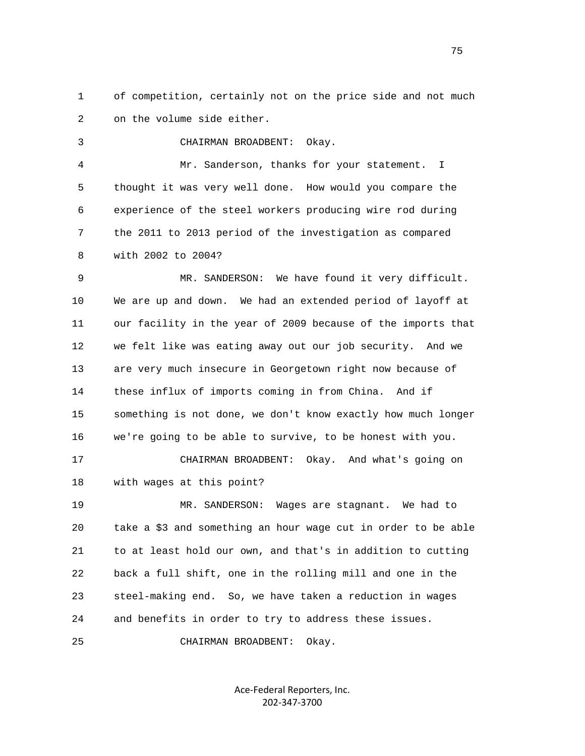1 of competition, certainly not on the price side and not much 2 on the volume side either.

 3 CHAIRMAN BROADBENT: Okay. 4 Mr. Sanderson, thanks for your statement. I 5 thought it was very well done. How would you compare the 6 experience of the steel workers producing wire rod during 7 the 2011 to 2013 period of the investigation as compared 8 with 2002 to 2004?

 9 MR. SANDERSON: We have found it very difficult. 10 We are up and down. We had an extended period of layoff at 11 our facility in the year of 2009 because of the imports that 12 we felt like was eating away out our job security. And we 13 are very much insecure in Georgetown right now because of 14 these influx of imports coming in from China. And if 15 something is not done, we don't know exactly how much longer 16 we're going to be able to survive, to be honest with you.

 17 CHAIRMAN BROADBENT: Okay. And what's going on 18 with wages at this point?

 19 MR. SANDERSON: Wages are stagnant. We had to 20 take a \$3 and something an hour wage cut in order to be able 21 to at least hold our own, and that's in addition to cutting 22 back a full shift, one in the rolling mill and one in the 23 steel-making end. So, we have taken a reduction in wages 24 and benefits in order to try to address these issues.

25 CHAIRMAN BROADBENT: Okay.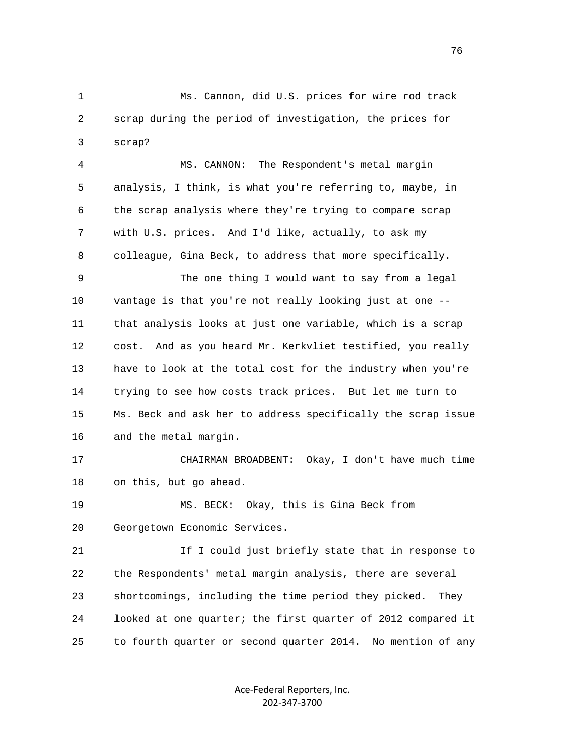1 Ms. Cannon, did U.S. prices for wire rod track 2 scrap during the period of investigation, the prices for 3 scrap?

 4 MS. CANNON: The Respondent's metal margin 5 analysis, I think, is what you're referring to, maybe, in 6 the scrap analysis where they're trying to compare scrap 7 with U.S. prices. And I'd like, actually, to ask my 8 colleague, Gina Beck, to address that more specifically.

 9 The one thing I would want to say from a legal 10 vantage is that you're not really looking just at one -- 11 that analysis looks at just one variable, which is a scrap 12 cost. And as you heard Mr. Kerkvliet testified, you really 13 have to look at the total cost for the industry when you're 14 trying to see how costs track prices. But let me turn to 15 Ms. Beck and ask her to address specifically the scrap issue 16 and the metal margin.

 17 CHAIRMAN BROADBENT: Okay, I don't have much time 18 on this, but go ahead.

 19 MS. BECK: Okay, this is Gina Beck from 20 Georgetown Economic Services.

21 1 If I could just briefly state that in response to 22 the Respondents' metal margin analysis, there are several 23 shortcomings, including the time period they picked. They 24 looked at one quarter; the first quarter of 2012 compared it 25 to fourth quarter or second quarter 2014. No mention of any

> Ace‐Federal Reporters, Inc. 202‐347‐3700

76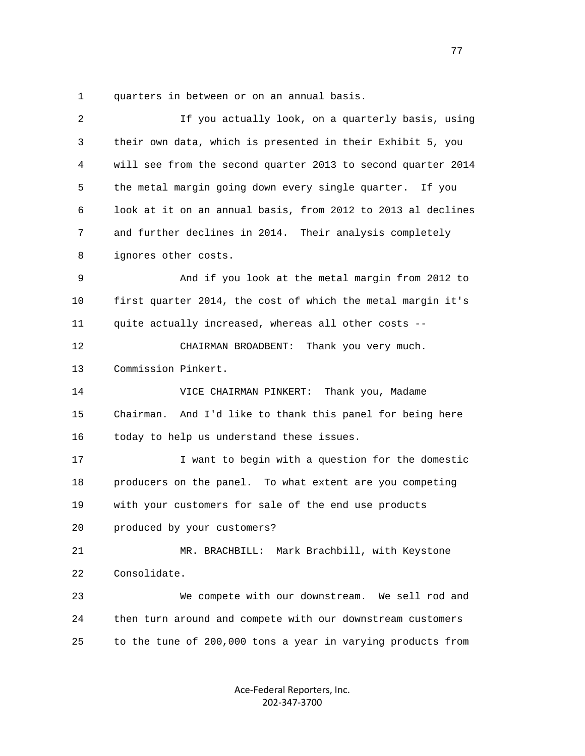1 quarters in between or on an annual basis.

| $\overline{2}$ | If you actually look, on a quarterly basis, using            |
|----------------|--------------------------------------------------------------|
| 3              | their own data, which is presented in their Exhibit 5, you   |
| 4              | will see from the second quarter 2013 to second quarter 2014 |
| 5              | the metal margin going down every single quarter. If you     |
| 6              | look at it on an annual basis, from 2012 to 2013 al declines |
| 7              | and further declines in 2014. Their analysis completely      |
| 8              | ignores other costs.                                         |
| 9              | And if you look at the metal margin from 2012 to             |
| 10             | first quarter 2014, the cost of which the metal margin it's  |
| 11             | quite actually increased, whereas all other costs --         |
| 12             | CHAIRMAN BROADBENT: Thank you very much.                     |
| 13             | Commission Pinkert.                                          |
| 14             | VICE CHAIRMAN PINKERT: Thank you, Madame                     |
| 15             | Chairman. And I'd like to thank this panel for being here    |
| 16             | today to help us understand these issues.                    |
| 17             | I want to begin with a question for the domestic             |
| 18             | producers on the panel. To what extent are you competing     |
| 19             | with your customers for sale of the end use products         |
| 20             | produced by your customers?                                  |
| 21             | MR. BRACHBILL: Mark Brachbill, with Keystone                 |
| 22             | Consolidate.                                                 |
| 23             | We compete with our downstream. We sell rod and              |
| 24             | then turn around and compete with our downstream customers   |
| 25             | to the tune of 200,000 tons a year in varying products from  |
|                |                                                              |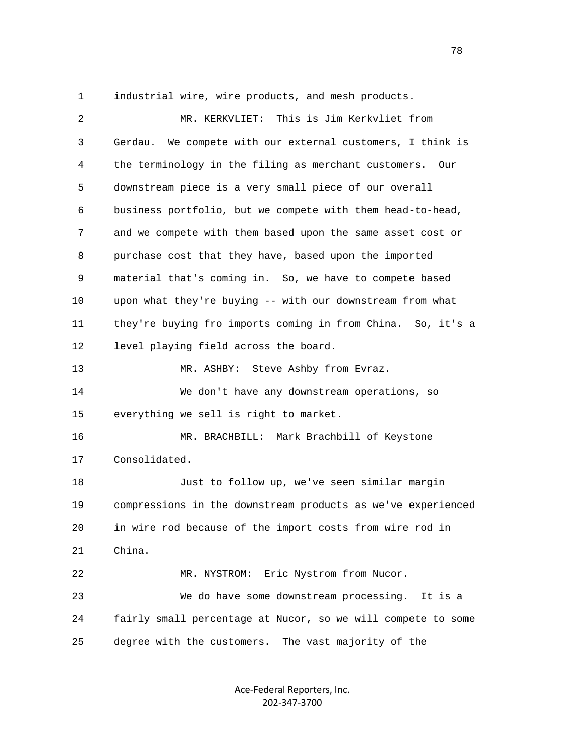1 industrial wire, wire products, and mesh products.

| 2  | MR. KERKVLIET: This is Jim Kerkvliet from                     |
|----|---------------------------------------------------------------|
| 3  | We compete with our external customers, I think is<br>Gerdau. |
| 4  | the terminology in the filing as merchant customers. Our      |
| 5  | downstream piece is a very small piece of our overall         |
| 6  | business portfolio, but we compete with them head-to-head,    |
| 7  | and we compete with them based upon the same asset cost or    |
| 8  | purchase cost that they have, based upon the imported         |
| 9  | material that's coming in. So, we have to compete based       |
| 10 | upon what they're buying -- with our downstream from what     |
| 11 | they're buying fro imports coming in from China. So, it's a   |
| 12 | level playing field across the board.                         |
| 13 | MR. ASHBY: Steve Ashby from Evraz.                            |
| 14 | We don't have any downstream operations, so                   |
| 15 | everything we sell is right to market.                        |
| 16 | MR. BRACHBILL: Mark Brachbill of Keystone                     |
| 17 | Consolidated.                                                 |
| 18 | Just to follow up, we've seen similar margin                  |
| 19 | compressions in the downstream products as we've experienced  |
| 20 | in wire rod because of the import costs from wire rod in      |
| 21 | China.                                                        |
| 22 | Eric Nystrom from Nucor.<br>MR. NYSTROM:                      |
| 23 | We do have some downstream processing.<br>It is a             |
| 24 | fairly small percentage at Nucor, so we will compete to some  |
| 25 | degree with the customers. The vast majority of the           |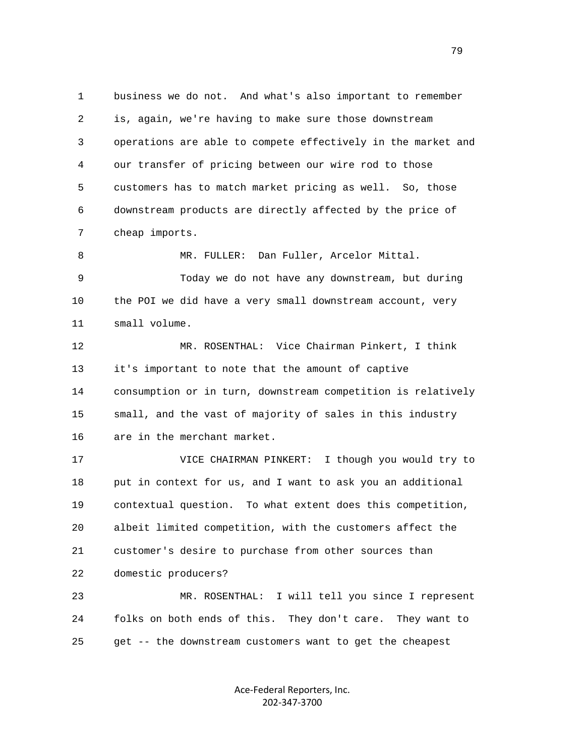1 business we do not. And what's also important to remember 2 is, again, we're having to make sure those downstream 3 operations are able to compete effectively in the market and 4 our transfer of pricing between our wire rod to those 5 customers has to match market pricing as well. So, those 6 downstream products are directly affected by the price of 7 cheap imports.

 8 MR. FULLER: Dan Fuller, Arcelor Mittal. 9 Today we do not have any downstream, but during 10 the POI we did have a very small downstream account, very 11 small volume.

 12 MR. ROSENTHAL: Vice Chairman Pinkert, I think 13 it's important to note that the amount of captive 14 consumption or in turn, downstream competition is relatively 15 small, and the vast of majority of sales in this industry 16 are in the merchant market.

 17 VICE CHAIRMAN PINKERT: I though you would try to 18 put in context for us, and I want to ask you an additional 19 contextual question. To what extent does this competition, 20 albeit limited competition, with the customers affect the 21 customer's desire to purchase from other sources than 22 domestic producers? 23 MR. ROSENTHAL: I will tell you since I represent

 24 folks on both ends of this. They don't care. They want to 25 get -- the downstream customers want to get the cheapest

> Ace‐Federal Reporters, Inc. 202‐347‐3700

79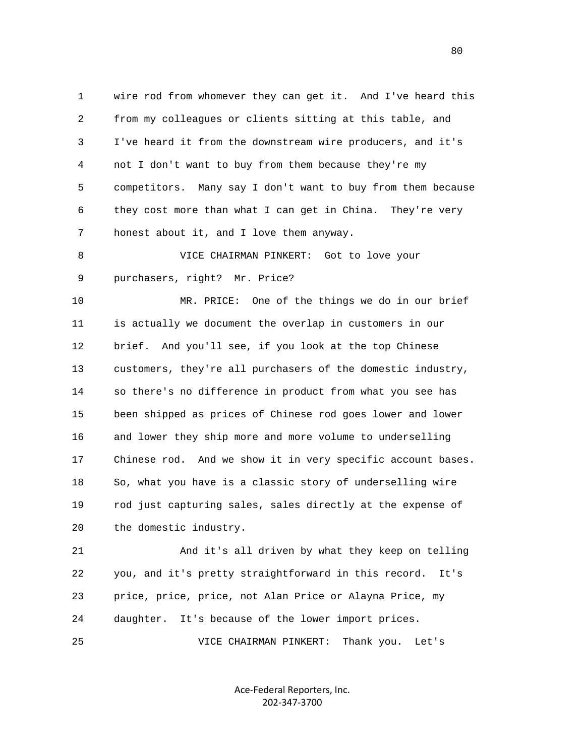1 wire rod from whomever they can get it. And I've heard this 2 from my colleagues or clients sitting at this table, and 3 I've heard it from the downstream wire producers, and it's 4 not I don't want to buy from them because they're my 5 competitors. Many say I don't want to buy from them because 6 they cost more than what I can get in China. They're very 7 honest about it, and I love them anyway.

 8 VICE CHAIRMAN PINKERT: Got to love your 9 purchasers, right? Mr. Price?

 10 MR. PRICE: One of the things we do in our brief 11 is actually we document the overlap in customers in our 12 brief. And you'll see, if you look at the top Chinese 13 customers, they're all purchasers of the domestic industry, 14 so there's no difference in product from what you see has 15 been shipped as prices of Chinese rod goes lower and lower 16 and lower they ship more and more volume to underselling 17 Chinese rod. And we show it in very specific account bases. 18 So, what you have is a classic story of underselling wire 19 rod just capturing sales, sales directly at the expense of 20 the domestic industry.

 21 And it's all driven by what they keep on telling 22 you, and it's pretty straightforward in this record. It's 23 price, price, price, not Alan Price or Alayna Price, my 24 daughter. It's because of the lower import prices.

25 VICE CHAIRMAN PINKERT: Thank you. Let's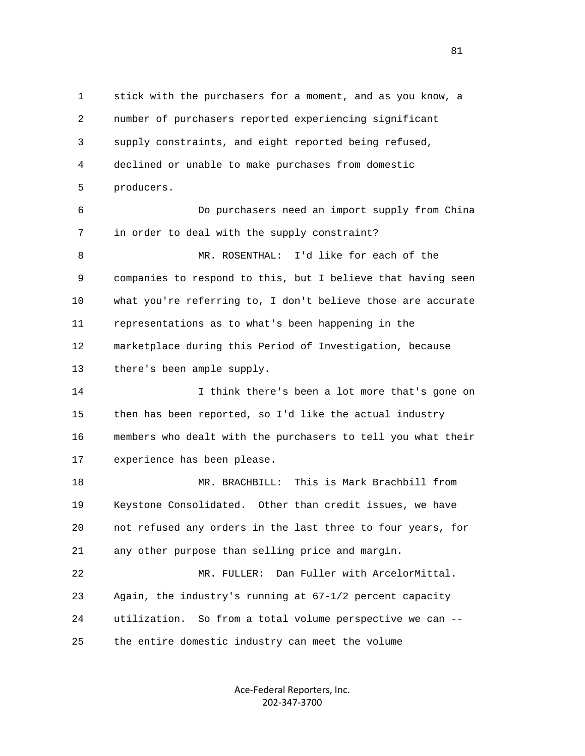1 stick with the purchasers for a moment, and as you know, a 2 number of purchasers reported experiencing significant 3 supply constraints, and eight reported being refused, 4 declined or unable to make purchases from domestic 5 producers. 6 Do purchasers need an import supply from China 7 in order to deal with the supply constraint? 8 MR. ROSENTHAL: I'd like for each of the 9 companies to respond to this, but I believe that having seen 10 what you're referring to, I don't believe those are accurate 11 representations as to what's been happening in the 12 marketplace during this Period of Investigation, because 13 there's been ample supply. 14 I think there's been a lot more that's gone on 15 then has been reported, so I'd like the actual industry 16 members who dealt with the purchasers to tell you what their 17 experience has been please. 18 MR. BRACHBILL: This is Mark Brachbill from 19 Keystone Consolidated. Other than credit issues, we have 20 not refused any orders in the last three to four years, for 21 any other purpose than selling price and margin. 22 MR. FULLER: Dan Fuller with ArcelorMittal. 23 Again, the industry's running at 67-1/2 percent capacity 24 utilization. So from a total volume perspective we can -- 25 the entire domestic industry can meet the volume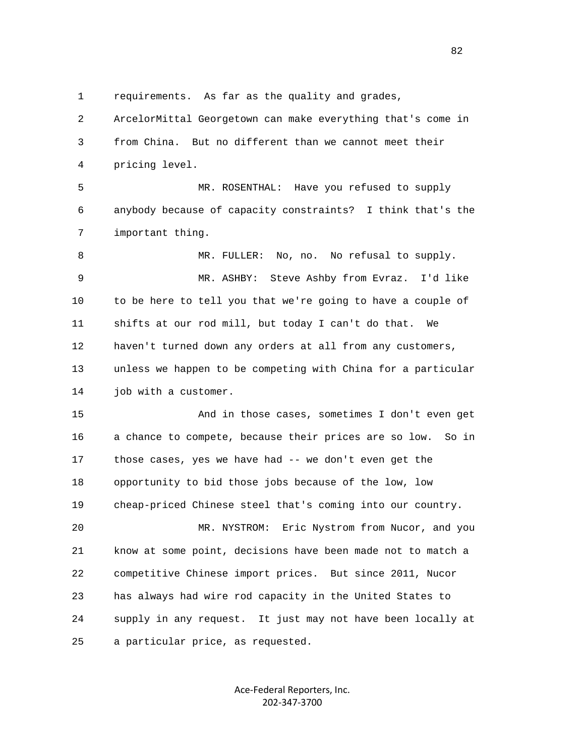1 requirements. As far as the quality and grades,

 2 ArcelorMittal Georgetown can make everything that's come in 3 from China. But no different than we cannot meet their 4 pricing level. 5 MR. ROSENTHAL: Have you refused to supply 6 anybody because of capacity constraints? I think that's the 7 important thing. 8 MR. FULLER: No, no. No refusal to supply. 9 MR. ASHBY: Steve Ashby from Evraz. I'd like 10 to be here to tell you that we're going to have a couple of 11 shifts at our rod mill, but today I can't do that. We 12 haven't turned down any orders at all from any customers, 13 unless we happen to be competing with China for a particular 14 job with a customer. 15 And in those cases, sometimes I don't even get 16 a chance to compete, because their prices are so low. So in 17 those cases, yes we have had -- we don't even get the 18 opportunity to bid those jobs because of the low, low 19 cheap-priced Chinese steel that's coming into our country. 20 MR. NYSTROM: Eric Nystrom from Nucor, and you

 21 know at some point, decisions have been made not to match a 22 competitive Chinese import prices. But since 2011, Nucor 23 has always had wire rod capacity in the United States to 24 supply in any request. It just may not have been locally at 25 a particular price, as requested.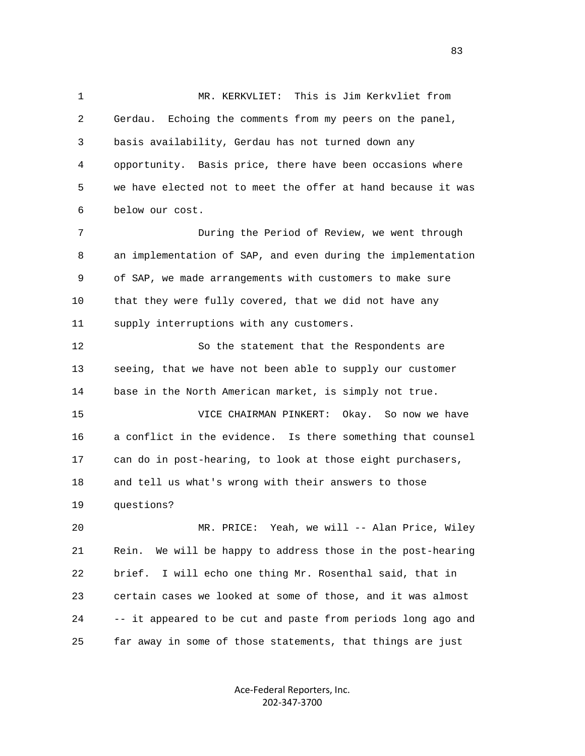1 MR. KERKVLIET: This is Jim Kerkvliet from 2 Gerdau. Echoing the comments from my peers on the panel, 3 basis availability, Gerdau has not turned down any 4 opportunity. Basis price, there have been occasions where 5 we have elected not to meet the offer at hand because it was 6 below our cost. 7 During the Period of Review, we went through 8 an implementation of SAP, and even during the implementation 9 of SAP, we made arrangements with customers to make sure 10 that they were fully covered, that we did not have any 11 supply interruptions with any customers. 12 So the statement that the Respondents are 13 seeing, that we have not been able to supply our customer 14 base in the North American market, is simply not true. 15 VICE CHAIRMAN PINKERT: Okay. So now we have 16 a conflict in the evidence. Is there something that counsel 17 can do in post-hearing, to look at those eight purchasers, 18 and tell us what's wrong with their answers to those 19 questions? 20 MR. PRICE: Yeah, we will -- Alan Price, Wiley 21 Rein. We will be happy to address those in the post-hearing 22 brief. I will echo one thing Mr. Rosenthal said, that in 23 certain cases we looked at some of those, and it was almost 24 -- it appeared to be cut and paste from periods long ago and

25 far away in some of those statements, that things are just

Ace‐Federal Reporters, Inc. 202‐347‐3700

<u>83</u>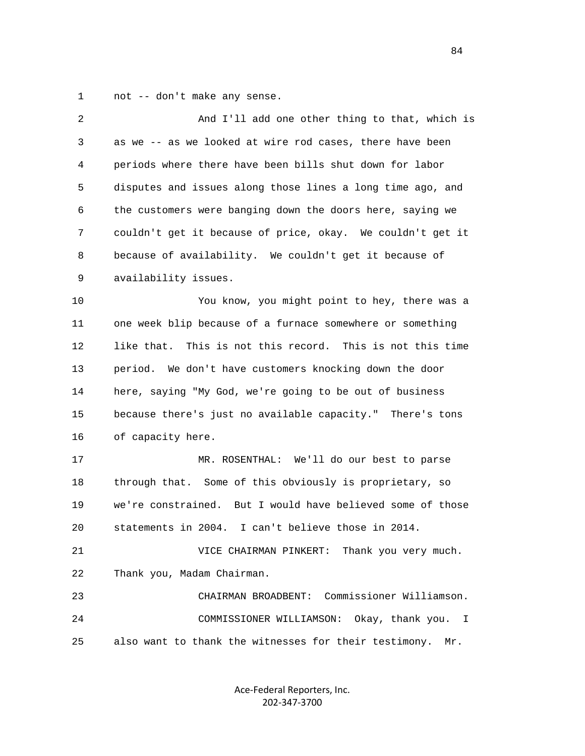1 not -- don't make any sense.

| $\overline{2}$ | And I'll add one other thing to that, which is               |
|----------------|--------------------------------------------------------------|
| 3              | as we -- as we looked at wire rod cases, there have been     |
| 4              | periods where there have been bills shut down for labor      |
| 5              | disputes and issues along those lines a long time ago, and   |
| 6              | the customers were banging down the doors here, saying we    |
| 7              | couldn't get it because of price, okay. We couldn't get it   |
| 8              | because of availability. We couldn't get it because of       |
| 9              | availability issues.                                         |
| 10             | You know, you might point to hey, there was a                |
| 11             | one week blip because of a furnace somewhere or something    |
| 12             | like that. This is not this record. This is not this time    |
| 13             | period. We don't have customers knocking down the door       |
| 14             | here, saying "My God, we're going to be out of business      |
| 15             | because there's just no available capacity." There's tons    |
| 16             | of capacity here.                                            |
| 17             | MR. ROSENTHAL: We'll do our best to parse                    |
| 18             | through that. Some of this obviously is proprietary, so      |
| 19             | we're constrained. But I would have believed some of those   |
| 20             | statements in 2004. I can't believe those in 2014.           |
| 21             | VICE CHAIRMAN PINKERT: Thank you very much.                  |
| 22             | Thank you, Madam Chairman.                                   |
| 23             | Commissioner Williamson.<br>CHAIRMAN BROADBENT:              |
| 24             | Okay, thank you.<br>COMMISSIONER WILLIAMSON:<br>I            |
| 25             | also want to thank the witnesses for their testimony.<br>Mr. |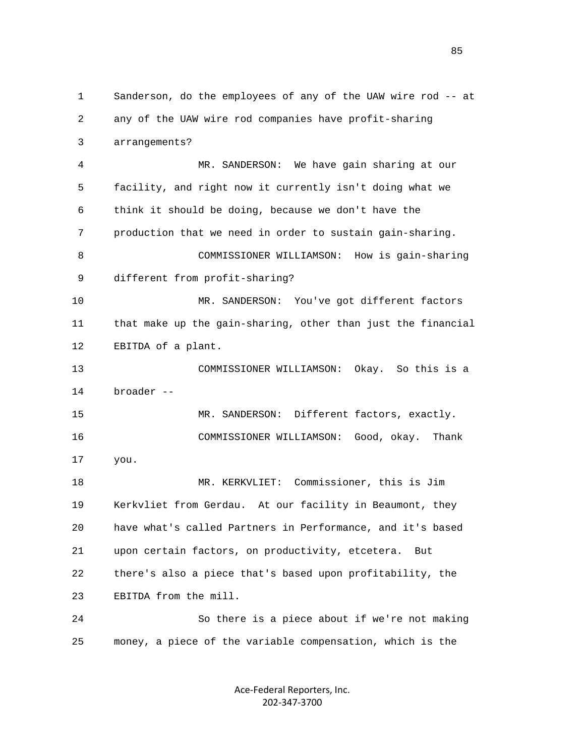1 Sanderson, do the employees of any of the UAW wire rod -- at 2 any of the UAW wire rod companies have profit-sharing 3 arrangements? 4 MR. SANDERSON: We have gain sharing at our 5 facility, and right now it currently isn't doing what we 6 think it should be doing, because we don't have the 7 production that we need in order to sustain gain-sharing. 8 COMMISSIONER WILLIAMSON: How is gain-sharing 9 different from profit-sharing? 10 MR. SANDERSON: You've got different factors 11 that make up the gain-sharing, other than just the financial 12 EBITDA of a plant. 13 COMMISSIONER WILLIAMSON: Okay. So this is a 14 broader -- 15 MR. SANDERSON: Different factors, exactly. 16 COMMISSIONER WILLIAMSON: Good, okay. Thank 17 you. 18 MR. KERKVLIET: Commissioner, this is Jim 19 Kerkvliet from Gerdau. At our facility in Beaumont, they 20 have what's called Partners in Performance, and it's based 21 upon certain factors, on productivity, etcetera. But 22 there's also a piece that's based upon profitability, the 23 EBITDA from the mill. 24 So there is a piece about if we're not making 25 money, a piece of the variable compensation, which is the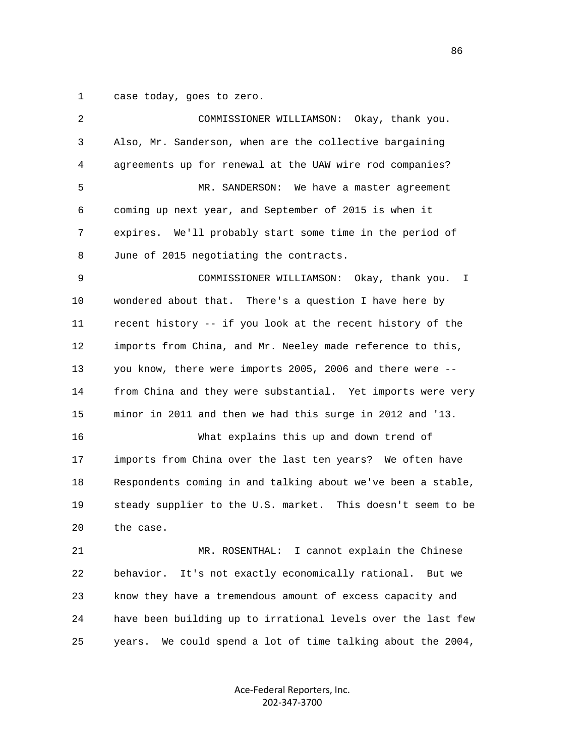1 case today, goes to zero.

| 2  | COMMISSIONER WILLIAMSON: Okay, thank you.                      |
|----|----------------------------------------------------------------|
| 3  | Also, Mr. Sanderson, when are the collective bargaining        |
| 4  | agreements up for renewal at the UAW wire rod companies?       |
| 5  | MR. SANDERSON: We have a master agreement                      |
| 6  | coming up next year, and September of 2015 is when it          |
| 7  | expires. We'll probably start some time in the period of       |
| 8  | June of 2015 negotiating the contracts.                        |
| 9  | COMMISSIONER WILLIAMSON: Okay, thank you.<br>$\mathbb{I}$      |
| 10 | wondered about that. There's a question I have here by         |
| 11 | recent history -- if you look at the recent history of the     |
| 12 | imports from China, and Mr. Neeley made reference to this,     |
| 13 | you know, there were imports 2005, 2006 and there were --      |
| 14 | from China and they were substantial. Yet imports were very    |
| 15 | minor in 2011 and then we had this surge in 2012 and '13.      |
| 16 | What explains this up and down trend of                        |
| 17 | imports from China over the last ten years? We often have      |
| 18 | Respondents coming in and talking about we've been a stable,   |
| 19 | steady supplier to the U.S. market. This doesn't seem to be    |
| 20 | the case.                                                      |
| 21 | I cannot explain the Chinese<br>MR. ROSENTHAL:                 |
| 22 | behavior.<br>It's not exactly economically rational.<br>But we |
| 23 | know they have a tremendous amount of excess capacity and      |
| 24 | have been building up to irrational levels over the last few   |
| 25 | We could spend a lot of time talking about the 2004,<br>years. |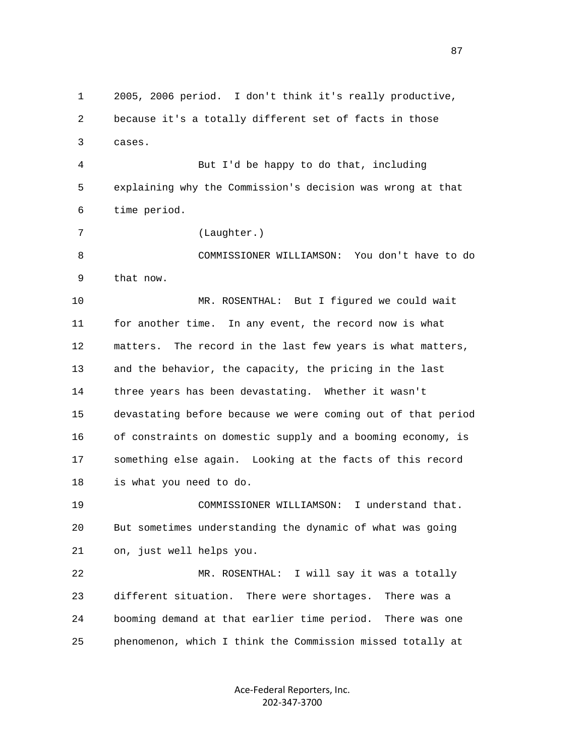1 2005, 2006 period. I don't think it's really productive, 2 because it's a totally different set of facts in those 3 cases. 4 But I'd be happy to do that, including 5 explaining why the Commission's decision was wrong at that 6 time period. 7 (Laughter.) 8 COMMISSIONER WILLIAMSON: You don't have to do 9 that now. 10 MR. ROSENTHAL: But I figured we could wait 11 for another time. In any event, the record now is what 12 matters. The record in the last few years is what matters, 13 and the behavior, the capacity, the pricing in the last 14 three years has been devastating. Whether it wasn't 15 devastating before because we were coming out of that period 16 of constraints on domestic supply and a booming economy, is 17 something else again. Looking at the facts of this record 18 is what you need to do. 19 COMMISSIONER WILLIAMSON: I understand that. 20 But sometimes understanding the dynamic of what was going 21 on, just well helps you. 22 MR. ROSENTHAL: I will say it was a totally 23 different situation. There were shortages. There was a 24 booming demand at that earlier time period. There was one 25 phenomenon, which I think the Commission missed totally at

> Ace‐Federal Reporters, Inc. 202‐347‐3700

87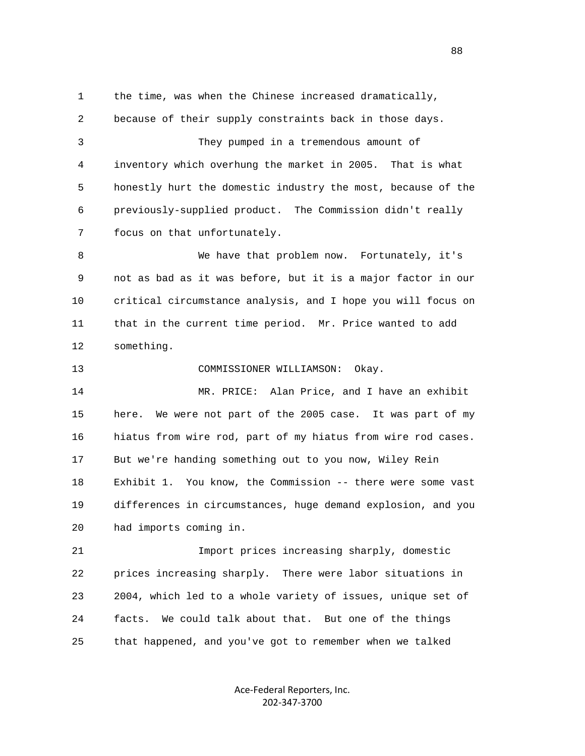1 the time, was when the Chinese increased dramatically, 2 because of their supply constraints back in those days. 3 They pumped in a tremendous amount of 4 inventory which overhung the market in 2005. That is what 5 honestly hurt the domestic industry the most, because of the 6 previously-supplied product. The Commission didn't really 7 focus on that unfortunately. 8 We have that problem now. Fortunately, it's 9 not as bad as it was before, but it is a major factor in our 10 critical circumstance analysis, and I hope you will focus on 11 that in the current time period. Mr. Price wanted to add 12 something. 13 COMMISSIONER WILLIAMSON: Okay. 14 MR. PRICE: Alan Price, and I have an exhibit 15 here. We were not part of the 2005 case. It was part of my 16 hiatus from wire rod, part of my hiatus from wire rod cases. 17 But we're handing something out to you now, Wiley Rein 18 Exhibit 1. You know, the Commission -- there were some vast 19 differences in circumstances, huge demand explosion, and you 20 had imports coming in. 21 Import prices increasing sharply, domestic 22 prices increasing sharply. There were labor situations in 23 2004, which led to a whole variety of issues, unique set of 24 facts. We could talk about that. But one of the things 25 that happened, and you've got to remember when we talked

> Ace‐Federal Reporters, Inc. 202‐347‐3700

en and the state of the state of the state of the state of the state of the state of the state of the state of the state of the state of the state of the state of the state of the state of the state of the state of the sta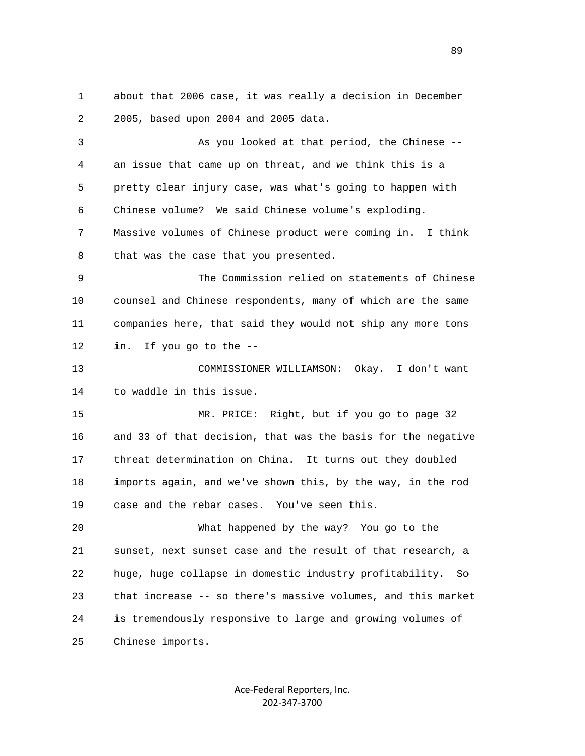1 about that 2006 case, it was really a decision in December 2 2005, based upon 2004 and 2005 data.

 3 As you looked at that period, the Chinese -- 4 an issue that came up on threat, and we think this is a 5 pretty clear injury case, was what's going to happen with 6 Chinese volume? We said Chinese volume's exploding. 7 Massive volumes of Chinese product were coming in. I think 8 that was the case that you presented. 9 The Commission relied on statements of Chinese 10 counsel and Chinese respondents, many of which are the same 11 companies here, that said they would not ship any more tons

12 in. If you go to the --

 13 COMMISSIONER WILLIAMSON: Okay. I don't want 14 to waddle in this issue.

 15 MR. PRICE: Right, but if you go to page 32 16 and 33 of that decision, that was the basis for the negative 17 threat determination on China. It turns out they doubled 18 imports again, and we've shown this, by the way, in the rod 19 case and the rebar cases. You've seen this.

 20 What happened by the way? You go to the 21 sunset, next sunset case and the result of that research, a 22 huge, huge collapse in domestic industry profitability. So 23 that increase -- so there's massive volumes, and this market 24 is tremendously responsive to large and growing volumes of 25 Chinese imports.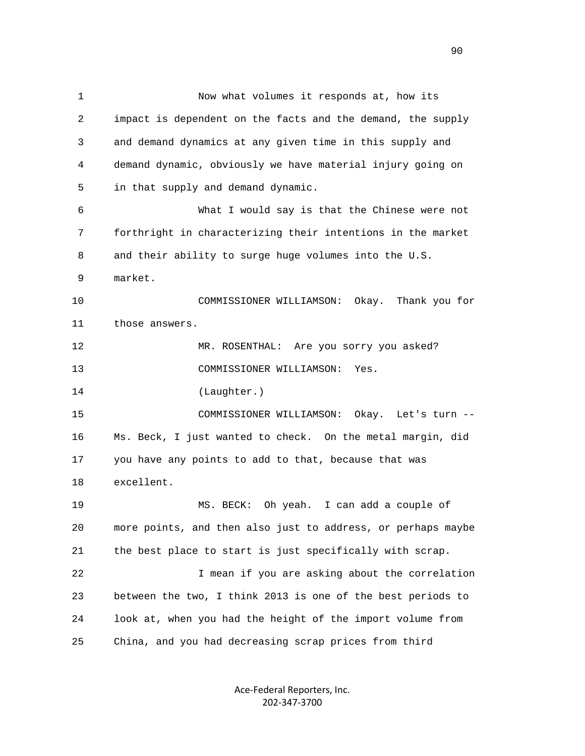1 Now what volumes it responds at, how its 2 impact is dependent on the facts and the demand, the supply 3 and demand dynamics at any given time in this supply and 4 demand dynamic, obviously we have material injury going on 5 in that supply and demand dynamic. 6 What I would say is that the Chinese were not 7 forthright in characterizing their intentions in the market 8 and their ability to surge huge volumes into the U.S. 9 market. 10 COMMISSIONER WILLIAMSON: Okay. Thank you for 11 those answers. 12 MR. ROSENTHAL: Are you sorry you asked? 13 COMMISSIONER WILLIAMSON: Yes. 14 (Laughter.) 15 COMMISSIONER WILLIAMSON: Okay. Let's turn -- 16 Ms. Beck, I just wanted to check. On the metal margin, did 17 you have any points to add to that, because that was 18 excellent. 19 MS. BECK: Oh yeah. I can add a couple of 20 more points, and then also just to address, or perhaps maybe 21 the best place to start is just specifically with scrap. 22 I mean if you are asking about the correlation 23 between the two, I think 2013 is one of the best periods to 24 look at, when you had the height of the import volume from 25 China, and you had decreasing scrap prices from third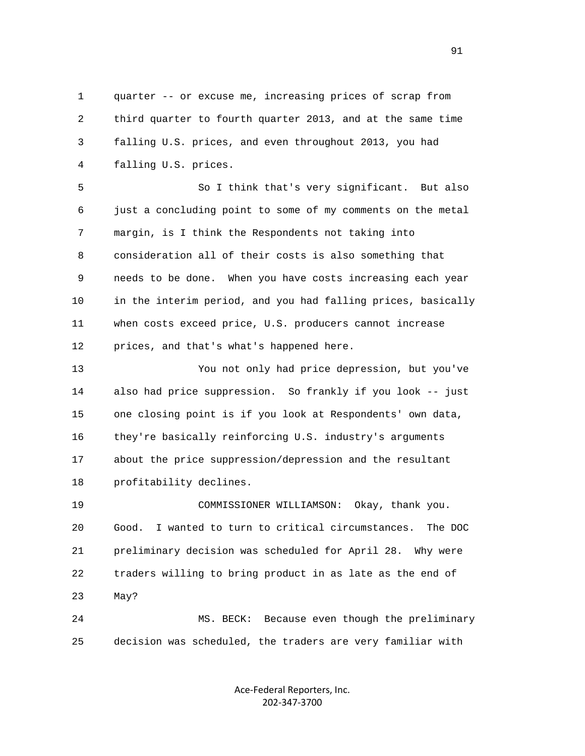1 quarter -- or excuse me, increasing prices of scrap from 2 third quarter to fourth quarter 2013, and at the same time 3 falling U.S. prices, and even throughout 2013, you had 4 falling U.S. prices.

 5 So I think that's very significant. But also 6 just a concluding point to some of my comments on the metal 7 margin, is I think the Respondents not taking into 8 consideration all of their costs is also something that 9 needs to be done. When you have costs increasing each year 10 in the interim period, and you had falling prices, basically 11 when costs exceed price, U.S. producers cannot increase 12 prices, and that's what's happened here.

 13 You not only had price depression, but you've 14 also had price suppression. So frankly if you look -- just 15 one closing point is if you look at Respondents' own data, 16 they're basically reinforcing U.S. industry's arguments 17 about the price suppression/depression and the resultant 18 profitability declines.

 19 COMMISSIONER WILLIAMSON: Okay, thank you. 20 Good. I wanted to turn to critical circumstances. The DOC 21 preliminary decision was scheduled for April 28. Why were 22 traders willing to bring product in as late as the end of 23 May?

 24 MS. BECK: Because even though the preliminary 25 decision was scheduled, the traders are very familiar with

> Ace‐Federal Reporters, Inc. 202‐347‐3700

91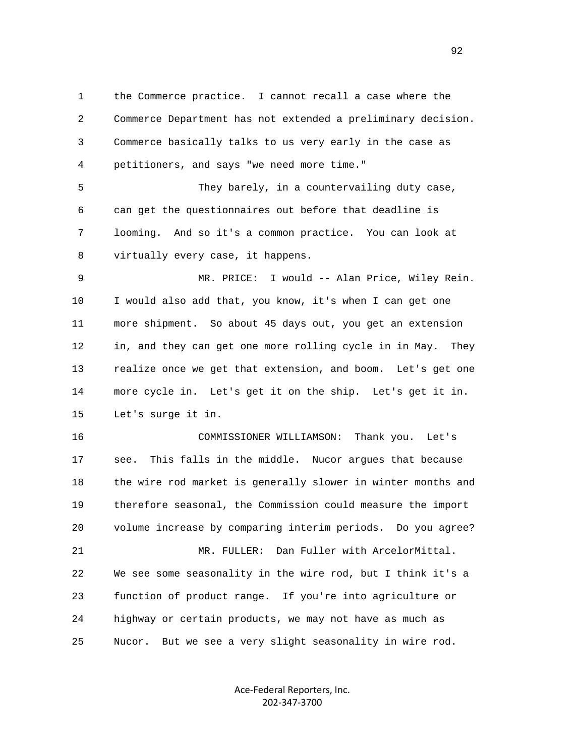1 the Commerce practice. I cannot recall a case where the 2 Commerce Department has not extended a preliminary decision. 3 Commerce basically talks to us very early in the case as 4 petitioners, and says "we need more time." 5 They barely, in a countervailing duty case, 6 can get the questionnaires out before that deadline is 7 looming. And so it's a common practice. You can look at 8 virtually every case, it happens. 9 MR. PRICE: I would -- Alan Price, Wiley Rein. 10 I would also add that, you know, it's when I can get one 11 more shipment. So about 45 days out, you get an extension 12 in, and they can get one more rolling cycle in in May. They 13 realize once we get that extension, and boom. Let's get one 14 more cycle in. Let's get it on the ship. Let's get it in. 15 Let's surge it in. 16 COMMISSIONER WILLIAMSON: Thank you. Let's 17 see. This falls in the middle. Nucor argues that because 18 the wire rod market is generally slower in winter months and 19 therefore seasonal, the Commission could measure the import 20 volume increase by comparing interim periods. Do you agree? 21 MR. FULLER: Dan Fuller with ArcelorMittal. 22 We see some seasonality in the wire rod, but I think it's a 23 function of product range. If you're into agriculture or 24 highway or certain products, we may not have as much as 25 Nucor. But we see a very slight seasonality in wire rod.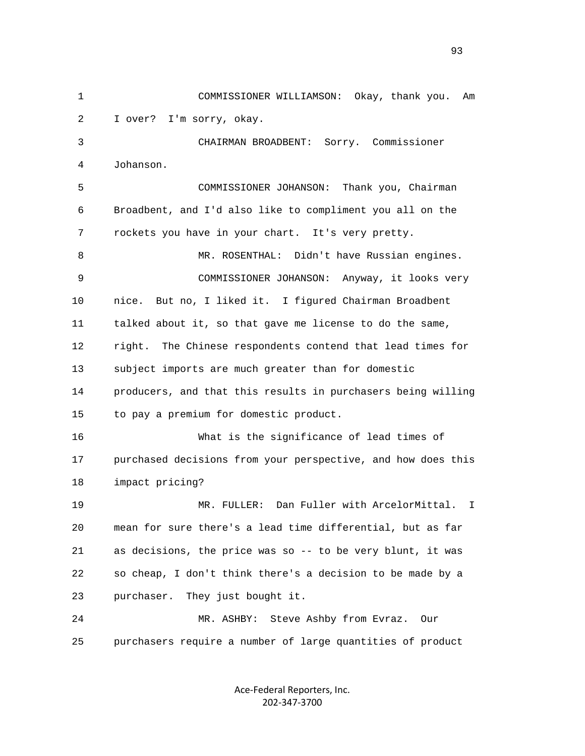1 COMMISSIONER WILLIAMSON: Okay, thank you. Am 2 I over? I'm sorry, okay. 3 CHAIRMAN BROADBENT: Sorry. Commissioner 4 Johanson. 5 COMMISSIONER JOHANSON: Thank you, Chairman 6 Broadbent, and I'd also like to compliment you all on the 7 rockets you have in your chart. It's very pretty. 8 MR. ROSENTHAL: Didn't have Russian engines. 9 COMMISSIONER JOHANSON: Anyway, it looks very 10 nice. But no, I liked it. I figured Chairman Broadbent 11 talked about it, so that gave me license to do the same, 12 right. The Chinese respondents contend that lead times for 13 subject imports are much greater than for domestic 14 producers, and that this results in purchasers being willing 15 to pay a premium for domestic product. 16 What is the significance of lead times of 17 purchased decisions from your perspective, and how does this 18 impact pricing? 19 MR. FULLER: Dan Fuller with ArcelorMittal. I 20 mean for sure there's a lead time differential, but as far 21 as decisions, the price was so -- to be very blunt, it was 22 so cheap, I don't think there's a decision to be made by a 23 purchaser. They just bought it. 24 MR. ASHBY: Steve Ashby from Evraz. Our 25 purchasers require a number of large quantities of product

> Ace‐Federal Reporters, Inc. 202‐347‐3700

93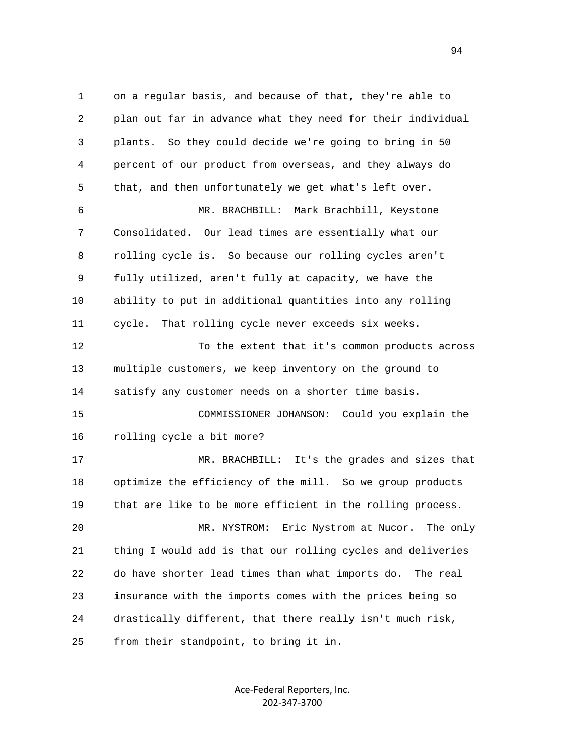1 on a regular basis, and because of that, they're able to 2 plan out far in advance what they need for their individual 3 plants. So they could decide we're going to bring in 50 4 percent of our product from overseas, and they always do 5 that, and then unfortunately we get what's left over. 6 MR. BRACHBILL: Mark Brachbill, Keystone 7 Consolidated. Our lead times are essentially what our 8 rolling cycle is. So because our rolling cycles aren't 9 fully utilized, aren't fully at capacity, we have the 10 ability to put in additional quantities into any rolling 11 cycle. That rolling cycle never exceeds six weeks. 12 To the extent that it's common products across 13 multiple customers, we keep inventory on the ground to 14 satisfy any customer needs on a shorter time basis. 15 COMMISSIONER JOHANSON: Could you explain the 16 rolling cycle a bit more? 17 MR. BRACHBILL: It's the grades and sizes that 18 optimize the efficiency of the mill. So we group products 19 that are like to be more efficient in the rolling process. 20 MR. NYSTROM: Eric Nystrom at Nucor. The only 21 thing I would add is that our rolling cycles and deliveries 22 do have shorter lead times than what imports do. The real 23 insurance with the imports comes with the prices being so 24 drastically different, that there really isn't much risk, 25 from their standpoint, to bring it in.

> Ace‐Federal Reporters, Inc. 202‐347‐3700

94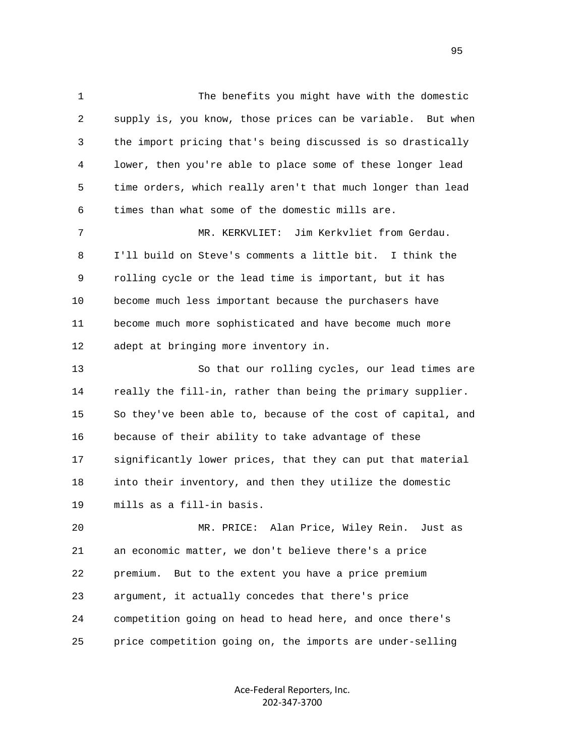1 The benefits you might have with the domestic 2 supply is, you know, those prices can be variable. But when 3 the import pricing that's being discussed is so drastically 4 lower, then you're able to place some of these longer lead 5 time orders, which really aren't that much longer than lead 6 times than what some of the domestic mills are. 7 MR. KERKVLIET: Jim Kerkvliet from Gerdau. 8 I'll build on Steve's comments a little bit. I think the 9 rolling cycle or the lead time is important, but it has 10 become much less important because the purchasers have 11 become much more sophisticated and have become much more 12 adept at bringing more inventory in. 13 So that our rolling cycles, our lead times are 14 really the fill-in, rather than being the primary supplier. 15 So they've been able to, because of the cost of capital, and 16 because of their ability to take advantage of these 17 significantly lower prices, that they can put that material 18 into their inventory, and then they utilize the domestic 19 mills as a fill-in basis. 20 MR. PRICE: Alan Price, Wiley Rein. Just as 21 an economic matter, we don't believe there's a price 22 premium. But to the extent you have a price premium 23 argument, it actually concedes that there's price 24 competition going on head to head here, and once there's 25 price competition going on, the imports are under-selling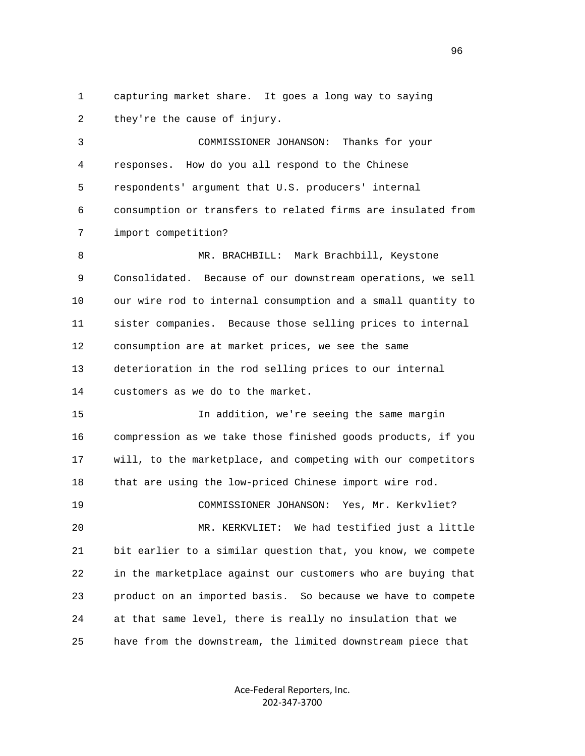1 capturing market share. It goes a long way to saying 2 they're the cause of injury.

 3 COMMISSIONER JOHANSON: Thanks for your 4 responses. How do you all respond to the Chinese 5 respondents' argument that U.S. producers' internal 6 consumption or transfers to related firms are insulated from 7 import competition?

8 MR. BRACHBILL: Mark Brachbill, Keystone 9 Consolidated. Because of our downstream operations, we sell 10 our wire rod to internal consumption and a small quantity to 11 sister companies. Because those selling prices to internal 12 consumption are at market prices, we see the same 13 deterioration in the rod selling prices to our internal 14 customers as we do to the market.

 15 In addition, we're seeing the same margin 16 compression as we take those finished goods products, if you 17 will, to the marketplace, and competing with our competitors 18 that are using the low-priced Chinese import wire rod.

 19 COMMISSIONER JOHANSON: Yes, Mr. Kerkvliet? 20 MR. KERKVLIET: We had testified just a little 21 bit earlier to a similar question that, you know, we compete 22 in the marketplace against our customers who are buying that 23 product on an imported basis. So because we have to compete 24 at that same level, there is really no insulation that we 25 have from the downstream, the limited downstream piece that

> Ace‐Federal Reporters, Inc. 202‐347‐3700

<u>96</u>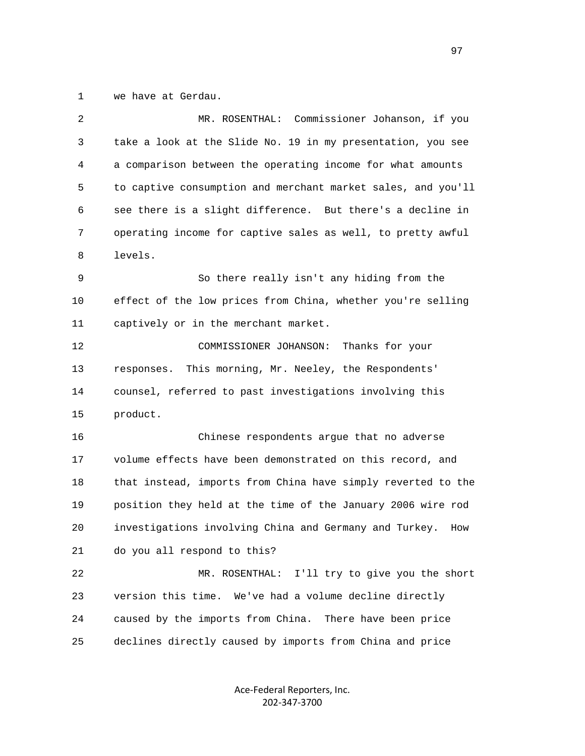1 we have at Gerdau.

| $\overline{2}$ | MR. ROSENTHAL: Commissioner Johanson, if you                  |
|----------------|---------------------------------------------------------------|
| 3              | take a look at the Slide No. 19 in my presentation, you see   |
| 4              | a comparison between the operating income for what amounts    |
| 5              | to captive consumption and merchant market sales, and you'll  |
| 6              | see there is a slight difference. But there's a decline in    |
| 7              | operating income for captive sales as well, to pretty awful   |
| 8              | levels.                                                       |
| 9              | So there really isn't any hiding from the                     |
| 10             | effect of the low prices from China, whether you're selling   |
| 11             | captively or in the merchant market.                          |
| 12             | COMMISSIONER JOHANSON:<br>Thanks for your                     |
| 13             | This morning, Mr. Neeley, the Respondents'<br>responses.      |
| 14             | counsel, referred to past investigations involving this       |
| 15             | product.                                                      |
| 16             | Chinese respondents argue that no adverse                     |
| 17             | volume effects have been demonstrated on this record, and     |
| 18             | that instead, imports from China have simply reverted to the  |
| 19             | position they held at the time of the January 2006 wire rod   |
| 20             | investigations involving China and Germany and Turkey.<br>How |
| 21             | do you all respond to this?                                   |
| 22             | I'll try to give you the short<br>MR. ROSENTHAL:              |
| 23             | version this time. We've had a volume decline directly        |
| 24             | caused by the imports from China. There have been price       |
| 25             | declines directly caused by imports from China and price      |
|                |                                                               |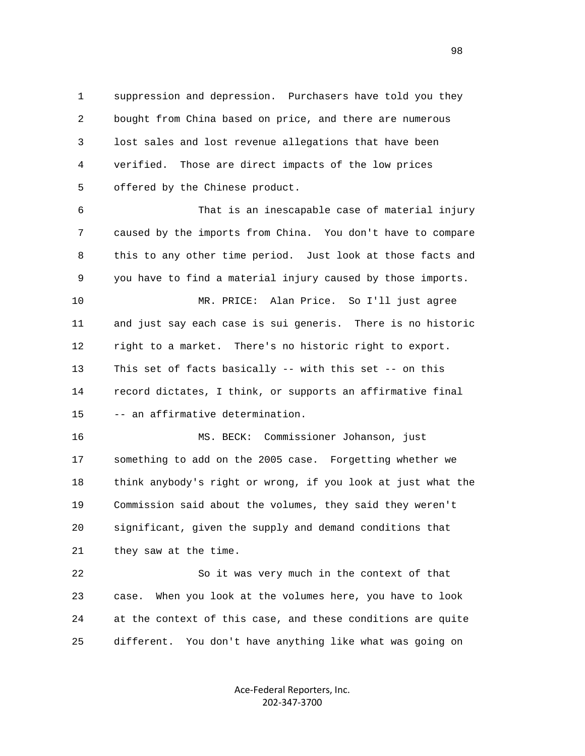1 suppression and depression. Purchasers have told you they 2 bought from China based on price, and there are numerous 3 lost sales and lost revenue allegations that have been 4 verified. Those are direct impacts of the low prices 5 offered by the Chinese product.

 6 That is an inescapable case of material injury 7 caused by the imports from China. You don't have to compare 8 this to any other time period. Just look at those facts and 9 you have to find a material injury caused by those imports.

 10 MR. PRICE: Alan Price. So I'll just agree 11 and just say each case is sui generis. There is no historic 12 right to a market. There's no historic right to export. 13 This set of facts basically -- with this set -- on this 14 record dictates, I think, or supports an affirmative final 15 -- an affirmative determination.

 16 MS. BECK: Commissioner Johanson, just 17 something to add on the 2005 case. Forgetting whether we 18 think anybody's right or wrong, if you look at just what the 19 Commission said about the volumes, they said they weren't 20 significant, given the supply and demand conditions that 21 they saw at the time.

 22 So it was very much in the context of that 23 case. When you look at the volumes here, you have to look 24 at the context of this case, and these conditions are quite 25 different. You don't have anything like what was going on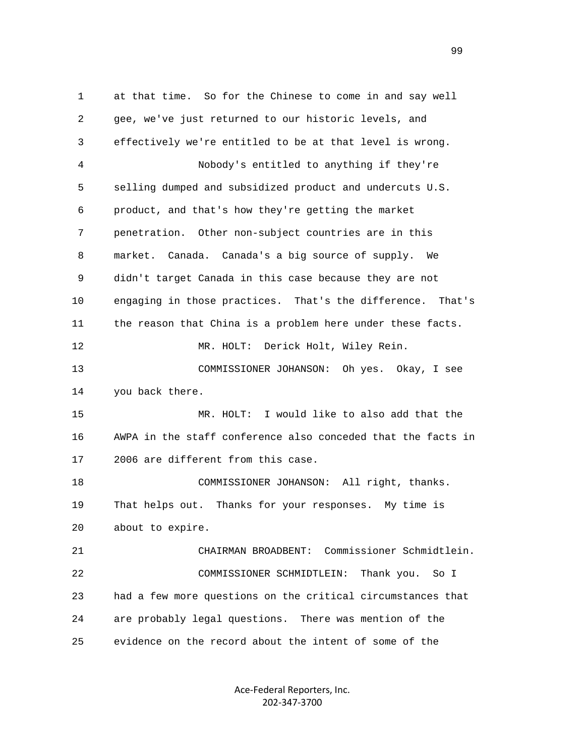1 at that time. So for the Chinese to come in and say well 2 gee, we've just returned to our historic levels, and 3 effectively we're entitled to be at that level is wrong. 4 Nobody's entitled to anything if they're 5 selling dumped and subsidized product and undercuts U.S. 6 product, and that's how they're getting the market 7 penetration. Other non-subject countries are in this 8 market. Canada. Canada's a big source of supply. We 9 didn't target Canada in this case because they are not 10 engaging in those practices. That's the difference. That's 11 the reason that China is a problem here under these facts. 12 MR. HOLT: Derick Holt, Wiley Rein. 13 COMMISSIONER JOHANSON: Oh yes. Okay, I see 14 you back there. 15 MR. HOLT: I would like to also add that the 16 AWPA in the staff conference also conceded that the facts in 17 2006 are different from this case. 18 COMMISSIONER JOHANSON: All right, thanks. 19 That helps out. Thanks for your responses. My time is 20 about to expire. 21 CHAIRMAN BROADBENT: Commissioner Schmidtlein. 22 COMMISSIONER SCHMIDTLEIN: Thank you. So I 23 had a few more questions on the critical circumstances that 24 are probably legal questions. There was mention of the 25 evidence on the record about the intent of some of the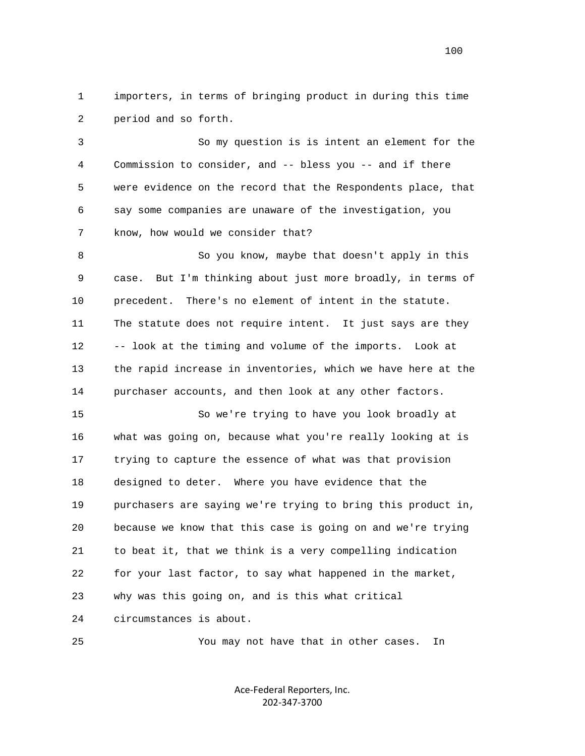1 importers, in terms of bringing product in during this time 2 period and so forth.

 3 So my question is is intent an element for the 4 Commission to consider, and -- bless you -- and if there 5 were evidence on the record that the Respondents place, that 6 say some companies are unaware of the investigation, you 7 know, how would we consider that?

 8 So you know, maybe that doesn't apply in this 9 case. But I'm thinking about just more broadly, in terms of 10 precedent. There's no element of intent in the statute. 11 The statute does not require intent. It just says are they 12 -- look at the timing and volume of the imports. Look at 13 the rapid increase in inventories, which we have here at the 14 purchaser accounts, and then look at any other factors.

 15 So we're trying to have you look broadly at 16 what was going on, because what you're really looking at is 17 trying to capture the essence of what was that provision 18 designed to deter. Where you have evidence that the 19 purchasers are saying we're trying to bring this product in, 20 because we know that this case is going on and we're trying 21 to beat it, that we think is a very compelling indication 22 for your last factor, to say what happened in the market, 23 why was this going on, and is this what critical 24 circumstances is about.

25 You may not have that in other cases. In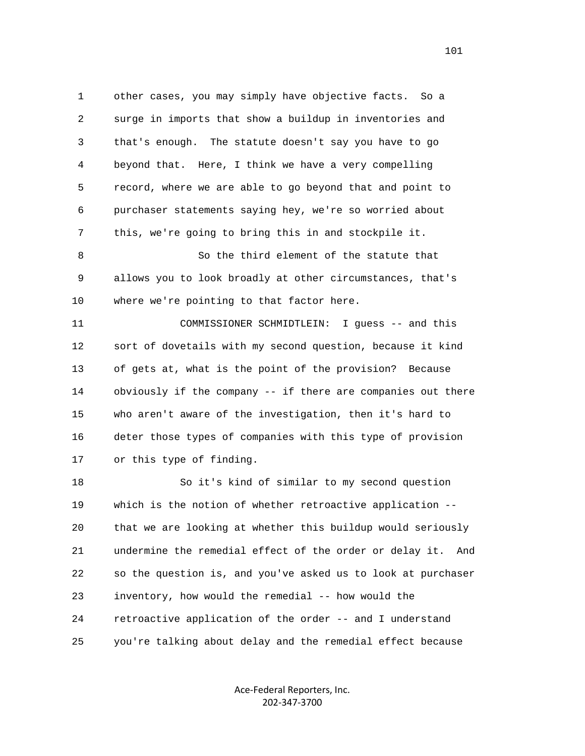1 other cases, you may simply have objective facts. So a 2 surge in imports that show a buildup in inventories and 3 that's enough. The statute doesn't say you have to go 4 beyond that. Here, I think we have a very compelling 5 record, where we are able to go beyond that and point to 6 purchaser statements saying hey, we're so worried about 7 this, we're going to bring this in and stockpile it. 8 So the third element of the statute that

 9 allows you to look broadly at other circumstances, that's 10 where we're pointing to that factor here.

 11 COMMISSIONER SCHMIDTLEIN: I guess -- and this 12 sort of dovetails with my second question, because it kind 13 of gets at, what is the point of the provision? Because 14 obviously if the company -- if there are companies out there 15 who aren't aware of the investigation, then it's hard to 16 deter those types of companies with this type of provision 17 or this type of finding.

 18 So it's kind of similar to my second question 19 which is the notion of whether retroactive application -- 20 that we are looking at whether this buildup would seriously 21 undermine the remedial effect of the order or delay it. And 22 so the question is, and you've asked us to look at purchaser 23 inventory, how would the remedial -- how would the 24 retroactive application of the order -- and I understand 25 you're talking about delay and the remedial effect because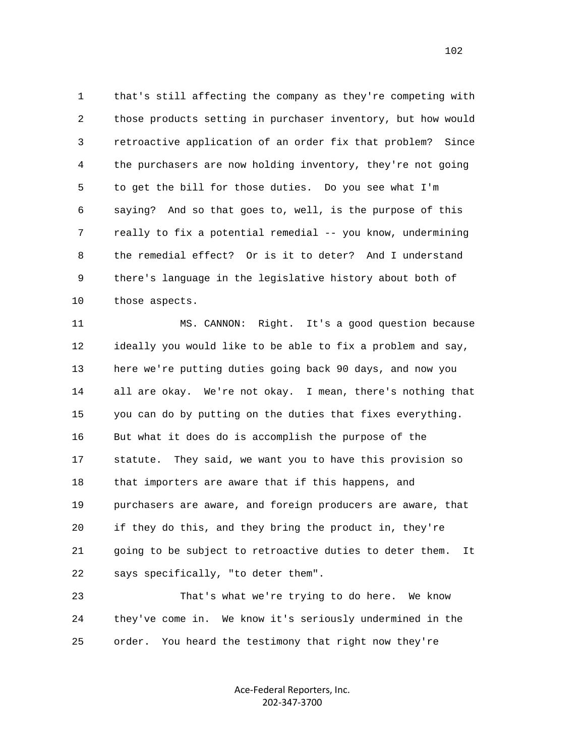1 that's still affecting the company as they're competing with 2 those products setting in purchaser inventory, but how would 3 retroactive application of an order fix that problem? Since 4 the purchasers are now holding inventory, they're not going 5 to get the bill for those duties. Do you see what I'm 6 saying? And so that goes to, well, is the purpose of this 7 really to fix a potential remedial -- you know, undermining 8 the remedial effect? Or is it to deter? And I understand 9 there's language in the legislative history about both of 10 those aspects.

 11 MS. CANNON: Right. It's a good question because 12 ideally you would like to be able to fix a problem and say, 13 here we're putting duties going back 90 days, and now you 14 all are okay. We're not okay. I mean, there's nothing that 15 you can do by putting on the duties that fixes everything. 16 But what it does do is accomplish the purpose of the 17 statute. They said, we want you to have this provision so 18 that importers are aware that if this happens, and 19 purchasers are aware, and foreign producers are aware, that 20 if they do this, and they bring the product in, they're 21 going to be subject to retroactive duties to deter them. It 22 says specifically, "to deter them".

 23 That's what we're trying to do here. We know 24 they've come in. We know it's seriously undermined in the 25 order. You heard the testimony that right now they're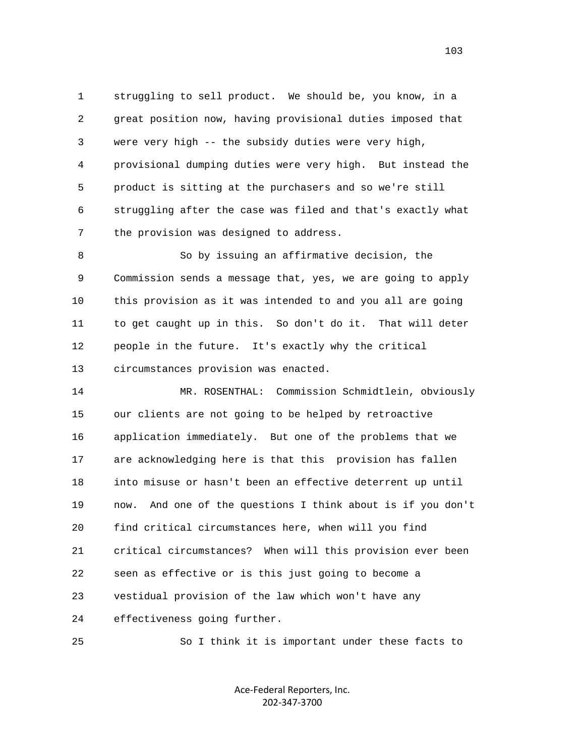1 struggling to sell product. We should be, you know, in a 2 great position now, having provisional duties imposed that 3 were very high -- the subsidy duties were very high, 4 provisional dumping duties were very high. But instead the 5 product is sitting at the purchasers and so we're still 6 struggling after the case was filed and that's exactly what 7 the provision was designed to address.

 8 So by issuing an affirmative decision, the 9 Commission sends a message that, yes, we are going to apply 10 this provision as it was intended to and you all are going 11 to get caught up in this. So don't do it. That will deter 12 people in the future. It's exactly why the critical 13 circumstances provision was enacted.

 14 MR. ROSENTHAL: Commission Schmidtlein, obviously 15 our clients are not going to be helped by retroactive 16 application immediately. But one of the problems that we 17 are acknowledging here is that this provision has fallen 18 into misuse or hasn't been an effective deterrent up until 19 now. And one of the questions I think about is if you don't 20 find critical circumstances here, when will you find 21 critical circumstances? When will this provision ever been 22 seen as effective or is this just going to become a 23 vestidual provision of the law which won't have any 24 effectiveness going further.

25 So I think it is important under these facts to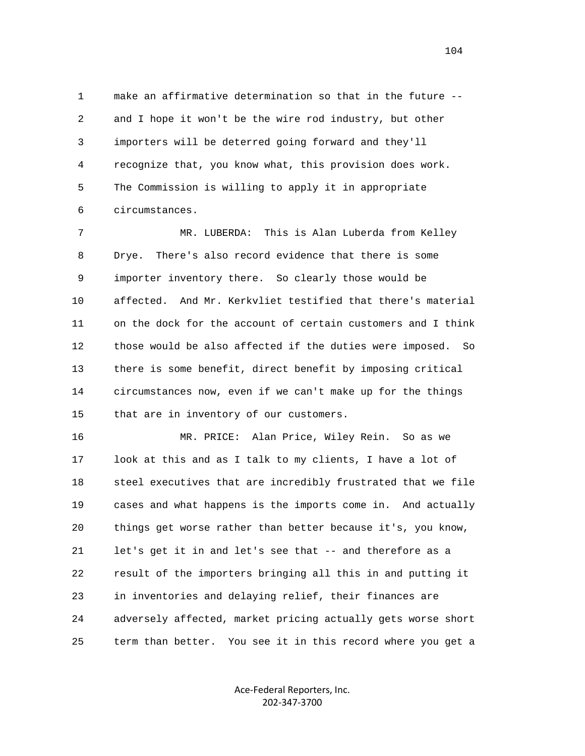1 make an affirmative determination so that in the future -- 2 and I hope it won't be the wire rod industry, but other 3 importers will be deterred going forward and they'll 4 recognize that, you know what, this provision does work. 5 The Commission is willing to apply it in appropriate 6 circumstances.

 7 MR. LUBERDA: This is Alan Luberda from Kelley 8 Drye. There's also record evidence that there is some 9 importer inventory there. So clearly those would be 10 affected. And Mr. Kerkvliet testified that there's material 11 on the dock for the account of certain customers and I think 12 those would be also affected if the duties were imposed. So 13 there is some benefit, direct benefit by imposing critical 14 circumstances now, even if we can't make up for the things 15 that are in inventory of our customers.

 16 MR. PRICE: Alan Price, Wiley Rein. So as we 17 look at this and as I talk to my clients, I have a lot of 18 steel executives that are incredibly frustrated that we file 19 cases and what happens is the imports come in. And actually 20 things get worse rather than better because it's, you know, 21 let's get it in and let's see that -- and therefore as a 22 result of the importers bringing all this in and putting it 23 in inventories and delaying relief, their finances are 24 adversely affected, market pricing actually gets worse short 25 term than better. You see it in this record where you get a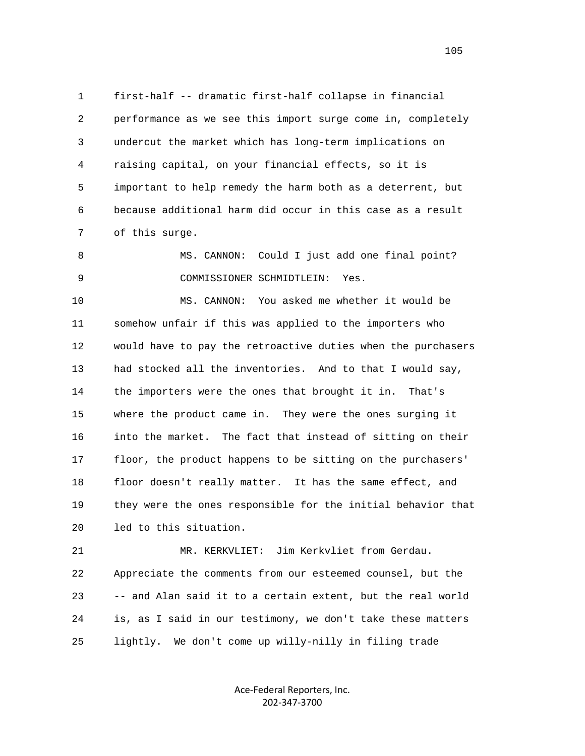1 first-half -- dramatic first-half collapse in financial 2 performance as we see this import surge come in, completely 3 undercut the market which has long-term implications on 4 raising capital, on your financial effects, so it is 5 important to help remedy the harm both as a deterrent, but 6 because additional harm did occur in this case as a result 7 of this surge.

8 MS. CANNON: Could I just add one final point? 9 COMMISSIONER SCHMIDTLEIN: Yes.

 10 MS. CANNON: You asked me whether it would be 11 somehow unfair if this was applied to the importers who 12 would have to pay the retroactive duties when the purchasers 13 had stocked all the inventories. And to that I would say, 14 the importers were the ones that brought it in. That's 15 where the product came in. They were the ones surging it 16 into the market. The fact that instead of sitting on their 17 floor, the product happens to be sitting on the purchasers' 18 floor doesn't really matter. It has the same effect, and 19 they were the ones responsible for the initial behavior that 20 led to this situation.

 21 MR. KERKVLIET: Jim Kerkvliet from Gerdau. 22 Appreciate the comments from our esteemed counsel, but the 23 -- and Alan said it to a certain extent, but the real world 24 is, as I said in our testimony, we don't take these matters 25 lightly. We don't come up willy-nilly in filing trade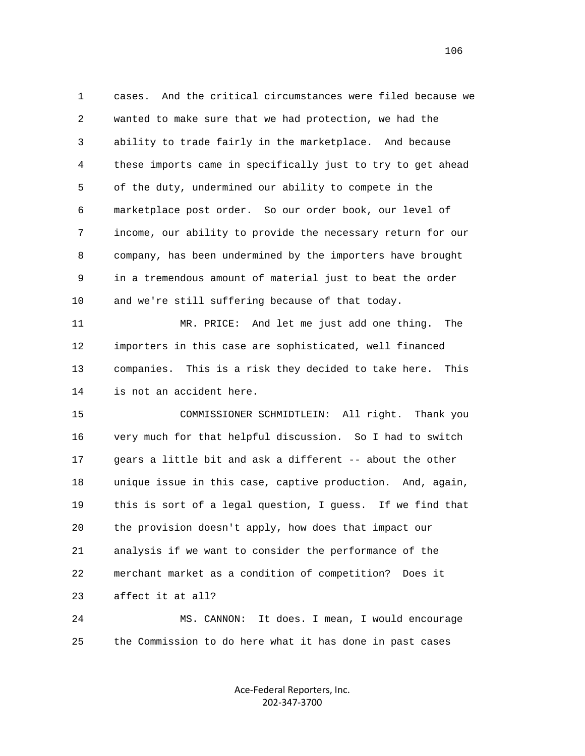1 cases. And the critical circumstances were filed because we 2 wanted to make sure that we had protection, we had the 3 ability to trade fairly in the marketplace. And because 4 these imports came in specifically just to try to get ahead 5 of the duty, undermined our ability to compete in the 6 marketplace post order. So our order book, our level of 7 income, our ability to provide the necessary return for our 8 company, has been undermined by the importers have brought 9 in a tremendous amount of material just to beat the order 10 and we're still suffering because of that today. 11 MR. PRICE: And let me just add one thing. The 12 importers in this case are sophisticated, well financed 13 companies. This is a risk they decided to take here. This 14 is not an accident here. 15 COMMISSIONER SCHMIDTLEIN: All right. Thank you 16 very much for that helpful discussion. So I had to switch 17 gears a little bit and ask a different -- about the other 18 unique issue in this case, captive production. And, again, 19 this is sort of a legal question, I guess. If we find that

 20 the provision doesn't apply, how does that impact our 21 analysis if we want to consider the performance of the 22 merchant market as a condition of competition? Does it 23 affect it at all?

 24 MS. CANNON: It does. I mean, I would encourage 25 the Commission to do here what it has done in past cases

> Ace‐Federal Reporters, Inc. 202‐347‐3700

106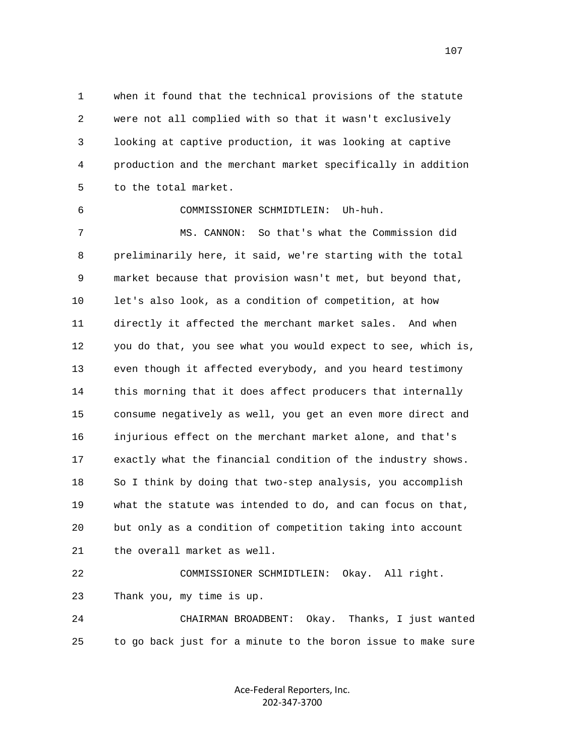1 when it found that the technical provisions of the statute 2 were not all complied with so that it wasn't exclusively 3 looking at captive production, it was looking at captive 4 production and the merchant market specifically in addition 5 to the total market.

6 COMMISSIONER SCHMIDTLEIN: Uh-huh.

 7 MS. CANNON: So that's what the Commission did 8 preliminarily here, it said, we're starting with the total 9 market because that provision wasn't met, but beyond that, 10 let's also look, as a condition of competition, at how 11 directly it affected the merchant market sales. And when 12 you do that, you see what you would expect to see, which is, 13 even though it affected everybody, and you heard testimony 14 this morning that it does affect producers that internally 15 consume negatively as well, you get an even more direct and 16 injurious effect on the merchant market alone, and that's 17 exactly what the financial condition of the industry shows. 18 So I think by doing that two-step analysis, you accomplish 19 what the statute was intended to do, and can focus on that, 20 but only as a condition of competition taking into account 21 the overall market as well.

 22 COMMISSIONER SCHMIDTLEIN: Okay. All right. 23 Thank you, my time is up.

 24 CHAIRMAN BROADBENT: Okay. Thanks, I just wanted 25 to go back just for a minute to the boron issue to make sure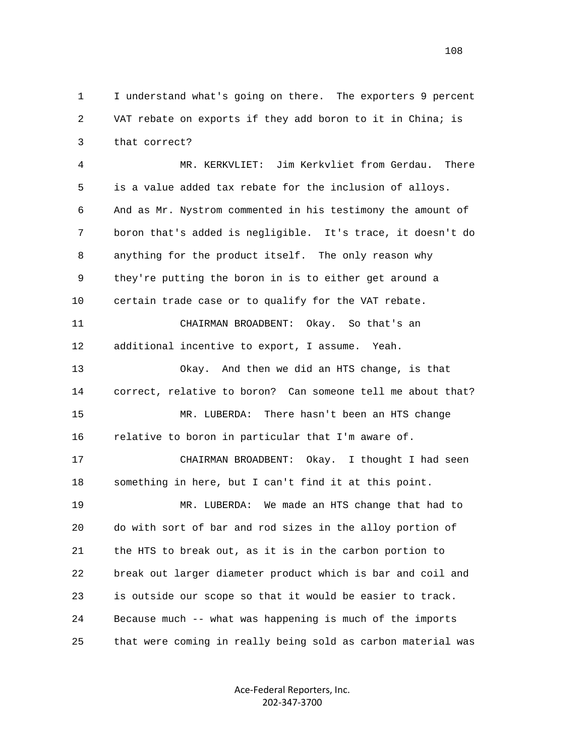1 I understand what's going on there. The exporters 9 percent 2 VAT rebate on exports if they add boron to it in China; is 3 that correct?

 4 MR. KERKVLIET: Jim Kerkvliet from Gerdau. There 5 is a value added tax rebate for the inclusion of alloys. 6 And as Mr. Nystrom commented in his testimony the amount of 7 boron that's added is negligible. It's trace, it doesn't do 8 anything for the product itself. The only reason why 9 they're putting the boron in is to either get around a 10 certain trade case or to qualify for the VAT rebate. 11 CHAIRMAN BROADBENT: Okay. So that's an 12 additional incentive to export, I assume. Yeah. 13 Okay. And then we did an HTS change, is that 14 correct, relative to boron? Can someone tell me about that? 15 MR. LUBERDA: There hasn't been an HTS change 16 relative to boron in particular that I'm aware of. 17 CHAIRMAN BROADBENT: Okay. I thought I had seen 18 something in here, but I can't find it at this point. 19 MR. LUBERDA: We made an HTS change that had to 20 do with sort of bar and rod sizes in the alloy portion of 21 the HTS to break out, as it is in the carbon portion to 22 break out larger diameter product which is bar and coil and 23 is outside our scope so that it would be easier to track. 24 Because much -- what was happening is much of the imports 25 that were coming in really being sold as carbon material was

> Ace‐Federal Reporters, Inc. 202‐347‐3700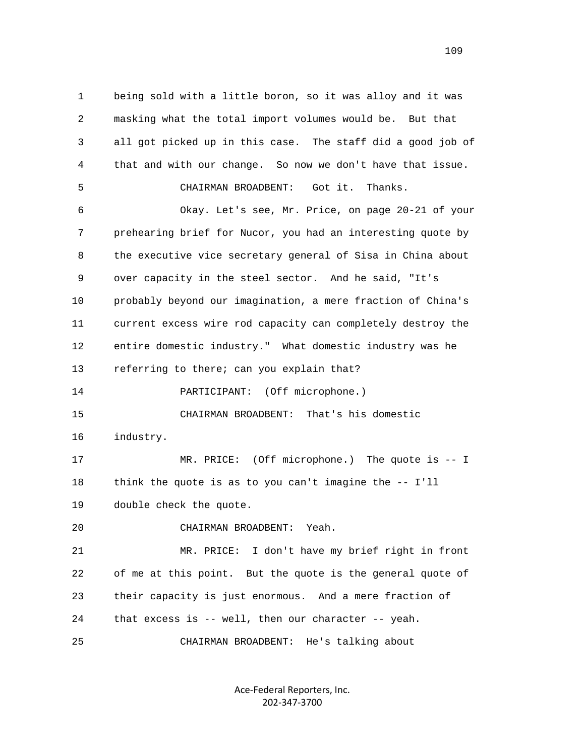1 being sold with a little boron, so it was alloy and it was 2 masking what the total import volumes would be. But that 3 all got picked up in this case. The staff did a good job of 4 that and with our change. So now we don't have that issue. 5 CHAIRMAN BROADBENT: Got it. Thanks. 6 Okay. Let's see, Mr. Price, on page 20-21 of your 7 prehearing brief for Nucor, you had an interesting quote by 8 the executive vice secretary general of Sisa in China about 9 over capacity in the steel sector. And he said, "It's 10 probably beyond our imagination, a mere fraction of China's 11 current excess wire rod capacity can completely destroy the 12 entire domestic industry." What domestic industry was he 13 referring to there; can you explain that? 14 PARTICIPANT: (Off microphone.) 15 CHAIRMAN BROADBENT: That's his domestic 16 industry. 17 MR. PRICE: (Off microphone.) The quote is -- I 18 think the quote is as to you can't imagine the -- I'll 19 double check the quote. 20 CHAIRMAN BROADBENT: Yeah. 21 MR. PRICE: I don't have my brief right in front 22 of me at this point. But the quote is the general quote of 23 their capacity is just enormous. And a mere fraction of 24 that excess is -- well, then our character -- yeah. 25 CHAIRMAN BROADBENT: He's talking about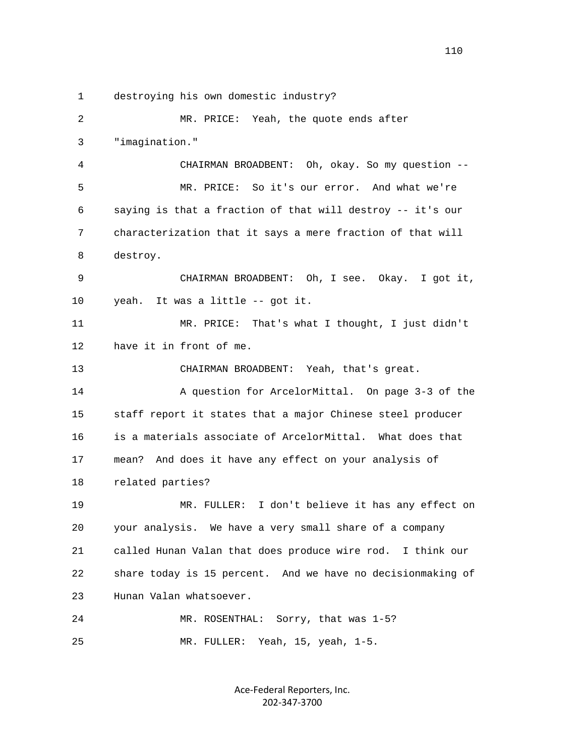1 destroying his own domestic industry?

 2 MR. PRICE: Yeah, the quote ends after 3 "imagination." 4 CHAIRMAN BROADBENT: Oh, okay. So my question -- 5 MR. PRICE: So it's our error. And what we're 6 saying is that a fraction of that will destroy -- it's our 7 characterization that it says a mere fraction of that will 8 destroy. 9 CHAIRMAN BROADBENT: Oh, I see. Okay. I got it, 10 yeah. It was a little -- got it. 11 MR. PRICE: That's what I thought, I just didn't 12 have it in front of me. 13 CHAIRMAN BROADBENT: Yeah, that's great. 14 A question for ArcelorMittal. On page 3-3 of the 15 staff report it states that a major Chinese steel producer 16 is a materials associate of ArcelorMittal. What does that 17 mean? And does it have any effect on your analysis of 18 related parties? 19 MR. FULLER: I don't believe it has any effect on 20 your analysis. We have a very small share of a company 21 called Hunan Valan that does produce wire rod. I think our 22 share today is 15 percent. And we have no decisionmaking of 23 Hunan Valan whatsoever. 24 MR. ROSENTHAL: Sorry, that was 1-5? 25 MR. FULLER: Yeah, 15, yeah, 1-5.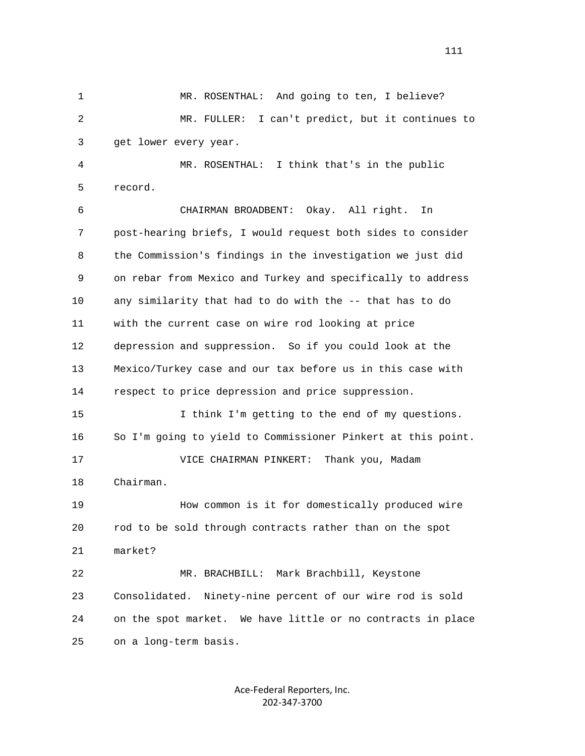1 MR. ROSENTHAL: And going to ten, I believe? 2 MR. FULLER: I can't predict, but it continues to 3 get lower every year. 4 MR. ROSENTHAL: I think that's in the public 5 record. 6 CHAIRMAN BROADBENT: Okay. All right. In 7 post-hearing briefs, I would request both sides to consider 8 the Commission's findings in the investigation we just did 9 on rebar from Mexico and Turkey and specifically to address 10 any similarity that had to do with the -- that has to do 11 with the current case on wire rod looking at price 12 depression and suppression. So if you could look at the 13 Mexico/Turkey case and our tax before us in this case with 14 respect to price depression and price suppression. 15 I think I'm getting to the end of my questions. 16 So I'm going to yield to Commissioner Pinkert at this point. 17 VICE CHAIRMAN PINKERT: Thank you, Madam 18 Chairman. 19 How common is it for domestically produced wire 20 rod to be sold through contracts rather than on the spot 21 market? 22 MR. BRACHBILL: Mark Brachbill, Keystone 23 Consolidated. Ninety-nine percent of our wire rod is sold 24 on the spot market. We have little or no contracts in place 25 on a long-term basis.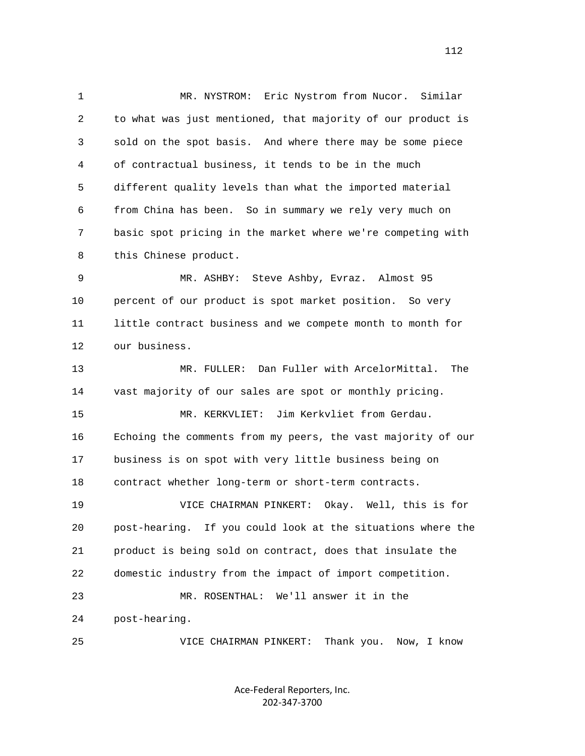1 MR. NYSTROM: Eric Nystrom from Nucor. Similar 2 to what was just mentioned, that majority of our product is 3 sold on the spot basis. And where there may be some piece 4 of contractual business, it tends to be in the much 5 different quality levels than what the imported material 6 from China has been. So in summary we rely very much on 7 basic spot pricing in the market where we're competing with 8 this Chinese product. 9 MR. ASHBY: Steve Ashby, Evraz. Almost 95 10 percent of our product is spot market position. So very 11 little contract business and we compete month to month for 12 our business. 13 MR. FULLER: Dan Fuller with ArcelorMittal. The 14 vast majority of our sales are spot or monthly pricing. 15 MR. KERKVLIET: Jim Kerkvliet from Gerdau. 16 Echoing the comments from my peers, the vast majority of our 17 business is on spot with very little business being on 18 contract whether long-term or short-term contracts. 19 VICE CHAIRMAN PINKERT: Okay. Well, this is for 20 post-hearing. If you could look at the situations where the 21 product is being sold on contract, does that insulate the 22 domestic industry from the impact of import competition. 23 MR. ROSENTHAL: We'll answer it in the 24 post-hearing. 25 VICE CHAIRMAN PINKERT: Thank you. Now, I know

> Ace‐Federal Reporters, Inc. 202‐347‐3700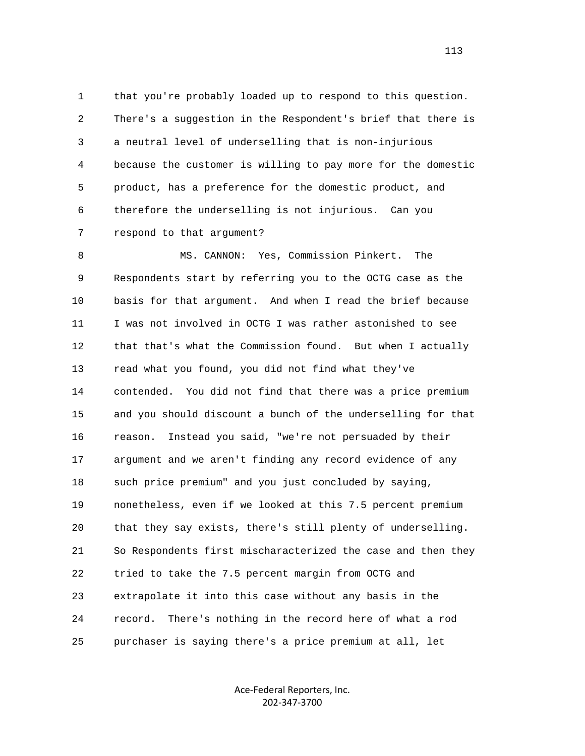1 that you're probably loaded up to respond to this question. 2 There's a suggestion in the Respondent's brief that there is 3 a neutral level of underselling that is non-injurious 4 because the customer is willing to pay more for the domestic 5 product, has a preference for the domestic product, and 6 therefore the underselling is not injurious. Can you 7 respond to that argument?

 8 MS. CANNON: Yes, Commission Pinkert. The 9 Respondents start by referring you to the OCTG case as the 10 basis for that argument. And when I read the brief because 11 I was not involved in OCTG I was rather astonished to see 12 that that's what the Commission found. But when I actually 13 read what you found, you did not find what they've 14 contended. You did not find that there was a price premium 15 and you should discount a bunch of the underselling for that 16 reason. Instead you said, "we're not persuaded by their 17 argument and we aren't finding any record evidence of any 18 such price premium" and you just concluded by saying, 19 nonetheless, even if we looked at this 7.5 percent premium 20 that they say exists, there's still plenty of underselling. 21 So Respondents first mischaracterized the case and then they 22 tried to take the 7.5 percent margin from OCTG and 23 extrapolate it into this case without any basis in the 24 record. There's nothing in the record here of what a rod 25 purchaser is saying there's a price premium at all, let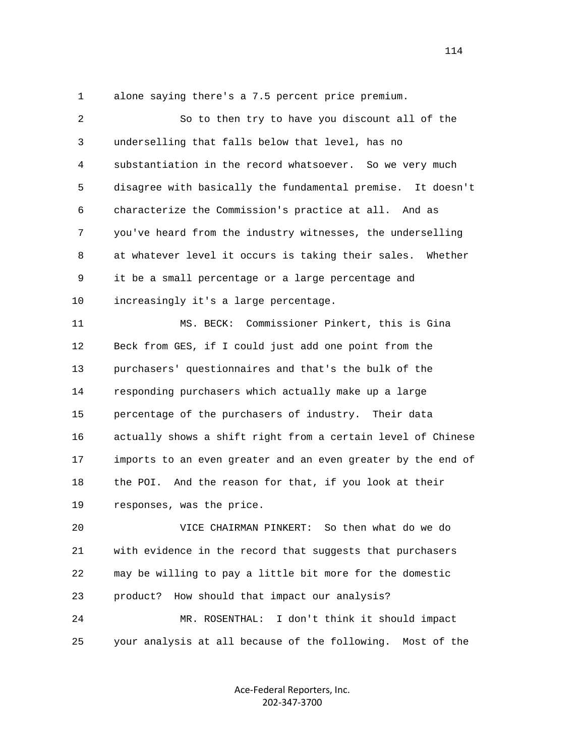1 alone saying there's a 7.5 percent price premium.

 2 So to then try to have you discount all of the 3 underselling that falls below that level, has no 4 substantiation in the record whatsoever. So we very much 5 disagree with basically the fundamental premise. It doesn't 6 characterize the Commission's practice at all. And as 7 you've heard from the industry witnesses, the underselling 8 at whatever level it occurs is taking their sales. Whether 9 it be a small percentage or a large percentage and 10 increasingly it's a large percentage. 11 MS. BECK: Commissioner Pinkert, this is Gina 12 Beck from GES, if I could just add one point from the 13 purchasers' questionnaires and that's the bulk of the 14 responding purchasers which actually make up a large 15 percentage of the purchasers of industry. Their data 16 actually shows a shift right from a certain level of Chinese 17 imports to an even greater and an even greater by the end of 18 the POI. And the reason for that, if you look at their 19 responses, was the price. 20 VICE CHAIRMAN PINKERT: So then what do we do 21 with evidence in the record that suggests that purchasers 22 may be willing to pay a little bit more for the domestic

 24 MR. ROSENTHAL: I don't think it should impact 25 your analysis at all because of the following. Most of the

23 product? How should that impact our analysis?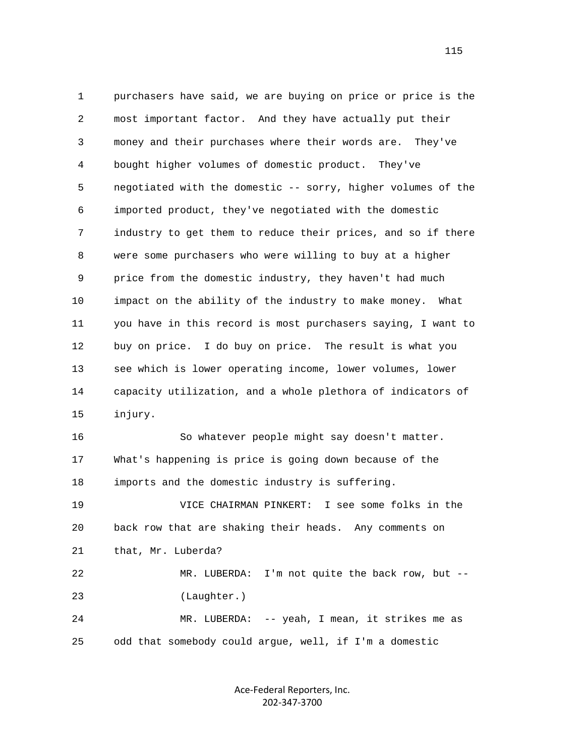1 purchasers have said, we are buying on price or price is the 2 most important factor. And they have actually put their 3 money and their purchases where their words are. They've 4 bought higher volumes of domestic product. They've 5 negotiated with the domestic -- sorry, higher volumes of the 6 imported product, they've negotiated with the domestic 7 industry to get them to reduce their prices, and so if there 8 were some purchasers who were willing to buy at a higher 9 price from the domestic industry, they haven't had much 10 impact on the ability of the industry to make money. What 11 you have in this record is most purchasers saying, I want to 12 buy on price. I do buy on price. The result is what you 13 see which is lower operating income, lower volumes, lower 14 capacity utilization, and a whole plethora of indicators of 15 injury. 16 So whatever people might say doesn't matter. 17 What's happening is price is going down because of the 18 imports and the domestic industry is suffering. 19 VICE CHAIRMAN PINKERT: I see some folks in the 20 back row that are shaking their heads. Any comments on 21 that, Mr. Luberda? 22 MR. LUBERDA: I'm not quite the back row, but -- 23 (Laughter.)

 24 MR. LUBERDA: -- yeah, I mean, it strikes me as 25 odd that somebody could argue, well, if I'm a domestic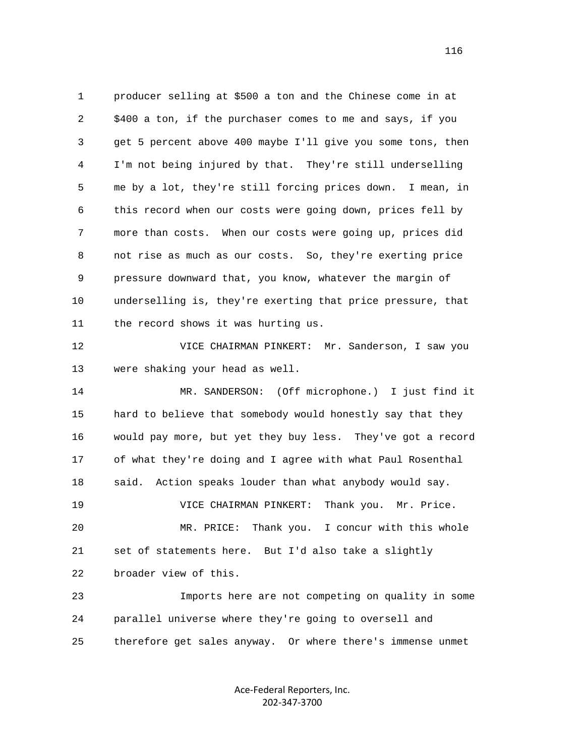1 producer selling at \$500 a ton and the Chinese come in at 2 \$400 a ton, if the purchaser comes to me and says, if you 3 get 5 percent above 400 maybe I'll give you some tons, then 4 I'm not being injured by that. They're still underselling 5 me by a lot, they're still forcing prices down. I mean, in 6 this record when our costs were going down, prices fell by 7 more than costs. When our costs were going up, prices did 8 not rise as much as our costs. So, they're exerting price 9 pressure downward that, you know, whatever the margin of 10 underselling is, they're exerting that price pressure, that 11 the record shows it was hurting us.

 12 VICE CHAIRMAN PINKERT: Mr. Sanderson, I saw you 13 were shaking your head as well.

 14 MR. SANDERSON: (Off microphone.) I just find it 15 hard to believe that somebody would honestly say that they 16 would pay more, but yet they buy less. They've got a record 17 of what they're doing and I agree with what Paul Rosenthal 18 said. Action speaks louder than what anybody would say. 19 VICE CHAIRMAN PINKERT: Thank you. Mr. Price. 20 MR. PRICE: Thank you. I concur with this whole 21 set of statements here. But I'd also take a slightly 22 broader view of this. 23 Imports here are not competing on quality in some

 24 parallel universe where they're going to oversell and 25 therefore get sales anyway. Or where there's immense unmet

> Ace‐Federal Reporters, Inc. 202‐347‐3700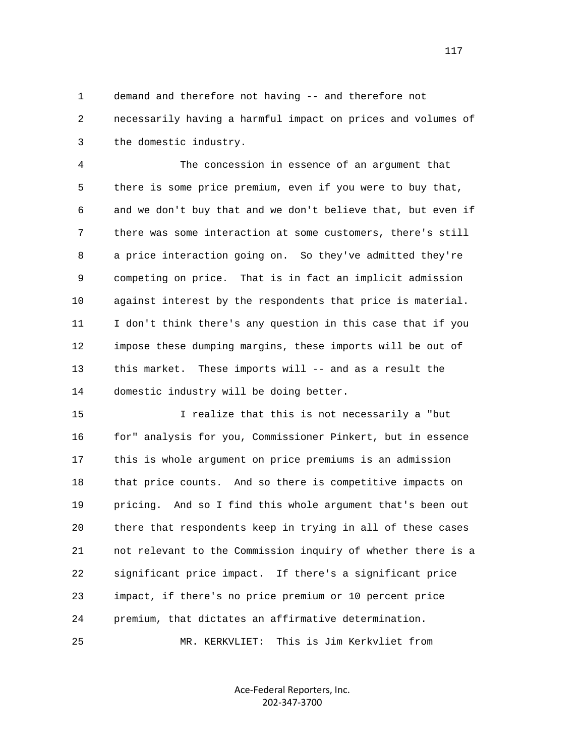1 demand and therefore not having -- and therefore not 2 necessarily having a harmful impact on prices and volumes of 3 the domestic industry.

 4 The concession in essence of an argument that 5 there is some price premium, even if you were to buy that, 6 and we don't buy that and we don't believe that, but even if 7 there was some interaction at some customers, there's still 8 a price interaction going on. So they've admitted they're 9 competing on price. That is in fact an implicit admission 10 against interest by the respondents that price is material. 11 I don't think there's any question in this case that if you 12 impose these dumping margins, these imports will be out of 13 this market. These imports will -- and as a result the 14 domestic industry will be doing better.

 15 I realize that this is not necessarily a "but 16 for" analysis for you, Commissioner Pinkert, but in essence 17 this is whole argument on price premiums is an admission 18 that price counts. And so there is competitive impacts on 19 pricing. And so I find this whole argument that's been out 20 there that respondents keep in trying in all of these cases 21 not relevant to the Commission inquiry of whether there is a 22 significant price impact. If there's a significant price 23 impact, if there's no price premium or 10 percent price 24 premium, that dictates an affirmative determination.

25 MR. KERKVLIET: This is Jim Kerkvliet from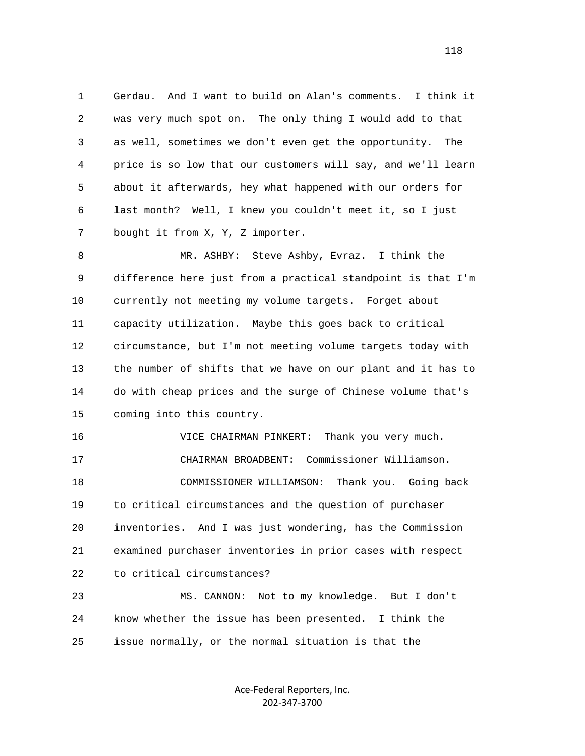1 Gerdau. And I want to build on Alan's comments. I think it 2 was very much spot on. The only thing I would add to that 3 as well, sometimes we don't even get the opportunity. The 4 price is so low that our customers will say, and we'll learn 5 about it afterwards, hey what happened with our orders for 6 last month? Well, I knew you couldn't meet it, so I just 7 bought it from X, Y, Z importer.

 8 MR. ASHBY: Steve Ashby, Evraz. I think the 9 difference here just from a practical standpoint is that I'm 10 currently not meeting my volume targets. Forget about 11 capacity utilization. Maybe this goes back to critical 12 circumstance, but I'm not meeting volume targets today with 13 the number of shifts that we have on our plant and it has to 14 do with cheap prices and the surge of Chinese volume that's 15 coming into this country.

 16 VICE CHAIRMAN PINKERT: Thank you very much. 17 CHAIRMAN BROADBENT: Commissioner Williamson. 18 COMMISSIONER WILLIAMSON: Thank you. Going back 19 to critical circumstances and the question of purchaser 20 inventories. And I was just wondering, has the Commission 21 examined purchaser inventories in prior cases with respect 22 to critical circumstances?

 23 MS. CANNON: Not to my knowledge. But I don't 24 know whether the issue has been presented. I think the 25 issue normally, or the normal situation is that the

> Ace‐Federal Reporters, Inc. 202‐347‐3700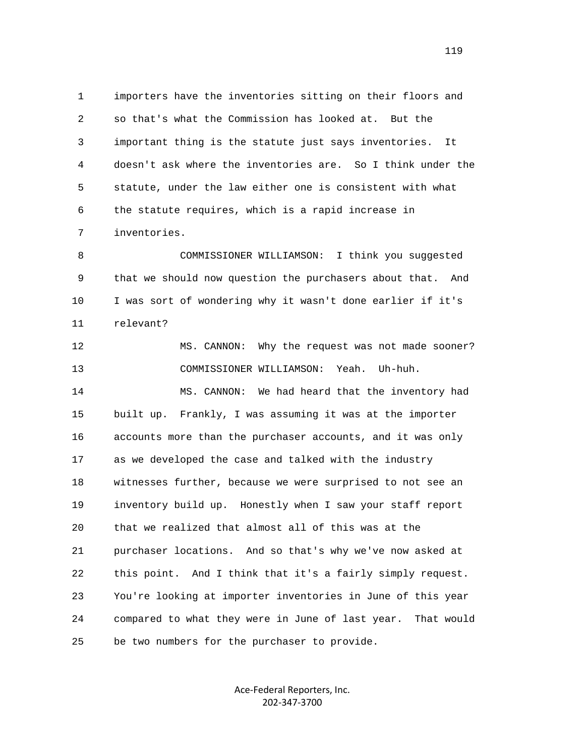1 importers have the inventories sitting on their floors and 2 so that's what the Commission has looked at. But the 3 important thing is the statute just says inventories. It 4 doesn't ask where the inventories are. So I think under the 5 statute, under the law either one is consistent with what 6 the statute requires, which is a rapid increase in 7 inventories.

 8 COMMISSIONER WILLIAMSON: I think you suggested 9 that we should now question the purchasers about that. And 10 I was sort of wondering why it wasn't done earlier if it's 11 relevant?

 12 MS. CANNON: Why the request was not made sooner? 13 COMMISSIONER WILLIAMSON: Yeah. Uh-huh. 14 MS. CANNON: We had heard that the inventory had 15 built up. Frankly, I was assuming it was at the importer 16 accounts more than the purchaser accounts, and it was only 17 as we developed the case and talked with the industry 18 witnesses further, because we were surprised to not see an 19 inventory build up. Honestly when I saw your staff report 20 that we realized that almost all of this was at the 21 purchaser locations. And so that's why we've now asked at 22 this point. And I think that it's a fairly simply request. 23 You're looking at importer inventories in June of this year 24 compared to what they were in June of last year. That would 25 be two numbers for the purchaser to provide.

> Ace‐Federal Reporters, Inc. 202‐347‐3700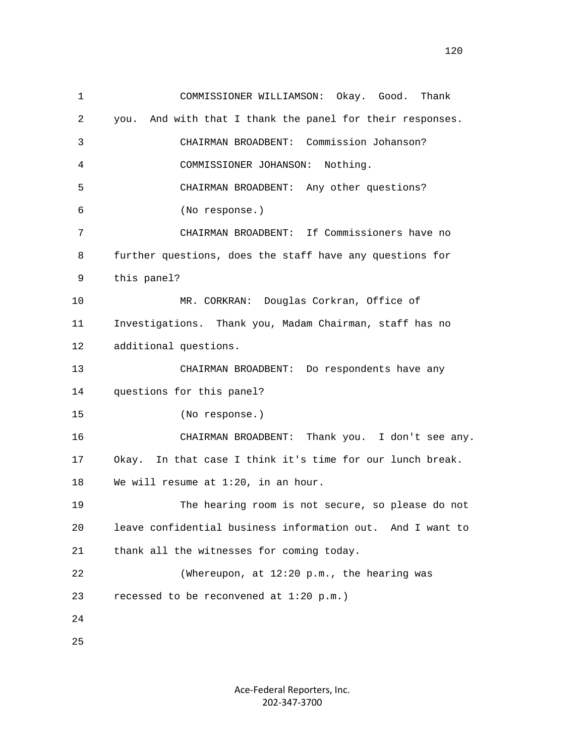1 COMMISSIONER WILLIAMSON: Okay. Good. Thank 2 you. And with that I thank the panel for their responses. 3 CHAIRMAN BROADBENT: Commission Johanson? 4 COMMISSIONER JOHANSON: Nothing. 5 CHAIRMAN BROADBENT: Any other questions? 6 (No response.) 7 CHAIRMAN BROADBENT: If Commissioners have no 8 further questions, does the staff have any questions for 9 this panel? 10 MR. CORKRAN: Douglas Corkran, Office of 11 Investigations. Thank you, Madam Chairman, staff has no 12 additional questions. 13 CHAIRMAN BROADBENT: Do respondents have any 14 questions for this panel? 15 (No response.) 16 CHAIRMAN BROADBENT: Thank you. I don't see any. 17 Okay. In that case I think it's time for our lunch break. 18 We will resume at 1:20, in an hour. 19 The hearing room is not secure, so please do not 20 leave confidential business information out. And I want to 21 thank all the witnesses for coming today. 22 (Whereupon, at 12:20 p.m., the hearing was 23 recessed to be reconvened at 1:20 p.m.) 24 25

> Ace‐Federal Reporters, Inc. 202‐347‐3700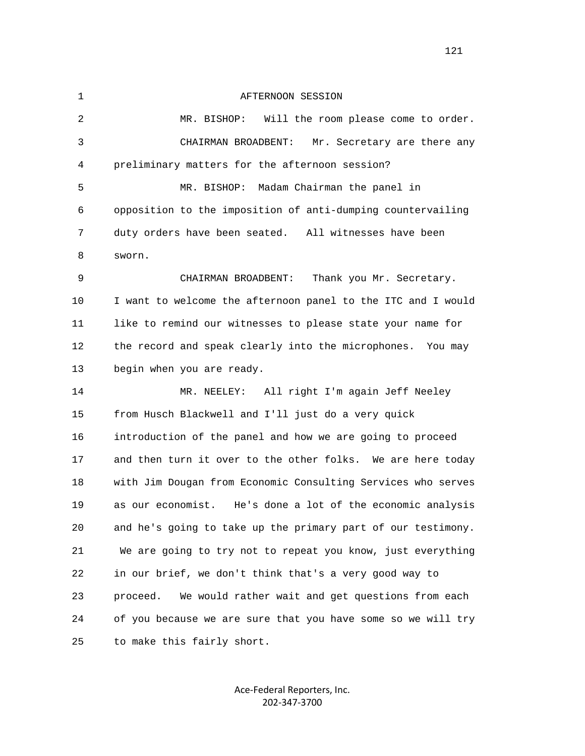1 AFTERNOON SESSION 2 MR. BISHOP: Will the room please come to order. 3 CHAIRMAN BROADBENT: Mr. Secretary are there any 4 preliminary matters for the afternoon session? 5 MR. BISHOP: Madam Chairman the panel in 6 opposition to the imposition of anti-dumping countervailing 7 duty orders have been seated. All witnesses have been 8 sworn. 9 CHAIRMAN BROADBENT: Thank you Mr. Secretary. 10 I want to welcome the afternoon panel to the ITC and I would 11 like to remind our witnesses to please state your name for 12 the record and speak clearly into the microphones. You may 13 begin when you are ready. 14 MR. NEELEY: All right I'm again Jeff Neeley 15 from Husch Blackwell and I'll just do a very quick 16 introduction of the panel and how we are going to proceed 17 and then turn it over to the other folks. We are here today 18 with Jim Dougan from Economic Consulting Services who serves 19 as our economist. He's done a lot of the economic analysis 20 and he's going to take up the primary part of our testimony. 21 We are going to try not to repeat you know, just everything 22 in our brief, we don't think that's a very good way to 23 proceed. We would rather wait and get questions from each 24 of you because we are sure that you have some so we will try 25 to make this fairly short.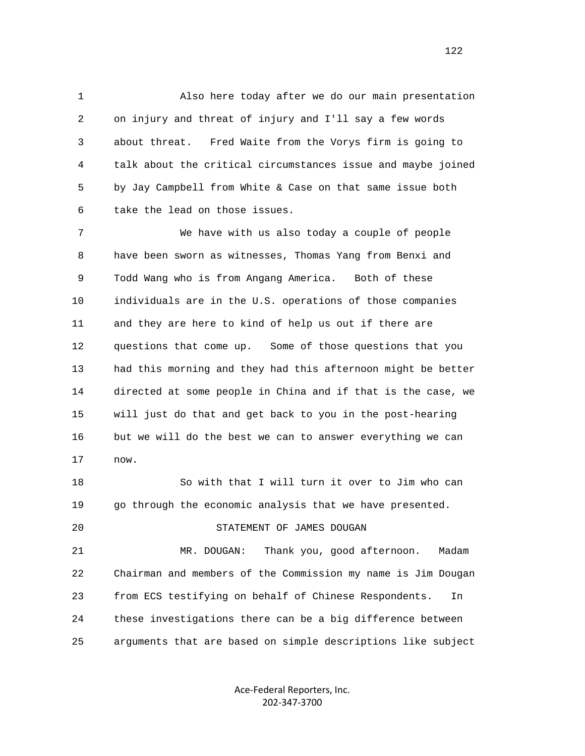1 Also here today after we do our main presentation 2 on injury and threat of injury and I'll say a few words 3 about threat. Fred Waite from the Vorys firm is going to 4 talk about the critical circumstances issue and maybe joined 5 by Jay Campbell from White & Case on that same issue both 6 take the lead on those issues.

 7 We have with us also today a couple of people 8 have been sworn as witnesses, Thomas Yang from Benxi and 9 Todd Wang who is from Angang America. Both of these 10 individuals are in the U.S. operations of those companies 11 and they are here to kind of help us out if there are 12 questions that come up. Some of those questions that you 13 had this morning and they had this afternoon might be better 14 directed at some people in China and if that is the case, we 15 will just do that and get back to you in the post-hearing 16 but we will do the best we can to answer everything we can 17 now.

 18 So with that I will turn it over to Jim who can 19 go through the economic analysis that we have presented.

20 STATEMENT OF JAMES DOUGAN

 21 MR. DOUGAN: Thank you, good afternoon. Madam 22 Chairman and members of the Commission my name is Jim Dougan 23 from ECS testifying on behalf of Chinese Respondents. In 24 these investigations there can be a big difference between 25 arguments that are based on simple descriptions like subject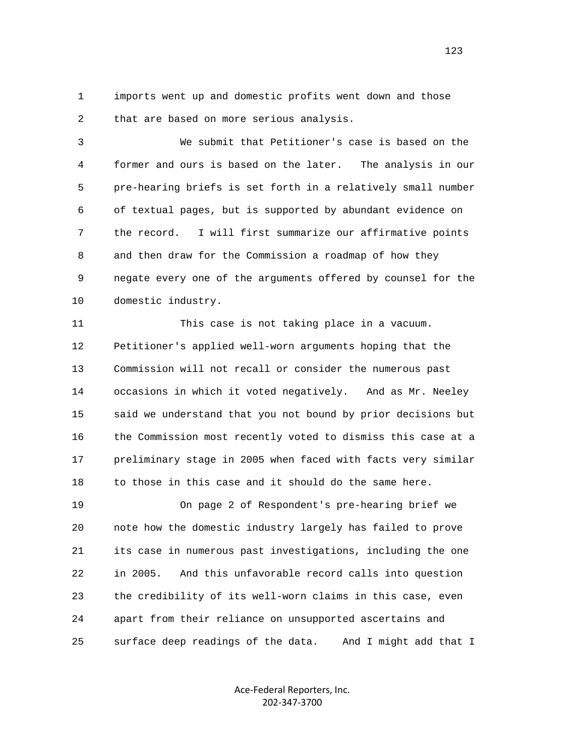1 imports went up and domestic profits went down and those 2 that are based on more serious analysis.

 3 We submit that Petitioner's case is based on the 4 former and ours is based on the later. The analysis in our 5 pre-hearing briefs is set forth in a relatively small number 6 of textual pages, but is supported by abundant evidence on 7 the record. I will first summarize our affirmative points 8 and then draw for the Commission a roadmap of how they 9 negate every one of the arguments offered by counsel for the 10 domestic industry.

 11 This case is not taking place in a vacuum. 12 Petitioner's applied well-worn arguments hoping that the 13 Commission will not recall or consider the numerous past 14 occasions in which it voted negatively. And as Mr. Neeley 15 said we understand that you not bound by prior decisions but 16 the Commission most recently voted to dismiss this case at a 17 preliminary stage in 2005 when faced with facts very similar 18 to those in this case and it should do the same here.

 19 On page 2 of Respondent's pre-hearing brief we 20 note how the domestic industry largely has failed to prove 21 its case in numerous past investigations, including the one 22 in 2005. And this unfavorable record calls into question 23 the credibility of its well-worn claims in this case, even 24 apart from their reliance on unsupported ascertains and 25 surface deep readings of the data. And I might add that I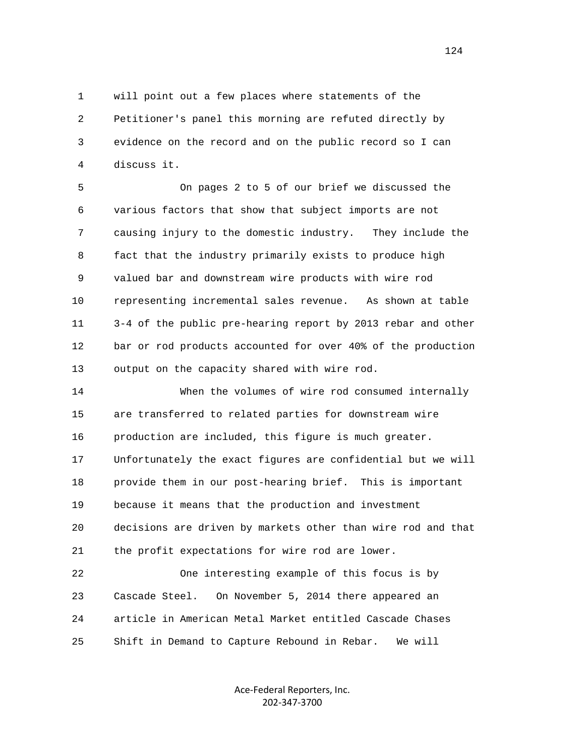1 will point out a few places where statements of the 2 Petitioner's panel this morning are refuted directly by 3 evidence on the record and on the public record so I can 4 discuss it.

 5 On pages 2 to 5 of our brief we discussed the 6 various factors that show that subject imports are not 7 causing injury to the domestic industry. They include the 8 fact that the industry primarily exists to produce high 9 valued bar and downstream wire products with wire rod 10 representing incremental sales revenue. As shown at table 11 3-4 of the public pre-hearing report by 2013 rebar and other 12 bar or rod products accounted for over 40% of the production 13 output on the capacity shared with wire rod.

 14 When the volumes of wire rod consumed internally 15 are transferred to related parties for downstream wire 16 production are included, this figure is much greater. 17 Unfortunately the exact figures are confidential but we will 18 provide them in our post-hearing brief. This is important 19 because it means that the production and investment 20 decisions are driven by markets other than wire rod and that 21 the profit expectations for wire rod are lower.

 22 One interesting example of this focus is by 23 Cascade Steel. On November 5, 2014 there appeared an 24 article in American Metal Market entitled Cascade Chases 25 Shift in Demand to Capture Rebound in Rebar. We will

> Ace‐Federal Reporters, Inc. 202‐347‐3700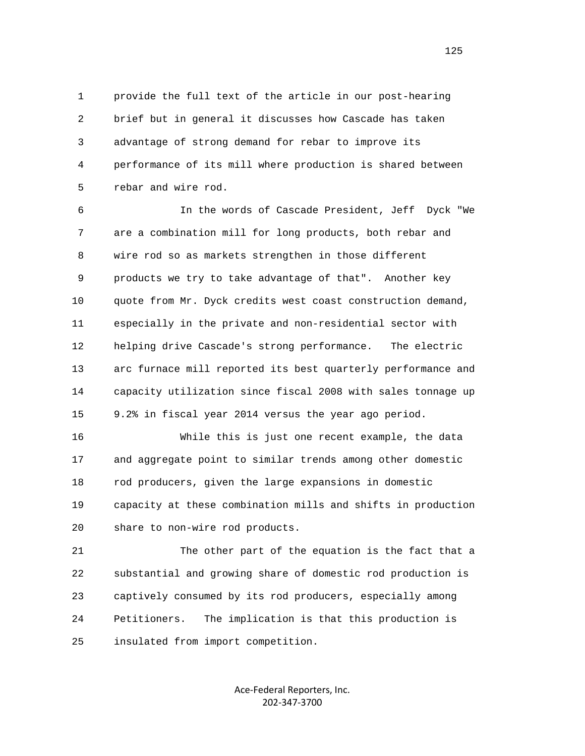1 provide the full text of the article in our post-hearing 2 brief but in general it discusses how Cascade has taken 3 advantage of strong demand for rebar to improve its 4 performance of its mill where production is shared between 5 rebar and wire rod.

 6 In the words of Cascade President, Jeff Dyck "We 7 are a combination mill for long products, both rebar and 8 wire rod so as markets strengthen in those different 9 products we try to take advantage of that". Another key 10 quote from Mr. Dyck credits west coast construction demand, 11 especially in the private and non-residential sector with 12 helping drive Cascade's strong performance. The electric 13 arc furnace mill reported its best quarterly performance and 14 capacity utilization since fiscal 2008 with sales tonnage up 15 9.2% in fiscal year 2014 versus the year ago period.

 16 While this is just one recent example, the data 17 and aggregate point to similar trends among other domestic 18 rod producers, given the large expansions in domestic 19 capacity at these combination mills and shifts in production 20 share to non-wire rod products.

 21 The other part of the equation is the fact that a 22 substantial and growing share of domestic rod production is 23 captively consumed by its rod producers, especially among 24 Petitioners. The implication is that this production is 25 insulated from import competition.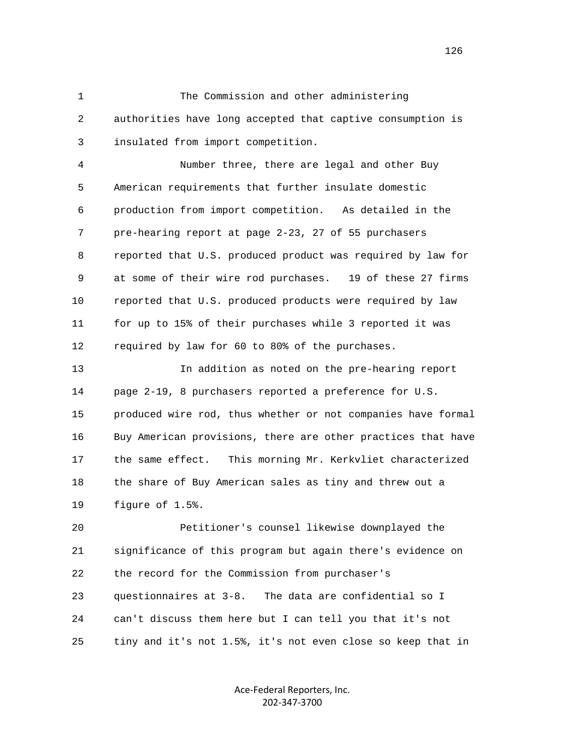1 The Commission and other administering 2 authorities have long accepted that captive consumption is 3 insulated from import competition.

 4 Number three, there are legal and other Buy 5 American requirements that further insulate domestic 6 production from import competition. As detailed in the 7 pre-hearing report at page 2-23, 27 of 55 purchasers 8 reported that U.S. produced product was required by law for 9 at some of their wire rod purchases. 19 of these 27 firms 10 reported that U.S. produced products were required by law 11 for up to 15% of their purchases while 3 reported it was 12 required by law for 60 to 80% of the purchases.

 13 In addition as noted on the pre-hearing report 14 page 2-19, 8 purchasers reported a preference for U.S. 15 produced wire rod, thus whether or not companies have formal 16 Buy American provisions, there are other practices that have 17 the same effect. This morning Mr. Kerkvliet characterized 18 the share of Buy American sales as tiny and threw out a 19 figure of 1.5%.

 20 Petitioner's counsel likewise downplayed the 21 significance of this program but again there's evidence on 22 the record for the Commission from purchaser's 23 questionnaires at 3-8. The data are confidential so I 24 can't discuss them here but I can tell you that it's not 25 tiny and it's not 1.5%, it's not even close so keep that in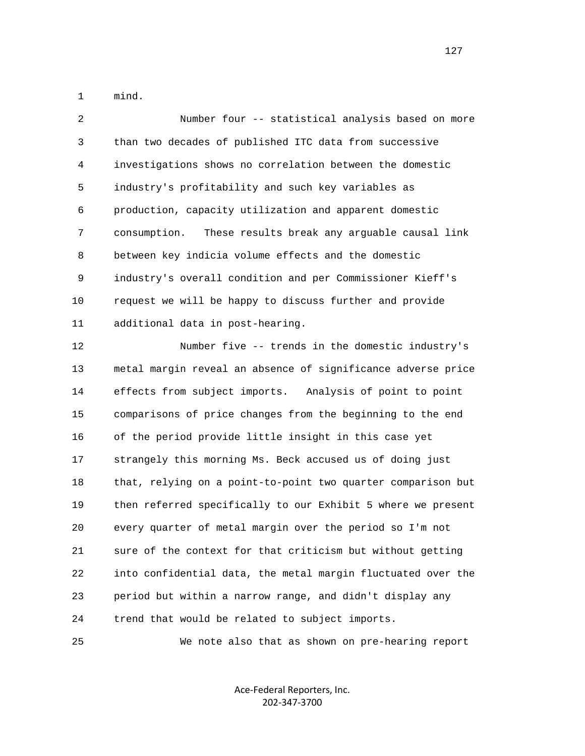1 mind.

 2 Number four -- statistical analysis based on more 3 than two decades of published ITC data from successive 4 investigations shows no correlation between the domestic 5 industry's profitability and such key variables as 6 production, capacity utilization and apparent domestic 7 consumption. These results break any arguable causal link 8 between key indicia volume effects and the domestic 9 industry's overall condition and per Commissioner Kieff's 10 request we will be happy to discuss further and provide 11 additional data in post-hearing.

 12 Number five -- trends in the domestic industry's 13 metal margin reveal an absence of significance adverse price 14 effects from subject imports. Analysis of point to point 15 comparisons of price changes from the beginning to the end 16 of the period provide little insight in this case yet 17 strangely this morning Ms. Beck accused us of doing just 18 that, relying on a point-to-point two quarter comparison but 19 then referred specifically to our Exhibit 5 where we present 20 every quarter of metal margin over the period so I'm not 21 sure of the context for that criticism but without getting 22 into confidential data, the metal margin fluctuated over the 23 period but within a narrow range, and didn't display any 24 trend that would be related to subject imports.

25 We note also that as shown on pre-hearing report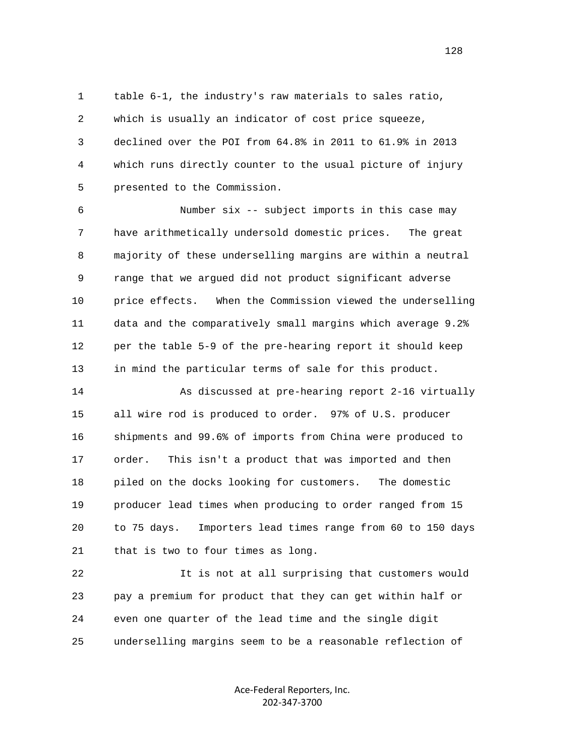1 table 6-1, the industry's raw materials to sales ratio, 2 which is usually an indicator of cost price squeeze, 3 declined over the POI from 64.8% in 2011 to 61.9% in 2013 4 which runs directly counter to the usual picture of injury 5 presented to the Commission.

 6 Number six -- subject imports in this case may 7 have arithmetically undersold domestic prices. The great 8 majority of these underselling margins are within a neutral 9 range that we argued did not product significant adverse 10 price effects. When the Commission viewed the underselling 11 data and the comparatively small margins which average 9.2% 12 per the table 5-9 of the pre-hearing report it should keep 13 in mind the particular terms of sale for this product.

 14 As discussed at pre-hearing report 2-16 virtually 15 all wire rod is produced to order. 97% of U.S. producer 16 shipments and 99.6% of imports from China were produced to 17 order. This isn't a product that was imported and then 18 piled on the docks looking for customers. The domestic 19 producer lead times when producing to order ranged from 15 20 to 75 days. Importers lead times range from 60 to 150 days 21 that is two to four times as long.

 22 It is not at all surprising that customers would 23 pay a premium for product that they can get within half or 24 even one quarter of the lead time and the single digit 25 underselling margins seem to be a reasonable reflection of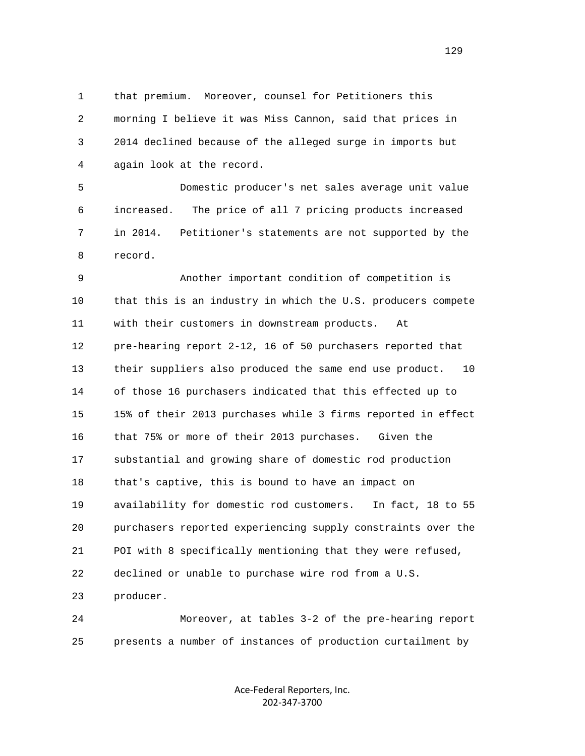1 that premium. Moreover, counsel for Petitioners this 2 morning I believe it was Miss Cannon, said that prices in 3 2014 declined because of the alleged surge in imports but 4 again look at the record.

 5 Domestic producer's net sales average unit value 6 increased. The price of all 7 pricing products increased 7 in 2014. Petitioner's statements are not supported by the 8 record.

 9 Another important condition of competition is 10 that this is an industry in which the U.S. producers compete 11 with their customers in downstream products. At 12 pre-hearing report 2-12, 16 of 50 purchasers reported that 13 their suppliers also produced the same end use product. 10 14 of those 16 purchasers indicated that this effected up to 15 15% of their 2013 purchases while 3 firms reported in effect 16 that 75% or more of their 2013 purchases. Given the 17 substantial and growing share of domestic rod production 18 that's captive, this is bound to have an impact on 19 availability for domestic rod customers. In fact, 18 to 55 20 purchasers reported experiencing supply constraints over the 21 POI with 8 specifically mentioning that they were refused, 22 declined or unable to purchase wire rod from a U.S. 23 producer.

 24 Moreover, at tables 3-2 of the pre-hearing report 25 presents a number of instances of production curtailment by

> Ace‐Federal Reporters, Inc. 202‐347‐3700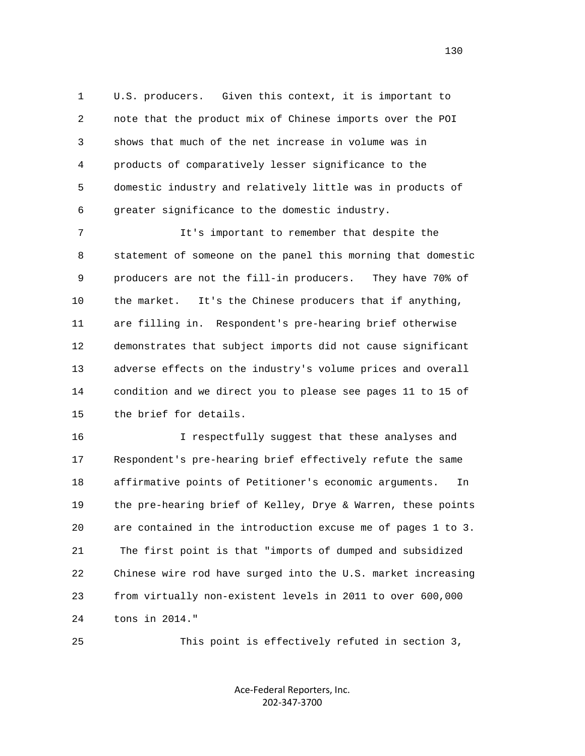1 U.S. producers. Given this context, it is important to 2 note that the product mix of Chinese imports over the POI 3 shows that much of the net increase in volume was in 4 products of comparatively lesser significance to the 5 domestic industry and relatively little was in products of 6 greater significance to the domestic industry.

 7 It's important to remember that despite the 8 statement of someone on the panel this morning that domestic 9 producers are not the fill-in producers. They have 70% of 10 the market. It's the Chinese producers that if anything, 11 are filling in. Respondent's pre-hearing brief otherwise 12 demonstrates that subject imports did not cause significant 13 adverse effects on the industry's volume prices and overall 14 condition and we direct you to please see pages 11 to 15 of 15 the brief for details.

 16 I respectfully suggest that these analyses and 17 Respondent's pre-hearing brief effectively refute the same 18 affirmative points of Petitioner's economic arguments. In 19 the pre-hearing brief of Kelley, Drye & Warren, these points 20 are contained in the introduction excuse me of pages 1 to 3. 21 The first point is that "imports of dumped and subsidized 22 Chinese wire rod have surged into the U.S. market increasing 23 from virtually non-existent levels in 2011 to over 600,000 24 tons in 2014."

25 This point is effectively refuted in section 3,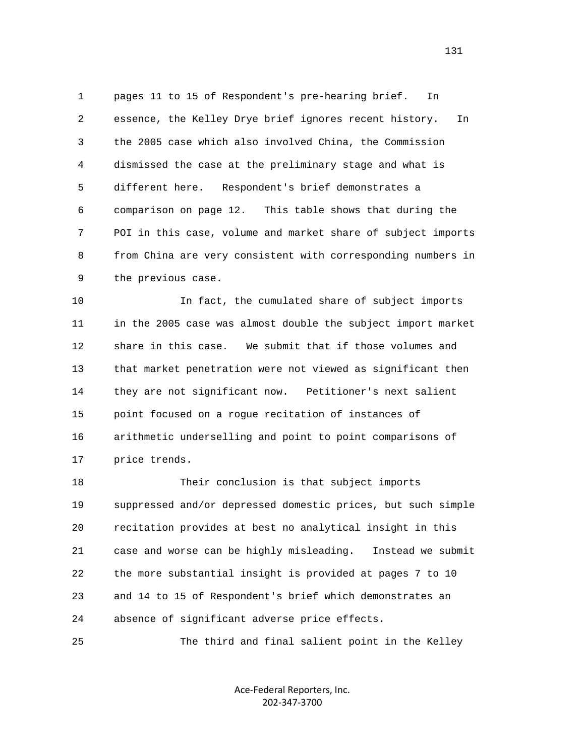1 pages 11 to 15 of Respondent's pre-hearing brief. In 2 essence, the Kelley Drye brief ignores recent history. In 3 the 2005 case which also involved China, the Commission 4 dismissed the case at the preliminary stage and what is 5 different here. Respondent's brief demonstrates a 6 comparison on page 12. This table shows that during the 7 POI in this case, volume and market share of subject imports 8 from China are very consistent with corresponding numbers in 9 the previous case.

 10 In fact, the cumulated share of subject imports 11 in the 2005 case was almost double the subject import market 12 share in this case. We submit that if those volumes and 13 that market penetration were not viewed as significant then 14 they are not significant now. Petitioner's next salient 15 point focused on a rogue recitation of instances of 16 arithmetic underselling and point to point comparisons of 17 price trends.

 18 Their conclusion is that subject imports 19 suppressed and/or depressed domestic prices, but such simple 20 recitation provides at best no analytical insight in this 21 case and worse can be highly misleading. Instead we submit 22 the more substantial insight is provided at pages 7 to 10 23 and 14 to 15 of Respondent's brief which demonstrates an 24 absence of significant adverse price effects.

25 The third and final salient point in the Kelley

Ace‐Federal Reporters, Inc. 202‐347‐3700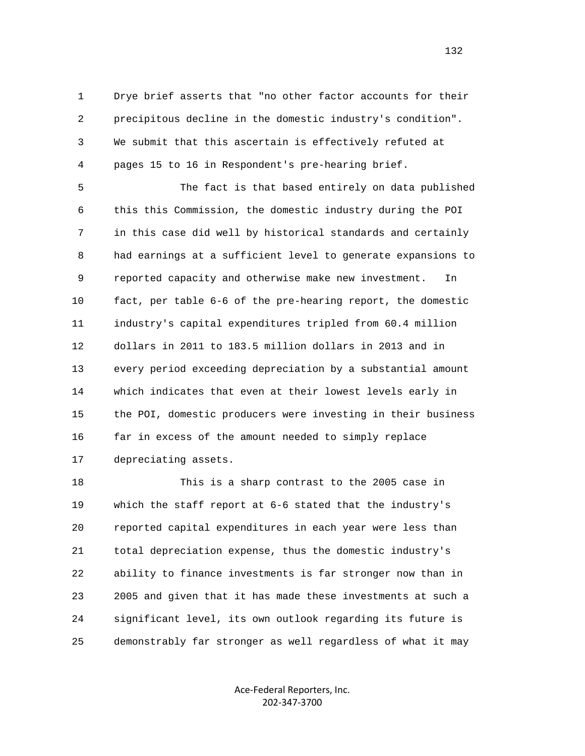1 Drye brief asserts that "no other factor accounts for their 2 precipitous decline in the domestic industry's condition". 3 We submit that this ascertain is effectively refuted at 4 pages 15 to 16 in Respondent's pre-hearing brief.

 5 The fact is that based entirely on data published 6 this this Commission, the domestic industry during the POI 7 in this case did well by historical standards and certainly 8 had earnings at a sufficient level to generate expansions to 9 reported capacity and otherwise make new investment. In 10 fact, per table 6-6 of the pre-hearing report, the domestic 11 industry's capital expenditures tripled from 60.4 million 12 dollars in 2011 to 183.5 million dollars in 2013 and in 13 every period exceeding depreciation by a substantial amount 14 which indicates that even at their lowest levels early in 15 the POI, domestic producers were investing in their business 16 far in excess of the amount needed to simply replace 17 depreciating assets.

 18 This is a sharp contrast to the 2005 case in 19 which the staff report at 6-6 stated that the industry's 20 reported capital expenditures in each year were less than 21 total depreciation expense, thus the domestic industry's 22 ability to finance investments is far stronger now than in 23 2005 and given that it has made these investments at such a 24 significant level, its own outlook regarding its future is 25 demonstrably far stronger as well regardless of what it may

> Ace‐Federal Reporters, Inc. 202‐347‐3700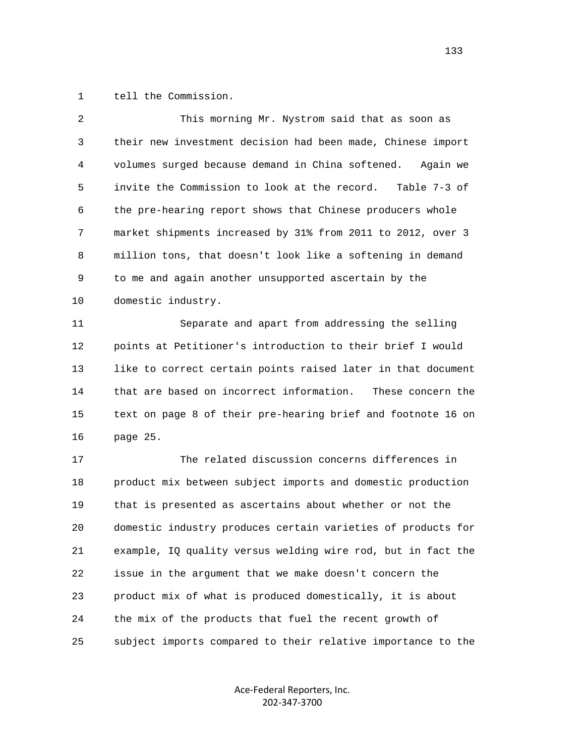1 tell the Commission.

| 2  | This morning Mr. Nystrom said that as soon as                 |
|----|---------------------------------------------------------------|
| 3  | their new investment decision had been made, Chinese import   |
| 4  | volumes surged because demand in China softened.<br>Again we  |
| 5  | invite the Commission to look at the record.<br>Table 7-3 of  |
| 6  | the pre-hearing report shows that Chinese producers whole     |
| 7  | market shipments increased by 31% from 2011 to 2012, over 3   |
| 8  | million tons, that doesn't look like a softening in demand    |
| 9  | to me and again another unsupported ascertain by the          |
| 10 | domestic industry.                                            |
| 11 | Separate and apart from addressing the selling                |
| 12 | points at Petitioner's introduction to their brief I would    |
| 13 | like to correct certain points raised later in that document  |
| 14 | that are based on incorrect information.<br>These concern the |
| 15 | text on page 8 of their pre-hearing brief and footnote 16 on  |
| 16 | page 25.                                                      |
| 17 | The related discussion concerns differences in                |
| 18 | product mix between subject imports and domestic production   |
| 19 | that is presented as ascertains about whether or not the      |
| 20 | domestic industry produces certain varieties of products for  |
| 21 | example, IQ quality versus welding wire rod, but in fact the  |
|    |                                                               |
| 22 | issue in the argument that we make doesn't concern the        |
| 23 | product mix of what is produced domestically, it is about     |
| 24 | the mix of the products that fuel the recent growth of        |
| 25 | subject imports compared to their relative importance to the  |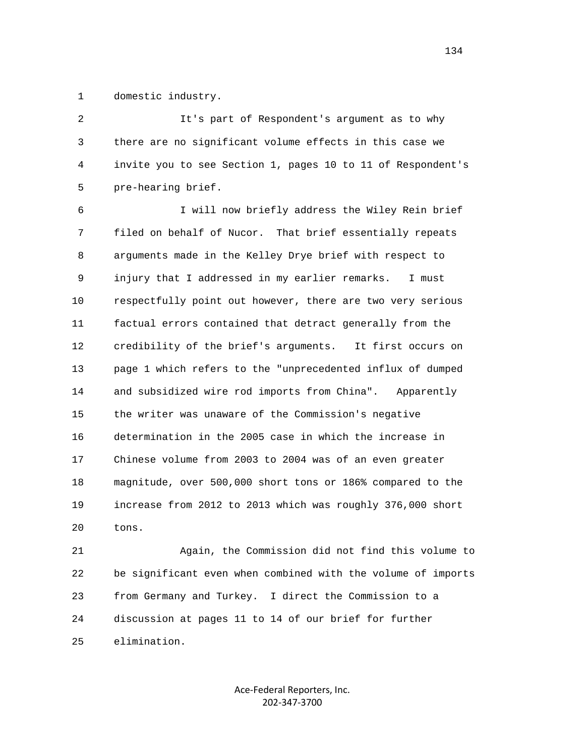1 domestic industry.

 2 It's part of Respondent's argument as to why 3 there are no significant volume effects in this case we 4 invite you to see Section 1, pages 10 to 11 of Respondent's 5 pre-hearing brief. 6 I will now briefly address the Wiley Rein brief 7 filed on behalf of Nucor. That brief essentially repeats 8 arguments made in the Kelley Drye brief with respect to 9 injury that I addressed in my earlier remarks. I must 10 respectfully point out however, there are two very serious 11 factual errors contained that detract generally from the 12 credibility of the brief's arguments. It first occurs on 13 page 1 which refers to the "unprecedented influx of dumped 14 and subsidized wire rod imports from China". Apparently 15 the writer was unaware of the Commission's negative 16 determination in the 2005 case in which the increase in 17 Chinese volume from 2003 to 2004 was of an even greater 18 magnitude, over 500,000 short tons or 186% compared to the 19 increase from 2012 to 2013 which was roughly 376,000 short 20 tons.

 21 Again, the Commission did not find this volume to 22 be significant even when combined with the volume of imports 23 from Germany and Turkey. I direct the Commission to a 24 discussion at pages 11 to 14 of our brief for further 25 elimination.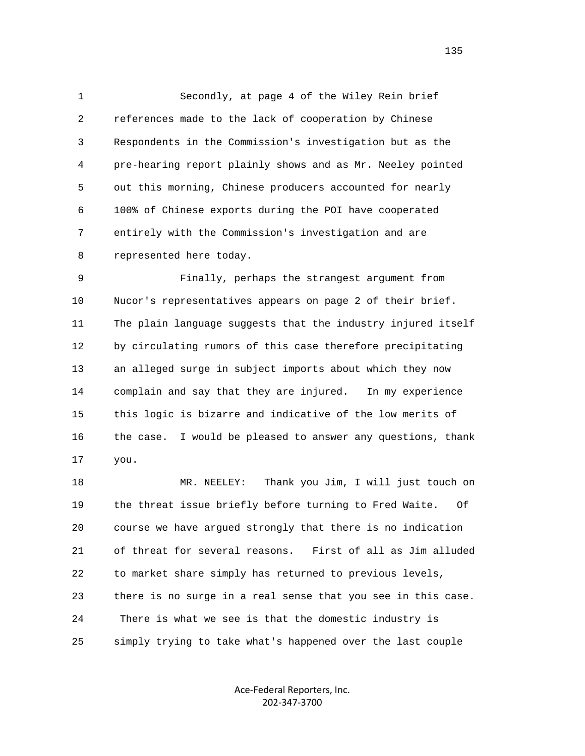1 Secondly, at page 4 of the Wiley Rein brief 2 references made to the lack of cooperation by Chinese 3 Respondents in the Commission's investigation but as the 4 pre-hearing report plainly shows and as Mr. Neeley pointed 5 out this morning, Chinese producers accounted for nearly 6 100% of Chinese exports during the POI have cooperated 7 entirely with the Commission's investigation and are 8 represented here today.

 9 Finally, perhaps the strangest argument from 10 Nucor's representatives appears on page 2 of their brief. 11 The plain language suggests that the industry injured itself 12 by circulating rumors of this case therefore precipitating 13 an alleged surge in subject imports about which they now 14 complain and say that they are injured. In my experience 15 this logic is bizarre and indicative of the low merits of 16 the case. I would be pleased to answer any questions, thank 17 you.

 18 MR. NEELEY: Thank you Jim, I will just touch on 19 the threat issue briefly before turning to Fred Waite. Of 20 course we have argued strongly that there is no indication 21 of threat for several reasons. First of all as Jim alluded 22 to market share simply has returned to previous levels, 23 there is no surge in a real sense that you see in this case. 24 There is what we see is that the domestic industry is 25 simply trying to take what's happened over the last couple

> Ace‐Federal Reporters, Inc. 202‐347‐3700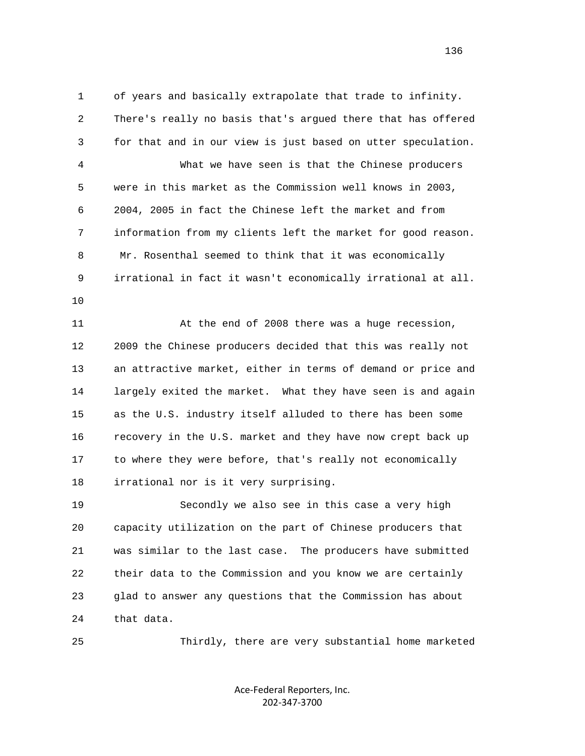1 of years and basically extrapolate that trade to infinity. 2 There's really no basis that's argued there that has offered 3 for that and in our view is just based on utter speculation. 4 What we have seen is that the Chinese producers 5 were in this market as the Commission well knows in 2003, 6 2004, 2005 in fact the Chinese left the market and from 7 information from my clients left the market for good reason. 8 Mr. Rosenthal seemed to think that it was economically 9 irrational in fact it wasn't economically irrational at all. 10

 11 At the end of 2008 there was a huge recession, 12 2009 the Chinese producers decided that this was really not 13 an attractive market, either in terms of demand or price and 14 largely exited the market. What they have seen is and again 15 as the U.S. industry itself alluded to there has been some 16 recovery in the U.S. market and they have now crept back up 17 to where they were before, that's really not economically 18 irrational nor is it very surprising.

 19 Secondly we also see in this case a very high 20 capacity utilization on the part of Chinese producers that 21 was similar to the last case. The producers have submitted 22 their data to the Commission and you know we are certainly 23 glad to answer any questions that the Commission has about 24 that data.

25 Thirdly, there are very substantial home marketed

Ace‐Federal Reporters, Inc. 202‐347‐3700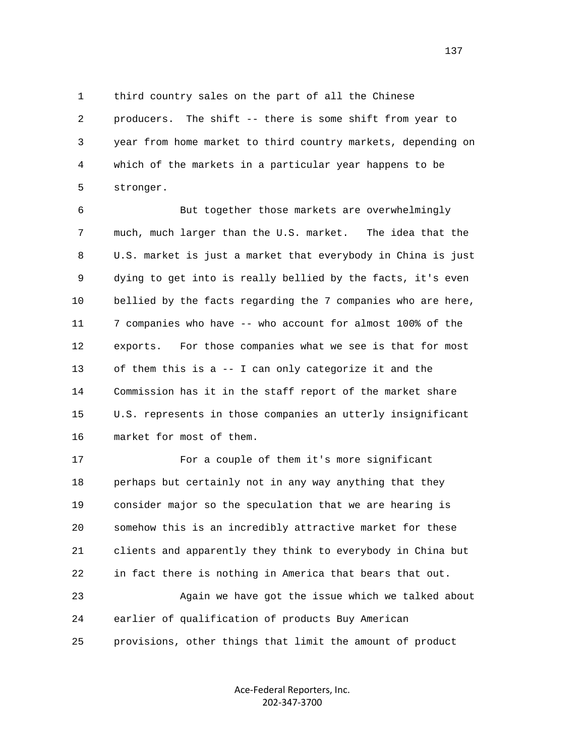1 third country sales on the part of all the Chinese 2 producers. The shift -- there is some shift from year to 3 year from home market to third country markets, depending on 4 which of the markets in a particular year happens to be 5 stronger.

 6 But together those markets are overwhelmingly 7 much, much larger than the U.S. market. The idea that the 8 U.S. market is just a market that everybody in China is just 9 dying to get into is really bellied by the facts, it's even 10 bellied by the facts regarding the 7 companies who are here, 11 7 companies who have -- who account for almost 100% of the 12 exports. For those companies what we see is that for most 13 of them this is a -- I can only categorize it and the 14 Commission has it in the staff report of the market share 15 U.S. represents in those companies an utterly insignificant 16 market for most of them.

 17 For a couple of them it's more significant 18 perhaps but certainly not in any way anything that they 19 consider major so the speculation that we are hearing is 20 somehow this is an incredibly attractive market for these 21 clients and apparently they think to everybody in China but 22 in fact there is nothing in America that bears that out. 23 Again we have got the issue which we talked about 24 earlier of qualification of products Buy American 25 provisions, other things that limit the amount of product

> Ace‐Federal Reporters, Inc. 202‐347‐3700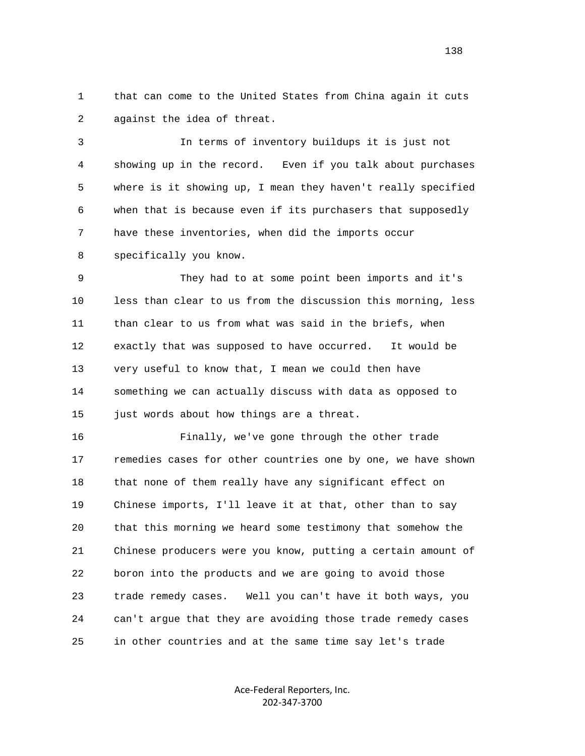1 that can come to the United States from China again it cuts 2 against the idea of threat.

 3 In terms of inventory buildups it is just not 4 showing up in the record. Even if you talk about purchases 5 where is it showing up, I mean they haven't really specified 6 when that is because even if its purchasers that supposedly 7 have these inventories, when did the imports occur 8 specifically you know.

 9 They had to at some point been imports and it's 10 less than clear to us from the discussion this morning, less 11 than clear to us from what was said in the briefs, when 12 exactly that was supposed to have occurred. It would be 13 very useful to know that, I mean we could then have 14 something we can actually discuss with data as opposed to 15 just words about how things are a threat.

 16 Finally, we've gone through the other trade 17 remedies cases for other countries one by one, we have shown 18 that none of them really have any significant effect on 19 Chinese imports, I'll leave it at that, other than to say 20 that this morning we heard some testimony that somehow the 21 Chinese producers were you know, putting a certain amount of 22 boron into the products and we are going to avoid those 23 trade remedy cases. Well you can't have it both ways, you 24 can't argue that they are avoiding those trade remedy cases 25 in other countries and at the same time say let's trade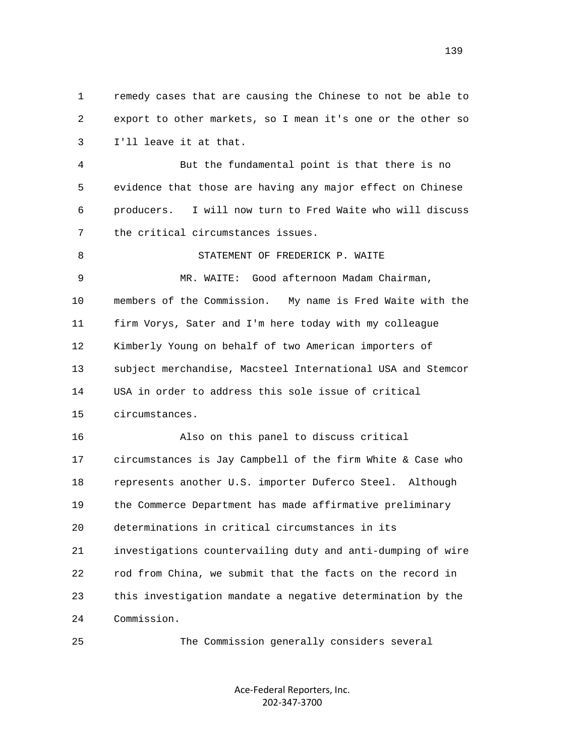1 remedy cases that are causing the Chinese to not be able to 2 export to other markets, so I mean it's one or the other so 3 I'll leave it at that.

 4 But the fundamental point is that there is no 5 evidence that those are having any major effect on Chinese 6 producers. I will now turn to Fred Waite who will discuss 7 the critical circumstances issues.

8 STATEMENT OF FREDERICK P. WAITE 9 MR. WAITE: Good afternoon Madam Chairman, 10 members of the Commission. My name is Fred Waite with the 11 firm Vorys, Sater and I'm here today with my colleague 12 Kimberly Young on behalf of two American importers of 13 subject merchandise, Macsteel International USA and Stemcor 14 USA in order to address this sole issue of critical 15 circumstances.

 16 Also on this panel to discuss critical 17 circumstances is Jay Campbell of the firm White & Case who 18 represents another U.S. importer Duferco Steel. Although 19 the Commerce Department has made affirmative preliminary 20 determinations in critical circumstances in its 21 investigations countervailing duty and anti-dumping of wire 22 rod from China, we submit that the facts on the record in 23 this investigation mandate a negative determination by the 24 Commission.

25 The Commission generally considers several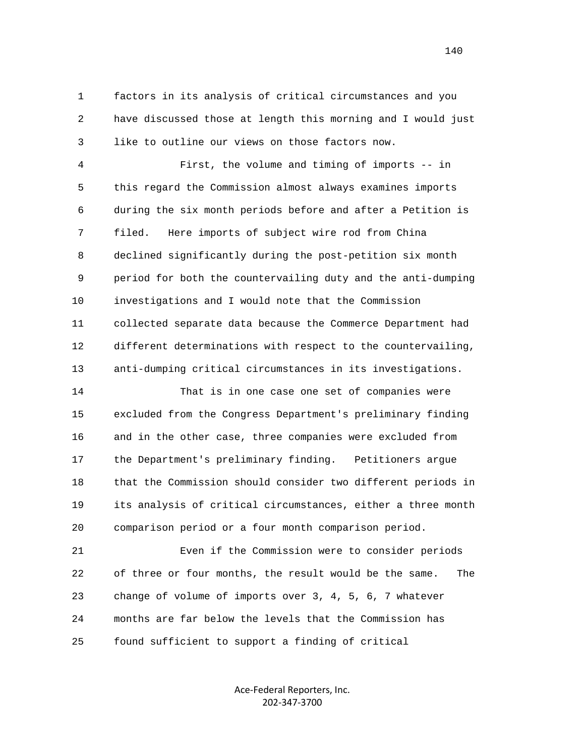1 factors in its analysis of critical circumstances and you 2 have discussed those at length this morning and I would just 3 like to outline our views on those factors now.

 4 First, the volume and timing of imports -- in 5 this regard the Commission almost always examines imports 6 during the six month periods before and after a Petition is 7 filed. Here imports of subject wire rod from China 8 declined significantly during the post-petition six month 9 period for both the countervailing duty and the anti-dumping 10 investigations and I would note that the Commission 11 collected separate data because the Commerce Department had 12 different determinations with respect to the countervailing, 13 anti-dumping critical circumstances in its investigations.

 14 That is in one case one set of companies were 15 excluded from the Congress Department's preliminary finding 16 and in the other case, three companies were excluded from 17 the Department's preliminary finding. Petitioners argue 18 that the Commission should consider two different periods in 19 its analysis of critical circumstances, either a three month 20 comparison period or a four month comparison period.

 21 Even if the Commission were to consider periods 22 of three or four months, the result would be the same. The 23 change of volume of imports over 3, 4, 5, 6, 7 whatever 24 months are far below the levels that the Commission has 25 found sufficient to support a finding of critical

> Ace‐Federal Reporters, Inc. 202‐347‐3700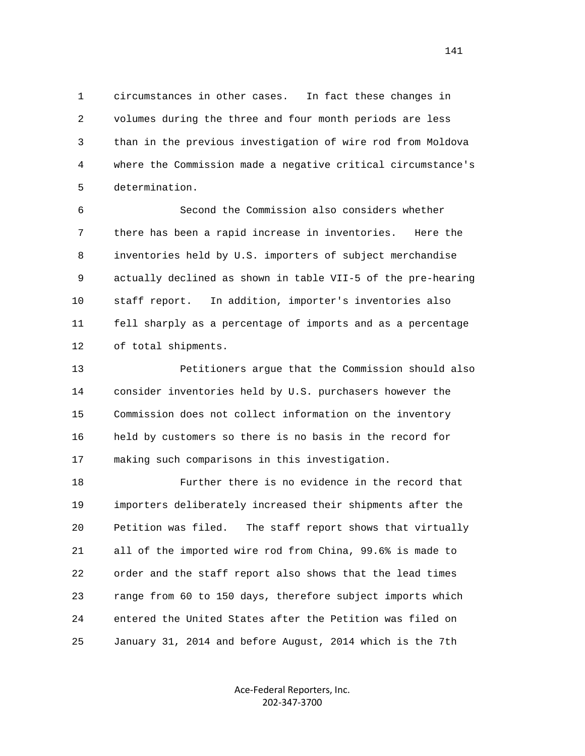1 circumstances in other cases. In fact these changes in 2 volumes during the three and four month periods are less 3 than in the previous investigation of wire rod from Moldova 4 where the Commission made a negative critical circumstance's 5 determination.

 6 Second the Commission also considers whether 7 there has been a rapid increase in inventories. Here the 8 inventories held by U.S. importers of subject merchandise 9 actually declined as shown in table VII-5 of the pre-hearing 10 staff report. In addition, importer's inventories also 11 fell sharply as a percentage of imports and as a percentage 12 of total shipments.

 13 Petitioners argue that the Commission should also 14 consider inventories held by U.S. purchasers however the 15 Commission does not collect information on the inventory 16 held by customers so there is no basis in the record for 17 making such comparisons in this investigation.

 18 Further there is no evidence in the record that 19 importers deliberately increased their shipments after the 20 Petition was filed. The staff report shows that virtually 21 all of the imported wire rod from China, 99.6% is made to 22 order and the staff report also shows that the lead times 23 range from 60 to 150 days, therefore subject imports which 24 entered the United States after the Petition was filed on 25 January 31, 2014 and before August, 2014 which is the 7th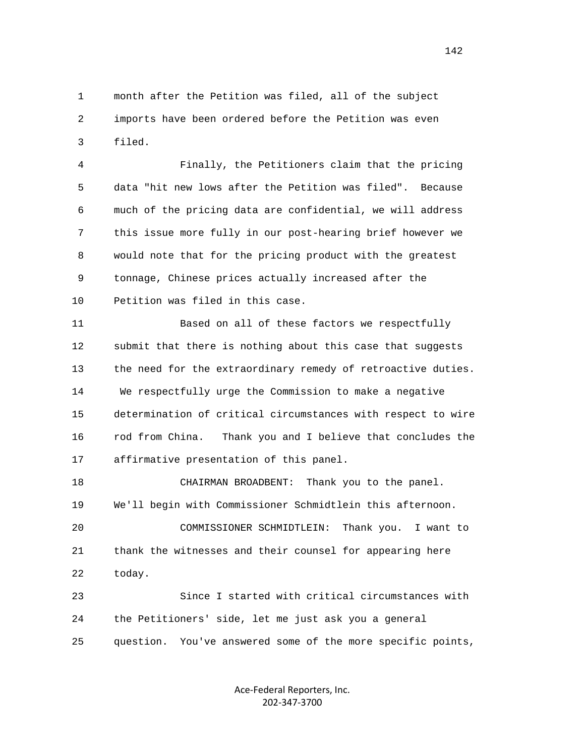1 month after the Petition was filed, all of the subject 2 imports have been ordered before the Petition was even 3 filed.

 4 Finally, the Petitioners claim that the pricing 5 data "hit new lows after the Petition was filed". Because 6 much of the pricing data are confidential, we will address 7 this issue more fully in our post-hearing brief however we 8 would note that for the pricing product with the greatest 9 tonnage, Chinese prices actually increased after the 10 Petition was filed in this case.

 11 Based on all of these factors we respectfully 12 submit that there is nothing about this case that suggests 13 the need for the extraordinary remedy of retroactive duties. 14 We respectfully urge the Commission to make a negative 15 determination of critical circumstances with respect to wire 16 rod from China. Thank you and I believe that concludes the 17 affirmative presentation of this panel.

 18 CHAIRMAN BROADBENT: Thank you to the panel. 19 We'll begin with Commissioner Schmidtlein this afternoon. 20 COMMISSIONER SCHMIDTLEIN: Thank you. I want to 21 thank the witnesses and their counsel for appearing here 22 today.

 23 Since I started with critical circumstances with 24 the Petitioners' side, let me just ask you a general 25 question. You've answered some of the more specific points,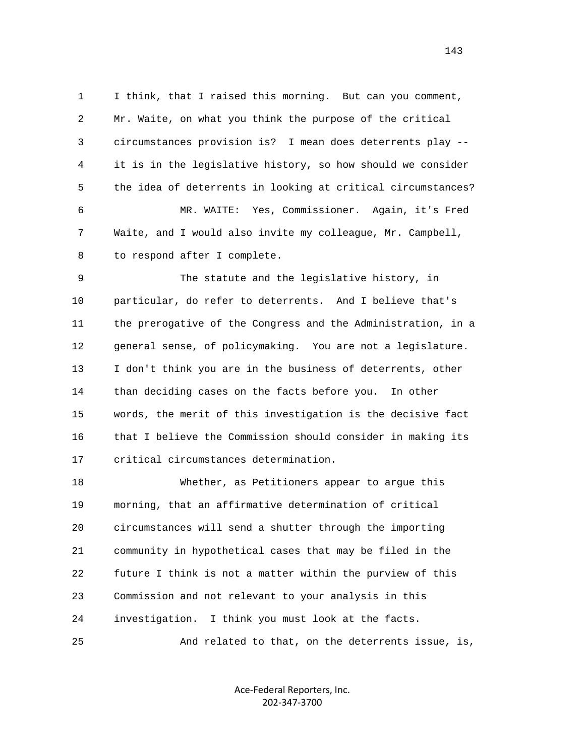1 I think, that I raised this morning. But can you comment, 2 Mr. Waite, on what you think the purpose of the critical 3 circumstances provision is? I mean does deterrents play -- 4 it is in the legislative history, so how should we consider 5 the idea of deterrents in looking at critical circumstances? 6 MR. WAITE: Yes, Commissioner. Again, it's Fred 7 Waite, and I would also invite my colleague, Mr. Campbell, 8 to respond after I complete.

 9 The statute and the legislative history, in 10 particular, do refer to deterrents. And I believe that's 11 the prerogative of the Congress and the Administration, in a 12 general sense, of policymaking. You are not a legislature. 13 I don't think you are in the business of deterrents, other 14 than deciding cases on the facts before you. In other 15 words, the merit of this investigation is the decisive fact 16 that I believe the Commission should consider in making its 17 critical circumstances determination.

 18 Whether, as Petitioners appear to argue this 19 morning, that an affirmative determination of critical 20 circumstances will send a shutter through the importing 21 community in hypothetical cases that may be filed in the 22 future I think is not a matter within the purview of this 23 Commission and not relevant to your analysis in this 24 investigation. I think you must look at the facts.

25 And related to that, on the deterrents issue, is,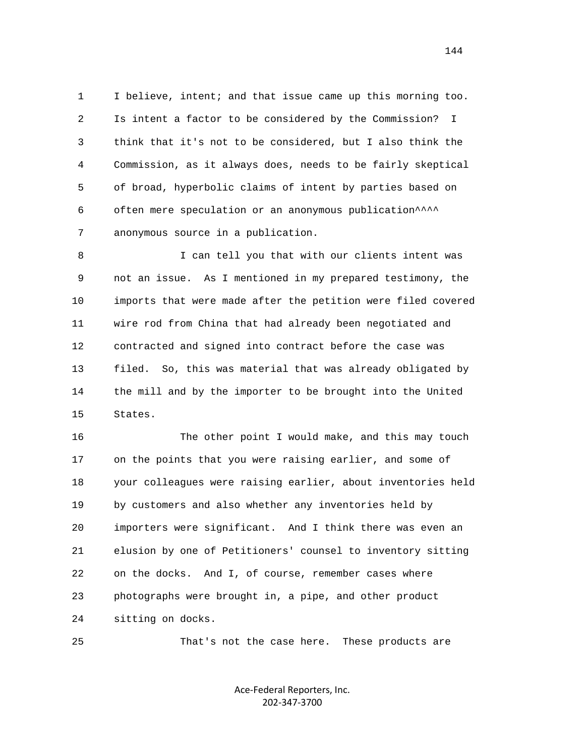1 I believe, intent; and that issue came up this morning too. 2 Is intent a factor to be considered by the Commission? I 3 think that it's not to be considered, but I also think the 4 Commission, as it always does, needs to be fairly skeptical 5 of broad, hyperbolic claims of intent by parties based on 6 often mere speculation or an anonymous publication^^^^ 7 anonymous source in a publication.

 8 I can tell you that with our clients intent was 9 not an issue. As I mentioned in my prepared testimony, the 10 imports that were made after the petition were filed covered 11 wire rod from China that had already been negotiated and 12 contracted and signed into contract before the case was 13 filed. So, this was material that was already obligated by 14 the mill and by the importer to be brought into the United 15 States.

 16 The other point I would make, and this may touch 17 on the points that you were raising earlier, and some of 18 your colleagues were raising earlier, about inventories held 19 by customers and also whether any inventories held by 20 importers were significant. And I think there was even an 21 elusion by one of Petitioners' counsel to inventory sitting 22 on the docks. And I, of course, remember cases where 23 photographs were brought in, a pipe, and other product 24 sitting on docks.

25 That's not the case here. These products are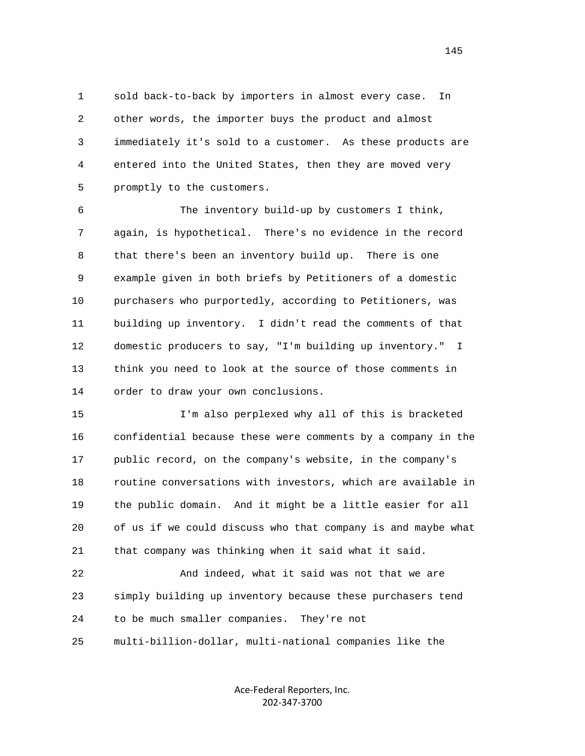1 sold back-to-back by importers in almost every case. In 2 other words, the importer buys the product and almost 3 immediately it's sold to a customer. As these products are 4 entered into the United States, then they are moved very 5 promptly to the customers.

 6 The inventory build-up by customers I think, 7 again, is hypothetical. There's no evidence in the record 8 that there's been an inventory build up. There is one 9 example given in both briefs by Petitioners of a domestic 10 purchasers who purportedly, according to Petitioners, was 11 building up inventory. I didn't read the comments of that 12 domestic producers to say, "I'm building up inventory." I 13 think you need to look at the source of those comments in 14 order to draw your own conclusions.

 15 I'm also perplexed why all of this is bracketed 16 confidential because these were comments by a company in the 17 public record, on the company's website, in the company's 18 routine conversations with investors, which are available in 19 the public domain. And it might be a little easier for all 20 of us if we could discuss who that company is and maybe what 21 that company was thinking when it said what it said.

 22 And indeed, what it said was not that we are 23 simply building up inventory because these purchasers tend 24 to be much smaller companies. They're not

25 multi-billion-dollar, multi-national companies like the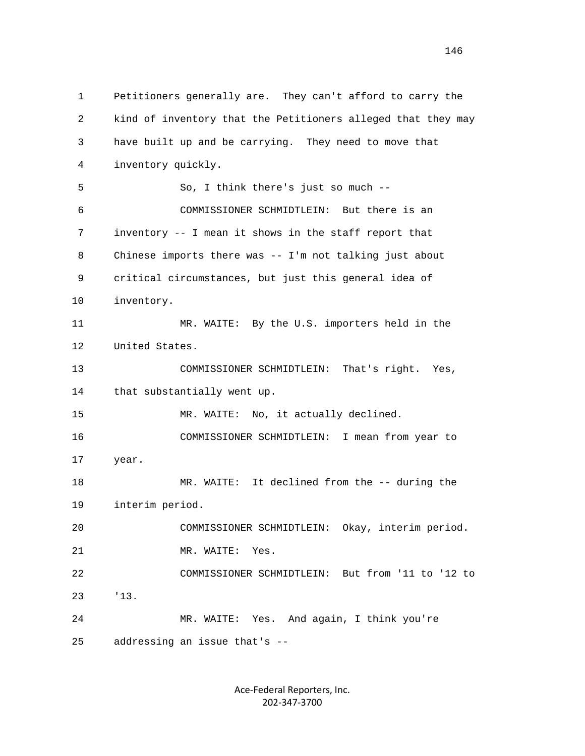1 Petitioners generally are. They can't afford to carry the 2 kind of inventory that the Petitioners alleged that they may 3 have built up and be carrying. They need to move that 4 inventory quickly. 5 So, I think there's just so much -- 6 COMMISSIONER SCHMIDTLEIN: But there is an 7 inventory -- I mean it shows in the staff report that 8 Chinese imports there was -- I'm not talking just about 9 critical circumstances, but just this general idea of 10 inventory. 11 MR. WAITE: By the U.S. importers held in the 12 United States. 13 COMMISSIONER SCHMIDTLEIN: That's right. Yes, 14 that substantially went up. 15 MR. WAITE: No, it actually declined. 16 COMMISSIONER SCHMIDTLEIN: I mean from year to 17 year. 18 MR. WAITE: It declined from the -- during the 19 interim period. 20 COMMISSIONER SCHMIDTLEIN: Okay, interim period. 21 MR. WAITE: Yes. 22 COMMISSIONER SCHMIDTLEIN: But from '11 to '12 to 23 '13. 24 MR. WAITE: Yes. And again, I think you're 25 addressing an issue that's --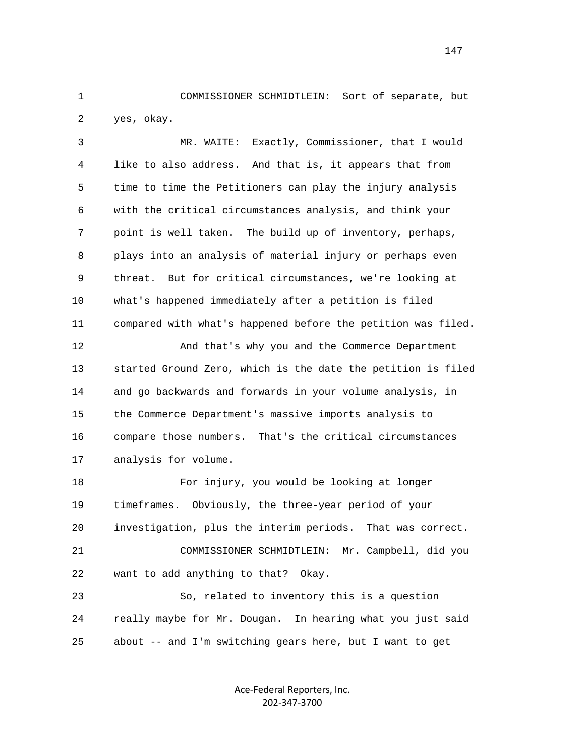1 COMMISSIONER SCHMIDTLEIN: Sort of separate, but 2 yes, okay.

 3 MR. WAITE: Exactly, Commissioner, that I would 4 like to also address. And that is, it appears that from 5 time to time the Petitioners can play the injury analysis 6 with the critical circumstances analysis, and think your 7 point is well taken. The build up of inventory, perhaps, 8 plays into an analysis of material injury or perhaps even 9 threat. But for critical circumstances, we're looking at 10 what's happened immediately after a petition is filed 11 compared with what's happened before the petition was filed.

 12 And that's why you and the Commerce Department 13 started Ground Zero, which is the date the petition is filed 14 and go backwards and forwards in your volume analysis, in 15 the Commerce Department's massive imports analysis to 16 compare those numbers. That's the critical circumstances 17 analysis for volume.

 18 For injury, you would be looking at longer 19 timeframes. Obviously, the three-year period of your 20 investigation, plus the interim periods. That was correct. 21 COMMISSIONER SCHMIDTLEIN: Mr. Campbell, did you 22 want to add anything to that? Okay.

 23 So, related to inventory this is a question 24 really maybe for Mr. Dougan. In hearing what you just said 25 about -- and I'm switching gears here, but I want to get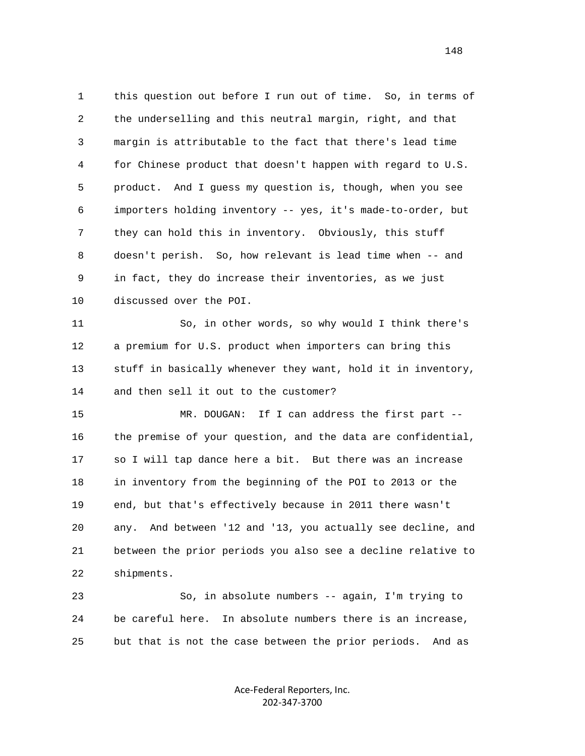1 this question out before I run out of time. So, in terms of 2 the underselling and this neutral margin, right, and that 3 margin is attributable to the fact that there's lead time 4 for Chinese product that doesn't happen with regard to U.S. 5 product. And I guess my question is, though, when you see 6 importers holding inventory -- yes, it's made-to-order, but 7 they can hold this in inventory. Obviously, this stuff 8 doesn't perish. So, how relevant is lead time when -- and 9 in fact, they do increase their inventories, as we just 10 discussed over the POI.

 11 So, in other words, so why would I think there's 12 a premium for U.S. product when importers can bring this 13 stuff in basically whenever they want, hold it in inventory, 14 and then sell it out to the customer?

 15 MR. DOUGAN: If I can address the first part -- 16 the premise of your question, and the data are confidential, 17 so I will tap dance here a bit. But there was an increase 18 in inventory from the beginning of the POI to 2013 or the 19 end, but that's effectively because in 2011 there wasn't 20 any. And between '12 and '13, you actually see decline, and 21 between the prior periods you also see a decline relative to 22 shipments.

 23 So, in absolute numbers -- again, I'm trying to 24 be careful here. In absolute numbers there is an increase, 25 but that is not the case between the prior periods. And as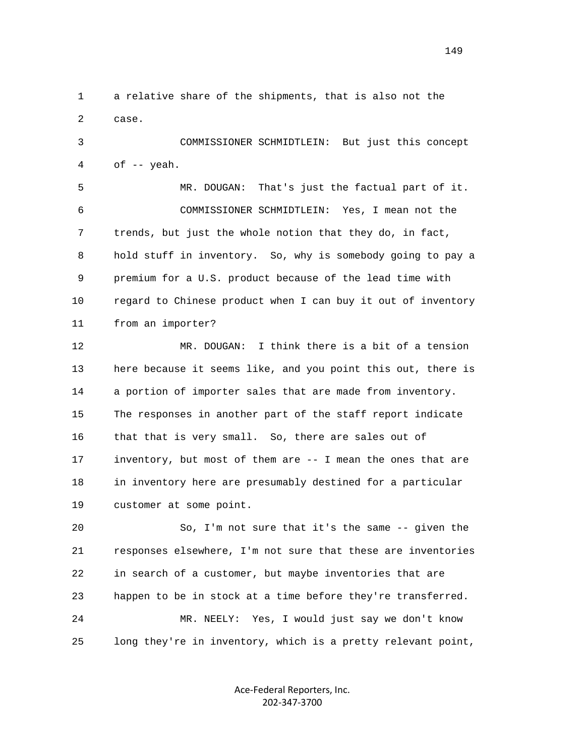1 a relative share of the shipments, that is also not the 2 case. 3 COMMISSIONER SCHMIDTLEIN: But just this concept  $4$  of  $-$  yeah. 5 MR. DOUGAN: That's just the factual part of it. 6 COMMISSIONER SCHMIDTLEIN: Yes, I mean not the 7 trends, but just the whole notion that they do, in fact, 8 hold stuff in inventory. So, why is somebody going to pay a 9 premium for a U.S. product because of the lead time with 10 regard to Chinese product when I can buy it out of inventory 11 from an importer? 12 MR. DOUGAN: I think there is a bit of a tension 13 here because it seems like, and you point this out, there is 14 a portion of importer sales that are made from inventory. 15 The responses in another part of the staff report indicate 16 that that is very small. So, there are sales out of 17 inventory, but most of them are -- I mean the ones that are 18 in inventory here are presumably destined for a particular 19 customer at some point.

 20 So, I'm not sure that it's the same -- given the 21 responses elsewhere, I'm not sure that these are inventories 22 in search of a customer, but maybe inventories that are 23 happen to be in stock at a time before they're transferred. 24 MR. NEELY: Yes, I would just say we don't know 25 long they're in inventory, which is a pretty relevant point,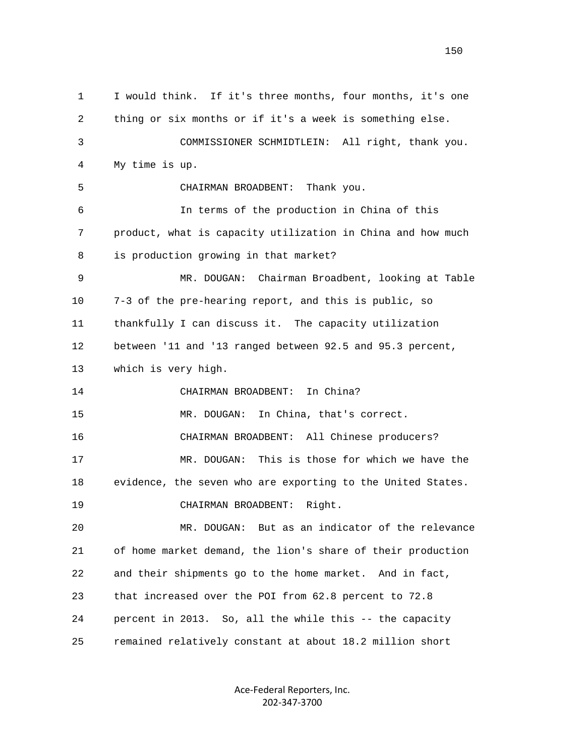1 I would think. If it's three months, four months, it's one 2 thing or six months or if it's a week is something else. 3 COMMISSIONER SCHMIDTLEIN: All right, thank you. 4 My time is up. 5 CHAIRMAN BROADBENT: Thank you. 6 In terms of the production in China of this 7 product, what is capacity utilization in China and how much 8 is production growing in that market? 9 MR. DOUGAN: Chairman Broadbent, looking at Table 10 7-3 of the pre-hearing report, and this is public, so 11 thankfully I can discuss it. The capacity utilization 12 between '11 and '13 ranged between 92.5 and 95.3 percent, 13 which is very high. 14 CHAIRMAN BROADBENT: In China? 15 MR. DOUGAN: In China, that's correct. 16 CHAIRMAN BROADBENT: All Chinese producers? 17 MR. DOUGAN: This is those for which we have the 18 evidence, the seven who are exporting to the United States. 19 CHAIRMAN BROADBENT: Right. 20 MR. DOUGAN: But as an indicator of the relevance 21 of home market demand, the lion's share of their production 22 and their shipments go to the home market. And in fact, 23 that increased over the POI from 62.8 percent to 72.8 24 percent in 2013. So, all the while this -- the capacity 25 remained relatively constant at about 18.2 million short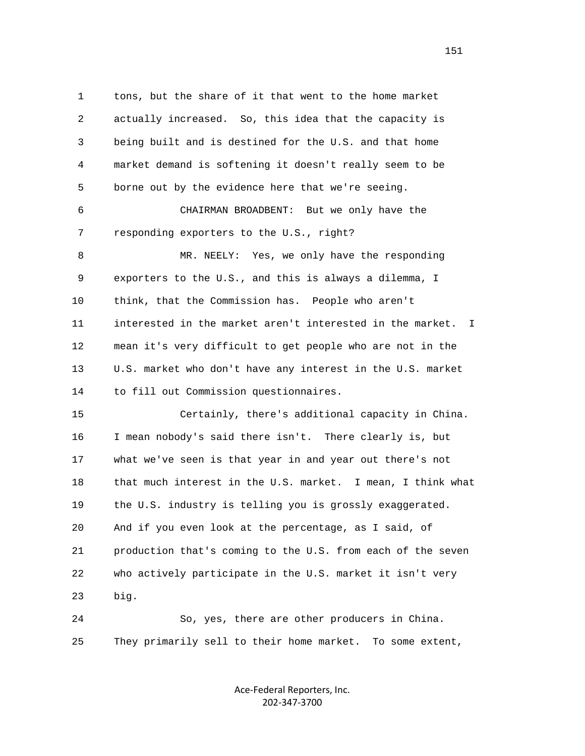1 tons, but the share of it that went to the home market 2 actually increased. So, this idea that the capacity is 3 being built and is destined for the U.S. and that home 4 market demand is softening it doesn't really seem to be 5 borne out by the evidence here that we're seeing. 6 CHAIRMAN BROADBENT: But we only have the 7 responding exporters to the U.S., right? 8 MR. NEELY: Yes, we only have the responding 9 exporters to the U.S., and this is always a dilemma, I 10 think, that the Commission has. People who aren't 11 interested in the market aren't interested in the market. I 12 mean it's very difficult to get people who are not in the 13 U.S. market who don't have any interest in the U.S. market 14 to fill out Commission questionnaires. 15 Certainly, there's additional capacity in China. 16 I mean nobody's said there isn't. There clearly is, but 17 what we've seen is that year in and year out there's not 18 that much interest in the U.S. market. I mean, I think what 19 the U.S. industry is telling you is grossly exaggerated. 20 And if you even look at the percentage, as I said, of 21 production that's coming to the U.S. from each of the seven 22 who actively participate in the U.S. market it isn't very 23 big. 24 So, yes, there are other producers in China.

25 They primarily sell to their home market. To some extent,

Ace‐Federal Reporters, Inc. 202‐347‐3700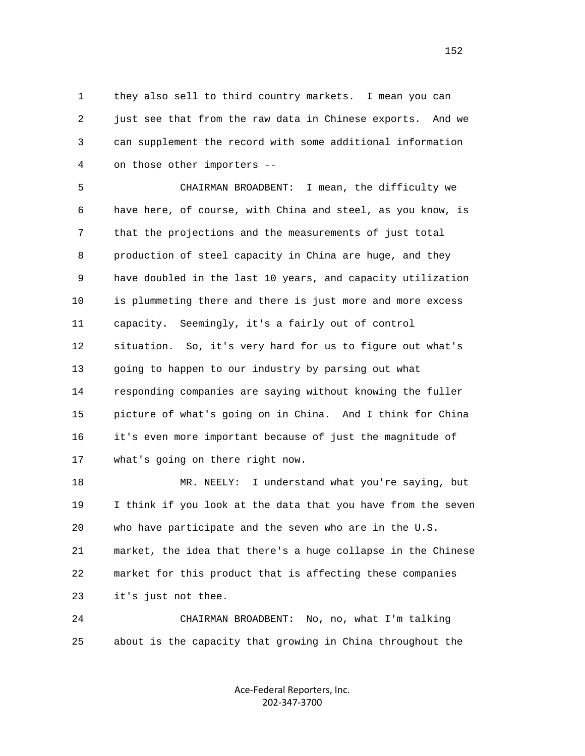1 they also sell to third country markets. I mean you can 2 just see that from the raw data in Chinese exports. And we 3 can supplement the record with some additional information 4 on those other importers --

 5 CHAIRMAN BROADBENT: I mean, the difficulty we 6 have here, of course, with China and steel, as you know, is 7 that the projections and the measurements of just total 8 production of steel capacity in China are huge, and they 9 have doubled in the last 10 years, and capacity utilization 10 is plummeting there and there is just more and more excess 11 capacity. Seemingly, it's a fairly out of control 12 situation. So, it's very hard for us to figure out what's 13 going to happen to our industry by parsing out what 14 responding companies are saying without knowing the fuller 15 picture of what's going on in China. And I think for China 16 it's even more important because of just the magnitude of 17 what's going on there right now.

 18 MR. NEELY: I understand what you're saying, but 19 I think if you look at the data that you have from the seven 20 who have participate and the seven who are in the U.S. 21 market, the idea that there's a huge collapse in the Chinese 22 market for this product that is affecting these companies 23 it's just not thee.

 24 CHAIRMAN BROADBENT: No, no, what I'm talking 25 about is the capacity that growing in China throughout the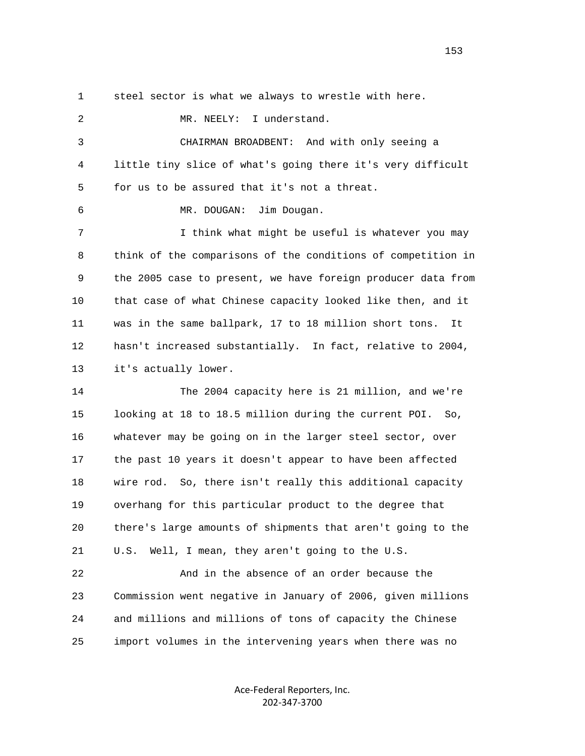1 steel sector is what we always to wrestle with here.

2 MR. NEELY: I understand. 3 CHAIRMAN BROADBENT: And with only seeing a 4 little tiny slice of what's going there it's very difficult 5 for us to be assured that it's not a threat. 6 MR. DOUGAN: Jim Dougan. 7 I think what might be useful is whatever you may 8 think of the comparisons of the conditions of competition in 9 the 2005 case to present, we have foreign producer data from 10 that case of what Chinese capacity looked like then, and it 11 was in the same ballpark, 17 to 18 million short tons. It 12 hasn't increased substantially. In fact, relative to 2004, 13 it's actually lower. 14 The 2004 capacity here is 21 million, and we're 15 looking at 18 to 18.5 million during the current POI. So, 16 whatever may be going on in the larger steel sector, over 17 the past 10 years it doesn't appear to have been affected 18 wire rod. So, there isn't really this additional capacity 19 overhang for this particular product to the degree that 20 there's large amounts of shipments that aren't going to the

 21 U.S. Well, I mean, they aren't going to the U.S. 22 And in the absence of an order because the 23 Commission went negative in January of 2006, given millions 24 and millions and millions of tons of capacity the Chinese

25 import volumes in the intervening years when there was no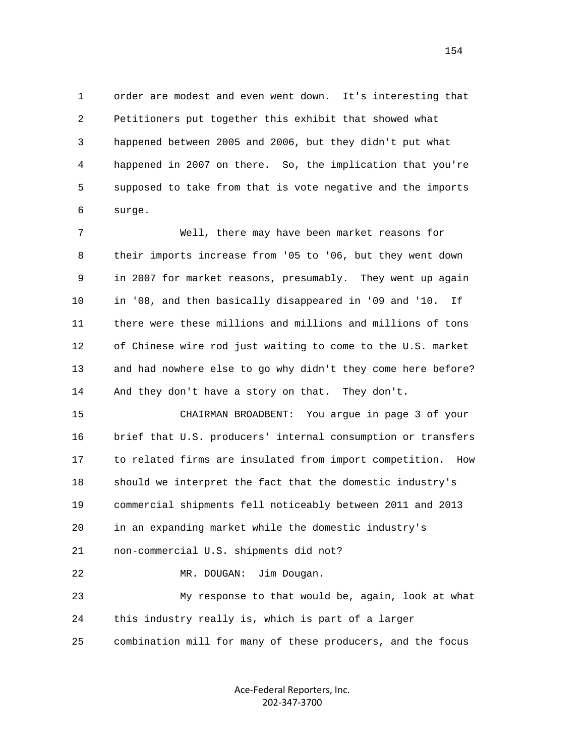1 order are modest and even went down. It's interesting that 2 Petitioners put together this exhibit that showed what 3 happened between 2005 and 2006, but they didn't put what 4 happened in 2007 on there. So, the implication that you're 5 supposed to take from that is vote negative and the imports 6 surge.

 7 Well, there may have been market reasons for 8 their imports increase from '05 to '06, but they went down 9 in 2007 for market reasons, presumably. They went up again 10 in '08, and then basically disappeared in '09 and '10. If 11 there were these millions and millions and millions of tons 12 of Chinese wire rod just waiting to come to the U.S. market 13 and had nowhere else to go why didn't they come here before? 14 And they don't have a story on that. They don't.

 15 CHAIRMAN BROADBENT: You argue in page 3 of your 16 brief that U.S. producers' internal consumption or transfers 17 to related firms are insulated from import competition. How 18 should we interpret the fact that the domestic industry's 19 commercial shipments fell noticeably between 2011 and 2013 20 in an expanding market while the domestic industry's 21 non-commercial U.S. shipments did not? 22 MR. DOUGAN: Jim Dougan.

 23 My response to that would be, again, look at what 24 this industry really is, which is part of a larger 25 combination mill for many of these producers, and the focus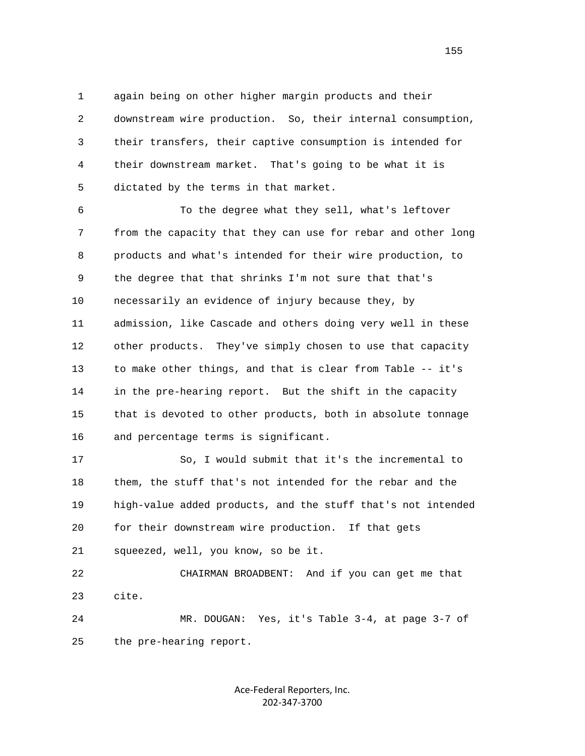1 again being on other higher margin products and their 2 downstream wire production. So, their internal consumption, 3 their transfers, their captive consumption is intended for 4 their downstream market. That's going to be what it is 5 dictated by the terms in that market.

 6 To the degree what they sell, what's leftover 7 from the capacity that they can use for rebar and other long 8 products and what's intended for their wire production, to 9 the degree that that shrinks I'm not sure that that's 10 necessarily an evidence of injury because they, by 11 admission, like Cascade and others doing very well in these 12 other products. They've simply chosen to use that capacity 13 to make other things, and that is clear from Table -- it's 14 in the pre-hearing report. But the shift in the capacity 15 that is devoted to other products, both in absolute tonnage 16 and percentage terms is significant.

 17 So, I would submit that it's the incremental to 18 them, the stuff that's not intended for the rebar and the 19 high-value added products, and the stuff that's not intended 20 for their downstream wire production. If that gets 21 squeezed, well, you know, so be it.

 22 CHAIRMAN BROADBENT: And if you can get me that 23 cite.

 24 MR. DOUGAN: Yes, it's Table 3-4, at page 3-7 of 25 the pre-hearing report.

> Ace‐Federal Reporters, Inc. 202‐347‐3700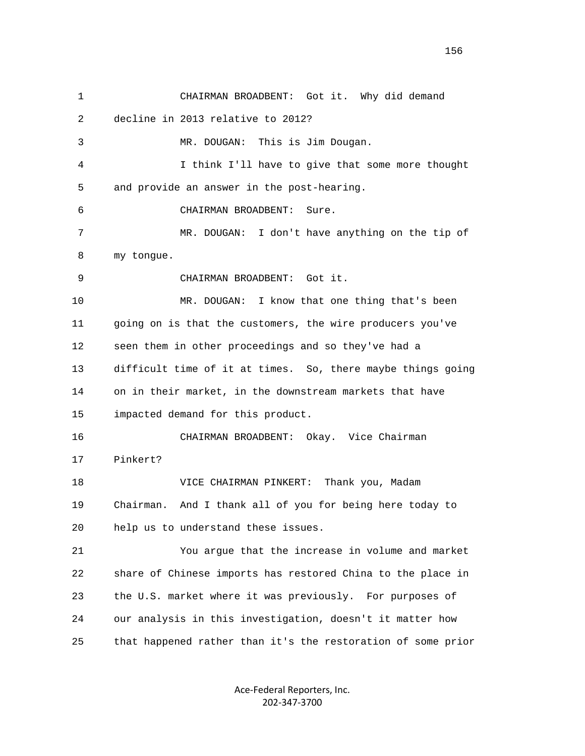1 CHAIRMAN BROADBENT: Got it. Why did demand 2 decline in 2013 relative to 2012? 3 MR. DOUGAN: This is Jim Dougan. 4 I think I'll have to give that some more thought 5 and provide an answer in the post-hearing. 6 CHAIRMAN BROADBENT: Sure. 7 MR. DOUGAN: I don't have anything on the tip of 8 my tongue. 9 CHAIRMAN BROADBENT: Got it. 10 MR. DOUGAN: I know that one thing that's been 11 going on is that the customers, the wire producers you've 12 seen them in other proceedings and so they've had a 13 difficult time of it at times. So, there maybe things going 14 on in their market, in the downstream markets that have 15 impacted demand for this product. 16 CHAIRMAN BROADBENT: Okay. Vice Chairman 17 Pinkert? 18 VICE CHAIRMAN PINKERT: Thank you, Madam 19 Chairman. And I thank all of you for being here today to 20 help us to understand these issues. 21 You argue that the increase in volume and market 22 share of Chinese imports has restored China to the place in 23 the U.S. market where it was previously. For purposes of 24 our analysis in this investigation, doesn't it matter how 25 that happened rather than it's the restoration of some prior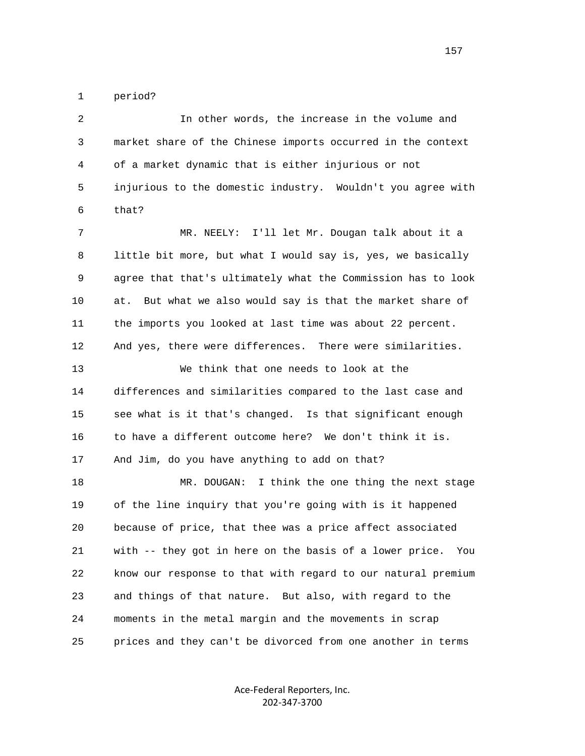1 period?

 2 In other words, the increase in the volume and 3 market share of the Chinese imports occurred in the context 4 of a market dynamic that is either injurious or not 5 injurious to the domestic industry. Wouldn't you agree with 6 that? 7 MR. NEELY: I'll let Mr. Dougan talk about it a 8 little bit more, but what I would say is, yes, we basically 9 agree that that's ultimately what the Commission has to look 10 at. But what we also would say is that the market share of 11 the imports you looked at last time was about 22 percent. 12 And yes, there were differences. There were similarities. 13 We think that one needs to look at the 14 differences and similarities compared to the last case and 15 see what is it that's changed. Is that significant enough 16 to have a different outcome here? We don't think it is. 17 And Jim, do you have anything to add on that? 18 MR. DOUGAN: I think the one thing the next stage 19 of the line inquiry that you're going with is it happened 20 because of price, that thee was a price affect associated 21 with -- they got in here on the basis of a lower price. You 22 know our response to that with regard to our natural premium 23 and things of that nature. But also, with regard to the 24 moments in the metal margin and the movements in scrap 25 prices and they can't be divorced from one another in terms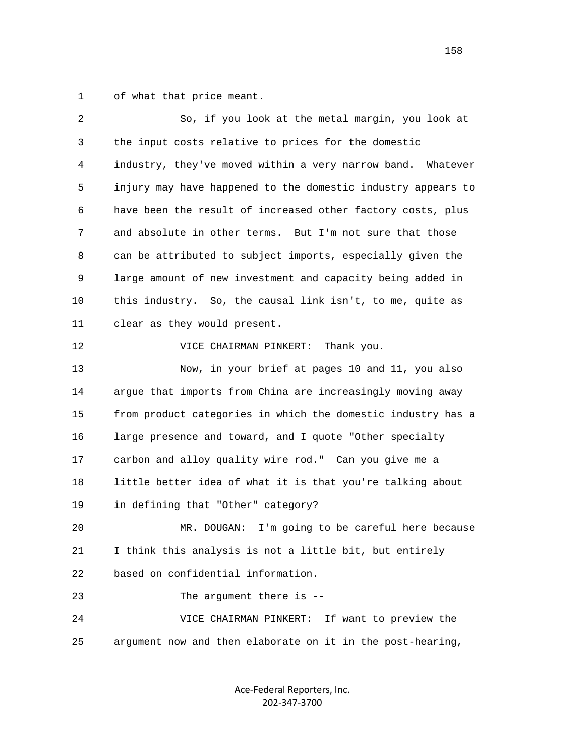1 of what that price meant.

| 2  | So, if you look at the metal margin, you look at             |
|----|--------------------------------------------------------------|
| 3  | the input costs relative to prices for the domestic          |
| 4  | industry, they've moved within a very narrow band. Whatever  |
| 5  | injury may have happened to the domestic industry appears to |
| 6  | have been the result of increased other factory costs, plus  |
| 7  | and absolute in other terms. But I'm not sure that those     |
| 8  | can be attributed to subject imports, especially given the   |
| 9  | large amount of new investment and capacity being added in   |
| 10 | this industry. So, the causal link isn't, to me, quite as    |
| 11 | clear as they would present.                                 |
| 12 | VICE CHAIRMAN PINKERT:<br>Thank you.                         |
| 13 | Now, in your brief at pages 10 and 11, you also              |
| 14 | argue that imports from China are increasingly moving away   |
| 15 | from product categories in which the domestic industry has a |
| 16 | large presence and toward, and I quote "Other specialty      |
| 17 | carbon and alloy quality wire rod." Can you give me a        |
| 18 | little better idea of what it is that you're talking about   |
| 19 | in defining that "Other" category?                           |
| 20 | I'm going to be careful here because<br>MR. DOUGAN:          |
| 21 | I think this analysis is not a little bit, but entirely      |
| 22 | based on confidential information.                           |
| 23 | The argument there is --                                     |
| 24 | If want to preview the<br>VICE CHAIRMAN PINKERT:             |
| 25 | argument now and then elaborate on it in the post-hearing,   |
|    |                                                              |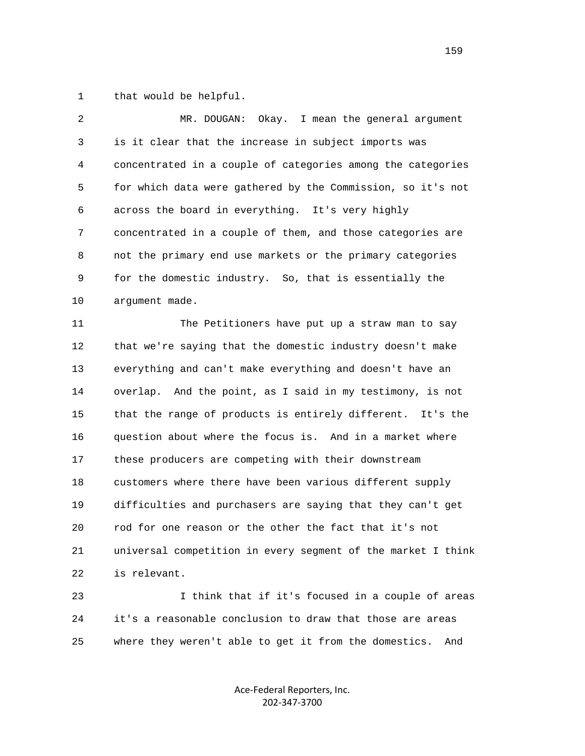1 that would be helpful.

| 2  | Okay. I mean the general argument<br>MR. DOUGAN:             |
|----|--------------------------------------------------------------|
| 3  | is it clear that the increase in subject imports was         |
| 4  | concentrated in a couple of categories among the categories  |
| 5  | for which data were gathered by the Commission, so it's not  |
| 6  | across the board in everything. It's very highly             |
| 7  | concentrated in a couple of them, and those categories are   |
| 8  | not the primary end use markets or the primary categories    |
| 9  | for the domestic industry. So, that is essentially the       |
| 10 | argument made.                                               |
| 11 | The Petitioners have put up a straw man to say               |
| 12 | that we're saying that the domestic industry doesn't make    |
| 13 | everything and can't make everything and doesn't have an     |
| 14 | overlap. And the point, as I said in my testimony, is not    |
| 15 | that the range of products is entirely different. It's the   |
| 16 | question about where the focus is. And in a market where     |
| 17 | these producers are competing with their downstream          |
| 18 | customers where there have been various different supply     |
| 19 | difficulties and purchasers are saying that they can't get   |
| 20 | rod for one reason or the other the fact that it's not       |
| 21 | universal competition in every segment of the market I think |
| 22 | is relevant.                                                 |
| 23 | I think that if it's focused in a couple of areas            |
|    |                                                              |

 24 it's a reasonable conclusion to draw that those are areas 25 where they weren't able to get it from the domestics. And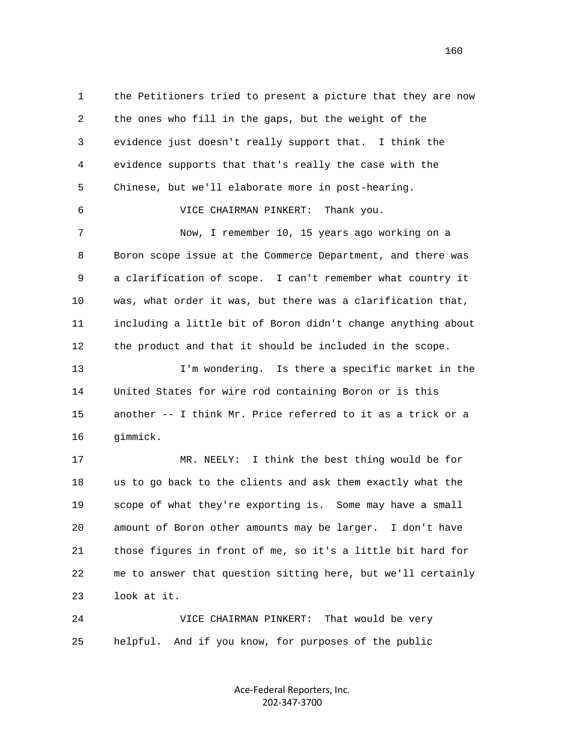1 the Petitioners tried to present a picture that they are now 2 the ones who fill in the gaps, but the weight of the 3 evidence just doesn't really support that. I think the 4 evidence supports that that's really the case with the 5 Chinese, but we'll elaborate more in post-hearing. 6 VICE CHAIRMAN PINKERT: Thank you. 7 Now, I remember 10, 15 years ago working on a 8 Boron scope issue at the Commerce Department, and there was 9 a clarification of scope. I can't remember what country it 10 was, what order it was, but there was a clarification that, 11 including a little bit of Boron didn't change anything about 12 the product and that it should be included in the scope. 13 I'm wondering. Is there a specific market in the 14 United States for wire rod containing Boron or is this 15 another -- I think Mr. Price referred to it as a trick or a 16 gimmick. 17 MR. NEELY: I think the best thing would be for 18 us to go back to the clients and ask them exactly what the 19 scope of what they're exporting is. Some may have a small 20 amount of Boron other amounts may be larger. I don't have 21 those figures in front of me, so it's a little bit hard for 22 me to answer that question sitting here, but we'll certainly 23 look at it.

 24 VICE CHAIRMAN PINKERT: That would be very 25 helpful. And if you know, for purposes of the public

> Ace‐Federal Reporters, Inc. 202‐347‐3700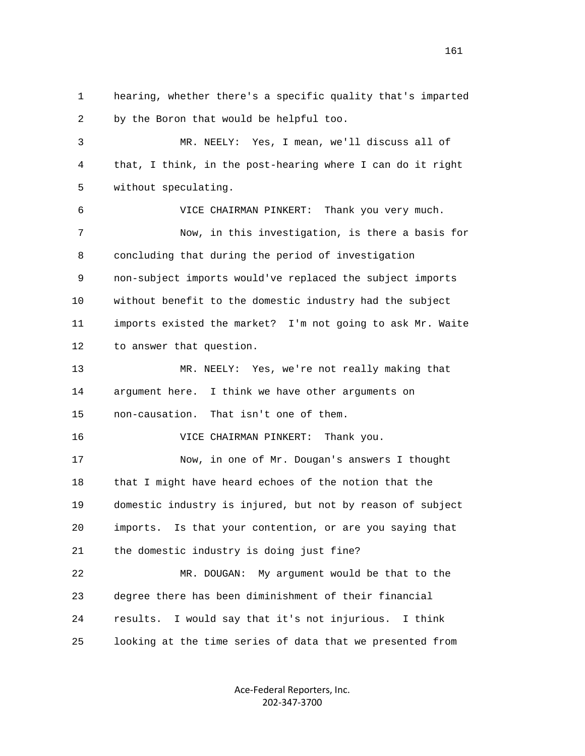1 hearing, whether there's a specific quality that's imparted 2 by the Boron that would be helpful too. 3 MR. NEELY: Yes, I mean, we'll discuss all of 4 that, I think, in the post-hearing where I can do it right 5 without speculating. 6 VICE CHAIRMAN PINKERT: Thank you very much. 7 Now, in this investigation, is there a basis for 8 concluding that during the period of investigation 9 non-subject imports would've replaced the subject imports 10 without benefit to the domestic industry had the subject 11 imports existed the market? I'm not going to ask Mr. Waite 12 to answer that question. 13 MR. NEELY: Yes, we're not really making that 14 argument here. I think we have other arguments on 15 non-causation. That isn't one of them. 16 VICE CHAIRMAN PINKERT: Thank you. 17 Now, in one of Mr. Dougan's answers I thought 18 that I might have heard echoes of the notion that the 19 domestic industry is injured, but not by reason of subject 20 imports. Is that your contention, or are you saying that 21 the domestic industry is doing just fine? 22 MR. DOUGAN: My argument would be that to the 23 degree there has been diminishment of their financial 24 results. I would say that it's not injurious. I think 25 looking at the time series of data that we presented from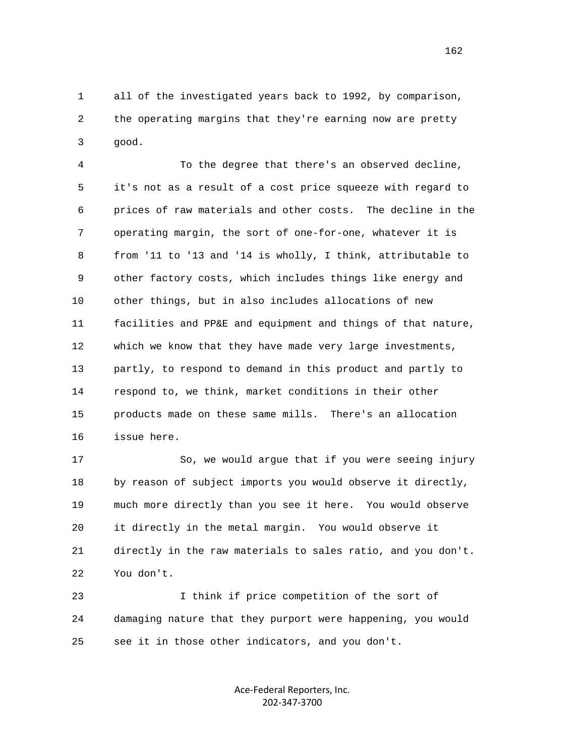1 all of the investigated years back to 1992, by comparison, 2 the operating margins that they're earning now are pretty 3 good.

 4 To the degree that there's an observed decline, 5 it's not as a result of a cost price squeeze with regard to 6 prices of raw materials and other costs. The decline in the 7 operating margin, the sort of one-for-one, whatever it is 8 from '11 to '13 and '14 is wholly, I think, attributable to 9 other factory costs, which includes things like energy and 10 other things, but in also includes allocations of new 11 facilities and PP&E and equipment and things of that nature, 12 which we know that they have made very large investments, 13 partly, to respond to demand in this product and partly to 14 respond to, we think, market conditions in their other 15 products made on these same mills. There's an allocation 16 issue here.

 17 So, we would argue that if you were seeing injury 18 by reason of subject imports you would observe it directly, 19 much more directly than you see it here. You would observe 20 it directly in the metal margin. You would observe it 21 directly in the raw materials to sales ratio, and you don't. 22 You don't.

 23 I think if price competition of the sort of 24 damaging nature that they purport were happening, you would 25 see it in those other indicators, and you don't.

> Ace‐Federal Reporters, Inc. 202‐347‐3700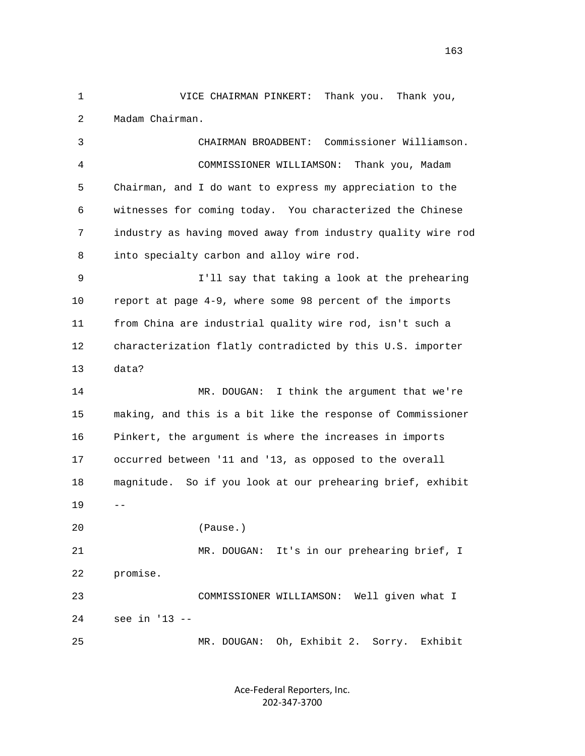1 VICE CHAIRMAN PINKERT: Thank you. Thank you, 2 Madam Chairman.

 3 CHAIRMAN BROADBENT: Commissioner Williamson. 4 COMMISSIONER WILLIAMSON: Thank you, Madam 5 Chairman, and I do want to express my appreciation to the 6 witnesses for coming today. You characterized the Chinese 7 industry as having moved away from industry quality wire rod 8 into specialty carbon and alloy wire rod. 9 I'll say that taking a look at the prehearing 10 report at page 4-9, where some 98 percent of the imports

 11 from China are industrial quality wire rod, isn't such a 12 characterization flatly contradicted by this U.S. importer 13 data?

 14 MR. DOUGAN: I think the argument that we're 15 making, and this is a bit like the response of Commissioner 16 Pinkert, the argument is where the increases in imports 17 occurred between '11 and '13, as opposed to the overall 18 magnitude. So if you look at our prehearing brief, exhibit  $19$  --

20 (Pause.)

 21 MR. DOUGAN: It's in our prehearing brief, I 22 promise. 23 COMMISSIONER WILLIAMSON: Well given what I 24 see in '13 -- 25 MR. DOUGAN: Oh, Exhibit 2. Sorry. Exhibit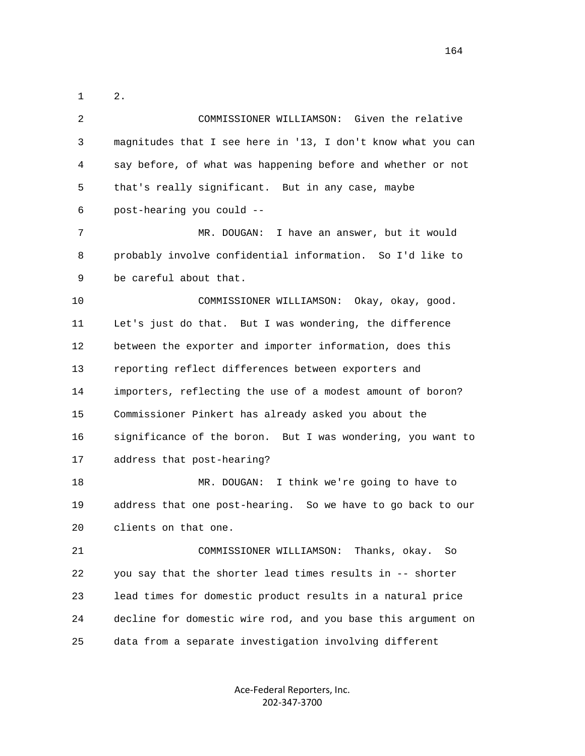1 2. 2 COMMISSIONER WILLIAMSON: Given the relative 3 magnitudes that I see here in '13, I don't know what you can 4 say before, of what was happening before and whether or not 5 that's really significant. But in any case, maybe 6 post-hearing you could -- 7 MR. DOUGAN: I have an answer, but it would 8 probably involve confidential information. So I'd like to 9 be careful about that. 10 COMMISSIONER WILLIAMSON: Okay, okay, good. 11 Let's just do that. But I was wondering, the difference 12 between the exporter and importer information, does this 13 reporting reflect differences between exporters and 14 importers, reflecting the use of a modest amount of boron? 15 Commissioner Pinkert has already asked you about the 16 significance of the boron. But I was wondering, you want to 17 address that post-hearing? 18 MR. DOUGAN: I think we're going to have to 19 address that one post-hearing. So we have to go back to our 20 clients on that one. 21 COMMISSIONER WILLIAMSON: Thanks, okay. So 22 you say that the shorter lead times results in -- shorter 23 lead times for domestic product results in a natural price 24 decline for domestic wire rod, and you base this argument on 25 data from a separate investigation involving different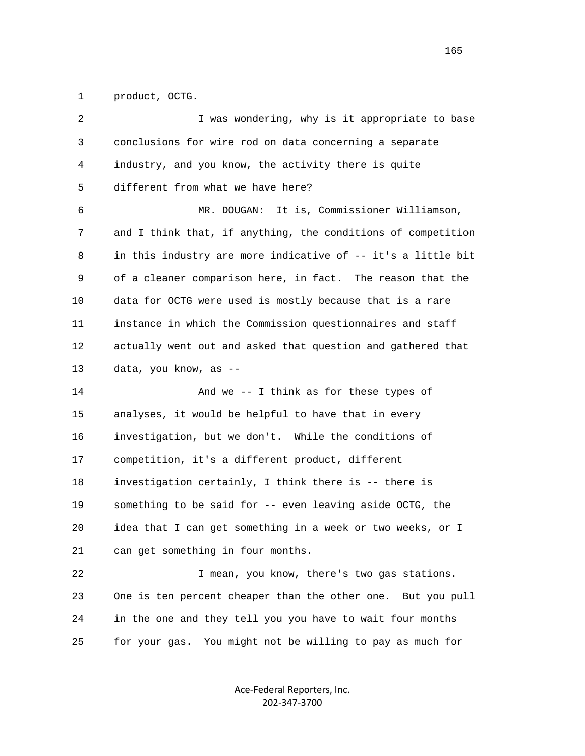1 product, OCTG.

| 2  | I was wondering, why is it appropriate to base               |
|----|--------------------------------------------------------------|
| 3  | conclusions for wire rod on data concerning a separate       |
| 4  | industry, and you know, the activity there is quite          |
| 5  | different from what we have here?                            |
| 6  | It is, Commissioner Williamson,<br>MR. DOUGAN:               |
| 7  | and I think that, if anything, the conditions of competition |
| 8  | in this industry are more indicative of -- it's a little bit |
| 9  | of a cleaner comparison here, in fact. The reason that the   |
| 10 | data for OCTG were used is mostly because that is a rare     |
| 11 | instance in which the Commission questionnaires and staff    |
| 12 | actually went out and asked that question and gathered that  |
| 13 | data, you know, as --                                        |
| 14 | And we -- I think as for these types of                      |
| 15 | analyses, it would be helpful to have that in every          |
| 16 | investigation, but we don't. While the conditions of         |
| 17 | competition, it's a different product, different             |
| 18 | investigation certainly, I think there is -- there is        |
| 19 | something to be said for -- even leaving aside OCTG, the     |
| 20 | idea that I can get something in a week or two weeks, or I   |
| 21 | can get something in four months.                            |
| 22 | I mean, you know, there's two gas stations.                  |
| 23 | One is ten percent cheaper than the other one. But you pull  |
| 24 | in the one and they tell you you have to wait four months    |
| 25 | You might not be willing to pay as much for<br>for your gas. |
|    |                                                              |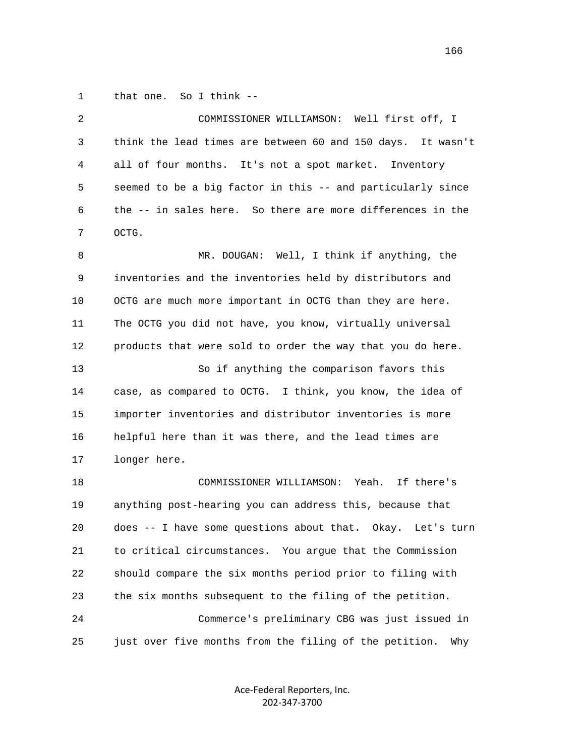1 that one. So I think --

| 2  | COMMISSIONER WILLIAMSON: Well first off, I                    |
|----|---------------------------------------------------------------|
| 3  | think the lead times are between 60 and 150 days. It wasn't   |
| 4  | all of four months. It's not a spot market. Inventory         |
| 5  | seemed to be a big factor in this -- and particularly since   |
| 6  | the -- in sales here. So there are more differences in the    |
| 7  | OCTG.                                                         |
| 8  | MR. DOUGAN: Well, I think if anything, the                    |
| 9  | inventories and the inventories held by distributors and      |
| 10 | OCTG are much more important in OCTG than they are here.      |
| 11 | The OCTG you did not have, you know, virtually universal      |
| 12 | products that were sold to order the way that you do here.    |
| 13 | So if anything the comparison favors this                     |
| 14 | case, as compared to OCTG. I think, you know, the idea of     |
| 15 | importer inventories and distributor inventories is more      |
| 16 | helpful here than it was there, and the lead times are        |
| 17 | longer here.                                                  |
| 18 | COMMISSIONER WILLIAMSON:<br>Yeah.<br>If there's               |
| 19 | anything post-hearing you can address this, because that      |
| 20 | does -- I have some questions about that. Okay. Let's turn    |
| 21 | to critical circumstances. You argue that the Commission      |
| 22 | should compare the six months period prior to filing with     |
| 23 | the six months subsequent to the filing of the petition.      |
| 24 | Commerce's preliminary CBG was just issued in                 |
| 25 | just over five months from the filing of the petition.<br>Why |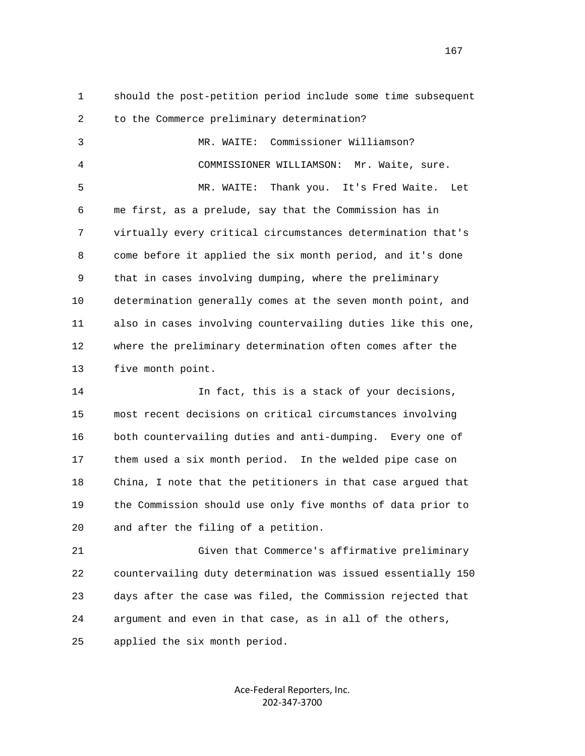1 should the post-petition period include some time subsequent 2 to the Commerce preliminary determination?

 3 MR. WAITE: Commissioner Williamson? 4 COMMISSIONER WILLIAMSON: Mr. Waite, sure. 5 MR. WAITE: Thank you. It's Fred Waite. Let 6 me first, as a prelude, say that the Commission has in 7 virtually every critical circumstances determination that's 8 come before it applied the six month period, and it's done 9 that in cases involving dumping, where the preliminary 10 determination generally comes at the seven month point, and 11 also in cases involving countervailing duties like this one, 12 where the preliminary determination often comes after the 13 five month point.

 14 In fact, this is a stack of your decisions, 15 most recent decisions on critical circumstances involving 16 both countervailing duties and anti-dumping. Every one of 17 them used a six month period. In the welded pipe case on 18 China, I note that the petitioners in that case argued that 19 the Commission should use only five months of data prior to 20 and after the filing of a petition.

 21 Given that Commerce's affirmative preliminary 22 countervailing duty determination was issued essentially 150 23 days after the case was filed, the Commission rejected that 24 argument and even in that case, as in all of the others, 25 applied the six month period.

> Ace‐Federal Reporters, Inc. 202‐347‐3700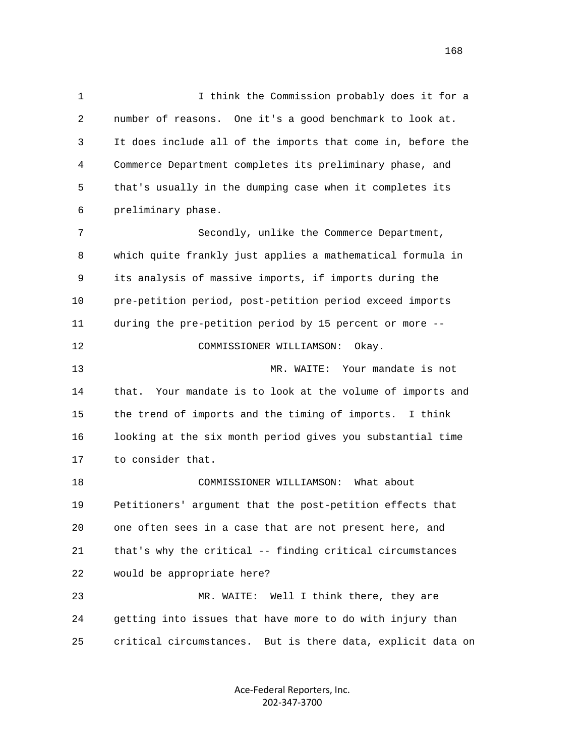1 I think the Commission probably does it for a 2 number of reasons. One it's a good benchmark to look at. 3 It does include all of the imports that come in, before the 4 Commerce Department completes its preliminary phase, and 5 that's usually in the dumping case when it completes its 6 preliminary phase. 7 Secondly, unlike the Commerce Department, 8 which quite frankly just applies a mathematical formula in 9 its analysis of massive imports, if imports during the 10 pre-petition period, post-petition period exceed imports 11 during the pre-petition period by 15 percent or more -- 12 COMMISSIONER WILLIAMSON: Okay. 13 MR. WAITE: Your mandate is not 14 that. Your mandate is to look at the volume of imports and 15 the trend of imports and the timing of imports. I think 16 looking at the six month period gives you substantial time 17 to consider that. 18 COMMISSIONER WILLIAMSON: What about 19 Petitioners' argument that the post-petition effects that 20 one often sees in a case that are not present here, and 21 that's why the critical -- finding critical circumstances 22 would be appropriate here? 23 MR. WAITE: Well I think there, they are 24 getting into issues that have more to do with injury than 25 critical circumstances. But is there data, explicit data on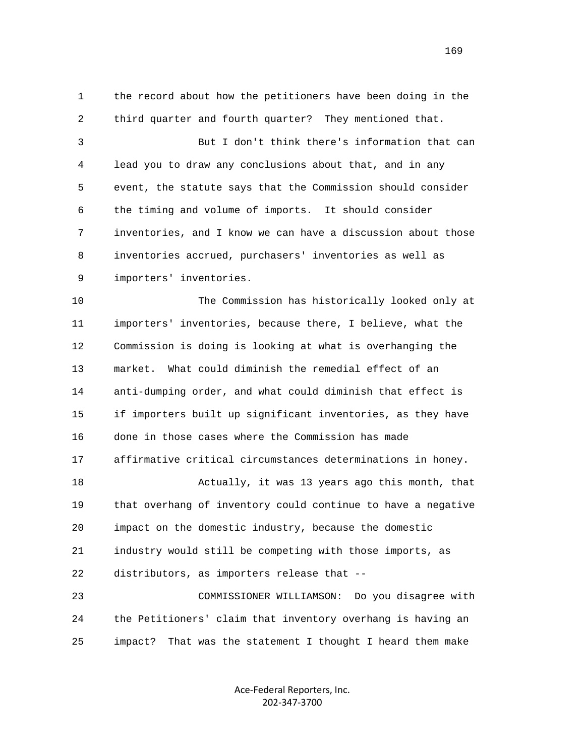1 the record about how the petitioners have been doing in the 2 third quarter and fourth quarter? They mentioned that. 3 But I don't think there's information that can 4 lead you to draw any conclusions about that, and in any 5 event, the statute says that the Commission should consider 6 the timing and volume of imports. It should consider 7 inventories, and I know we can have a discussion about those 8 inventories accrued, purchasers' inventories as well as 9 importers' inventories. 10 The Commission has historically looked only at 11 importers' inventories, because there, I believe, what the 12 Commission is doing is looking at what is overhanging the 13 market. What could diminish the remedial effect of an 14 anti-dumping order, and what could diminish that effect is 15 if importers built up significant inventories, as they have 16 done in those cases where the Commission has made 17 affirmative critical circumstances determinations in honey. 18 Actually, it was 13 years ago this month, that 19 that overhang of inventory could continue to have a negative 20 impact on the domestic industry, because the domestic 21 industry would still be competing with those imports, as 22 distributors, as importers release that -- 23 COMMISSIONER WILLIAMSON: Do you disagree with

 24 the Petitioners' claim that inventory overhang is having an 25 impact? That was the statement I thought I heard them make

> Ace‐Federal Reporters, Inc. 202‐347‐3700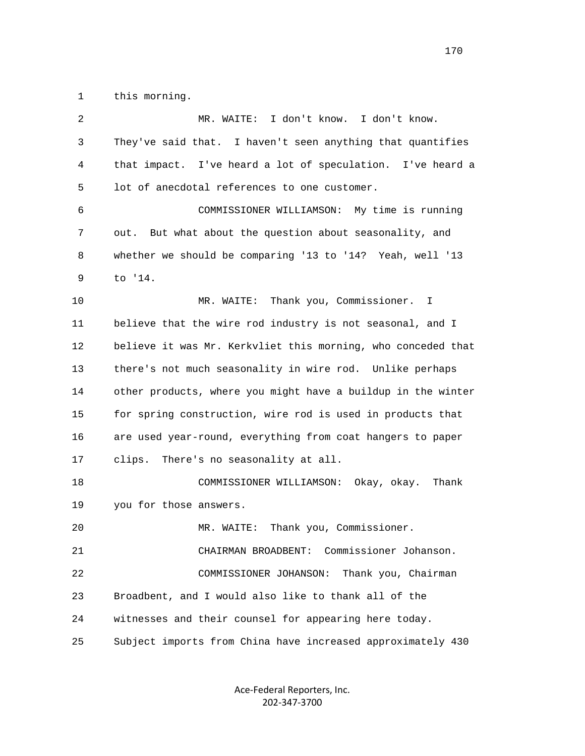1 this morning.

| 2  | MR. WAITE: I don't know. I don't know.                       |
|----|--------------------------------------------------------------|
| 3  | They've said that. I haven't seen anything that quantifies   |
| 4  | that impact. I've heard a lot of speculation. I've heard a   |
| 5  | lot of anecdotal references to one customer.                 |
| 6  | COMMISSIONER WILLIAMSON: My time is running                  |
| 7  | out. But what about the question about seasonality, and      |
| 8  | whether we should be comparing '13 to '14? Yeah, well '13    |
| 9  | to '14.                                                      |
| 10 | MR. WAITE: Thank you, Commissioner. I                        |
| 11 | believe that the wire rod industry is not seasonal, and I    |
| 12 | believe it was Mr. Kerkvliet this morning, who conceded that |
| 13 | there's not much seasonality in wire rod. Unlike perhaps     |
| 14 | other products, where you might have a buildup in the winter |
| 15 | for spring construction, wire rod is used in products that   |
| 16 | are used year-round, everything from coat hangers to paper   |
| 17 | clips. There's no seasonality at all.                        |
| 18 | COMMISSIONER WILLIAMSON: Okay, okay. Thank                   |
| 19 | you for those answers.                                       |
| 20 | MR. WAITE: Thank you, Commissioner.                          |
| 21 | Commissioner Johanson.<br>CHAIRMAN BROADBENT:                |
| 22 | COMMISSIONER JOHANSON:<br>Thank you, Chairman                |
| 23 | Broadbent, and I would also like to thank all of the         |
| 24 | witnesses and their counsel for appearing here today.        |
| 25 | Subject imports from China have increased approximately 430  |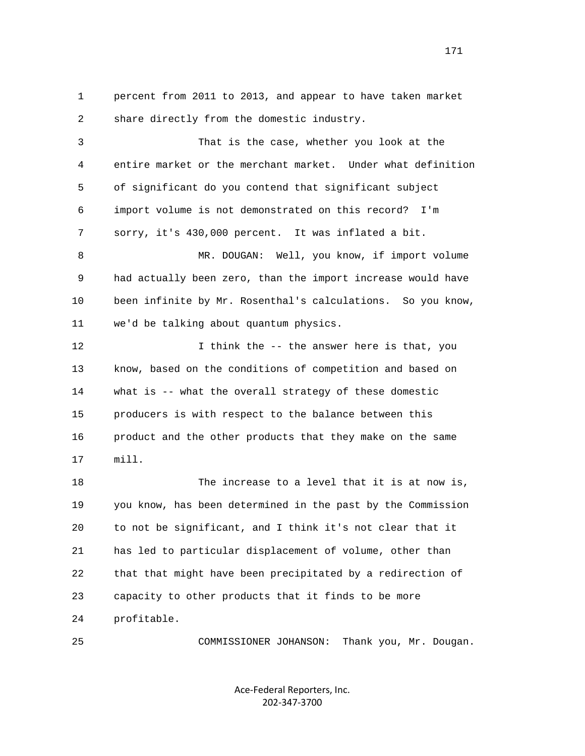1 percent from 2011 to 2013, and appear to have taken market 2 share directly from the domestic industry. 3 That is the case, whether you look at the 4 entire market or the merchant market. Under what definition 5 of significant do you contend that significant subject 6 import volume is not demonstrated on this record? I'm 7 sorry, it's 430,000 percent. It was inflated a bit. 8 MR. DOUGAN: Well, you know, if import volume 9 had actually been zero, than the import increase would have 10 been infinite by Mr. Rosenthal's calculations. So you know, 11 we'd be talking about quantum physics. 12 12 I think the -- the answer here is that, you 13 know, based on the conditions of competition and based on 14 what is -- what the overall strategy of these domestic 15 producers is with respect to the balance between this 16 product and the other products that they make on the same 17 mill. 18 The increase to a level that it is at now is, 19 you know, has been determined in the past by the Commission 20 to not be significant, and I think it's not clear that it 21 has led to particular displacement of volume, other than 22 that that might have been precipitated by a redirection of 23 capacity to other products that it finds to be more 24 profitable.

25 COMMISSIONER JOHANSON: Thank you, Mr. Dougan.

Ace‐Federal Reporters, Inc. 202‐347‐3700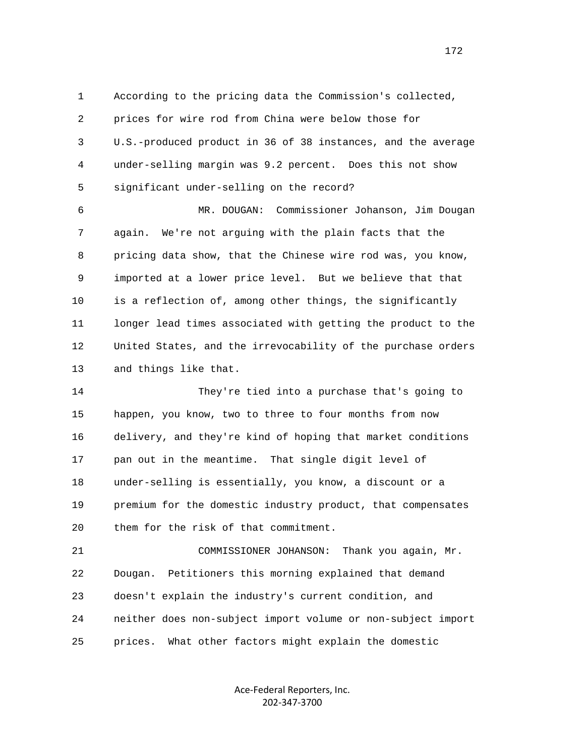1 According to the pricing data the Commission's collected, 2 prices for wire rod from China were below those for 3 U.S.-produced product in 36 of 38 instances, and the average 4 under-selling margin was 9.2 percent. Does this not show 5 significant under-selling on the record?

 6 MR. DOUGAN: Commissioner Johanson, Jim Dougan 7 again. We're not arguing with the plain facts that the 8 pricing data show, that the Chinese wire rod was, you know, 9 imported at a lower price level. But we believe that that 10 is a reflection of, among other things, the significantly 11 longer lead times associated with getting the product to the 12 United States, and the irrevocability of the purchase orders 13 and things like that.

 14 They're tied into a purchase that's going to 15 happen, you know, two to three to four months from now 16 delivery, and they're kind of hoping that market conditions 17 pan out in the meantime. That single digit level of 18 under-selling is essentially, you know, a discount or a 19 premium for the domestic industry product, that compensates 20 them for the risk of that commitment.

 21 COMMISSIONER JOHANSON: Thank you again, Mr. 22 Dougan. Petitioners this morning explained that demand 23 doesn't explain the industry's current condition, and 24 neither does non-subject import volume or non-subject import 25 prices. What other factors might explain the domestic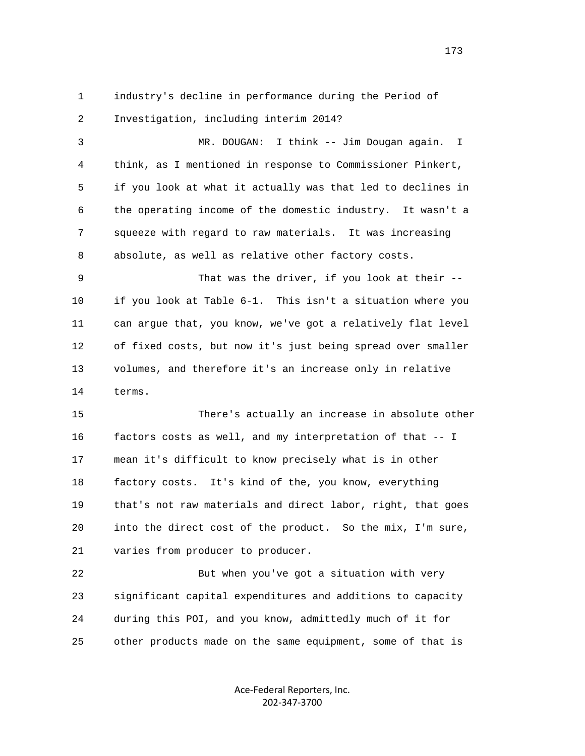1 industry's decline in performance during the Period of 2 Investigation, including interim 2014?

 3 MR. DOUGAN: I think -- Jim Dougan again. I 4 think, as I mentioned in response to Commissioner Pinkert, 5 if you look at what it actually was that led to declines in 6 the operating income of the domestic industry. It wasn't a 7 squeeze with regard to raw materials. It was increasing 8 absolute, as well as relative other factory costs.

 9 That was the driver, if you look at their -- 10 if you look at Table 6-1. This isn't a situation where you 11 can argue that, you know, we've got a relatively flat level 12 of fixed costs, but now it's just being spread over smaller 13 volumes, and therefore it's an increase only in relative 14 terms.

 15 There's actually an increase in absolute other 16 factors costs as well, and my interpretation of that -- I 17 mean it's difficult to know precisely what is in other 18 factory costs. It's kind of the, you know, everything 19 that's not raw materials and direct labor, right, that goes 20 into the direct cost of the product. So the mix, I'm sure, 21 varies from producer to producer.

 22 But when you've got a situation with very 23 significant capital expenditures and additions to capacity 24 during this POI, and you know, admittedly much of it for 25 other products made on the same equipment, some of that is

> Ace‐Federal Reporters, Inc. 202‐347‐3700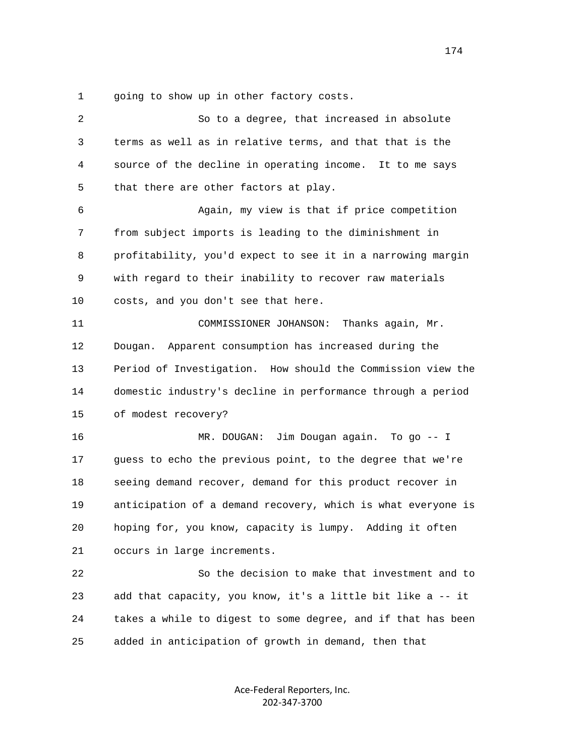1 going to show up in other factory costs.

| 2  | So to a degree, that increased in absolute                   |
|----|--------------------------------------------------------------|
| 3  | terms as well as in relative terms, and that that is the     |
| 4  | source of the decline in operating income. It to me says     |
| 5  | that there are other factors at play.                        |
| 6  | Again, my view is that if price competition                  |
| 7  | from subject imports is leading to the diminishment in       |
| 8  | profitability, you'd expect to see it in a narrowing margin  |
| 9  | with regard to their inability to recover raw materials      |
| 10 | costs, and you don't see that here.                          |
| 11 | COMMISSIONER JOHANSON:<br>Thanks again, Mr.                  |
| 12 | Apparent consumption has increased during the<br>Dougan.     |
| 13 | Period of Investigation. How should the Commission view the  |
| 14 | domestic industry's decline in performance through a period  |
| 15 | of modest recovery?                                          |
| 16 | Jim Dougan again. To go -- I<br>MR. DOUGAN:                  |
| 17 | guess to echo the previous point, to the degree that we're   |
| 18 | seeing demand recover, demand for this product recover in    |
| 19 | anticipation of a demand recovery, which is what everyone is |
| 20 | hoping for, you know, capacity is lumpy. Adding it often     |
| 21 | occurs in large increments.                                  |
| 22 | So the decision to make that investment and to               |
| 23 | add that capacity, you know, it's a little bit like a -- it  |
| 24 | takes a while to digest to some degree, and if that has been |
| 25 | added in anticipation of growth in demand, then that         |
|    |                                                              |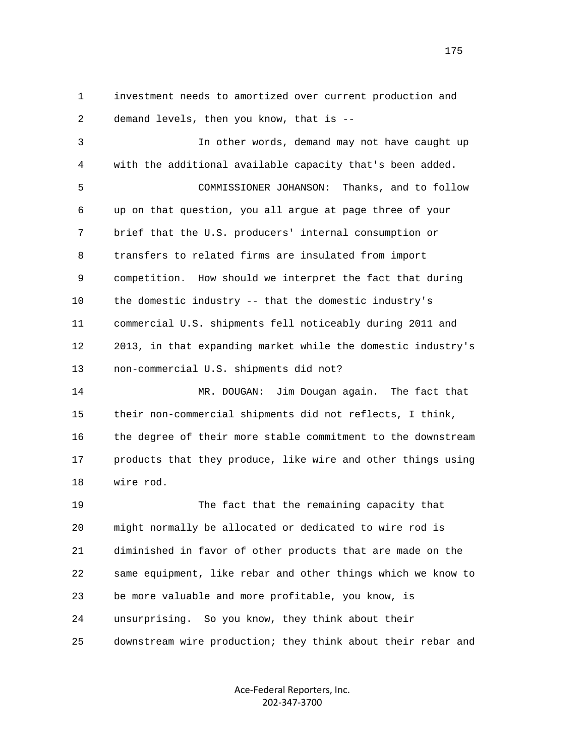1 investment needs to amortized over current production and 2 demand levels, then you know, that is --

 3 In other words, demand may not have caught up 4 with the additional available capacity that's been added. 5 COMMISSIONER JOHANSON: Thanks, and to follow 6 up on that question, you all argue at page three of your 7 brief that the U.S. producers' internal consumption or 8 transfers to related firms are insulated from import 9 competition. How should we interpret the fact that during 10 the domestic industry -- that the domestic industry's 11 commercial U.S. shipments fell noticeably during 2011 and 12 2013, in that expanding market while the domestic industry's 13 non-commercial U.S. shipments did not? 14 MR. DOUGAN: Jim Dougan again. The fact that 15 their non-commercial shipments did not reflects, I think,

 16 the degree of their more stable commitment to the downstream 17 products that they produce, like wire and other things using 18 wire rod.

 19 The fact that the remaining capacity that 20 might normally be allocated or dedicated to wire rod is 21 diminished in favor of other products that are made on the 22 same equipment, like rebar and other things which we know to 23 be more valuable and more profitable, you know, is 24 unsurprising. So you know, they think about their 25 downstream wire production; they think about their rebar and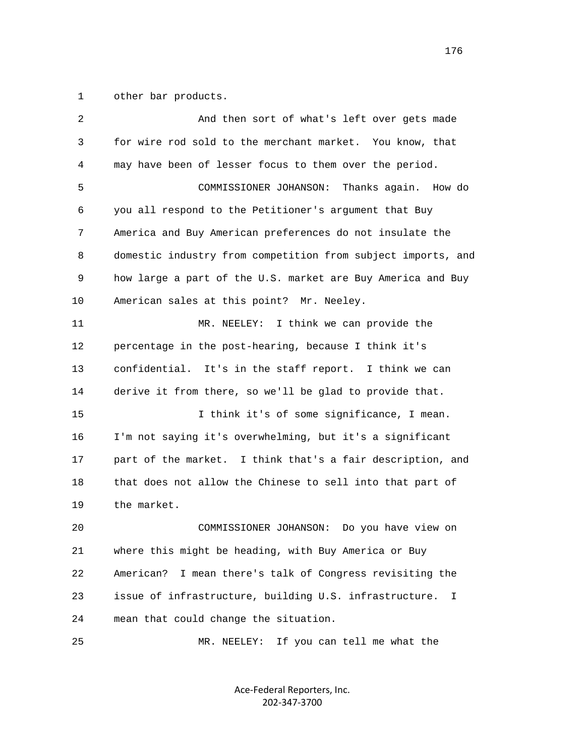1 other bar products.

| 2  | And then sort of what's left over gets made                  |
|----|--------------------------------------------------------------|
| 3  | for wire rod sold to the merchant market. You know, that     |
| 4  | may have been of lesser focus to them over the period.       |
| 5  | COMMISSIONER JOHANSON:<br>Thanks again. How do               |
| 6  | you all respond to the Petitioner's argument that Buy        |
| 7  | America and Buy American preferences do not insulate the     |
| 8  | domestic industry from competition from subject imports, and |
| 9  | how large a part of the U.S. market are Buy America and Buy  |
| 10 | American sales at this point? Mr. Neeley.                    |
| 11 | I think we can provide the<br>MR. NEELEY:                    |
| 12 | percentage in the post-hearing, because I think it's         |
| 13 | confidential. It's in the staff report. I think we can       |
| 14 | derive it from there, so we'll be glad to provide that.      |
| 15 | I think it's of some significance, I mean.                   |
| 16 | I'm not saying it's overwhelming, but it's a significant     |
| 17 | part of the market. I think that's a fair description, and   |
| 18 | that does not allow the Chinese to sell into that part of    |
| 19 | the market.                                                  |
| 20 | COMMISSIONER JOHANSON:<br>Do you have view on                |
| 21 | where this might be heading, with Buy America or Buy         |
| 22 | I mean there's talk of Congress revisiting the<br>American?  |
| 23 | issue of infrastructure, building U.S. infrastructure.<br>I  |
| 24 | mean that could change the situation.                        |
| 25 | If you can tell me what the<br>MR. NEELEY:                   |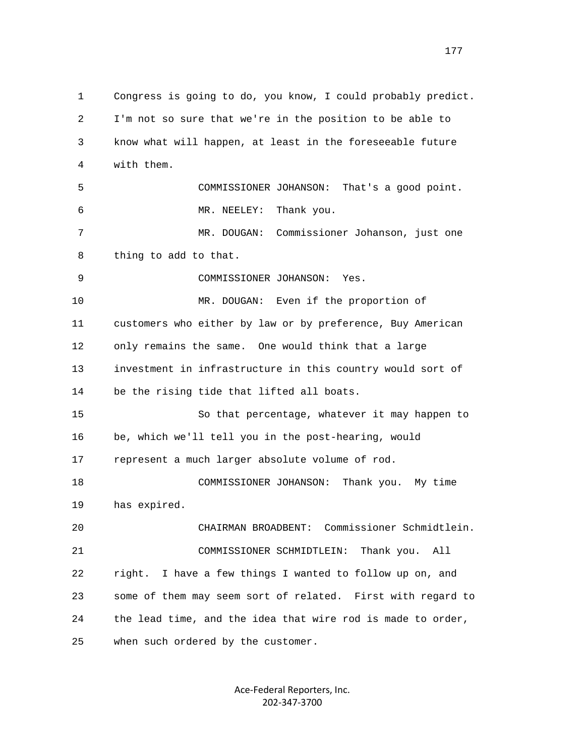1 Congress is going to do, you know, I could probably predict. 2 I'm not so sure that we're in the position to be able to 3 know what will happen, at least in the foreseeable future 4 with them. 5 COMMISSIONER JOHANSON: That's a good point. 6 MR. NEELEY: Thank you. 7 MR. DOUGAN: Commissioner Johanson, just one 8 thing to add to that. 9 COMMISSIONER JOHANSON: Yes. 10 MR. DOUGAN: Even if the proportion of 11 customers who either by law or by preference, Buy American 12 only remains the same. One would think that a large 13 investment in infrastructure in this country would sort of 14 be the rising tide that lifted all boats. 15 So that percentage, whatever it may happen to 16 be, which we'll tell you in the post-hearing, would 17 represent a much larger absolute volume of rod. 18 COMMISSIONER JOHANSON: Thank you. My time 19 has expired. 20 CHAIRMAN BROADBENT: Commissioner Schmidtlein. 21 COMMISSIONER SCHMIDTLEIN: Thank you. All 22 right. I have a few things I wanted to follow up on, and 23 some of them may seem sort of related. First with regard to 24 the lead time, and the idea that wire rod is made to order, 25 when such ordered by the customer.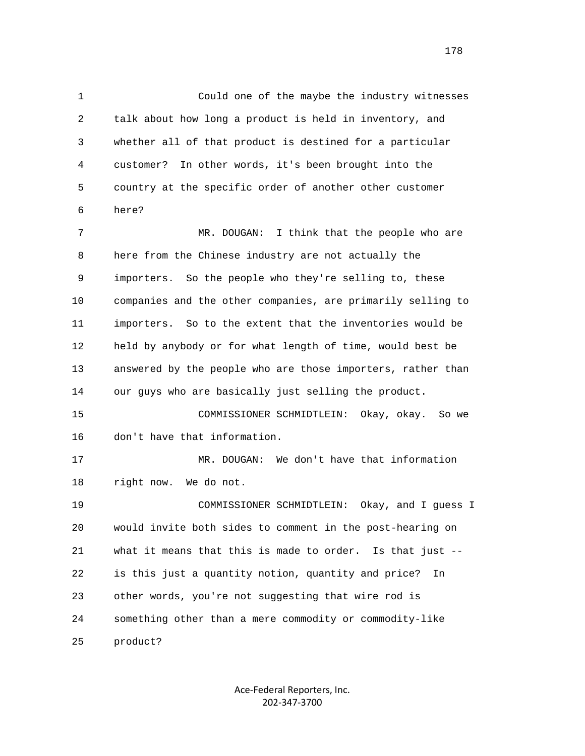1 Could one of the maybe the industry witnesses 2 talk about how long a product is held in inventory, and 3 whether all of that product is destined for a particular 4 customer? In other words, it's been brought into the 5 country at the specific order of another other customer 6 here? 7 MR. DOUGAN: I think that the people who are 8 here from the Chinese industry are not actually the 9 importers. So the people who they're selling to, these 10 companies and the other companies, are primarily selling to 11 importers. So to the extent that the inventories would be 12 held by anybody or for what length of time, would best be 13 answered by the people who are those importers, rather than 14 our guys who are basically just selling the product. 15 COMMISSIONER SCHMIDTLEIN: Okay, okay. So we 16 don't have that information. 17 MR. DOUGAN: We don't have that information 18 right now. We do not. 19 COMMISSIONER SCHMIDTLEIN: Okay, and I guess I

 20 would invite both sides to comment in the post-hearing on 21 what it means that this is made to order. Is that just -- 22 is this just a quantity notion, quantity and price? In 23 other words, you're not suggesting that wire rod is 24 something other than a mere commodity or commodity-like 25 product?

> Ace‐Federal Reporters, Inc. 202‐347‐3700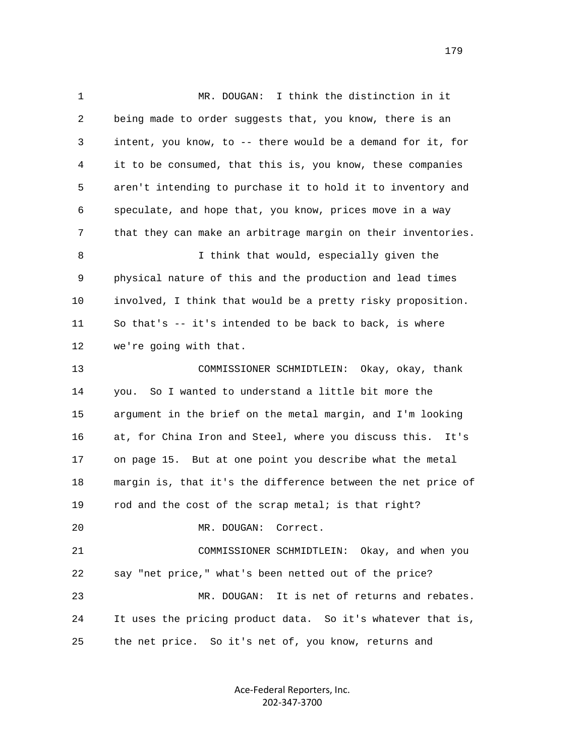1 MR. DOUGAN: I think the distinction in it 2 being made to order suggests that, you know, there is an 3 intent, you know, to -- there would be a demand for it, for 4 it to be consumed, that this is, you know, these companies 5 aren't intending to purchase it to hold it to inventory and 6 speculate, and hope that, you know, prices move in a way 7 that they can make an arbitrage margin on their inventories. 8 I think that would, especially given the 9 physical nature of this and the production and lead times 10 involved, I think that would be a pretty risky proposition. 11 So that's -- it's intended to be back to back, is where 12 we're going with that. 13 COMMISSIONER SCHMIDTLEIN: Okay, okay, thank 14 you. So I wanted to understand a little bit more the 15 argument in the brief on the metal margin, and I'm looking 16 at, for China Iron and Steel, where you discuss this. It's 17 on page 15. But at one point you describe what the metal 18 margin is, that it's the difference between the net price of 19 rod and the cost of the scrap metal; is that right? 20 MR. DOUGAN: Correct. 21 COMMISSIONER SCHMIDTLEIN: Okay, and when you 22 say "net price," what's been netted out of the price? 23 MR. DOUGAN: It is net of returns and rebates. 24 It uses the pricing product data. So it's whatever that is, 25 the net price. So it's net of, you know, returns and

> Ace‐Federal Reporters, Inc. 202‐347‐3700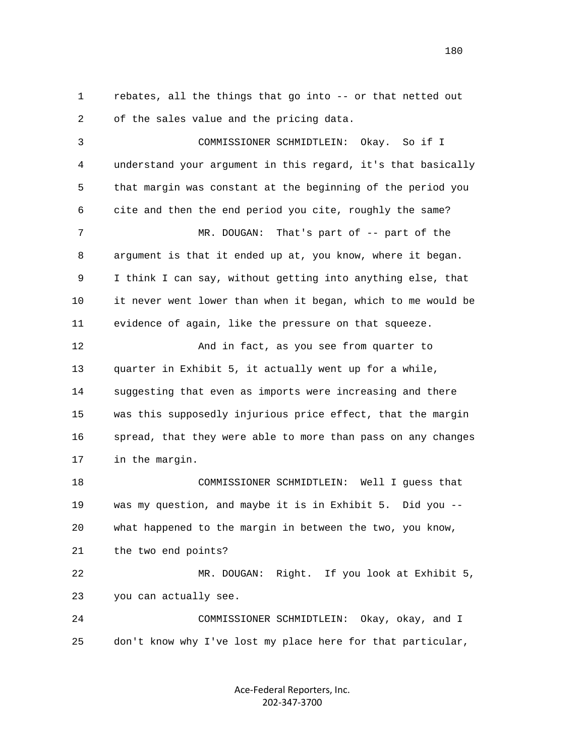1 rebates, all the things that go into -- or that netted out 2 of the sales value and the pricing data.

 3 COMMISSIONER SCHMIDTLEIN: Okay. So if I 4 understand your argument in this regard, it's that basically 5 that margin was constant at the beginning of the period you 6 cite and then the end period you cite, roughly the same? 7 MR. DOUGAN: That's part of -- part of the 8 argument is that it ended up at, you know, where it began. 9 I think I can say, without getting into anything else, that 10 it never went lower than when it began, which to me would be 11 evidence of again, like the pressure on that squeeze. 12 And in fact, as you see from quarter to 13 quarter in Exhibit 5, it actually went up for a while, 14 suggesting that even as imports were increasing and there 15 was this supposedly injurious price effect, that the margin 16 spread, that they were able to more than pass on any changes 17 in the margin. 18 COMMISSIONER SCHMIDTLEIN: Well I guess that 19 was my question, and maybe it is in Exhibit 5. Did you -- 20 what happened to the margin in between the two, you know, 21 the two end points? 22 MR. DOUGAN: Right. If you look at Exhibit 5, 23 you can actually see. 24 COMMISSIONER SCHMIDTLEIN: Okay, okay, and I

25 don't know why I've lost my place here for that particular,

Ace‐Federal Reporters, Inc. 202‐347‐3700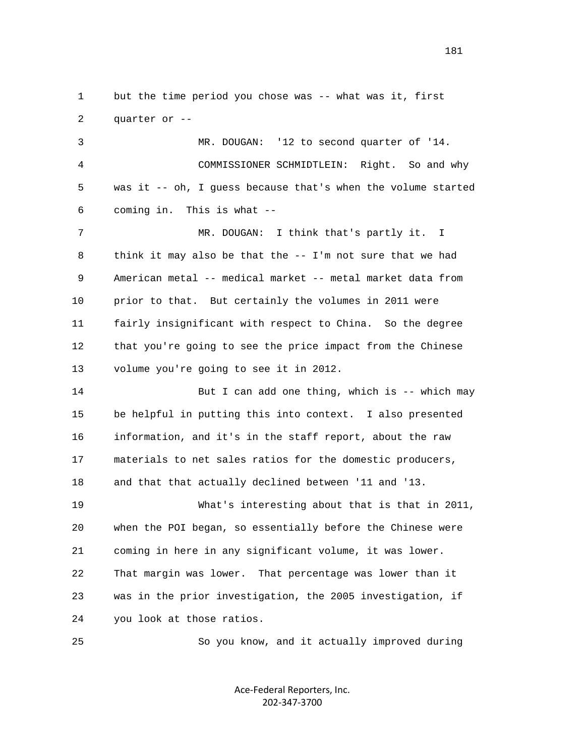1 but the time period you chose was -- what was it, first 2 quarter or --

 3 MR. DOUGAN: '12 to second quarter of '14. 4 COMMISSIONER SCHMIDTLEIN: Right. So and why 5 was it -- oh, I guess because that's when the volume started 6 coming in. This is what --

 7 MR. DOUGAN: I think that's partly it. I 8 think it may also be that the -- I'm not sure that we had 9 American metal -- medical market -- metal market data from 10 prior to that. But certainly the volumes in 2011 were 11 fairly insignificant with respect to China. So the degree 12 that you're going to see the price impact from the Chinese 13 volume you're going to see it in 2012.

14 But I can add one thing, which is -- which may 15 be helpful in putting this into context. I also presented 16 information, and it's in the staff report, about the raw 17 materials to net sales ratios for the domestic producers, 18 and that that actually declined between '11 and '13. 19 What's interesting about that is that in 2011, 20 when the POI began, so essentially before the Chinese were 21 coming in here in any significant volume, it was lower. 22 That margin was lower. That percentage was lower than it 23 was in the prior investigation, the 2005 investigation, if 24 you look at those ratios.

25 So you know, and it actually improved during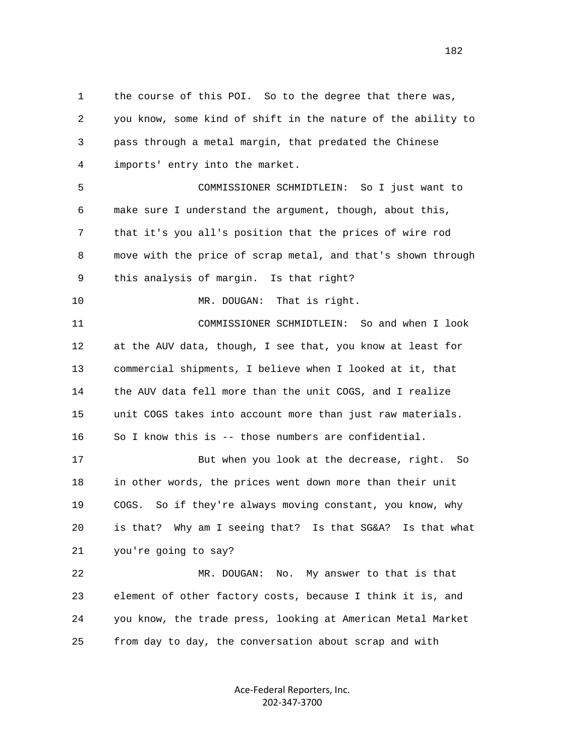1 the course of this POI. So to the degree that there was, 2 you know, some kind of shift in the nature of the ability to 3 pass through a metal margin, that predated the Chinese 4 imports' entry into the market. 5 COMMISSIONER SCHMIDTLEIN: So I just want to 6 make sure I understand the argument, though, about this, 7 that it's you all's position that the prices of wire rod 8 move with the price of scrap metal, and that's shown through 9 this analysis of margin. Is that right? 10 MR. DOUGAN: That is right. 11 COMMISSIONER SCHMIDTLEIN: So and when I look 12 at the AUV data, though, I see that, you know at least for 13 commercial shipments, I believe when I looked at it, that 14 the AUV data fell more than the unit COGS, and I realize 15 unit COGS takes into account more than just raw materials. 16 So I know this is -- those numbers are confidential. 17 But when you look at the decrease, right. So 18 in other words, the prices went down more than their unit 19 COGS. So if they're always moving constant, you know, why 20 is that? Why am I seeing that? Is that SG&A? Is that what 21 you're going to say? 22 MR. DOUGAN: No. My answer to that is that 23 element of other factory costs, because I think it is, and 24 you know, the trade press, looking at American Metal Market 25 from day to day, the conversation about scrap and with

> Ace‐Federal Reporters, Inc. 202‐347‐3700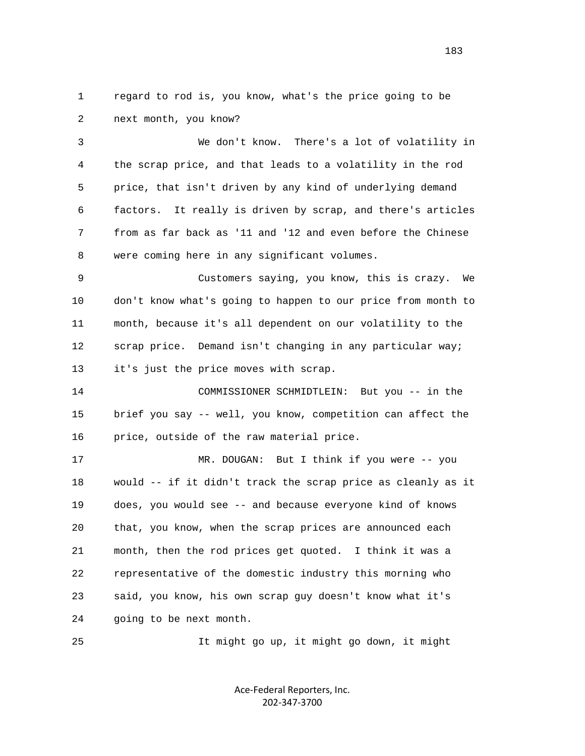1 regard to rod is, you know, what's the price going to be 2 next month, you know?

 3 We don't know. There's a lot of volatility in 4 the scrap price, and that leads to a volatility in the rod 5 price, that isn't driven by any kind of underlying demand 6 factors. It really is driven by scrap, and there's articles 7 from as far back as '11 and '12 and even before the Chinese 8 were coming here in any significant volumes.

 9 Customers saying, you know, this is crazy. We 10 don't know what's going to happen to our price from month to 11 month, because it's all dependent on our volatility to the 12 scrap price. Demand isn't changing in any particular way; 13 it's just the price moves with scrap.

 14 COMMISSIONER SCHMIDTLEIN: But you -- in the 15 brief you say -- well, you know, competition can affect the 16 price, outside of the raw material price.

 17 MR. DOUGAN: But I think if you were -- you 18 would -- if it didn't track the scrap price as cleanly as it 19 does, you would see -- and because everyone kind of knows 20 that, you know, when the scrap prices are announced each 21 month, then the rod prices get quoted. I think it was a 22 representative of the domestic industry this morning who 23 said, you know, his own scrap guy doesn't know what it's 24 going to be next month.

25 It might go up, it might go down, it might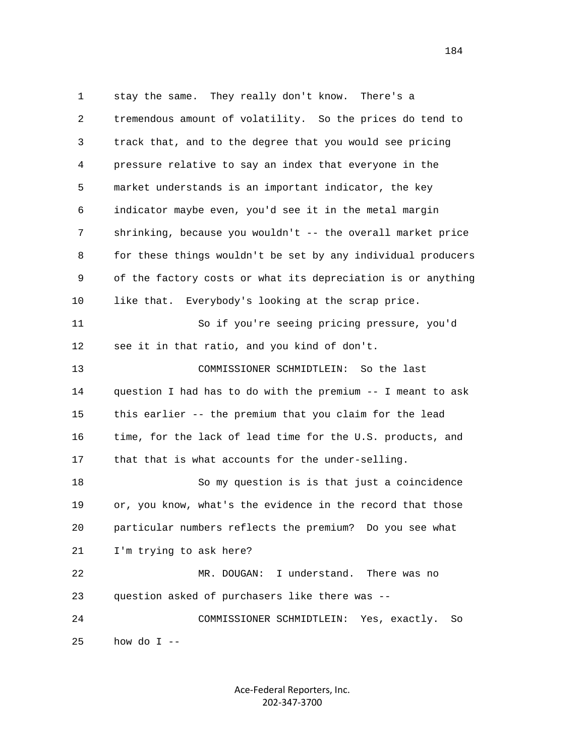1 stay the same. They really don't know. There's a 2 tremendous amount of volatility. So the prices do tend to 3 track that, and to the degree that you would see pricing 4 pressure relative to say an index that everyone in the 5 market understands is an important indicator, the key 6 indicator maybe even, you'd see it in the metal margin 7 shrinking, because you wouldn't -- the overall market price 8 for these things wouldn't be set by any individual producers 9 of the factory costs or what its depreciation is or anything 10 like that. Everybody's looking at the scrap price. 11 So if you're seeing pricing pressure, you'd 12 see it in that ratio, and you kind of don't. 13 COMMISSIONER SCHMIDTLEIN: So the last 14 question I had has to do with the premium -- I meant to ask 15 this earlier -- the premium that you claim for the lead 16 time, for the lack of lead time for the U.S. products, and 17 that that is what accounts for the under-selling. 18 So my question is is that just a coincidence 19 or, you know, what's the evidence in the record that those 20 particular numbers reflects the premium? Do you see what 21 I'm trying to ask here? 22 MR. DOUGAN: I understand. There was no 23 question asked of purchasers like there was -- 24 COMMISSIONER SCHMIDTLEIN: Yes, exactly. So  $25$  how do I --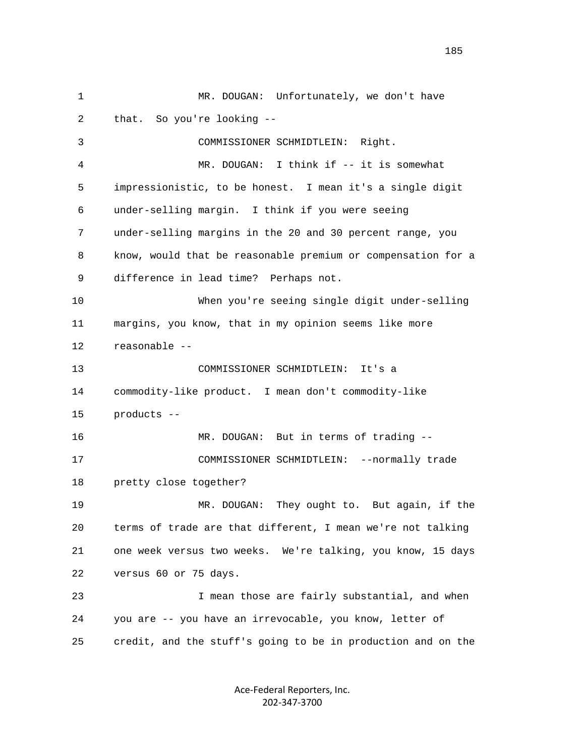1 MR. DOUGAN: Unfortunately, we don't have 2 that. So you're looking -- 3 COMMISSIONER SCHMIDTLEIN: Right. 4 MR. DOUGAN: I think if -- it is somewhat 5 impressionistic, to be honest. I mean it's a single digit 6 under-selling margin. I think if you were seeing 7 under-selling margins in the 20 and 30 percent range, you 8 know, would that be reasonable premium or compensation for a 9 difference in lead time? Perhaps not. 10 When you're seeing single digit under-selling 11 margins, you know, that in my opinion seems like more 12 reasonable -- 13 COMMISSIONER SCHMIDTLEIN: It's a 14 commodity-like product. I mean don't commodity-like 15 products -- 16 MR. DOUGAN: But in terms of trading -- 17 COMMISSIONER SCHMIDTLEIN: --normally trade 18 pretty close together? 19 MR. DOUGAN: They ought to. But again, if the 20 terms of trade are that different, I mean we're not talking 21 one week versus two weeks. We're talking, you know, 15 days 22 versus 60 or 75 days. 23 I mean those are fairly substantial, and when 24 you are -- you have an irrevocable, you know, letter of 25 credit, and the stuff's going to be in production and on the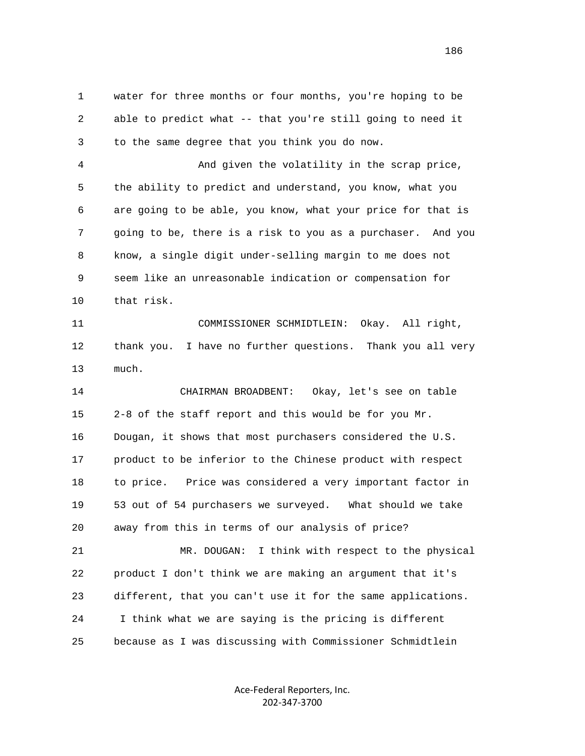1 water for three months or four months, you're hoping to be 2 able to predict what -- that you're still going to need it 3 to the same degree that you think you do now.

 4 And given the volatility in the scrap price, 5 the ability to predict and understand, you know, what you 6 are going to be able, you know, what your price for that is 7 going to be, there is a risk to you as a purchaser. And you 8 know, a single digit under-selling margin to me does not 9 seem like an unreasonable indication or compensation for 10 that risk.

 11 COMMISSIONER SCHMIDTLEIN: Okay. All right, 12 thank you. I have no further questions. Thank you all very 13 much.

 14 CHAIRMAN BROADBENT: Okay, let's see on table 15 2-8 of the staff report and this would be for you Mr. 16 Dougan, it shows that most purchasers considered the U.S. 17 product to be inferior to the Chinese product with respect 18 to price. Price was considered a very important factor in 19 53 out of 54 purchasers we surveyed. What should we take 20 away from this in terms of our analysis of price?

 21 MR. DOUGAN: I think with respect to the physical 22 product I don't think we are making an argument that it's 23 different, that you can't use it for the same applications. 24 I think what we are saying is the pricing is different 25 because as I was discussing with Commissioner Schmidtlein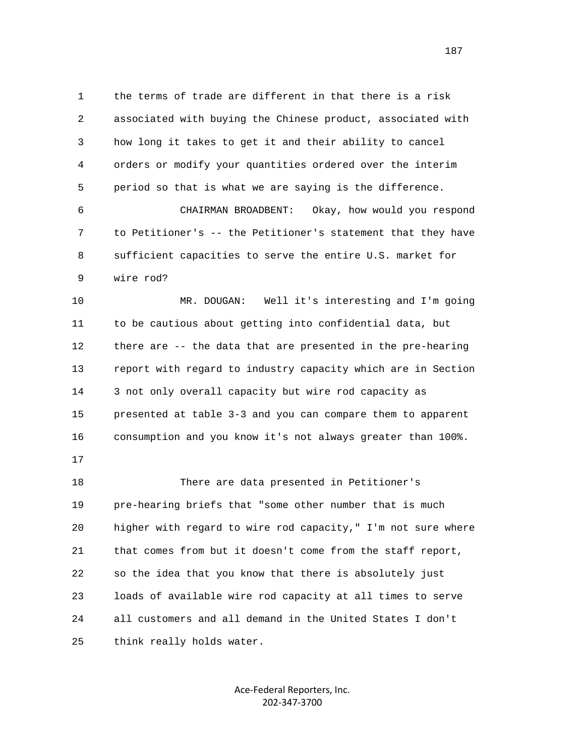1 the terms of trade are different in that there is a risk 2 associated with buying the Chinese product, associated with 3 how long it takes to get it and their ability to cancel 4 orders or modify your quantities ordered over the interim 5 period so that is what we are saying is the difference. 6 CHAIRMAN BROADBENT: Okay, how would you respond 7 to Petitioner's -- the Petitioner's statement that they have

 8 sufficient capacities to serve the entire U.S. market for 9 wire rod?

 10 MR. DOUGAN: Well it's interesting and I'm going 11 to be cautious about getting into confidential data, but 12 there are -- the data that are presented in the pre-hearing 13 report with regard to industry capacity which are in Section 14 3 not only overall capacity but wire rod capacity as 15 presented at table 3-3 and you can compare them to apparent 16 consumption and you know it's not always greater than 100%.

17

 18 There are data presented in Petitioner's 19 pre-hearing briefs that "some other number that is much 20 higher with regard to wire rod capacity," I'm not sure where 21 that comes from but it doesn't come from the staff report, 22 so the idea that you know that there is absolutely just 23 loads of available wire rod capacity at all times to serve 24 all customers and all demand in the United States I don't 25 think really holds water.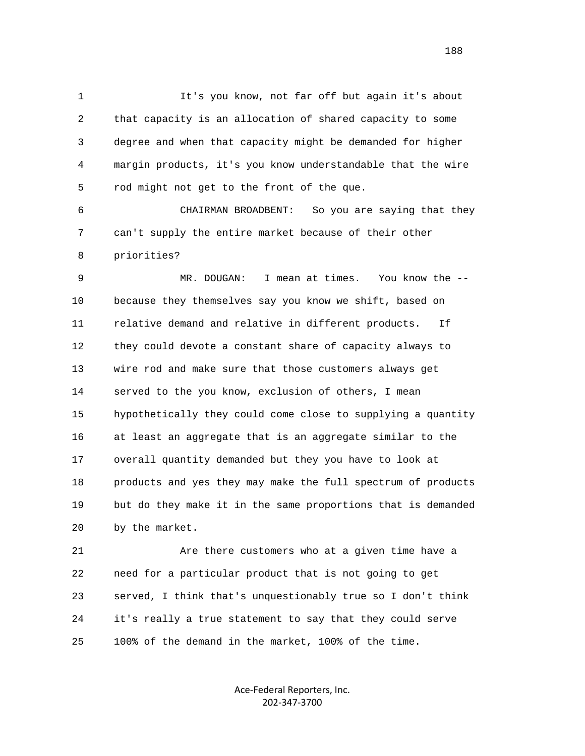1 It's you know, not far off but again it's about 2 that capacity is an allocation of shared capacity to some 3 degree and when that capacity might be demanded for higher 4 margin products, it's you know understandable that the wire 5 rod might not get to the front of the que.

 6 CHAIRMAN BROADBENT: So you are saying that they 7 can't supply the entire market because of their other 8 priorities?

 9 MR. DOUGAN: I mean at times. You know the -- 10 because they themselves say you know we shift, based on 11 relative demand and relative in different products. If 12 they could devote a constant share of capacity always to 13 wire rod and make sure that those customers always get 14 served to the you know, exclusion of others, I mean 15 hypothetically they could come close to supplying a quantity 16 at least an aggregate that is an aggregate similar to the 17 overall quantity demanded but they you have to look at 18 products and yes they may make the full spectrum of products 19 but do they make it in the same proportions that is demanded 20 by the market.

 21 Are there customers who at a given time have a 22 need for a particular product that is not going to get 23 served, I think that's unquestionably true so I don't think 24 it's really a true statement to say that they could serve 25 100% of the demand in the market, 100% of the time.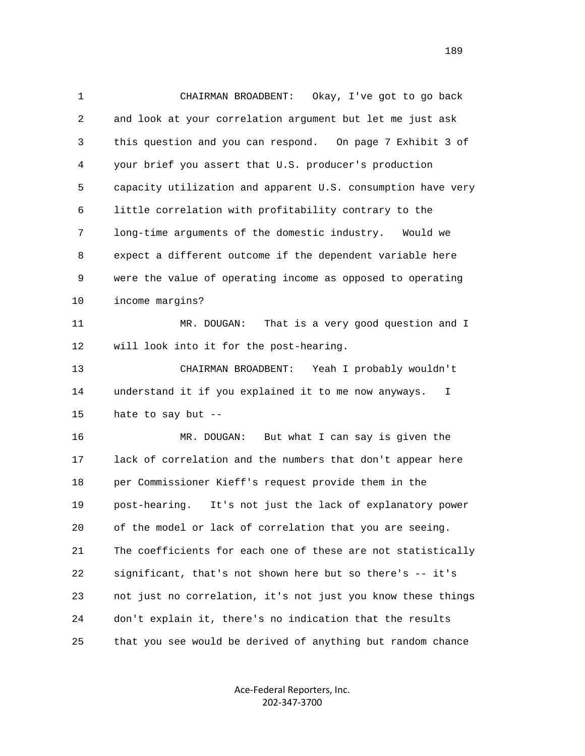1 CHAIRMAN BROADBENT: Okay, I've got to go back 2 and look at your correlation argument but let me just ask 3 this question and you can respond. On page 7 Exhibit 3 of 4 your brief you assert that U.S. producer's production 5 capacity utilization and apparent U.S. consumption have very 6 little correlation with profitability contrary to the 7 long-time arguments of the domestic industry. Would we 8 expect a different outcome if the dependent variable here 9 were the value of operating income as opposed to operating 10 income margins? 11 MR. DOUGAN: That is a very good question and I 12 will look into it for the post-hearing. 13 CHAIRMAN BROADBENT: Yeah I probably wouldn't 14 understand it if you explained it to me now anyways. I 15 hate to say but -- 16 MR. DOUGAN: But what I can say is given the 17 lack of correlation and the numbers that don't appear here 18 per Commissioner Kieff's request provide them in the 19 post-hearing. It's not just the lack of explanatory power 20 of the model or lack of correlation that you are seeing. 21 The coefficients for each one of these are not statistically 22 significant, that's not shown here but so there's -- it's 23 not just no correlation, it's not just you know these things 24 don't explain it, there's no indication that the results 25 that you see would be derived of anything but random chance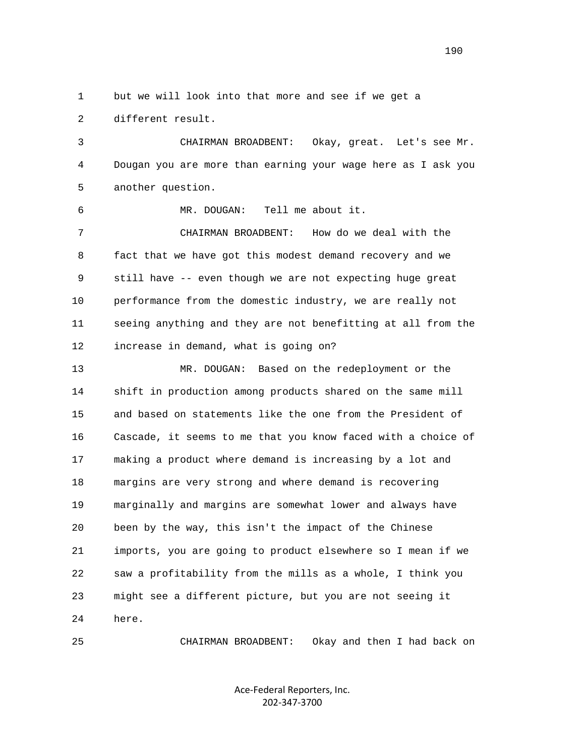1 but we will look into that more and see if we get a 2 different result.

 3 CHAIRMAN BROADBENT: Okay, great. Let's see Mr. 4 Dougan you are more than earning your wage here as I ask you 5 another question.

6 MR. DOUGAN: Tell me about it.

 7 CHAIRMAN BROADBENT: How do we deal with the 8 fact that we have got this modest demand recovery and we 9 still have -- even though we are not expecting huge great 10 performance from the domestic industry, we are really not 11 seeing anything and they are not benefitting at all from the 12 increase in demand, what is going on?

 13 MR. DOUGAN: Based on the redeployment or the 14 shift in production among products shared on the same mill 15 and based on statements like the one from the President of 16 Cascade, it seems to me that you know faced with a choice of 17 making a product where demand is increasing by a lot and 18 margins are very strong and where demand is recovering 19 marginally and margins are somewhat lower and always have 20 been by the way, this isn't the impact of the Chinese 21 imports, you are going to product elsewhere so I mean if we 22 saw a profitability from the mills as a whole, I think you 23 might see a different picture, but you are not seeing it 24 here.

25 CHAIRMAN BROADBENT: Okay and then I had back on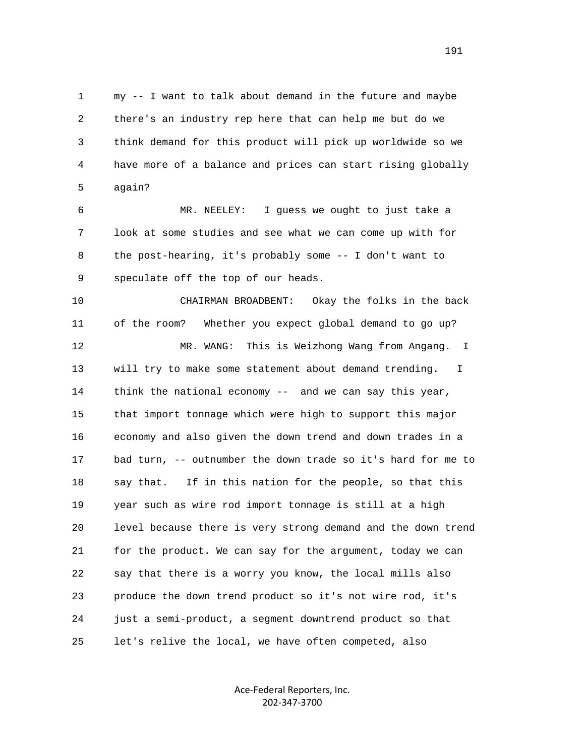1 my -- I want to talk about demand in the future and maybe 2 there's an industry rep here that can help me but do we 3 think demand for this product will pick up worldwide so we 4 have more of a balance and prices can start rising globally 5 again?

 6 MR. NEELEY: I guess we ought to just take a 7 look at some studies and see what we can come up with for 8 the post-hearing, it's probably some -- I don't want to 9 speculate off the top of our heads.

 10 CHAIRMAN BROADBENT: Okay the folks in the back 11 of the room? Whether you expect global demand to go up? 12 MR. WANG: This is Weizhong Wang from Angang. I 13 will try to make some statement about demand trending. I 14 think the national economy -- and we can say this year, 15 that import tonnage which were high to support this major 16 economy and also given the down trend and down trades in a 17 bad turn, -- outnumber the down trade so it's hard for me to 18 say that. If in this nation for the people, so that this 19 year such as wire rod import tonnage is still at a high 20 level because there is very strong demand and the down trend 21 for the product. We can say for the argument, today we can 22 say that there is a worry you know, the local mills also 23 produce the down trend product so it's not wire rod, it's 24 just a semi-product, a segment downtrend product so that 25 let's relive the local, we have often competed, also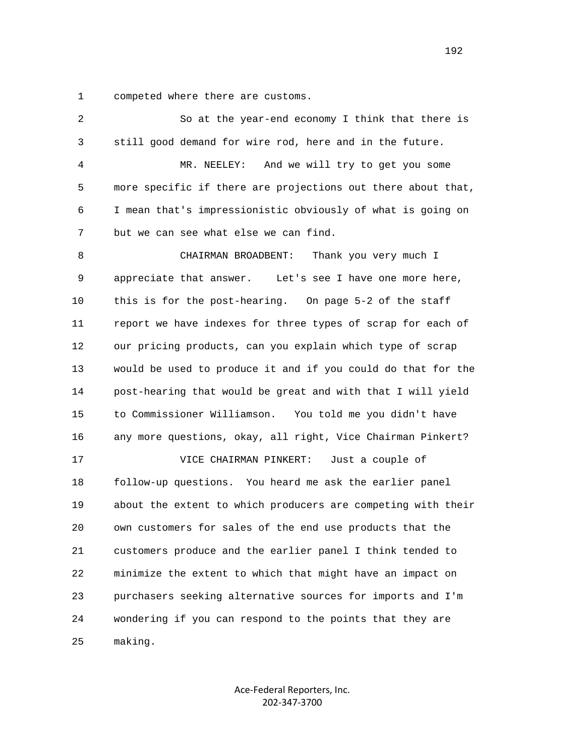1 competed where there are customs.

| 2  | So at the year-end economy I think that there is             |
|----|--------------------------------------------------------------|
| 3  | still good demand for wire rod, here and in the future.      |
| 4  | MR. NEELEY:<br>And we will try to get you some               |
| 5  | more specific if there are projections out there about that, |
| 6  | I mean that's impressionistic obviously of what is going on  |
| 7  | but we can see what else we can find.                        |
| 8  | Thank you very much I<br>CHAIRMAN BROADBENT:                 |
| 9  | appreciate that answer. Let's see I have one more here,      |
| 10 | this is for the post-hearing. On page 5-2 of the staff       |
| 11 | report we have indexes for three types of scrap for each of  |
| 12 | our pricing products, can you explain which type of scrap    |
| 13 | would be used to produce it and if you could do that for the |
| 14 | post-hearing that would be great and with that I will yield  |
| 15 | to Commissioner Williamson.<br>You told me you didn't have   |
| 16 | any more questions, okay, all right, Vice Chairman Pinkert?  |
| 17 | VICE CHAIRMAN PINKERT:<br>Just a couple of                   |
| 18 | follow-up questions. You heard me ask the earlier panel      |
| 19 | about the extent to which producers are competing with their |
| 20 | own customers for sales of the end use products that the     |
| 21 | customers produce and the earlier panel I think tended to    |
| 22 | minimize the extent to which that might have an impact on    |
| 23 | purchasers seeking alternative sources for imports and I'm   |
| 24 | wondering if you can respond to the points that they are     |
| 25 | making.                                                      |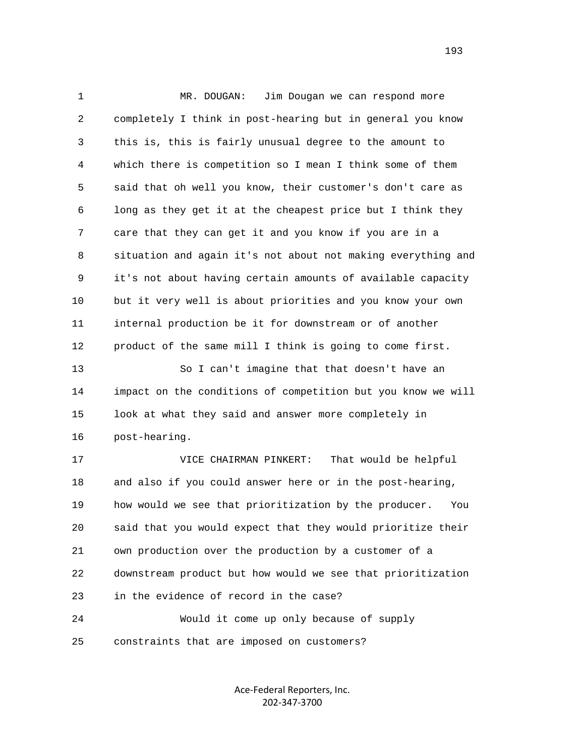1 MR. DOUGAN: Jim Dougan we can respond more 2 completely I think in post-hearing but in general you know 3 this is, this is fairly unusual degree to the amount to 4 which there is competition so I mean I think some of them 5 said that oh well you know, their customer's don't care as 6 long as they get it at the cheapest price but I think they 7 care that they can get it and you know if you are in a 8 situation and again it's not about not making everything and 9 it's not about having certain amounts of available capacity 10 but it very well is about priorities and you know your own 11 internal production be it for downstream or of another 12 product of the same mill I think is going to come first. 13 So I can't imagine that that doesn't have an 14 impact on the conditions of competition but you know we will 15 look at what they said and answer more completely in 16 post-hearing. 17 VICE CHAIRMAN PINKERT: That would be helpful 18 and also if you could answer here or in the post-hearing, 19 how would we see that prioritization by the producer. You 20 said that you would expect that they would prioritize their 21 own production over the production by a customer of a 22 downstream product but how would we see that prioritization 23 in the evidence of record in the case? 24 Would it come up only because of supply 25 constraints that are imposed on customers?

> Ace‐Federal Reporters, Inc. 202‐347‐3700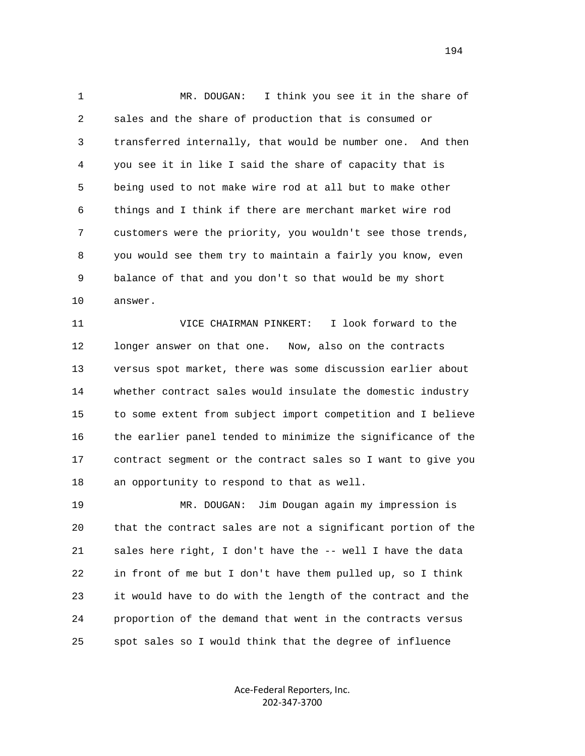1 MR. DOUGAN: I think you see it in the share of 2 sales and the share of production that is consumed or 3 transferred internally, that would be number one. And then 4 you see it in like I said the share of capacity that is 5 being used to not make wire rod at all but to make other 6 things and I think if there are merchant market wire rod 7 customers were the priority, you wouldn't see those trends, 8 you would see them try to maintain a fairly you know, even 9 balance of that and you don't so that would be my short 10 answer.

 11 VICE CHAIRMAN PINKERT: I look forward to the 12 longer answer on that one. Now, also on the contracts 13 versus spot market, there was some discussion earlier about 14 whether contract sales would insulate the domestic industry 15 to some extent from subject import competition and I believe 16 the earlier panel tended to minimize the significance of the 17 contract segment or the contract sales so I want to give you 18 an opportunity to respond to that as well.

 19 MR. DOUGAN: Jim Dougan again my impression is 20 that the contract sales are not a significant portion of the 21 sales here right, I don't have the -- well I have the data 22 in front of me but I don't have them pulled up, so I think 23 it would have to do with the length of the contract and the 24 proportion of the demand that went in the contracts versus 25 spot sales so I would think that the degree of influence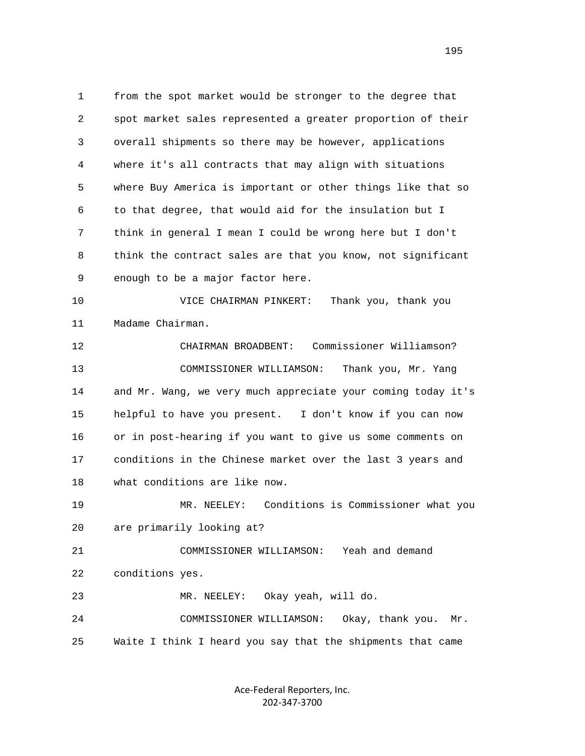1 from the spot market would be stronger to the degree that 2 spot market sales represented a greater proportion of their 3 overall shipments so there may be however, applications 4 where it's all contracts that may align with situations 5 where Buy America is important or other things like that so 6 to that degree, that would aid for the insulation but I 7 think in general I mean I could be wrong here but I don't 8 think the contract sales are that you know, not significant 9 enough to be a major factor here.

 10 VICE CHAIRMAN PINKERT: Thank you, thank you 11 Madame Chairman.

 12 CHAIRMAN BROADBENT: Commissioner Williamson? 13 COMMISSIONER WILLIAMSON: Thank you, Mr. Yang 14 and Mr. Wang, we very much appreciate your coming today it's 15 helpful to have you present. I don't know if you can now 16 or in post-hearing if you want to give us some comments on 17 conditions in the Chinese market over the last 3 years and 18 what conditions are like now.

 19 MR. NEELEY: Conditions is Commissioner what you 20 are primarily looking at?

 21 COMMISSIONER WILLIAMSON: Yeah and demand 22 conditions yes.

23 MR. NEELEY: Okay yeah, will do.

 24 COMMISSIONER WILLIAMSON: Okay, thank you. Mr. 25 Waite I think I heard you say that the shipments that came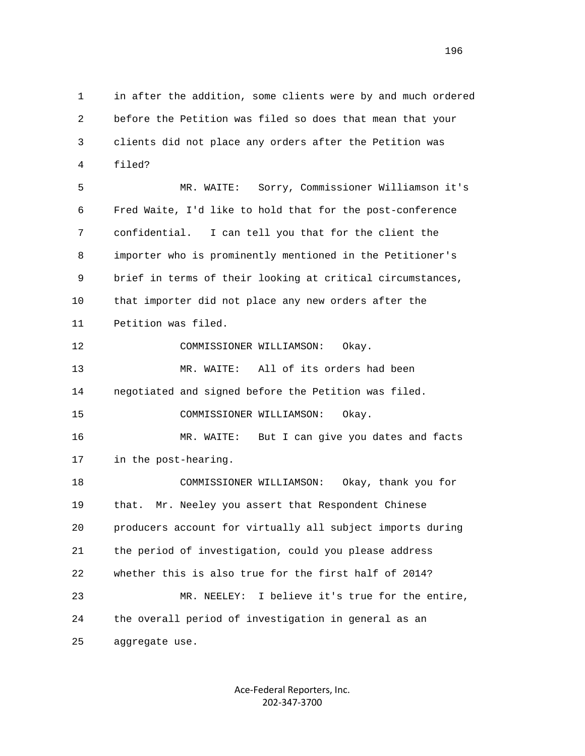1 in after the addition, some clients were by and much ordered 2 before the Petition was filed so does that mean that your 3 clients did not place any orders after the Petition was 4 filed?

 5 MR. WAITE: Sorry, Commissioner Williamson it's 6 Fred Waite, I'd like to hold that for the post-conference 7 confidential. I can tell you that for the client the 8 importer who is prominently mentioned in the Petitioner's 9 brief in terms of their looking at critical circumstances, 10 that importer did not place any new orders after the 11 Petition was filed.

12 COMMISSIONER WILLIAMSON: Okay.

 13 MR. WAITE: All of its orders had been 14 negotiated and signed before the Petition was filed. 15 COMMISSIONER WILLIAMSON: Okay.

 16 MR. WAITE: But I can give you dates and facts 17 in the post-hearing.

 18 COMMISSIONER WILLIAMSON: Okay, thank you for 19 that. Mr. Neeley you assert that Respondent Chinese 20 producers account for virtually all subject imports during 21 the period of investigation, could you please address 22 whether this is also true for the first half of 2014? 23 MR. NEELEY: I believe it's true for the entire, 24 the overall period of investigation in general as an 25 aggregate use.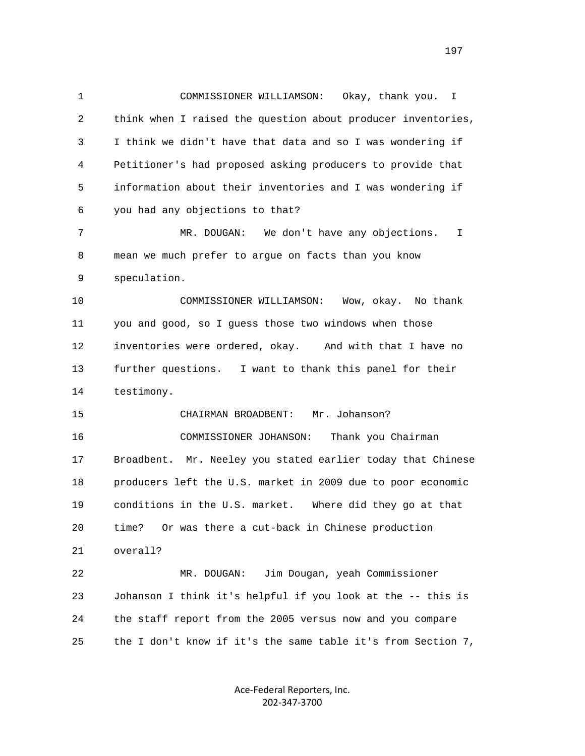1 COMMISSIONER WILLIAMSON: Okay, thank you. I 2 think when I raised the question about producer inventories, 3 I think we didn't have that data and so I was wondering if 4 Petitioner's had proposed asking producers to provide that 5 information about their inventories and I was wondering if 6 you had any objections to that? 7 MR. DOUGAN: We don't have any objections. I 8 mean we much prefer to argue on facts than you know 9 speculation. 10 COMMISSIONER WILLIAMSON: Wow, okay. No thank 11 you and good, so I guess those two windows when those 12 inventories were ordered, okay. And with that I have no 13 further questions. I want to thank this panel for their 14 testimony. 15 CHAIRMAN BROADBENT: Mr. Johanson? 16 COMMISSIONER JOHANSON: Thank you Chairman 17 Broadbent. Mr. Neeley you stated earlier today that Chinese 18 producers left the U.S. market in 2009 due to poor economic 19 conditions in the U.S. market. Where did they go at that 20 time? Or was there a cut-back in Chinese production 21 overall? 22 MR. DOUGAN: Jim Dougan, yeah Commissioner 23 Johanson I think it's helpful if you look at the -- this is 24 the staff report from the 2005 versus now and you compare 25 the I don't know if it's the same table it's from Section 7,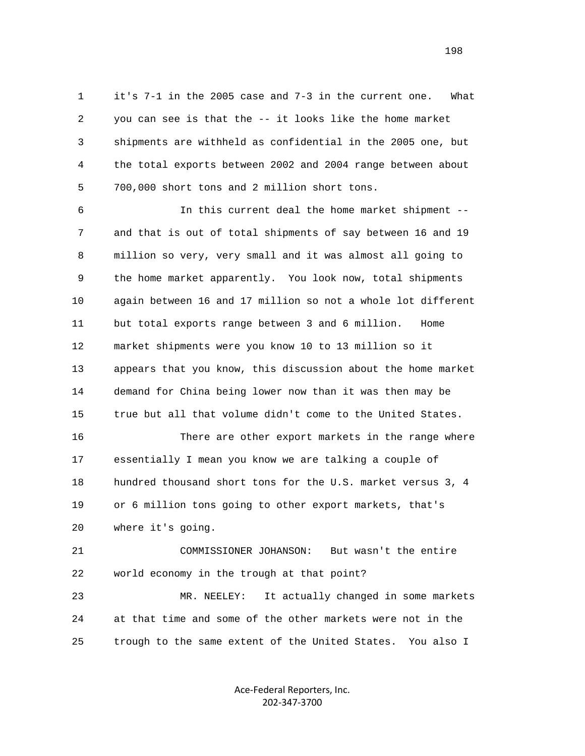1 it's 7-1 in the 2005 case and 7-3 in the current one. What 2 you can see is that the -- it looks like the home market 3 shipments are withheld as confidential in the 2005 one, but 4 the total exports between 2002 and 2004 range between about 5 700,000 short tons and 2 million short tons.

 6 In this current deal the home market shipment -- 7 and that is out of total shipments of say between 16 and 19 8 million so very, very small and it was almost all going to 9 the home market apparently. You look now, total shipments 10 again between 16 and 17 million so not a whole lot different 11 but total exports range between 3 and 6 million. Home 12 market shipments were you know 10 to 13 million so it 13 appears that you know, this discussion about the home market 14 demand for China being lower now than it was then may be 15 true but all that volume didn't come to the United States.

 16 There are other export markets in the range where 17 essentially I mean you know we are talking a couple of 18 hundred thousand short tons for the U.S. market versus 3, 4 19 or 6 million tons going to other export markets, that's 20 where it's going.

 21 COMMISSIONER JOHANSON: But wasn't the entire 22 world economy in the trough at that point?

 23 MR. NEELEY: It actually changed in some markets 24 at that time and some of the other markets were not in the 25 trough to the same extent of the United States. You also I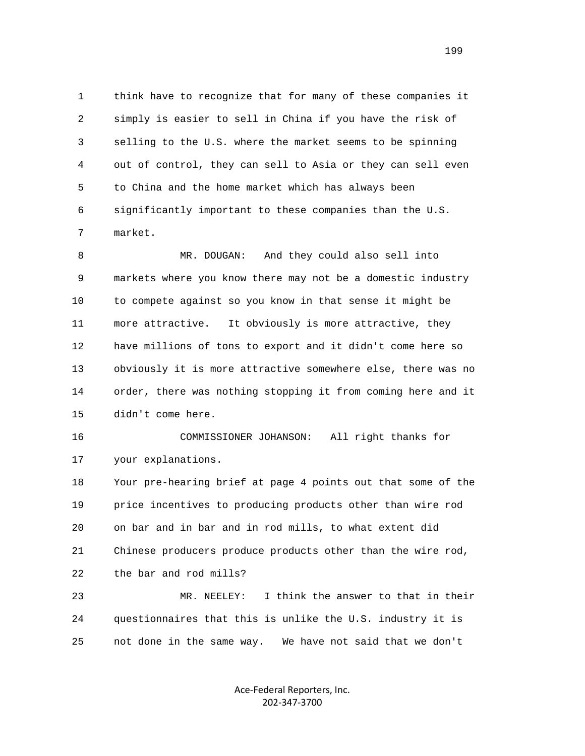1 think have to recognize that for many of these companies it 2 simply is easier to sell in China if you have the risk of 3 selling to the U.S. where the market seems to be spinning 4 out of control, they can sell to Asia or they can sell even 5 to China and the home market which has always been 6 significantly important to these companies than the U.S. 7 market.

 8 MR. DOUGAN: And they could also sell into 9 markets where you know there may not be a domestic industry 10 to compete against so you know in that sense it might be 11 more attractive. It obviously is more attractive, they 12 have millions of tons to export and it didn't come here so 13 obviously it is more attractive somewhere else, there was no 14 order, there was nothing stopping it from coming here and it 15 didn't come here.

 16 COMMISSIONER JOHANSON: All right thanks for 17 your explanations.

 18 Your pre-hearing brief at page 4 points out that some of the 19 price incentives to producing products other than wire rod 20 on bar and in bar and in rod mills, to what extent did 21 Chinese producers produce products other than the wire rod, 22 the bar and rod mills?

 23 MR. NEELEY: I think the answer to that in their 24 questionnaires that this is unlike the U.S. industry it is 25 not done in the same way. We have not said that we don't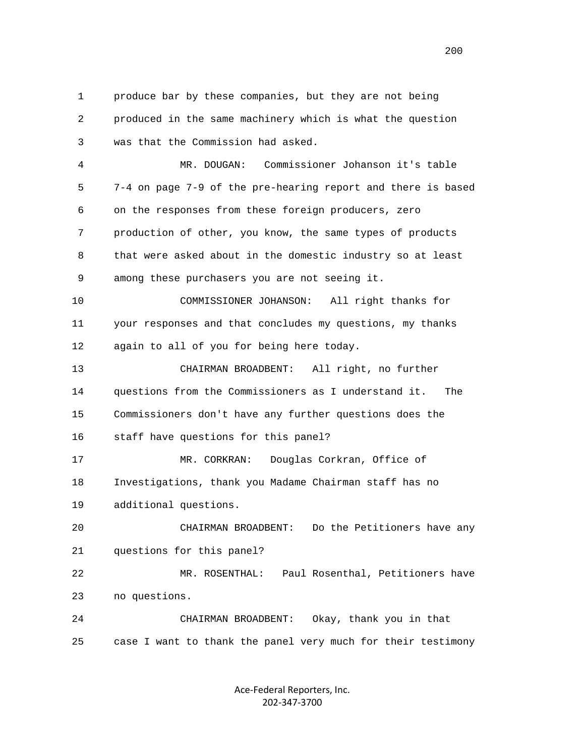1 produce bar by these companies, but they are not being 2 produced in the same machinery which is what the question 3 was that the Commission had asked. 4 MR. DOUGAN: Commissioner Johanson it's table 5 7-4 on page 7-9 of the pre-hearing report and there is based 6 on the responses from these foreign producers, zero 7 production of other, you know, the same types of products 8 that were asked about in the domestic industry so at least 9 among these purchasers you are not seeing it. 10 COMMISSIONER JOHANSON: All right thanks for 11 your responses and that concludes my questions, my thanks 12 again to all of you for being here today. 13 CHAIRMAN BROADBENT: All right, no further 14 questions from the Commissioners as I understand it. The 15 Commissioners don't have any further questions does the 16 staff have questions for this panel? 17 MR. CORKRAN: Douglas Corkran, Office of 18 Investigations, thank you Madame Chairman staff has no 19 additional questions. 20 CHAIRMAN BROADBENT: Do the Petitioners have any 21 questions for this panel? 22 MR. ROSENTHAL: Paul Rosenthal, Petitioners have 23 no questions. 24 CHAIRMAN BROADBENT: Okay, thank you in that 25 case I want to thank the panel very much for their testimony

> Ace‐Federal Reporters, Inc. 202‐347‐3700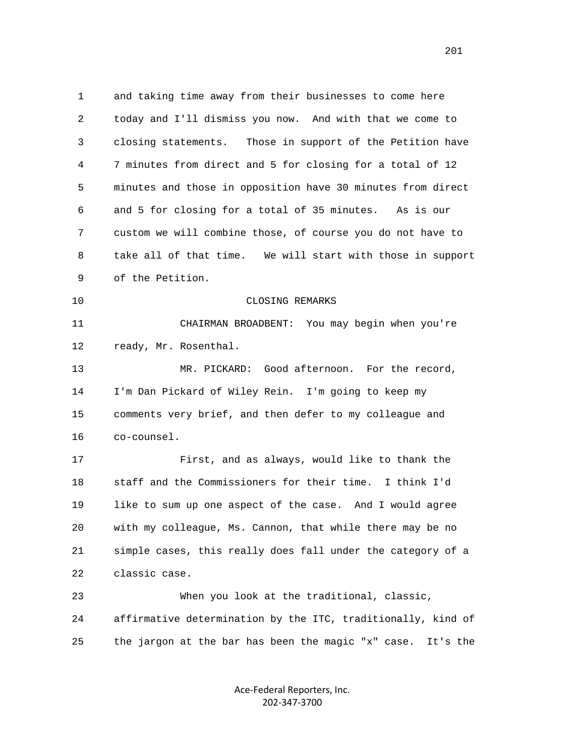1 and taking time away from their businesses to come here 2 today and I'll dismiss you now. And with that we come to 3 closing statements. Those in support of the Petition have 4 7 minutes from direct and 5 for closing for a total of 12 5 minutes and those in opposition have 30 minutes from direct 6 and 5 for closing for a total of 35 minutes. As is our 7 custom we will combine those, of course you do not have to 8 take all of that time. We will start with those in support 9 of the Petition. 10 CLOSING REMARKS 11 CHAIRMAN BROADBENT: You may begin when you're 12 ready, Mr. Rosenthal. 13 MR. PICKARD: Good afternoon. For the record, 14 I'm Dan Pickard of Wiley Rein. I'm going to keep my 15 comments very brief, and then defer to my colleague and 16 co-counsel. 17 First, and as always, would like to thank the 18 staff and the Commissioners for their time. I think I'd 19 like to sum up one aspect of the case. And I would agree 20 with my colleague, Ms. Cannon, that while there may be no 21 simple cases, this really does fall under the category of a 22 classic case. 23 When you look at the traditional, classic, 24 affirmative determination by the ITC, traditionally, kind of 25 the jargon at the bar has been the magic "x" case. It's the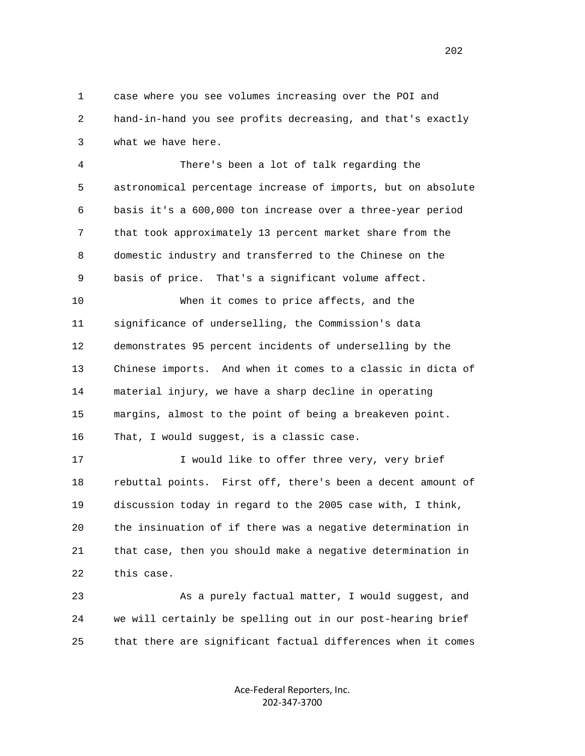1 case where you see volumes increasing over the POI and 2 hand-in-hand you see profits decreasing, and that's exactly 3 what we have here.

 4 There's been a lot of talk regarding the 5 astronomical percentage increase of imports, but on absolute 6 basis it's a 600,000 ton increase over a three-year period 7 that took approximately 13 percent market share from the 8 domestic industry and transferred to the Chinese on the 9 basis of price. That's a significant volume affect.

 10 When it comes to price affects, and the 11 significance of underselling, the Commission's data 12 demonstrates 95 percent incidents of underselling by the 13 Chinese imports. And when it comes to a classic in dicta of 14 material injury, we have a sharp decline in operating 15 margins, almost to the point of being a breakeven point. 16 That, I would suggest, is a classic case.

17 17 I would like to offer three very, very brief 18 rebuttal points. First off, there's been a decent amount of 19 discussion today in regard to the 2005 case with, I think, 20 the insinuation of if there was a negative determination in 21 that case, then you should make a negative determination in 22 this case.

 23 As a purely factual matter, I would suggest, and 24 we will certainly be spelling out in our post-hearing brief 25 that there are significant factual differences when it comes

> Ace‐Federal Reporters, Inc. 202‐347‐3700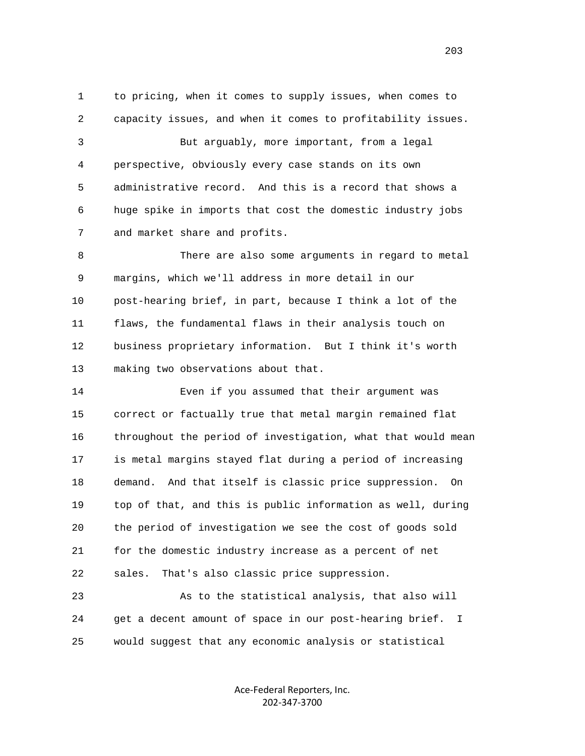1 to pricing, when it comes to supply issues, when comes to 2 capacity issues, and when it comes to profitability issues. 3 But arguably, more important, from a legal 4 perspective, obviously every case stands on its own 5 administrative record. And this is a record that shows a 6 huge spike in imports that cost the domestic industry jobs 7 and market share and profits.

 8 There are also some arguments in regard to metal 9 margins, which we'll address in more detail in our 10 post-hearing brief, in part, because I think a lot of the 11 flaws, the fundamental flaws in their analysis touch on 12 business proprietary information. But I think it's worth 13 making two observations about that.

 14 Even if you assumed that their argument was 15 correct or factually true that metal margin remained flat 16 throughout the period of investigation, what that would mean 17 is metal margins stayed flat during a period of increasing 18 demand. And that itself is classic price suppression. On 19 top of that, and this is public information as well, during 20 the period of investigation we see the cost of goods sold 21 for the domestic industry increase as a percent of net 22 sales. That's also classic price suppression.

 23 As to the statistical analysis, that also will 24 get a decent amount of space in our post-hearing brief. I 25 would suggest that any economic analysis or statistical

> Ace‐Federal Reporters, Inc. 202‐347‐3700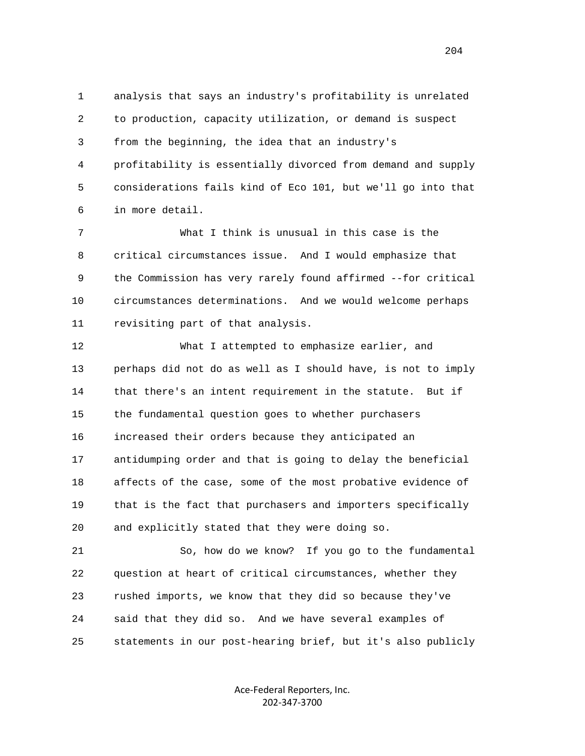1 analysis that says an industry's profitability is unrelated 2 to production, capacity utilization, or demand is suspect 3 from the beginning, the idea that an industry's 4 profitability is essentially divorced from demand and supply 5 considerations fails kind of Eco 101, but we'll go into that 6 in more detail.

 7 What I think is unusual in this case is the 8 critical circumstances issue. And I would emphasize that 9 the Commission has very rarely found affirmed --for critical 10 circumstances determinations. And we would welcome perhaps 11 revisiting part of that analysis.

 12 What I attempted to emphasize earlier, and 13 perhaps did not do as well as I should have, is not to imply 14 that there's an intent requirement in the statute. But if 15 the fundamental question goes to whether purchasers 16 increased their orders because they anticipated an 17 antidumping order and that is going to delay the beneficial 18 affects of the case, some of the most probative evidence of 19 that is the fact that purchasers and importers specifically 20 and explicitly stated that they were doing so.

 21 So, how do we know? If you go to the fundamental 22 question at heart of critical circumstances, whether they 23 rushed imports, we know that they did so because they've 24 said that they did so. And we have several examples of 25 statements in our post-hearing brief, but it's also publicly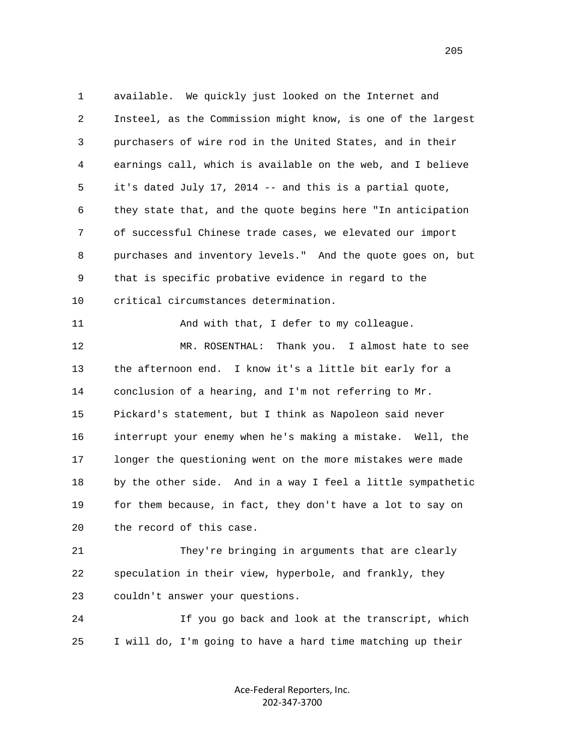1 available. We quickly just looked on the Internet and 2 Insteel, as the Commission might know, is one of the largest 3 purchasers of wire rod in the United States, and in their 4 earnings call, which is available on the web, and I believe 5 it's dated July 17, 2014 -- and this is a partial quote, 6 they state that, and the quote begins here "In anticipation 7 of successful Chinese trade cases, we elevated our import 8 purchases and inventory levels." And the quote goes on, but 9 that is specific probative evidence in regard to the 10 critical circumstances determination. 11 And with that, I defer to my colleague. 12 MR. ROSENTHAL: Thank you. I almost hate to see 13 the afternoon end. I know it's a little bit early for a 14 conclusion of a hearing, and I'm not referring to Mr. 15 Pickard's statement, but I think as Napoleon said never 16 interrupt your enemy when he's making a mistake. Well, the 17 longer the questioning went on the more mistakes were made 18 by the other side. And in a way I feel a little sympathetic 19 for them because, in fact, they don't have a lot to say on 20 the record of this case.

 21 They're bringing in arguments that are clearly 22 speculation in their view, hyperbole, and frankly, they 23 couldn't answer your questions.

 24 If you go back and look at the transcript, which 25 I will do, I'm going to have a hard time matching up their

> Ace‐Federal Reporters, Inc. 202‐347‐3700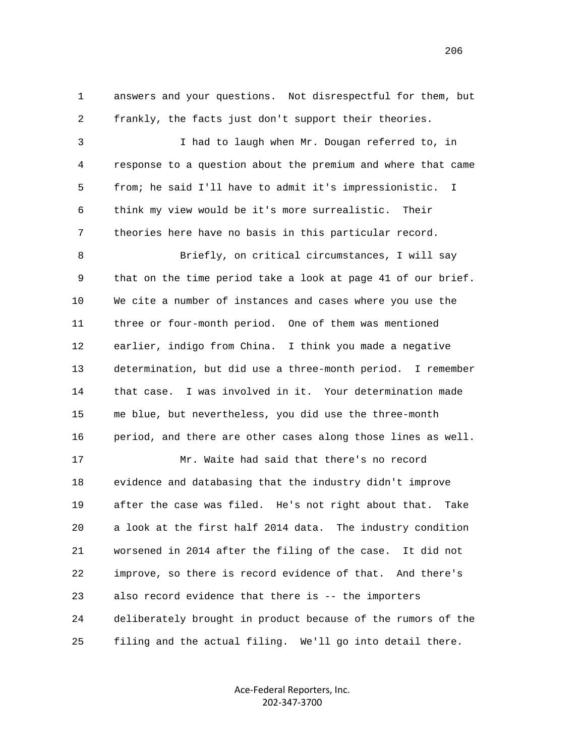1 answers and your questions. Not disrespectful for them, but 2 frankly, the facts just don't support their theories.

 3 I had to laugh when Mr. Dougan referred to, in 4 response to a question about the premium and where that came 5 from; he said I'll have to admit it's impressionistic. I 6 think my view would be it's more surrealistic. Their 7 theories here have no basis in this particular record.

 8 Briefly, on critical circumstances, I will say 9 that on the time period take a look at page 41 of our brief. 10 We cite a number of instances and cases where you use the 11 three or four-month period. One of them was mentioned 12 earlier, indigo from China. I think you made a negative 13 determination, but did use a three-month period. I remember 14 that case. I was involved in it. Your determination made 15 me blue, but nevertheless, you did use the three-month 16 period, and there are other cases along those lines as well.

 17 Mr. Waite had said that there's no record 18 evidence and databasing that the industry didn't improve 19 after the case was filed. He's not right about that. Take 20 a look at the first half 2014 data. The industry condition 21 worsened in 2014 after the filing of the case. It did not 22 improve, so there is record evidence of that. And there's 23 also record evidence that there is -- the importers 24 deliberately brought in product because of the rumors of the 25 filing and the actual filing. We'll go into detail there.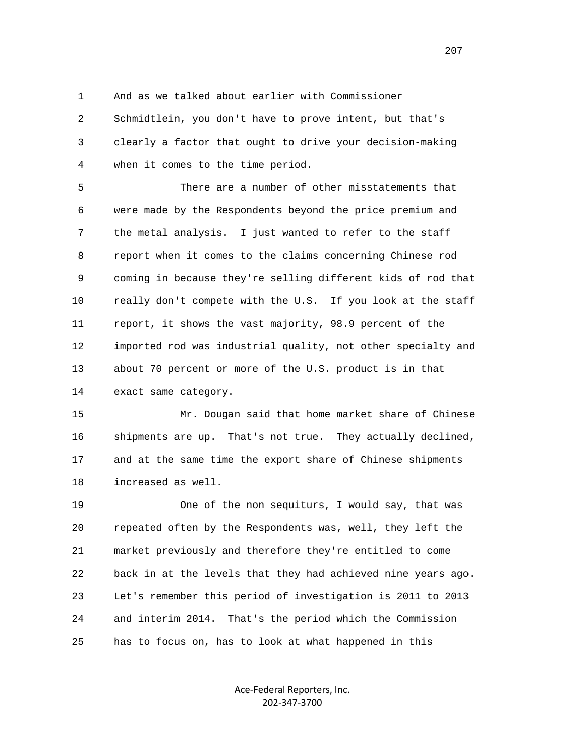1 And as we talked about earlier with Commissioner

 2 Schmidtlein, you don't have to prove intent, but that's 3 clearly a factor that ought to drive your decision-making 4 when it comes to the time period.

 5 There are a number of other misstatements that 6 were made by the Respondents beyond the price premium and 7 the metal analysis. I just wanted to refer to the staff 8 report when it comes to the claims concerning Chinese rod 9 coming in because they're selling different kids of rod that 10 really don't compete with the U.S. If you look at the staff 11 report, it shows the vast majority, 98.9 percent of the 12 imported rod was industrial quality, not other specialty and 13 about 70 percent or more of the U.S. product is in that 14 exact same category.

 15 Mr. Dougan said that home market share of Chinese 16 shipments are up. That's not true. They actually declined, 17 and at the same time the export share of Chinese shipments 18 increased as well.

 19 One of the non sequiturs, I would say, that was 20 repeated often by the Respondents was, well, they left the 21 market previously and therefore they're entitled to come 22 back in at the levels that they had achieved nine years ago. 23 Let's remember this period of investigation is 2011 to 2013 24 and interim 2014. That's the period which the Commission 25 has to focus on, has to look at what happened in this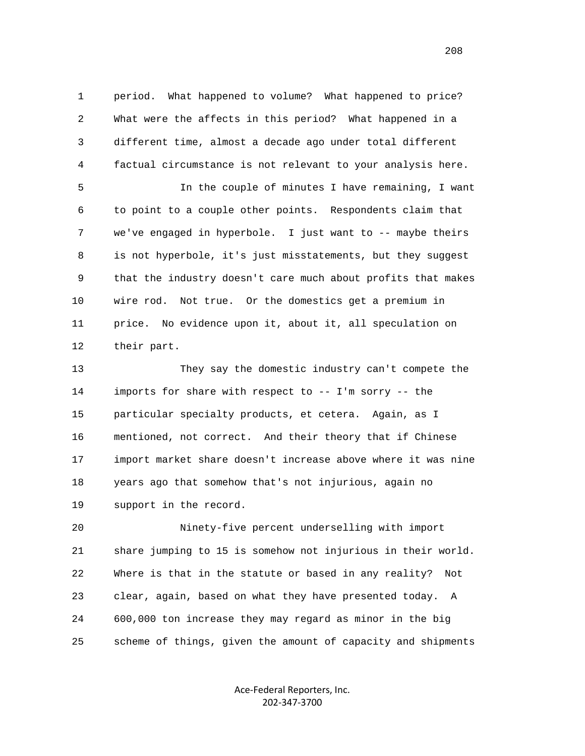1 period. What happened to volume? What happened to price? 2 What were the affects in this period? What happened in a 3 different time, almost a decade ago under total different 4 factual circumstance is not relevant to your analysis here.

 5 In the couple of minutes I have remaining, I want 6 to point to a couple other points. Respondents claim that 7 we've engaged in hyperbole. I just want to -- maybe theirs 8 is not hyperbole, it's just misstatements, but they suggest 9 that the industry doesn't care much about profits that makes 10 wire rod. Not true. Or the domestics get a premium in 11 price. No evidence upon it, about it, all speculation on 12 their part.

 13 They say the domestic industry can't compete the 14 imports for share with respect to -- I'm sorry -- the 15 particular specialty products, et cetera. Again, as I 16 mentioned, not correct. And their theory that if Chinese 17 import market share doesn't increase above where it was nine 18 years ago that somehow that's not injurious, again no 19 support in the record.

 20 Ninety-five percent underselling with import 21 share jumping to 15 is somehow not injurious in their world. 22 Where is that in the statute or based in any reality? Not 23 clear, again, based on what they have presented today. A 24 600,000 ton increase they may regard as minor in the big 25 scheme of things, given the amount of capacity and shipments

> Ace‐Federal Reporters, Inc. 202‐347‐3700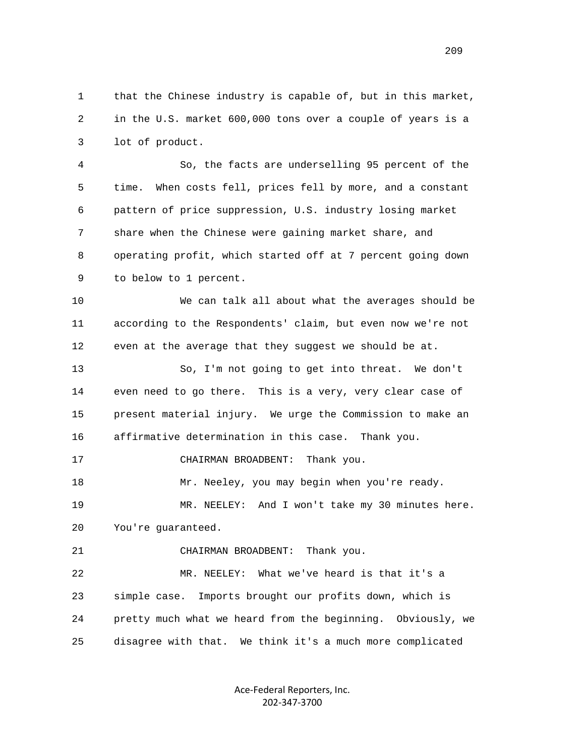1 that the Chinese industry is capable of, but in this market, 2 in the U.S. market 600,000 tons over a couple of years is a 3 lot of product.

 4 So, the facts are underselling 95 percent of the 5 time. When costs fell, prices fell by more, and a constant 6 pattern of price suppression, U.S. industry losing market 7 share when the Chinese were gaining market share, and 8 operating profit, which started off at 7 percent going down 9 to below to 1 percent.

 10 We can talk all about what the averages should be 11 according to the Respondents' claim, but even now we're not 12 even at the average that they suggest we should be at.

 13 So, I'm not going to get into threat. We don't 14 even need to go there. This is a very, very clear case of 15 present material injury. We urge the Commission to make an 16 affirmative determination in this case. Thank you.

17 CHAIRMAN BROADBENT: Thank you.

 18 Mr. Neeley, you may begin when you're ready. 19 MR. NEELEY: And I won't take my 30 minutes here. 20 You're guaranteed.

21 CHAIRMAN BROADBENT: Thank you.

 22 MR. NEELEY: What we've heard is that it's a 23 simple case. Imports brought our profits down, which is 24 pretty much what we heard from the beginning. Obviously, we 25 disagree with that. We think it's a much more complicated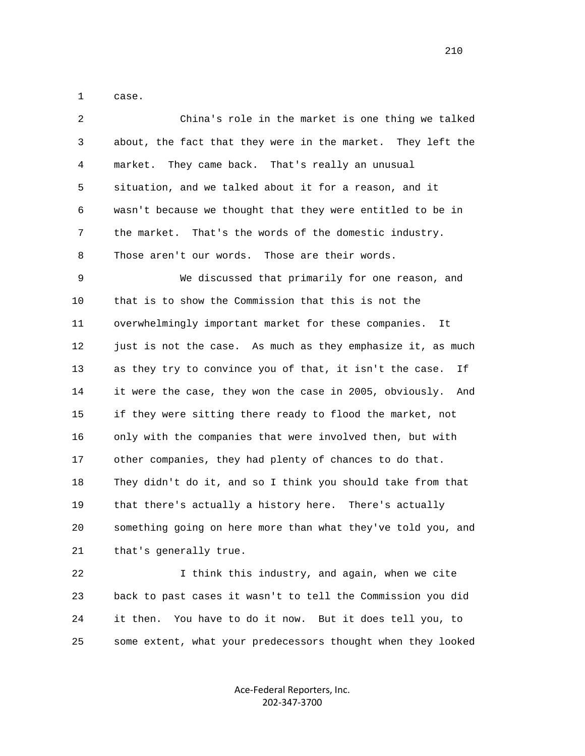1 case.

| 2            | China's role in the market is one thing we talked              |
|--------------|----------------------------------------------------------------|
| $\mathsf{3}$ | about, the fact that they were in the market. They left the    |
| 4            | They came back. That's really an unusual<br>market.            |
| 5            | situation, and we talked about it for a reason, and it         |
| 6            | wasn't because we thought that they were entitled to be in     |
| 7            | the market. That's the words of the domestic industry.         |
| 8            | Those aren't our words.<br>Those are their words.              |
| 9            | We discussed that primarily for one reason, and                |
| 10           | that is to show the Commission that this is not the            |
| 11           | overwhelmingly important market for these companies.<br>It     |
| 12           | just is not the case. As much as they emphasize it, as much    |
| 13           | as they try to convince you of that, it isn't the case.<br>Ιf  |
| 14           | it were the case, they won the case in 2005, obviously.<br>And |
| 15           | if they were sitting there ready to flood the market, not      |
| 16           | only with the companies that were involved then, but with      |
| 17           | other companies, they had plenty of chances to do that.        |
| 18           | They didn't do it, and so I think you should take from that    |
| 19           | that there's actually a history here. There's actually         |
| 20           | something going on here more than what they've told you, and   |
| 21           | that's generally true.                                         |
| 22           | I think this industry, and again, when we cite                 |
| 23           | back to past cases it wasn't to tell the Commission you did    |

25 some extent, what your predecessors thought when they looked

Ace‐Federal Reporters, Inc. 202‐347‐3700

24 it then. You have to do it now. But it does tell you, to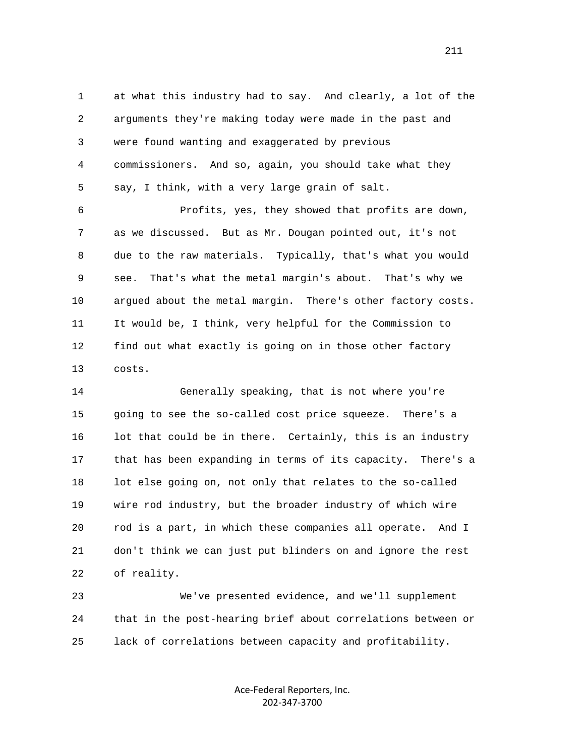1 at what this industry had to say. And clearly, a lot of the 2 arguments they're making today were made in the past and 3 were found wanting and exaggerated by previous 4 commissioners. And so, again, you should take what they 5 say, I think, with a very large grain of salt.

 6 Profits, yes, they showed that profits are down, 7 as we discussed. But as Mr. Dougan pointed out, it's not 8 due to the raw materials. Typically, that's what you would 9 see. That's what the metal margin's about. That's why we 10 argued about the metal margin. There's other factory costs. 11 It would be, I think, very helpful for the Commission to 12 find out what exactly is going on in those other factory 13 costs.

 14 Generally speaking, that is not where you're 15 going to see the so-called cost price squeeze. There's a 16 lot that could be in there. Certainly, this is an industry 17 that has been expanding in terms of its capacity. There's a 18 lot else going on, not only that relates to the so-called 19 wire rod industry, but the broader industry of which wire 20 rod is a part, in which these companies all operate. And I 21 don't think we can just put blinders on and ignore the rest 22 of reality.

 23 We've presented evidence, and we'll supplement 24 that in the post-hearing brief about correlations between or 25 lack of correlations between capacity and profitability.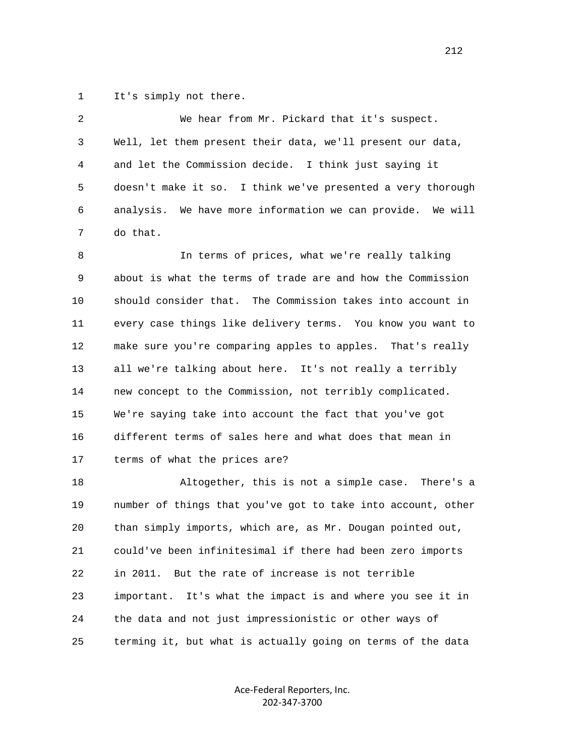1 It's simply not there.

 2 We hear from Mr. Pickard that it's suspect. 3 Well, let them present their data, we'll present our data, 4 and let the Commission decide. I think just saying it 5 doesn't make it so. I think we've presented a very thorough 6 analysis. We have more information we can provide. We will 7 do that.

 8 In terms of prices, what we're really talking 9 about is what the terms of trade are and how the Commission 10 should consider that. The Commission takes into account in 11 every case things like delivery terms. You know you want to 12 make sure you're comparing apples to apples. That's really 13 all we're talking about here. It's not really a terribly 14 new concept to the Commission, not terribly complicated. 15 We're saying take into account the fact that you've got 16 different terms of sales here and what does that mean in 17 terms of what the prices are?

 18 Altogether, this is not a simple case. There's a 19 number of things that you've got to take into account, other 20 than simply imports, which are, as Mr. Dougan pointed out, 21 could've been infinitesimal if there had been zero imports 22 in 2011. But the rate of increase is not terrible 23 important. It's what the impact is and where you see it in 24 the data and not just impressionistic or other ways of 25 terming it, but what is actually going on terms of the data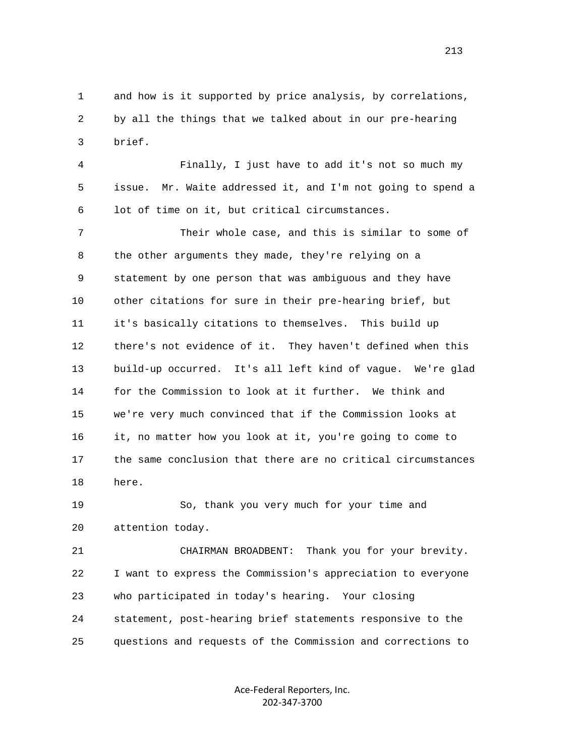1 and how is it supported by price analysis, by correlations, 2 by all the things that we talked about in our pre-hearing 3 brief.

 4 Finally, I just have to add it's not so much my 5 issue. Mr. Waite addressed it, and I'm not going to spend a 6 lot of time on it, but critical circumstances.

 7 Their whole case, and this is similar to some of 8 the other arguments they made, they're relying on a 9 statement by one person that was ambiguous and they have 10 other citations for sure in their pre-hearing brief, but 11 it's basically citations to themselves. This build up 12 there's not evidence of it. They haven't defined when this 13 build-up occurred. It's all left kind of vague. We're glad 14 for the Commission to look at it further. We think and 15 we're very much convinced that if the Commission looks at 16 it, no matter how you look at it, you're going to come to 17 the same conclusion that there are no critical circumstances 18 here.

 19 So, thank you very much for your time and 20 attention today.

 21 CHAIRMAN BROADBENT: Thank you for your brevity. 22 I want to express the Commission's appreciation to everyone 23 who participated in today's hearing. Your closing 24 statement, post-hearing brief statements responsive to the 25 questions and requests of the Commission and corrections to

> Ace‐Federal Reporters, Inc. 202‐347‐3700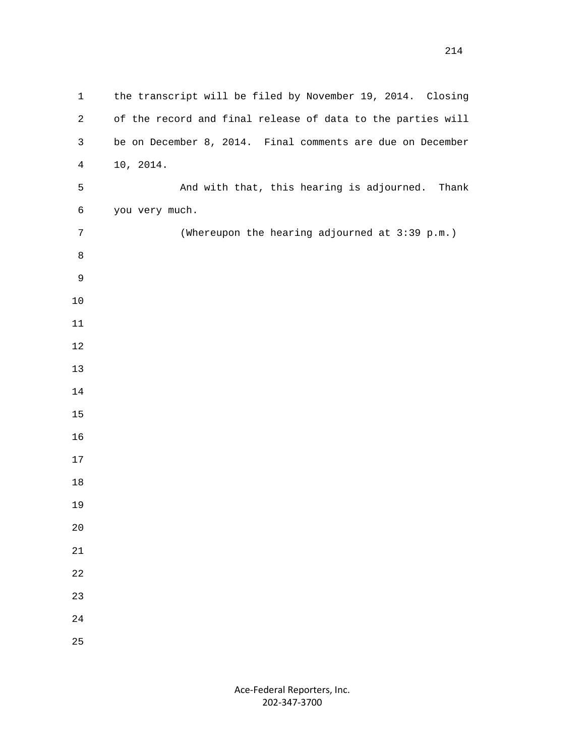| $\mathbf 1$    | the transcript will be filed by November 19, 2014. Closing  |
|----------------|-------------------------------------------------------------|
| $\overline{a}$ | of the record and final release of data to the parties will |
| 3              | be on December 8, 2014. Final comments are due on December  |
| $\overline{4}$ | 10, 2014.                                                   |
| 5              | And with that, this hearing is adjourned.<br>Thank          |
| 6              | you very much.                                              |
| 7              | (Whereupon the hearing adjourned at 3:39 p.m.)              |
| 8              |                                                             |
| 9              |                                                             |
| $10$           |                                                             |
| $11\,$         |                                                             |
| $12$           |                                                             |
| 13             |                                                             |
| 14             |                                                             |
| 15             |                                                             |
| 16             |                                                             |
| 17             |                                                             |
| $18\,$         |                                                             |
| 19             |                                                             |
| 20             |                                                             |
| $21\,$         |                                                             |
| 22             |                                                             |
| 23             |                                                             |
| 24             |                                                             |
| 25             |                                                             |